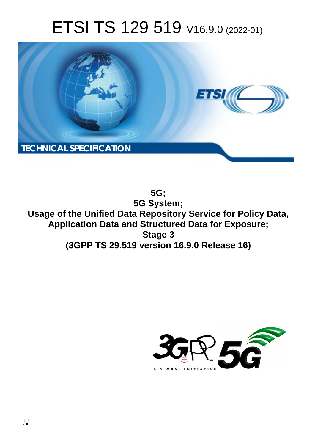# ETSI TS 129 519 V16.9.0 (2022-01)



**5G; 5G System; Usage of the Unified Data Repository Service for Policy Data, Application Data and Structured Data for Exposure; Stage 3 (3GPP TS 29.519 version 16.9.0 Release 16)** 

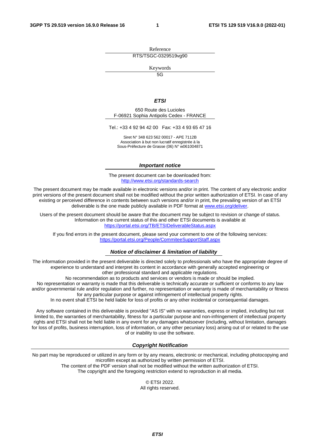Reference RTS/TSGC-0329519vg90

Keywords

 $\overline{5G}$ 

#### *ETSI*

650 Route des Lucioles F-06921 Sophia Antipolis Cedex - FRANCE

Tel.: +33 4 92 94 42 00 Fax: +33 4 93 65 47 16

Siret N° 348 623 562 00017 - APE 7112B Association à but non lucratif enregistrée à la Sous-Préfecture de Grasse (06) N° w061004871

#### *Important notice*

The present document can be downloaded from: <http://www.etsi.org/standards-search>

The present document may be made available in electronic versions and/or in print. The content of any electronic and/or print versions of the present document shall not be modified without the prior written authorization of ETSI. In case of any existing or perceived difference in contents between such versions and/or in print, the prevailing version of an ETSI deliverable is the one made publicly available in PDF format at [www.etsi.org/deliver](http://www.etsi.org/deliver).

Users of the present document should be aware that the document may be subject to revision or change of status. Information on the current status of this and other ETSI documents is available at <https://portal.etsi.org/TB/ETSIDeliverableStatus.aspx>

If you find errors in the present document, please send your comment to one of the following services: <https://portal.etsi.org/People/CommiteeSupportStaff.aspx>

#### *Notice of disclaimer & limitation of liability*

The information provided in the present deliverable is directed solely to professionals who have the appropriate degree of experience to understand and interpret its content in accordance with generally accepted engineering or other professional standard and applicable regulations.

No recommendation as to products and services or vendors is made or should be implied.

No representation or warranty is made that this deliverable is technically accurate or sufficient or conforms to any law and/or governmental rule and/or regulation and further, no representation or warranty is made of merchantability or fitness for any particular purpose or against infringement of intellectual property rights.

In no event shall ETSI be held liable for loss of profits or any other incidental or consequential damages.

Any software contained in this deliverable is provided "AS IS" with no warranties, express or implied, including but not limited to, the warranties of merchantability, fitness for a particular purpose and non-infringement of intellectual property rights and ETSI shall not be held liable in any event for any damages whatsoever (including, without limitation, damages for loss of profits, business interruption, loss of information, or any other pecuniary loss) arising out of or related to the use of or inability to use the software.

#### *Copyright Notification*

No part may be reproduced or utilized in any form or by any means, electronic or mechanical, including photocopying and microfilm except as authorized by written permission of ETSI. The content of the PDF version shall not be modified without the written authorization of ETSI.

The copyright and the foregoing restriction extend to reproduction in all media.

© ETSI 2022. All rights reserved.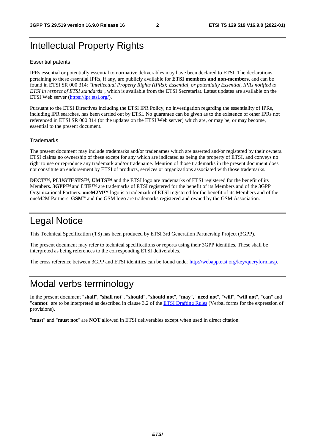# Intellectual Property Rights

#### Essential patents

IPRs essential or potentially essential to normative deliverables may have been declared to ETSI. The declarations pertaining to these essential IPRs, if any, are publicly available for **ETSI members and non-members**, and can be found in ETSI SR 000 314: *"Intellectual Property Rights (IPRs); Essential, or potentially Essential, IPRs notified to ETSI in respect of ETSI standards"*, which is available from the ETSI Secretariat. Latest updates are available on the ETSI Web server ([https://ipr.etsi.org/\)](https://ipr.etsi.org/).

Pursuant to the ETSI Directives including the ETSI IPR Policy, no investigation regarding the essentiality of IPRs, including IPR searches, has been carried out by ETSI. No guarantee can be given as to the existence of other IPRs not referenced in ETSI SR 000 314 (or the updates on the ETSI Web server) which are, or may be, or may become, essential to the present document.

#### **Trademarks**

The present document may include trademarks and/or tradenames which are asserted and/or registered by their owners. ETSI claims no ownership of these except for any which are indicated as being the property of ETSI, and conveys no right to use or reproduce any trademark and/or tradename. Mention of those trademarks in the present document does not constitute an endorsement by ETSI of products, services or organizations associated with those trademarks.

**DECT™**, **PLUGTESTS™**, **UMTS™** and the ETSI logo are trademarks of ETSI registered for the benefit of its Members. **3GPP™** and **LTE™** are trademarks of ETSI registered for the benefit of its Members and of the 3GPP Organizational Partners. **oneM2M™** logo is a trademark of ETSI registered for the benefit of its Members and of the oneM2M Partners. **GSM**® and the GSM logo are trademarks registered and owned by the GSM Association.

# Legal Notice

This Technical Specification (TS) has been produced by ETSI 3rd Generation Partnership Project (3GPP).

The present document may refer to technical specifications or reports using their 3GPP identities. These shall be interpreted as being references to the corresponding ETSI deliverables.

The cross reference between 3GPP and ETSI identities can be found under<http://webapp.etsi.org/key/queryform.asp>.

# Modal verbs terminology

In the present document "**shall**", "**shall not**", "**should**", "**should not**", "**may**", "**need not**", "**will**", "**will not**", "**can**" and "**cannot**" are to be interpreted as described in clause 3.2 of the [ETSI Drafting Rules](https://portal.etsi.org/Services/editHelp!/Howtostart/ETSIDraftingRules.aspx) (Verbal forms for the expression of provisions).

"**must**" and "**must not**" are **NOT** allowed in ETSI deliverables except when used in direct citation.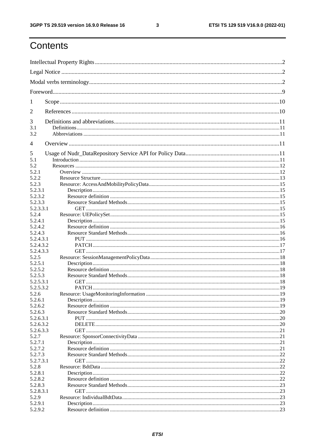$\mathbf{3}$ 

# Contents

| 1                    |  |
|----------------------|--|
| 2                    |  |
| 3                    |  |
| 3.1<br>3.2           |  |
| 4                    |  |
| 5                    |  |
| 5.1                  |  |
| 5.2<br>5.2.1         |  |
| 5.2.2                |  |
| 5.2.3                |  |
| 5.2.3.1              |  |
| 5.2.3.2              |  |
| 5.2.3.3              |  |
| 5.2.3.3.1            |  |
| 5.2.4                |  |
| 5.2.4.1              |  |
| 5.2.4.2              |  |
| 5.2.4.3<br>5.2.4.3.1 |  |
| 5.2.4.3.2            |  |
| 5.2.4.3.3            |  |
| 5.2.5                |  |
| 5.2.5.1              |  |
| 5.2.5.2              |  |
| 5.2.5.3              |  |
| 5.2.5.3.1            |  |
| 5.2.5.3.2            |  |
| 5.2.6                |  |
| 5.2.6.1              |  |
| 5.2.6.2<br>5.2.6.3   |  |
| 5.2.6.3.1            |  |
| 5.2.6.3.2            |  |
| 5.2.6.3.3            |  |
| 5.2.7                |  |
| 5.2.7.1              |  |
| 5.2.7.2              |  |
| 5.2.7.3              |  |
| 5.2.7.3.1            |  |
| 5.2.8                |  |
| 5.2.8.1              |  |
| 5.2.8.2              |  |
| 5.2.8.3              |  |
| 5.2.8.3.1<br>5.2.9   |  |
| 5.2.9.1              |  |
| 5.2.9.2              |  |
|                      |  |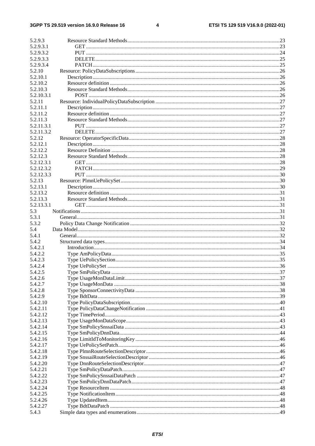#### $\overline{\mathbf{4}}$

| 5.2.9.3            |  |
|--------------------|--|
| 5.2.9.3.1          |  |
| 5.2.9.3.2          |  |
| 5.2.9.3.3          |  |
| 5.2.9.3.4          |  |
| 5.2.10             |  |
| 5.2.10.1           |  |
| 5.2.10.2           |  |
| 5.2.10.3           |  |
| 5.2.10.3.1         |  |
| 5.2.11             |  |
| 5.2.11.1           |  |
| 5.2.11.2           |  |
| 5.2.11.3           |  |
| 5.2.11.3.1         |  |
| 5.2.11.3.2         |  |
| 5.2.12             |  |
| 5.2.12.1           |  |
| 5.2.12.2           |  |
| 5.2.12.3           |  |
| 5.2.12.3.1         |  |
| 5.2.12.3.2         |  |
| 5.2.12.3.3         |  |
| 5.2.13             |  |
| 5.2.13.1           |  |
| 5.2.13.2           |  |
| 5.2.13.3           |  |
| 5.2.13.3.1         |  |
| 5.3                |  |
| 5.3.1              |  |
| 5.3.2              |  |
| 5.4                |  |
| 5.4.1              |  |
| 5.4.2              |  |
| 5.4.2.1            |  |
| 5.4.2.2            |  |
| 5.4.2.3            |  |
| 5.4.2.4            |  |
| 5.4.2.5<br>5.4.2.6 |  |
| 5.4.2.7            |  |
| 5.4.2.8            |  |
| 5.4.2.9            |  |
| 5.4.2.10           |  |
| 5.4.2.11           |  |
| 5.4.2.12           |  |
| 5.4.2.13           |  |
| 5.4.2.14           |  |
| 5.4.2.15           |  |
| 5.4.2.16           |  |
| 5.4.2.17           |  |
| 5.4.2.18           |  |
| 5.4.2.19           |  |
| 5.4.2.20           |  |
| 5.4.2.21           |  |
| 5.4.2.22           |  |
| 5.4.2.23           |  |
| 5.4.2.24           |  |
| 5.4.2.25           |  |
| 5.2.4.26           |  |
|                    |  |
| 5.4.2.27           |  |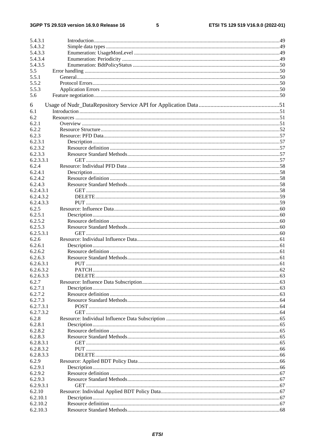$5\phantom{a}$ 

| 5.4.3.1   |  |
|-----------|--|
| 5.4.3.2   |  |
| 5.4.3.3   |  |
| 5.4.3.4   |  |
| 5.4.3.5   |  |
| 5.5       |  |
| 5.5.1     |  |
| 5.5.2     |  |
| 5.5.3     |  |
| 5.6       |  |
| 6         |  |
| 6.1       |  |
| 6.2       |  |
| 6.2.1     |  |
| 6.2.2     |  |
| 6.2.3     |  |
| 6.2.3.1   |  |
| 6.2.3.2   |  |
| 6.2.3.3   |  |
| 6.2.3.3.1 |  |
| 6.2.4     |  |
| 6.2.4.1   |  |
| 6.2.4.2   |  |
| 6.2.4.3   |  |
| 6.2.4.3.1 |  |
| 6.2.4.3.2 |  |
| 6.2.4.3.3 |  |
| 6.2.5     |  |
| 6.2.5.1   |  |
| 6.2.5.2   |  |
| 6.2.5.3   |  |
| 6.2.5.3.1 |  |
| 6.2.6     |  |
| 6.2.6.1   |  |
| 6.2.6.2   |  |
| 6.2.6.3   |  |
| 6.2.6.3.1 |  |
| 6.2.6.3.2 |  |
| 6.2.6.3.3 |  |
| 6.2.7     |  |
| 6.2.7.1   |  |
| 6.2.7.2   |  |
| 6.2.7.3   |  |
| 6.2.7.3.1 |  |
| 6.2.7.3.2 |  |
| 6.2.8     |  |
| 6.2.8.1   |  |
| 6.2.8.2   |  |
| 6.2.8.3   |  |
| 6.2.8.3.1 |  |
| 6.2.8.3.2 |  |
| 6.2.8.3.3 |  |
| 6.2.9     |  |
| 6.2.9.1   |  |
| 6.2.9.2   |  |
| 6.2.9.3   |  |
| 6.2.9.3.1 |  |
| 6.2.10    |  |
| 6.2.10.1  |  |
| 6.2.10.2  |  |
| 6.2.10.3  |  |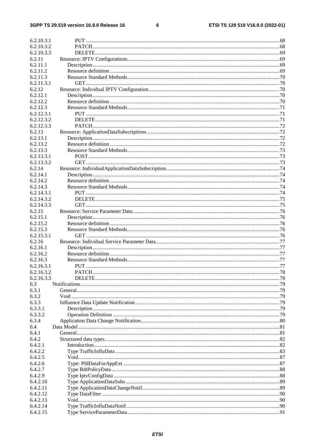#### $\bf 6$

| 6.2.10.3.1 |  |
|------------|--|
| 6.2.10.3.2 |  |
| 6.2.10.3.3 |  |
| 6.2.11     |  |
| 6.2.11.1   |  |
| 6.2.11.2   |  |
| 6.2.11.3   |  |
| 6.2.11.3.1 |  |
| 6.2.12     |  |
| 6.2.12.1   |  |
| 6.2.12.2   |  |
| 6.2.12.3   |  |
| 6.2.12.3.1 |  |
| 6.2.12.3.2 |  |
| 6.2.12.3.3 |  |
| 6.2.13     |  |
| 6.2.13.1   |  |
| 6.2.13.2   |  |
| 6.2.13.3   |  |
| 6.2.13.3.1 |  |
| 6.2.13.3.2 |  |
| 6.2.14     |  |
| 6.2.14.1   |  |
| 6.2.14.2   |  |
| 6.2.14.3   |  |
| 6.2.14.3.1 |  |
| 6.2.14.3.2 |  |
| 6.2.14.3.3 |  |
| 6.2.15     |  |
| 6.2.15.1   |  |
| 6.2.15.2   |  |
| 6.2.15.3   |  |
| 6.2.15.3.1 |  |
| 6.2.16     |  |
| 6.2.16.1   |  |
| 6.2.16.2   |  |
| 6.2.16.3   |  |
| 6.2.16.3.1 |  |
| 6.2.16.3.2 |  |
| 6.2.16.3.3 |  |
| 6.3        |  |
| 6.3.1      |  |
| 6.3.2      |  |
| 6.3.3      |  |
| 6.3.3.1    |  |
| 6.3.3.2    |  |
| 6.3.4      |  |
| 6.4        |  |
| 6.4.1      |  |
| 6.4.2      |  |
| 6.4.2.1    |  |
| 6.4.2.2    |  |
| 6.4.2.5    |  |
| 6.4.2.6    |  |
| 6.4.2.7    |  |
| 6.4.2.9    |  |
| 6.4.2.10   |  |
| 6.4.2.11   |  |
| 6.4.2.12   |  |
| 6.4.2.13   |  |
| 6.4.2.14   |  |
| 6.4.2.15   |  |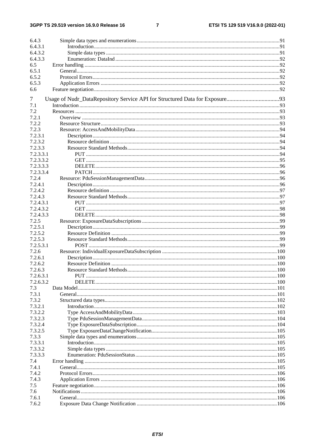$\overline{7}$ 

| 6.4.3     |  |
|-----------|--|
| 6.4.3.1   |  |
| 6.4.3.2   |  |
| 6.4.3.3   |  |
| 6.5       |  |
| 6.5.1     |  |
| 6.5.2     |  |
| 6.5.3     |  |
| 6.6       |  |
|           |  |
| 7         |  |
| 7.1       |  |
| 7.2       |  |
| 7.2.1     |  |
| 7.2.2     |  |
| 7.2.3     |  |
| 7.2.3.1   |  |
| 7.2.3.2   |  |
| 7.2.3.3   |  |
| 7.2.3.3.1 |  |
| 7.2.3.3.2 |  |
| 7.2.3.3.3 |  |
| 7.2.3.3.4 |  |
| 7.2.4     |  |
| 7.2.4.1   |  |
| 7.2.4.2   |  |
| 7.2.4.3   |  |
| 7.2.4.3.1 |  |
| 7.2.4.3.2 |  |
| 7.2.4.3.3 |  |
| 7.2.5     |  |
| 7.2.5.1   |  |
| 7.2.5.2   |  |
| 7.2.5.3   |  |
| 7.2.5.3.1 |  |
| 7.2.6     |  |
| 7.2.6.1   |  |
| 7.2.6.2   |  |
| 7.2.6.3   |  |
| 7.2.6.3.1 |  |
| 7.2.6.3.2 |  |
| 7.3       |  |
| 7.3.1     |  |
| 7.3.2     |  |
| 7.3.2.1   |  |
| 7.3.2.2   |  |
| 7.3.2.3   |  |
| 7.3.2.4   |  |
| 7.3.2.5   |  |
| 7.3.3     |  |
| 7.3.3.1   |  |
| 7.3.3.2   |  |
| 7.3.3.3   |  |
| 7.4       |  |
| 7.4.1     |  |
| 7.4.2     |  |
| 7.4.3     |  |
| 7.5       |  |
| 7.6       |  |
| 7.6.1     |  |
| 7.6.2     |  |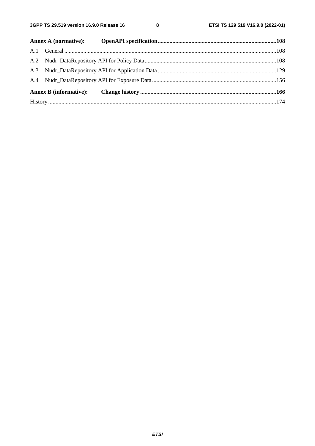$\bf{8}$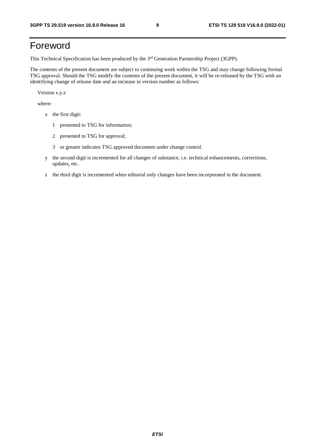# Foreword

This Technical Specification has been produced by the 3<sup>rd</sup> Generation Partnership Project (3GPP).

The contents of the present document are subject to continuing work within the TSG and may change following formal TSG approval. Should the TSG modify the contents of the present document, it will be re-released by the TSG with an identifying change of release date and an increase in version number as follows:

Version x.y.z

where:

- x the first digit:
	- 1 presented to TSG for information;
	- 2 presented to TSG for approval;
	- 3 or greater indicates TSG approved document under change control.
- y the second digit is incremented for all changes of substance, i.e. technical enhancements, corrections, updates, etc.
- z the third digit is incremented when editorial only changes have been incorporated in the document.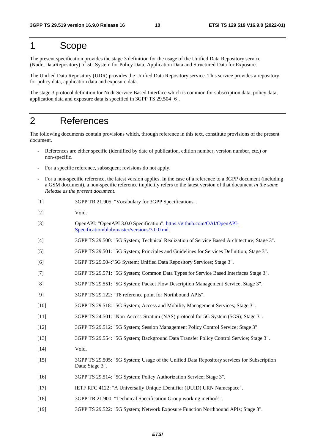# 1 Scope

The present specification provides the stage 3 definition for the usage of the Unified Data Repository service (Nudr\_DataRepository) of 5G System for Policy Data, Application Data and Structured Data for Exposure.

The Unified Data Repository (UDR) provides the Unified Data Repository service. This service provides a repository for policy data, application data and exposure data.

The stage 3 protocol definition for Nudr Service Based Interface which is common for subscription data, policy data, application data and exposure data is specified in 3GPP TS 29.504 [6].

# 2 References

The following documents contain provisions which, through reference in this text, constitute provisions of the present document.

- References are either specific (identified by date of publication, edition number, version number, etc.) or non-specific.
- For a specific reference, subsequent revisions do not apply.
- For a non-specific reference, the latest version applies. In the case of a reference to a 3GPP document (including a GSM document), a non-specific reference implicitly refers to the latest version of that document *in the same Release as the present document*.
- [1] 3GPP TR 21.905: "Vocabulary for 3GPP Specifications".
- [2] Void.
- [3] OpenAPI: "OpenAPI 3.0.0 Specification", [https://github.com/OAI/OpenAPI](https://github.com/OAI/OpenAPI-Specification/blob/master/versions/3.0.0.md)-[Specification/blob/master/versions/3.0.0.md](https://github.com/OAI/OpenAPI-Specification/blob/master/versions/3.0.0.md).
- [4] 3GPP TS 29.500: "5G System; Technical Realization of Service Based Architecture; Stage 3".
- [5] 3GPP TS 29.501: "5G System; Principles and Guidelines for Services Definition; Stage 3".
- [6] 3GPP TS 29.504:"5G System; Unified Data Repository Services; Stage 3".
- [7] 3GPP TS 29.571: "5G System; Common Data Types for Service Based Interfaces Stage 3".
- [8] 3GPP TS 29.551: "5G System; Packet Flow Description Management Service; Stage 3".
- [9] 3GPP TS 29.122: "T8 reference point for Northbound APIs".
- [10] 3GPP TS 29.518: "5G System; Access and Mobility Management Services; Stage 3".
- [11] 3GPP TS 24.501: "Non-Access-Stratum (NAS) protocol for 5G System (5GS); Stage 3".
- [12] 3GPP TS 29.512: "5G System; Session Management Policy Control Service; Stage 3".
- [13] 3GPP TS 29.554: "5G System; Background Data Transfer Policy Control Service; Stage 3".
- [14] Void.
- [15] 3GPP TS 29.505: "5G System; Usage of the Unified Data Repository services for Subscription Data; Stage 3".
- [16] 3GPP TS 29.514: "5G System; Policy Authorization Service; Stage 3".
- [17] IETF RFC 4122: "A Universally Unique IDentifier (UUID) URN Namespace".
- [18] 3GPP TR 21.900: "Technical Specification Group working methods".
- [19] 3GPP TS 29.522: "5G System; Network Exposure Function Northbound APIs; Stage 3".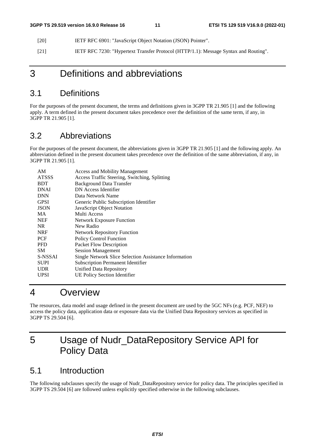- [20] IETF RFC 6901: "JavaScript Object Notation (JSON) Pointer".
- [21] IETF RFC 7230: "Hypertext Transfer Protocol (HTTP/1.1): Message Syntax and Routing".

# 3 Definitions and abbreviations

# 3.1 Definitions

For the purposes of the present document, the terms and definitions given in 3GPP TR 21.905 [1] and the following apply. A term defined in the present document takes precedence over the definition of the same term, if any, in 3GPP TR 21.905 [1].

# 3.2 Abbreviations

For the purposes of the present document, the abbreviations given in 3GPP TR 21.905 [1] and the following apply. An abbreviation defined in the present document takes precedence over the definition of the same abbreviation, if any, in 3GPP TR 21.905 [1].

| AM           | <b>Access and Mobility Management</b>                 |
|--------------|-------------------------------------------------------|
| <b>ATSSS</b> | Access Traffic Steering, Switching, Splitting         |
| <b>BDT</b>   | <b>Background Data Transfer</b>                       |
| <b>DNAI</b>  | DN Access Identifier                                  |
| <b>DNN</b>   | Data Network Name                                     |
| <b>GPSI</b>  | Generic Public Subscription Identifier                |
| <b>JSON</b>  | JavaScript Object Notation                            |
| MA           | Multi Access                                          |
| <b>NEF</b>   | <b>Network Exposure Function</b>                      |
| NR.          | New Radio                                             |
| <b>NRF</b>   | <b>Network Repository Function</b>                    |
| PCF          | <b>Policy Control Function</b>                        |
| <b>PFD</b>   | Packet Flow Description                               |
| <b>SM</b>    | <b>Session Management</b>                             |
| S-NSSAI      | Single Network Slice Selection Assistance Information |
| <b>SUPI</b>  | <b>Subscription Permanent Identifier</b>              |
| <b>UDR</b>   | Unified Data Repository                               |
| UPSI         | UE Policy Section Identifier                          |

# 4 Overview

The resources, data model and usage defined in the present document are used by the 5GC NFs (e.g. PCF, NEF) to access the policy data, application data or exposure data via the Unified Data Repository services as specified in 3GPP TS 29.504 [6].

# 5 Usage of Nudr\_DataRepository Service API for Policy Data

# 5.1 Introduction

The following subclauses specify the usage of Nudr\_DataRepository service for policy data. The principles specified in 3GPP TS 29.504 [6] are followed unless explicitly specified otherwise in the following subclauses.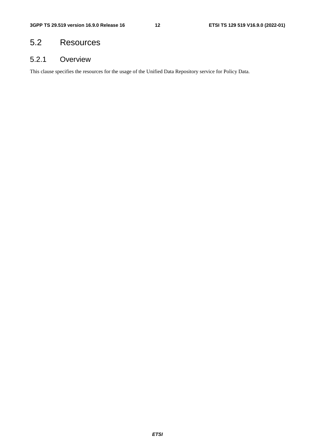# 5.2 Resources

# 5.2.1 Overview

This clause specifies the resources for the usage of the Unified Data Repository service for Policy Data.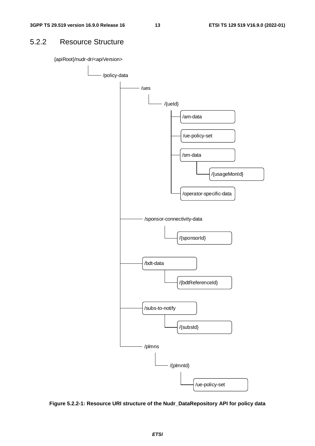# 5.2.2 Resource Structure

{apiRoot}/nudr-dr/<apiVersion>



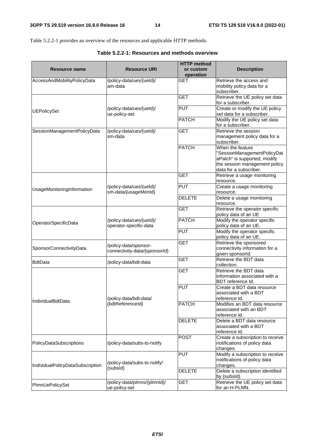Table 5.2.2-1 provides an overview of the resources and applicable HTTP methods.

**Table 5.2.2-1: Resources and methods overview** 

| Resource name                    | <b>Resource URI</b>                                    | <b>HTTP</b> method<br>or custom<br>operation | <b>Description</b>                                                                                               |  |
|----------------------------------|--------------------------------------------------------|----------------------------------------------|------------------------------------------------------------------------------------------------------------------|--|
| AccessAndMobilityPolicyData      | /policy-data/ues/{ueld}/<br>am-data                    | <b>GET</b>                                   | Retrieve the access and<br>mobility policy data for a<br>subscriber.                                             |  |
|                                  |                                                        | <b>GET</b>                                   | Retrieve the UE policy set data<br>for a subscriber.                                                             |  |
| <b>UEPolicySet</b>               | /policy-data/ues/{ueld}/<br>ue-policy-set              | <b>PUT</b>                                   | Create or modify the UE policy<br>set data for a subscriber.                                                     |  |
|                                  |                                                        | <b>PATCH</b>                                 | Modify the UE policy set data<br>for a subscriber.                                                               |  |
| SessionManagementPolicyData      | /policy-data/ues/{ueld}/<br>sm-data                    | <b>GET</b>                                   | Retrieve the session<br>management policy data for a<br>subscriber.                                              |  |
|                                  |                                                        | <b>PATCH</b>                                 | When the feature<br>"SessionManagementPolicyDat<br>aPatch" is supported, modify<br>the session management policy |  |
|                                  |                                                        |                                              | data for a subscriber.                                                                                           |  |
|                                  |                                                        | <b>GET</b>                                   | Retrieve a usage monitoring<br>resource.                                                                         |  |
| UsageMonitoringInformation       | /policy-data/ues/{ueld}/<br>sm-data/{usageMonId}       | <b>PUT</b>                                   | Create a usage monitoring<br>resource.                                                                           |  |
|                                  |                                                        | <b>DELETE</b>                                | Delete a usage monitoring<br>resource.                                                                           |  |
|                                  |                                                        | <b>GET</b>                                   | Retrieve the operator specific<br>policy data of an UE                                                           |  |
| OperatorSpecificData             | /policy-data/ues/{ueld}/<br>operator-specific-data     | <b>PATCH</b>                                 | Modify the operator specific<br>policy data of an UE.                                                            |  |
|                                  |                                                        | <b>PUT</b>                                   | Modify the operator specific<br>policy data of an UE.                                                            |  |
| SponsorConnectivityData          | /policy-data/sponsor-<br>connectivity-data/{sponsorId} | <b>GET</b>                                   | Retrieve the sponsored<br>connectivity information for a<br>given sponsorld.                                     |  |
| <b>BdtData</b>                   | /policy-data/bdt-data                                  | <b>GET</b>                                   | Retrieve the BDT data<br>collection.                                                                             |  |
|                                  |                                                        | <b>GET</b>                                   | Retrieve the BDT data<br>information associated with a<br>BDT reference Id.                                      |  |
|                                  | /policv-data/bdt-data/                                 | <b>PUT</b>                                   | Create a BDT data resource<br>associated with a BDT<br>reference Id.                                             |  |
| <b>IndividualBdtData</b>         | {bdtReferenceId}                                       | <b>PATCH</b>                                 | Modifies an BDT data resource<br>associated with an BDT<br>reference Id.                                         |  |
|                                  |                                                        | <b>DELETE</b>                                | Delete a BDT data resource<br>associated with a BDT<br>reference Id.                                             |  |
| PolicyDataSubscriptions          | /policy-data/subs-to-notify                            | <b>POST</b>                                  | Create a subscription to receive<br>notifications of policy data<br>changes.                                     |  |
| IndividualPolicyDataSubscription | /policy-data/subs-to-notify/<br>{subsId}               | <b>PUT</b><br><b>DELETE</b>                  | Modify a subscription to receive<br>notifications of policy data<br>changes.<br>Delete a subscription identified |  |
|                                  |                                                        |                                              | by {subsId}.                                                                                                     |  |
| PImnUePolicySet                  | /policy-data/plmns/{plmnld}/<br>ue-policy-set          | <b>GET</b>                                   | Retrieve the UE policy set data<br>for an H-PLMN.                                                                |  |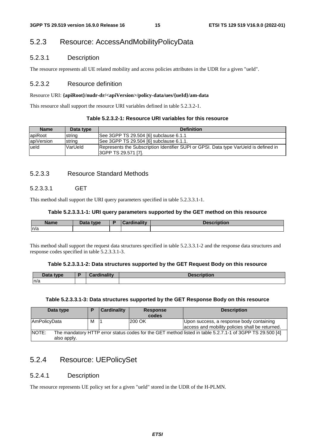# 5.2.3 Resource: AccessAndMobilityPolicyData

# 5.2.3.1 Description

The resource represents all UE related mobility and access policies attributes in the UDR for a given "ueId".

# 5.2.3.2 Resource definition

#### Resource URI: **{apiRoot}/nudr-dr/<apiVersion>/policy-data/ues/{ueId}/am-data**

This resource shall support the resource URI variables defined in table 5.2.3.2-1.

#### **Table 5.2.3.2-1: Resource URI variables for this resource**

| <b>Name</b> | Data type | <b>Definition</b>                                                                                           |  |  |
|-------------|-----------|-------------------------------------------------------------------------------------------------------------|--|--|
| apiRoot     | string    | See 3GPP TS 29.504 [6] subclause 6.1.1                                                                      |  |  |
| apiVersion  | Istrina   | See 3GPP TS 29.504 [6] subclause 6.1.1.                                                                     |  |  |
| lueld       | VarUeld   | Represents the Subscription Identifier SUPI or GPSI. Data type VarUeld is defined in<br>SGPP TS 29.571 [7]. |  |  |

# 5.2.3.3 Resource Standard Methods

# 5.2.3.3.1 GET

This method shall support the URI query parameters specified in table 5.2.3.3.1-1.

#### **Table 5.2.3.3.1-1: URI query parameters supported by the GET method on this resource**

| <b>Name</b> | $D - L$<br>tvne<br>Dala | <b>Hinolitik</b> | .<br>Description |
|-------------|-------------------------|------------------|------------------|
| n/a         |                         |                  |                  |

This method shall support the request data structures specified in table 5.2.3.3.1-2 and the response data structures and response codes specified in table 5.2.3.3.1-3.

#### **Table 5.2.3.3.1-2: Data structures supported by the GET Request Body on this resource**

| Data type | Cardinality | <b>Description</b> |
|-----------|-------------|--------------------|
| n/a       |             |                    |

#### **Table 5.2.3.3.1-3: Data structures supported by the GET Response Body on this resource**

| Data type                                                                                                                               |   | <b>Cardinality</b> | <b>Response</b><br>codes | <b>Description</b>                                                                          |
|-----------------------------------------------------------------------------------------------------------------------------------------|---|--------------------|--------------------------|---------------------------------------------------------------------------------------------|
| <b>AmPolicyData</b>                                                                                                                     | М |                    | 200 OK                   | Upon success, a response body containing<br>access and mobility policies shall be returned. |
| <b>NOTE:</b><br>The mandatory HTTP error status codes for the GET method listed in table 5.2.7.1-1 of 3GPP TS 29.500 [4]<br>also apply. |   |                    |                          |                                                                                             |

# 5.2.4 Resource: UEPolicySet

### 5.2.4.1 Description

The resource represents UE policy set for a given "ueId" stored in the UDR of the H-PLMN.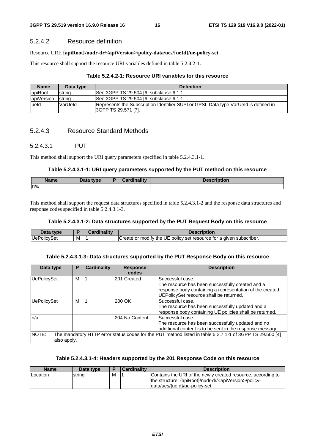### 5.2.4.2 Resource definition

#### Resource URI: **{apiRoot}/nudr-dr/<apiVersion>/policy-data/ues/{ueId}/ue-policy-set**

This resource shall support the resource URI variables defined in table 5.2.4.2-1.

#### **Table 5.2.4.2-1: Resource URI variables for this resource**

| <b>Name</b> | Data type      | <b>Definition</b>                                                                    |
|-------------|----------------|--------------------------------------------------------------------------------------|
| lapiRoot    | string         | See 3GPP TS 29.504 [6] subclause 6.1.1                                               |
| apiVersion  | <b>Istrina</b> | See 3GPP TS 29.504 [6] subclause 6.1.1.                                              |
| lueld       | VarUeld        | Represents the Subscription Identifier SUPI or GPSI. Data type VarUeld is defined in |
|             |                | I3GPP TS 29.571 [7].                                                                 |

# 5.2.4.3 Resource Standard Methods

#### 5.2.4.3.1 PUT

This method shall support the URI query parameters specified in table 5.2.4.3.1-1.

#### **Table 5.2.4.3.1-1: URI query parameters supported by the PUT method on this resource**

| <b>Name</b> | Data tyne<br><i>_oua</i> | . .<br><b>CONTINUES</b> | <b>THE OWNER</b><br>Description |
|-------------|--------------------------|-------------------------|---------------------------------|
| ln/a        |                          |                         |                                 |

This method shall support the request data structures specified in table 5.2.4.3.1-2 and the response data structures and response codes specified in table 5.2.4.3.1-3.

#### **Table 5.2.4.3.1-2: Data structures supported by the PUT Request Body on this resource**

| Data type   |   | $\mathcal{L}$ ardinality | Description                                                            |
|-------------|---|--------------------------|------------------------------------------------------------------------|
| UePolicySet | M |                          | or modify the UE policy set resource for a given subscriber.<br>Create |

#### **Table 5.2.4.3.1-3: Data structures supported by the PUT Response Body on this resource**

| Data type            | Р | <b>Cardinality</b> | <b>Response</b><br>codes | <b>Description</b>                                                                                                                                                          |
|----------------------|---|--------------------|--------------------------|-----------------------------------------------------------------------------------------------------------------------------------------------------------------------------|
| <b>UePolicySet</b>   | м |                    | 201 Created              | Successful case.<br>The resource has been successfully created and a<br>response body containing a representation of the created<br>UEPolicySet resource shall be returned. |
| <b>UePolicySet</b>   | м |                    | 200 OK                   | Successful case.<br>The resource has been successfully updated and a<br>response body containing UE policies shall be returned.                                             |
| ln/a                 |   |                    | 204 No Content           | Successful case.<br>The resource has been successfully updated and no<br>additional content is to be sent in the response message.                                          |
| NOTE:<br>also apply. |   |                    |                          | The mandatory HTTP error status codes for the PUT method listed in table 5.2.7.1-1 of 3GPP TS 29.500 [4]                                                                    |

#### **Table 5.2.4.3.1-4: Headers supported by the 201 Response Code on this resource**

| <b>Name</b> | Data type |   | l Cardinalitv | <b>Description</b>                                                  |
|-------------|-----------|---|---------------|---------------------------------------------------------------------|
| Location    | string    | M |               | Contains the URI of the newly created resource, according to        |
|             |           |   |               | the structure: {apiRoot}/nudr-dr/ <apiversion>/policy-</apiversion> |
|             |           |   |               | data/ues/{ueld}/ue-policy-set                                       |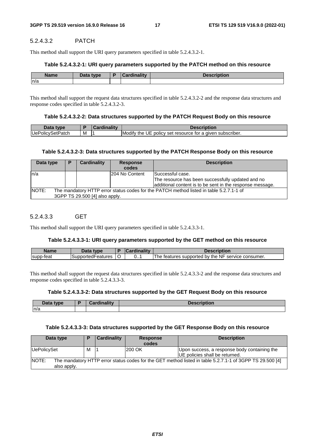### 5.2.4.3.2 PATCH

This method shall support the URI query parameters specified in table 5.2.4.3.2-1.

#### **Table 5.2.4.3.2-1: URI query parameters supported by the PATCH method on this resource**

| <b>Name</b> | Data tyne<br><u>.</u> | ardinality: | วtion |
|-------------|-----------------------|-------------|-------|
| n/a         |                       |             |       |

This method shall support the request data structures specified in table 5.2.4.3.2-2 and the response data structures and response codes specified in table 5.2.4.3.2-3.

#### **Table 5.2.4.3.2-2: Data structures supported by the PATCH Request Body on this resource**

| Data type        |   | Description                                                    |
|------------------|---|----------------------------------------------------------------|
| UePolicySetPatch | M | Modify the UE<br>E policy set resource for a given subscriber. |

#### **Table 5.2.4.3.2-3: Data structures supported by the PATCH Response Body on this resource**

| Data type | Р | <b>Cardinality</b>             | <b>Response</b><br>codes | <b>Description</b>                                                                      |
|-----------|---|--------------------------------|--------------------------|-----------------------------------------------------------------------------------------|
| In/a      |   |                                | 204 No Content           | <b>Successful case.</b>                                                                 |
|           |   |                                |                          | The resource has been successfully updated and no                                       |
|           |   |                                |                          | additional content is to be sent in the response message.                               |
| NOTE:     |   |                                |                          | The mandatory HTTP error status codes for the PATCH method listed in table 5.2.7.1-1 of |
|           |   | 3GPP TS 29.500 [4] also apply. |                          |                                                                                         |

#### 5.2.4.3.3 GET

This method shall support the URI query parameters specified in table 5.2.4.3.3-1.

#### **Table 5.2.4.3.3-1: URI query parameters supported by the GET method on this resource**

| <b>Name</b> | Jata<br>type      |   | $\mathcal{L}$ ardinality | Description                                        |
|-------------|-------------------|---|--------------------------|----------------------------------------------------|
| supp-teat   | SupportedFeatures | ◡ | ∪ ।                      | The features supported by the NF service consumer. |

This method shall support the request data structures specified in table 5.2.4.3.3-2 and the response data structures and response codes specified in table 5.2.4.3.3-3.

#### **Table 5.2.4.3.3-2: Data structures supported by the GET Request Body on this resource**

| Data type | <b>Cordinality</b> | <b>Description</b> |
|-----------|--------------------|--------------------|
| n/a       |                    |                    |

#### **Table 5.2.4.3.3-3: Data structures supported by the GET Response Body on this resource**

| Data type            | Ð | <b>Cardinality</b> | <b>Response</b><br>codes | <b>Description</b>                                                                                       |
|----------------------|---|--------------------|--------------------------|----------------------------------------------------------------------------------------------------------|
| UePolicySet          | M |                    | 200 OK                   | Upon success, a response body containing the<br><b>IUE</b> policies shall be returned.                   |
| NOTE:<br>also apply. |   |                    |                          | The mandatory HTTP error status codes for the GET method listed in table 5.2.7.1-1 of 3GPP TS 29.500 [4] |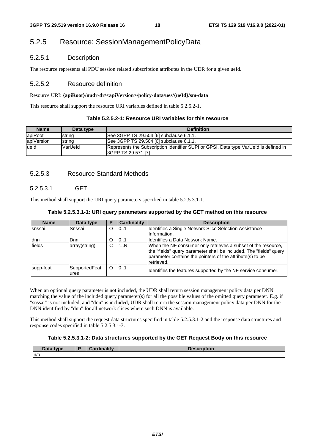# 5.2.5 Resource: SessionManagementPolicyData

# 5.2.5.1 Description

The resource represents all PDU session related subscription attributes in the UDR for a given ueId.

# 5.2.5.2 Resource definition

#### Resource URI: **{apiRoot}/nudr-dr/<apiVersion>/policy-data/ues/{ueId}/sm-data**

This resource shall support the resource URI variables defined in table 5.2.5.2-1.

| Table 5.2.5.2-1: Resource URI variables for this resource |  |  |
|-----------------------------------------------------------|--|--|
|-----------------------------------------------------------|--|--|

| <b>Name</b> | Data type | <b>Definition</b>                                                                                           |
|-------------|-----------|-------------------------------------------------------------------------------------------------------------|
| apiRoot     | string    | See 3GPP TS 29.504 [6] subclause 6.1.1.                                                                     |
| apiVersion  | string    | See 3GPP TS 29.504 [6] subclause 6.1.1.                                                                     |
| lueld       | VarUeld   | Represents the Subscription Identifier SUPI or GPSI. Data type VarUeld is defined in<br>SGPP TS 29.571 [7]. |

# 5.2.5.3 Resource Standard Methods

# 5.2.5.3.1 GET

This method shall support the URI query parameters specified in table 5.2.5.3.1-1.

| Table 5.2.5.3.1-1: URI query parameters supported by the GET method on this resource |  |  |  |  |
|--------------------------------------------------------------------------------------|--|--|--|--|
|--------------------------------------------------------------------------------------|--|--|--|--|

| <b>Name</b> | Data type             |   | <b>Cardinality</b> | <b>Description</b>                                                                                                                                                                                             |
|-------------|-----------------------|---|--------------------|----------------------------------------------------------------------------------------------------------------------------------------------------------------------------------------------------------------|
| Isnssai     | Snssai                | O | 01                 | Identifies a Single Network Slice Selection Assistance<br>Information.                                                                                                                                         |
| ldnn        | lDnn                  | O | 101                | Identifies a Data Network Name.                                                                                                                                                                                |
| fields      | array(string)         | C | 11.N               | When the NF consumer only retrieves a subset of the resource,<br>the "fields" query parameter shall be included. The "fields" query<br>parameter contains the pointers of the attribute(s) to be<br>retrieved. |
| supp-feat   | SupportedFeat<br>ures | O | 101                | Identifies the features supported by the NF service consumer.                                                                                                                                                  |

When an optional query parameter is not included, the UDR shall return session management policy data per DNN matching the value of the included query parameter(s) for all the possible values of the omitted query parameter. E.g. if "snssai" is not included, and "dnn" is included, UDR shall return the session management policy data per DNN for the DNN identified by "dnn" for all network slices where such DNN is available.

This method shall support the request data structures specified in table 5.2.5.3.1-2 and the response data structures and response codes specified in table 5.2.5.3.1-3.

#### **Table 5.2.5.3.1-2: Data structures supported by the GET Request Body on this resource**

| Data type | Cardinality<br>Cardinality | <b>Description</b> |
|-----------|----------------------------|--------------------|
| n/a       |                            |                    |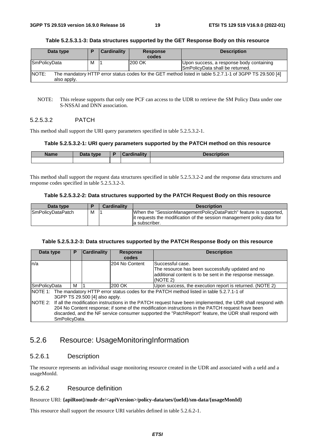#### **Table 5.2.5.3.1-3: Data structures supported by the GET Response Body on this resource**

| Data type                                                                                                                        |   | Cardinality | <b>Response</b><br>codes | <b>Description</b>                                                          |  |  |
|----------------------------------------------------------------------------------------------------------------------------------|---|-------------|--------------------------|-----------------------------------------------------------------------------|--|--|
| <b>SmPolicyData</b>                                                                                                              | м |             | 200 OK                   | Upon success, a response body containing<br>SmPolicyData shall be returned. |  |  |
| NOTE:<br>The mandatory HTTP error status codes for the GET method listed in table 5.2.7.1-1 of 3GPP TS 29.500 [4]<br>also apply. |   |             |                          |                                                                             |  |  |

#### NOTE: This release supports that only one PCF can access to the UDR to retrieve the SM Policy Data under one S-NSSAI and DNN association.

### 5.2.5.3.2 PATCH

This method shall support the URI query parameters specified in table 5.2.5.3.2-1.

#### **Table 5.2.5.3.2-1: URI query parameters supported by the PATCH method on this resource**

| <b>Name</b> | <b>That ivpe</b> | Cardinality | <b>Description</b> |
|-------------|------------------|-------------|--------------------|
|             |                  |             |                    |

This method shall support the request data structures specified in table 5.2.5.3.2-2 and the response data structures and response codes specified in table 5.2.5.3.2-3.

#### **Table 5.2.5.3.2-2: Data structures supported by the PATCH Request Body on this resource**

| Data type          |   | <b>Cardinality</b> | <b>Description</b>                                                                                                                                             |
|--------------------|---|--------------------|----------------------------------------------------------------------------------------------------------------------------------------------------------------|
| ISmPolicvDataPatch | М |                    | When the "SessionManagementPolicyDataPatch" feature is supported.<br>lit requests the modification of the session management policy data for<br>la subscriber. |

#### **Table 5.2.5.3.2-3: Data structures supported by the PATCH Response Body on this resource**

| Data type           | Р                                                                                                                                                                                                                                                                                                                                                                                    | <b>Cardinality</b> | <b>Response</b><br>codes | <b>Description</b>                                                                                                                             |  |  |  |
|---------------------|--------------------------------------------------------------------------------------------------------------------------------------------------------------------------------------------------------------------------------------------------------------------------------------------------------------------------------------------------------------------------------------|--------------------|--------------------------|------------------------------------------------------------------------------------------------------------------------------------------------|--|--|--|
| ln/a                |                                                                                                                                                                                                                                                                                                                                                                                      |                    | 204 No Content           | Successful case.<br>The resource has been successfully updated and no<br>additional content is to be sent in the response message.<br>(NOTE 2) |  |  |  |
| <b>SmPolicyData</b> | м                                                                                                                                                                                                                                                                                                                                                                                    |                    | 200 OK                   | Upon success, the execution report is returned. (NOTE 2)                                                                                       |  |  |  |
|                     |                                                                                                                                                                                                                                                                                                                                                                                      |                    |                          | NOTE 1: The mandatory HTTP error status codes for the PATCH method listed in table 5.2.7.1-1 of                                                |  |  |  |
|                     | 3GPP TS 29.500 [4] also apply.<br>NOTE 2: If all the modification instructions in the PATCH request have been implemented, the UDR shall respond with<br>204 No Content response; if some of the modification instructions in the PATCH request have been<br>discarded, and the NF service consumer supported the "PatchReport" feature, the UDR shall respond with<br>SmPolicvData. |                    |                          |                                                                                                                                                |  |  |  |

# 5.2.6 Resource: UsageMonitoringInformation

# 5.2.6.1 Description

The resource represents an individual usage monitoring resource created in the UDR and associated with a ueId and a usageMonId.

#### 5.2.6.2 Resource definition

#### Resource URI: **{apiRoot}/nudr-dr/<apiVersion>/policy-data/ues/{ueId}/sm-data/{usageMonId}**

This resource shall support the resource URI variables defined in table 5.2.6.2-1.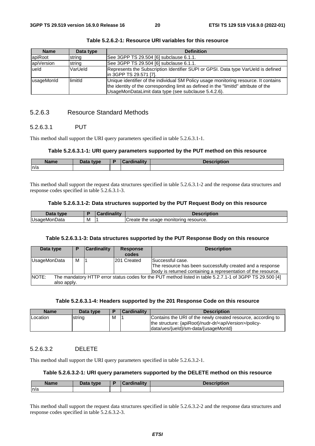| <b>Name</b> | Data type | <b>Definition</b>                                                                                                                                                                                                                    |
|-------------|-----------|--------------------------------------------------------------------------------------------------------------------------------------------------------------------------------------------------------------------------------------|
| apiRoot     | string    | See 3GPP TS 29.504 [6] subclause 6.1.1.                                                                                                                                                                                              |
| apiVersion  | string    | See 3GPP TS 29.504 [6] subclause 6.1.1.                                                                                                                                                                                              |
| ueld        | VarUeld   | Represents the Subscription Identifier SUPI or GPSI. Data type VarUeld is defined<br>lin 3GPP TS 29.571 [7].                                                                                                                         |
| lusageMonId | limitId   | Unique identifier of the individual SM Policy usage monitoring resource. It contains<br>the identity of the corresponding limit as defined in the "limitid" attribute of the<br>UsageMonDataLimit data type (see subclause 5.4.2.6). |

**Table 5.2.6.2-1: Resource URI variables for this resource** 

# 5.2.6.3 Resource Standard Methods

#### 5.2.6.3.1 PUT

This method shall support the URI query parameters specified in table 5.2.6.3.1-1.

#### **Table 5.2.6.3.1-1: URI query parameters supported by the PUT method on this resource**

| Name | Data type | `ordinolity | scription |
|------|-----------|-------------|-----------|
| n/a  |           |             |           |

This method shall support the request data structures specified in table 5.2.6.3.1-2 and the response data structures and response codes specified in table 5.2.6.3.1-3.

#### **Table 5.2.6.3.1-2: Data structures supported by the PUT Request Body on this resource**

| Data<br>tvne |   | dinality<br>$\sim$ | <b>Description</b>                                       |
|--------------|---|--------------------|----------------------------------------------------------|
| UsageMonData | M |                    | <b>Create</b><br>resource.<br>usage<br>monitoring<br>the |

#### **Table 5.2.6.3.1-3: Data structures supported by the PUT Response Body on this resource**

| Data type                                                                                                                        |   | <b>Cardinality</b> | <b>Response</b><br>codes | <b>Description</b>                                                                                                                             |  |  |
|----------------------------------------------------------------------------------------------------------------------------------|---|--------------------|--------------------------|------------------------------------------------------------------------------------------------------------------------------------------------|--|--|
| <b>UsageMonData</b>                                                                                                              | м |                    | 201 Created              | Successful case.<br>The resource has been successfully created and a response<br>body is returned containing a representation of the resource. |  |  |
| NOTE:<br>The mandatory HTTP error status codes for the PUT method listed in table 5.2.7.1-1 of 3GPP TS 29.500 [4]<br>also apply. |   |                    |                          |                                                                                                                                                |  |  |

#### **Table 5.2.6.3.1-4: Headers supported by the 201 Response Code on this resource**

| Name     | Data type |   | <b>Cardinality</b> | <b>Description</b>                                                                                                                                                           |
|----------|-----------|---|--------------------|------------------------------------------------------------------------------------------------------------------------------------------------------------------------------|
| Location | string    | м |                    | Contains the URI of the newly created resource, according to<br>the structure: {apiRoot}/nudr-dr/ <apiversion>/policy-<br/>data/ues/{ueld}/sm-data/{usageMonId}</apiversion> |

# 5.2.6.3.2 DELETE

This method shall support the URI query parameters specified in table 5.2.6.3.2-1.

#### **Table 5.2.6.3.2-1: URI query parameters supported by the DELETE method on this resource**

| <b>Name</b> | Data type | المستلفات والمستعدد | <b>Description</b> |
|-------------|-----------|---------------------|--------------------|
| n/a         |           |                     |                    |

This method shall support the request data structures specified in table 5.2.6.3.2-2 and the response data structures and response codes specified in table 5.2.6.3.2-3.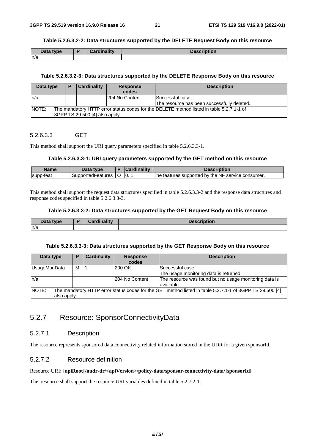# **Table 5.2.6.3.2-2: Data structures supported by the DELETE Request Body on this resource**

| Data type | <b>STEP</b><br>and all the con- | <b>Description</b> |
|-----------|---------------------------------|--------------------|
| n/a       |                                 |                    |

# **Table 5.2.6.3.2-3: Data structures supported by the DELETE Response Body on this resource**

| Data type                                                                                                                           |  | <b>Cardinality</b> | Response<br>codes | <b>Description</b>                                               |  |  |
|-------------------------------------------------------------------------------------------------------------------------------------|--|--------------------|-------------------|------------------------------------------------------------------|--|--|
| ln/a                                                                                                                                |  |                    | 204 No Content    | Successful case.<br>lThe resource has been successfully deleted. |  |  |
| NOTE:<br>The mandatory HTTP error status codes for the DELETE method listed in table 5.2.7.1-1 of<br>3GPP TS 29.500 [4] also apply. |  |                    |                   |                                                                  |  |  |

### 5.2.6.3.3 GET

This method shall support the URI query parameters specified in table 5.2.6.3.3-1.

#### **Table 5.2.6.3.3-1: URI query parameters supported by the GET method on this resource**

| <b>Name</b> | Data type         |   | Cardinality | Description                                        |
|-------------|-------------------|---|-------------|----------------------------------------------------|
| supp-teat   | SupportedFeatures | ີ | 10          | The features supported by the NF service consumer. |

This method shall support the request data structures specified in table 5.2.6.3.3-2 and the response data structures and response codes specified in table 5.2.6.3.3-3.

#### **Table 5.2.6.3.3-2: Data structures supported by the GET Request Body on this resource**

| Data type | <b>Cordinality</b> | <b>Description</b> |
|-----------|--------------------|--------------------|
| n/a       |                    |                    |

#### **Table 5.2.6.3.3-3: Data structures supported by the GET Response Body on this resource**

| Data type                                                                                                                        | E | <b>Cardinality</b> | <b>Response</b><br>codes | <b>Description</b>                                                   |  |
|----------------------------------------------------------------------------------------------------------------------------------|---|--------------------|--------------------------|----------------------------------------------------------------------|--|
| UsageMonData                                                                                                                     | м |                    | 200 OK                   | lSuccessful case.                                                    |  |
|                                                                                                                                  |   |                    |                          | The usage monitoring data is returned.                               |  |
| ln/a                                                                                                                             |   |                    | 204 No Content           | The resource was found but no usage monitoring data is<br>available. |  |
| NOTE:<br>The mandatory HTTP error status codes for the GET method listed in table 5.2.7.1-1 of 3GPP TS 29.500 [4]<br>also apply. |   |                    |                          |                                                                      |  |

# 5.2.7 Resource: SponsorConnectivityData

# 5.2.7.1 Description

The resource represents sponsored data connectivity related information stored in the UDR for a given sponsorId.

# 5.2.7.2 Resource definition

#### Resource URI: **{apiRoot}/nudr-dr/<apiVersion>/policy-data/sponsor-connectivity-data/{sponsorId}**

This resource shall support the resource URI variables defined in table 5.2.7.2-1.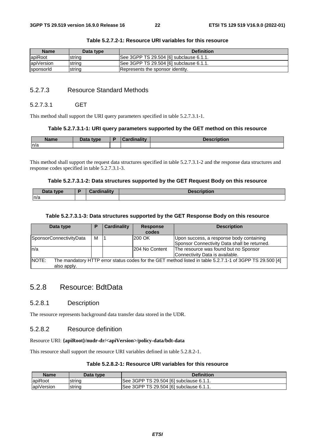| <b>Name</b> | Data type | <b>Definition</b>                       |
|-------------|-----------|-----------------------------------------|
| apiRoot     | Istrina   | See 3GPP TS 29.504 [6] subclause 6.1.1. |
| apiVersion  | string    | See 3GPP TS 29.504 [6] subclause 6.1.1. |
| sponsorld   | Istrina   | Represents the sponsor identity.        |

#### **Table 5.2.7.2-1: Resource URI variables for this resource**

# 5.2.7.3 Resource Standard Methods

#### 5.2.7.3.1 GET

This method shall support the URI query parameters specified in table 5.2.7.3.1-1.

#### **Table 5.2.7.3.1-1: URI query parameters supported by the GET method on this resource**

| <b>Name</b> | <b>Pata type</b> | inolity<br>$\sim$ | <b>IAAAHIAHIAH</b><br>Description |
|-------------|------------------|-------------------|-----------------------------------|
| n/a         |                  |                   |                                   |

This method shall support the request data structures specified in table 5.2.7.3.1-2 and the response data structures and response codes specified in table 5.2.7.3.1-3.

#### **Table 5.2.7.3.1-2: Data structures supported by the GET Request Body on this resource**

| <b>Pata type</b> | <b>Cordinality</b><br>Garumantv | <b>Description</b> |
|------------------|---------------------------------|--------------------|
| ln/a             |                                 |                    |

#### **Table 5.2.7.3.1-3: Data structures supported by the GET Response Body on this resource**

| Data type               | D | <b>Cardinality</b> | <b>Response</b> | <b>Description</b>                                                                                       |
|-------------------------|---|--------------------|-----------------|----------------------------------------------------------------------------------------------------------|
|                         |   |                    | codes           |                                                                                                          |
| SponsorConnectivityData | м |                    | 200 OK          | Upon success, a response body containing                                                                 |
|                         |   |                    |                 | Sponsor Connectivity Data shall be returned.                                                             |
| ln/a                    |   |                    | 204 No Content  | The resource was found but no Sponsor                                                                    |
|                         |   |                    |                 | Connectivity Data is available.                                                                          |
| NOTE:                   |   |                    |                 | The mandatory HTTP error status codes for the GET method listed in table 5.2.7.1-1 of 3GPP TS 29.500 [4] |
| also apply.             |   |                    |                 |                                                                                                          |

# 5.2.8 Resource: BdtData

### 5.2.8.1 Description

The resource represents background data transfer data stored in the UDR.

# 5.2.8.2 Resource definition

#### Resource URI: **{apiRoot}/nudr-dr/<apiVersion>/policy-data/bdt-data**

This resource shall support the resource URI variables defined in table 5.2.8.2-1.

# **Table 5.2.8.2-1: Resource URI variables for this resource**

| Name       | Data type | <b>Definition</b>                       |
|------------|-----------|-----------------------------------------|
| apiRoot    | string    | See 3GPP TS 29.504 [6] subclause 6.1.1. |
| apiVersion | string    | See 3GPP TS 29.504 [6] subclause 6.1.1. |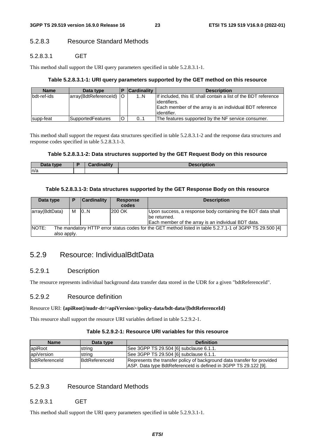# 5.2.8.3 Resource Standard Methods

# 5.2.8.3.1 GET

This method shall support the URI query parameters specified in table 5.2.8.3.1-1.

### **Table 5.2.8.3.1-1: URI query parameters supported by the GET method on this resource**

| <b>Name</b> | Data type                 | <b>Cardinality</b> | <b>Description</b>                                                                                                                                         |
|-------------|---------------------------|--------------------|------------------------------------------------------------------------------------------------------------------------------------------------------------|
| bdt-ref-ids | array(BdtReferenceld)   O | 1N                 | If included, this IE shall contain a list of the BDT reference<br>lidentifiers.<br>Each member of the array is an individual BDT reference<br>lidentifier. |
| supp-feat   | SupportedFeatures         | 01                 | The features supported by the NF service consumer.                                                                                                         |

This method shall support the request data structures specified in table 5.2.8.3.1-2 and the response data structures and response codes specified in table 5.2.8.3.1-3.

#### **Table 5.2.8.3.1-2: Data structures supported by the GET Request Body on this resource**

| Data type | annual in pilitarian<br>лангу | Description |
|-----------|-------------------------------|-------------|
| n/a       |                               |             |

#### **Table 5.2.8.3.1-3: Data structures supported by the GET Response Body on this resource**

| Data type                   | P | <b>Cardinality</b> | <b>Response</b><br>codes | <b>Description</b>                                                                                                                 |
|-----------------------------|---|--------------------|--------------------------|------------------------------------------------------------------------------------------------------------------------------------|
| array(BdtData)              | М | 10N                | 200 OK                   | Upon success, a response body containing the BDT data shall<br>be returned.<br>Each member of the array is an individual BDT data. |
| <b>NOTE:</b><br>also apply. |   |                    |                          | The mandatory HTTP error status codes for the GET method listed in table 5.2.7.1-1 of 3GPP TS 29.500 [4]                           |

# 5.2.9 Resource: IndividualBdtData

# 5.2.9.1 Description

The resource represents individual background data transfer data stored in the UDR for a given "bdtReferenceId".

### 5.2.9.2 Resource definition

#### Resource URI: **{apiRoot}/nudr-dr/<apiVersion>/policy-data/bdt-data/{bdtReferenceId}**

This resource shall support the resource URI variables defined in table 5.2.9.2-1.

### **Table 5.2.9.2-1: Resource URI variables for this resource**

| <b>Name</b>           | Data type             | <b>Definition</b>                                                                                                                          |
|-----------------------|-----------------------|--------------------------------------------------------------------------------------------------------------------------------------------|
| lapiRoot              | string                | See 3GPP TS 29.504 [6] subclause 6.1.1.                                                                                                    |
| apiVersion            | string                | See 3GPP TS 29.504 [6] subclause 6.1.1.                                                                                                    |
| <b>bdtReferenceld</b> | <b>BdtReferenceld</b> | Represents the transfer policy of background data transfer for provided<br>ASP. Data type BdtReferenceld is defined in 3GPP TS 29.122 [9]. |

# 5.2.9.3 Resource Standard Methods

### 5.2.9.3.1 GET

This method shall support the URI query parameters specified in table 5.2.9.3.1-1.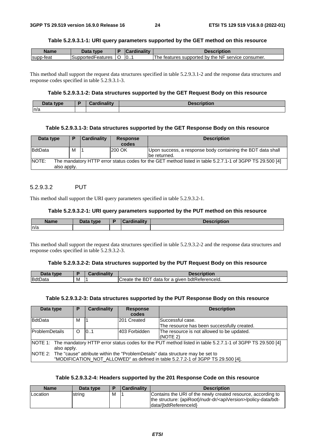#### **Table 5.2.9.3.1-1: URI query parameters supported by the GET method on this resource**

| <b>Name</b> | Jata<br>type      |   | $\mathcal{L}$ ardinality | ription                                                     |
|-------------|-------------------|---|--------------------------|-------------------------------------------------------------|
| supp-teat   | SupportedFeatures | ◡ | 10                       | supported by the NF<br>The<br>service consumer.<br>teatures |

This method shall support the request data structures specified in table 5.2.9.3.1-2 and the response data structures and response codes specified in table 5.2.9.3.1-3.

#### **Table 5.2.9.3.1-2: Data structures supported by the GET Request Body on this resource**

| Dota -<br><b>tyne</b><br>Dala | Cordinality<br>. | .<br><b>Description</b> |
|-------------------------------|------------------|-------------------------|
| n/a                           |                  |                         |

#### **Table 5.2.9.3.1-3: Data structures supported by the GET Response Body on this resource**

| Data type                                                                                                                               | D | <b>Cardinality</b> | <b>Response</b><br>codes | <b>Description</b>                                                          |  |  |
|-----------------------------------------------------------------------------------------------------------------------------------------|---|--------------------|--------------------------|-----------------------------------------------------------------------------|--|--|
| BdtData                                                                                                                                 | м |                    | 200 OK                   | Upon success, a response body containing the BDT data shall<br>be returned. |  |  |
| <b>NOTE:</b><br>The mandatory HTTP error status codes for the GET method listed in table 5.2.7.1-1 of 3GPP TS 29.500 [4]<br>also apply. |   |                    |                          |                                                                             |  |  |

#### 5.2.9.3.2 PUT

This method shall support the URI query parameters specified in table 5.2.9.3.2-1.

#### **Table 5.2.9.3.2-1: URI query parameters supported by the PUT method on this resource**

| <b>Name</b> | Data type | Cardinality | Description |
|-------------|-----------|-------------|-------------|
| n/a         |           |             |             |

This method shall support the request data structures specified in table 5.2.9.3.2-2 and the response data structures and response codes specified in table 5.2.9.3.2-3.

#### **Table 5.2.9.3.2-2: Data structures supported by the PUT Request Body on this resource**

| Data type |   | dinalitv | <b>Description</b>                                             |
|-----------|---|----------|----------------------------------------------------------------|
| BdtData   | м |          | · bdtReferenceld.<br>-BDT<br>data for a given<br>Create<br>the |

#### **Table 5.2.9.3.2-3: Data structures supported by the PUT Response Body on this resource**

| Data type                                                                              | P | <b>Cardinality</b> | <b>Response</b><br>codes | <b>Description</b>                                                                                               |  |  |
|----------------------------------------------------------------------------------------|---|--------------------|--------------------------|------------------------------------------------------------------------------------------------------------------|--|--|
|                                                                                        |   |                    |                          |                                                                                                                  |  |  |
| BdtData                                                                                | м |                    | 201 Created              | Successful case.                                                                                                 |  |  |
|                                                                                        |   |                    |                          | The resource has been successfully created.                                                                      |  |  |
| <b>ProblemDetails</b>                                                                  | O | 101                | 403 Forbidden            | The resource is not allowed to be updated.                                                                       |  |  |
|                                                                                        |   |                    |                          | (NOTE 2)                                                                                                         |  |  |
|                                                                                        |   |                    |                          | NOTE 1: The mandatory HTTP error status codes for the PUT method listed in table 5.2.7.1-1 of 3GPP TS 29.500 [4] |  |  |
| also apply.                                                                            |   |                    |                          |                                                                                                                  |  |  |
| NOTE 2: The "cause" attribute within the "ProblemDetails" data structure may be set to |   |                    |                          |                                                                                                                  |  |  |
|                                                                                        |   |                    |                          | "MODIFICATION_NOT_ALLOWED" as defined in table 5.2.7.2-1 of 3GPP TS 29.500 [4].                                  |  |  |

#### **Table 5.2.9.3.2-4: Headers supported by the 201 Response Code on this resource**

| <b>Description</b>                                                                                                                                                     |
|------------------------------------------------------------------------------------------------------------------------------------------------------------------------|
| Contains the URI of the newly created resource, according to<br>the structure: {apiRoot}/nudr-dr/ <apiversion>/policy-data/bdt-<br/>data/{bdtReferenceld}</apiversion> |
|                                                                                                                                                                        |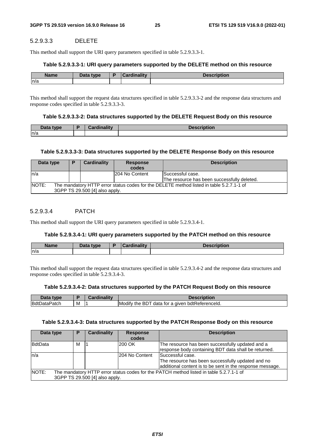# 5.2.9.3.3 DELETE

This method shall support the URI query parameters specified in table 5.2.9.3.3-1.

# **Table 5.2.9.3.3-1: URI query parameters supported by the DELETE method on this resource**

| <b>Name</b> | <b>Dota</b><br>tvne<br>Data | والمقالم مطالبهم والمناد | <b>AARIMEIAR</b><br>Description |
|-------------|-----------------------------|--------------------------|---------------------------------|
| n/a         |                             |                          |                                 |

This method shall support the request data structures specified in table 5.2.9.3.3-2 and the response data structures and response codes specified in table 5.2.9.3.3-3.

### **Table 5.2.9.3.3-2: Data structures supported by the DELETE Request Body on this resource**

| Data type | <b>Cardinality</b> | <b>Description</b> |
|-----------|--------------------|--------------------|
| ln/a      |                    |                    |

# **Table 5.2.9.3.3-3: Data structures supported by the DELETE Response Body on this resource**

| Data type                                                                                                                           | P | Cardinality | <b>Response</b><br>codes | <b>Description</b>                                              |  |
|-------------------------------------------------------------------------------------------------------------------------------------|---|-------------|--------------------------|-----------------------------------------------------------------|--|
| ln/a                                                                                                                                |   |             | 204 No Content           | Successful case.<br>The resource has been successfully deleted. |  |
| NOTE:<br>The mandatory HTTP error status codes for the DELETE method listed in table 5.2.7.1-1 of<br>3GPP TS 29.500 [4] also apply. |   |             |                          |                                                                 |  |

# 5.2.9.3.4 PATCH

This method shall support the URI query parameters specified in table 5.2.9.3.4-1.

# **Table 5.2.9.3.4-1: URI query parameters supported by the PATCH method on this resource**

| <b>Name</b> | <b>Pata type</b> | ъ | $in$ olity<br><b>STATISTICS</b><br>$\mathbf{r}$ or $\mathbf{r}$ | <b>Description</b> |
|-------------|------------------|---|-----------------------------------------------------------------|--------------------|
| n/a         |                  |   |                                                                 |                    |

This method shall support the request data structures specified in table 5.2.9.3.4-2 and the response data structures and response codes specified in table 5.2.9.3.4-3.

### **Table 5.2.9.3.4-2: Data structures supported by the PATCH Request Body on this resource**

| Data type           |   | <b>Description</b>                                               |
|---------------------|---|------------------------------------------------------------------|
| <b>BdtDataPatch</b> | M | ∟bdtReferenceId.<br>Modify<br>, BD.<br>data for a given<br>v the |

### **Table 5.2.9.3.4-3: Data structures supported by the PATCH Response Body on this resource**

| Data type       | P | <b>Cardinality</b>             | <b>Response</b><br>codes | <b>Description</b>                                                                                                                 |
|-----------------|---|--------------------------------|--------------------------|------------------------------------------------------------------------------------------------------------------------------------|
| <b>B</b> dtData | M |                                | 200 OK                   | The resource has been successfully updated and a<br>response body containing BDT data shall be returned.                           |
| ln/a            |   |                                | 204 No Content           | Successful case.<br>The resource has been successfully updated and no<br>additional content is to be sent in the response message. |
| NOTE:           |   | 3GPP TS 29.500 [4] also apply. |                          | The mandatory HTTP error status codes for the PATCH method listed in table 5.2.7.1-1 of                                            |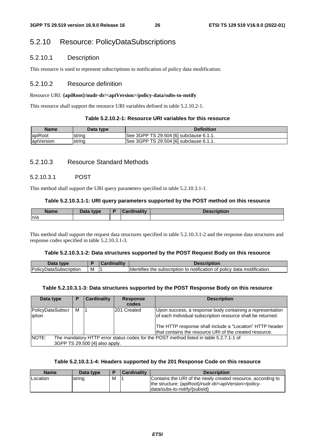# 5.2.10 Resource: PolicyDataSubscriptions

# 5.2.10.1 Description

This resource is used to represent subscriptions to notification of policy data modification.

# 5.2.10.2 Resource definition

# Resource URI: **{apiRoot}/nudr-dr/<apiVersion>/policy-data/subs-to-notify**

This resource shall support the resource URI variables defined in table 5.2.10.2-1.

# **Table 5.2.10.2-1: Resource URI variables for this resource**

| <b>Name</b> | Data type | <b>Definition</b>                        |
|-------------|-----------|------------------------------------------|
| apiRoot     | Istrina   | See 3GPP TS 29.504 [6] subclause 6.1.1.  |
| apiVersion  | Istrina   | ISee 3GPP TS 29.504 [6] subclause 6.1.1. |

# 5.2.10.3 Resource Standard Methods

# 5.2.10.3.1 POST

This method shall support the URI query parameters specified in table 5.2.10.3.1-1.

# **Table 5.2.10.3.1-1: URI query parameters supported by the POST method on this resource**

| Name | <b>Pata type</b><br>Dala | . | --- |
|------|--------------------------|---|-----|
| n/a  |                          |   |     |

This method shall support the request data structures specified in table 5.2.10.3.1-2 and the response data structures and response codes specified in table 5.2.10.3.1-3.

### **Table 5.2.10.3.1-2: Data structures supported by the POST Request Body on this resource**

|                                       |   | - 1945) | спонон                                                                                                                   |
|---------------------------------------|---|---------|--------------------------------------------------------------------------------------------------------------------------|
| Policy<br>cription<br>лата:<br>…lins⊆ | M |         | <br>…a modificatie≅<br><b>Identifies</b><br>policv<br>data<br>the<br>subscription<br>notification<br>of<br>cation.<br>το |

# **Table 5.2.10.3.1-3: Data structures supported by the POST Response Body on this resource**

| Data type                                                                                                                         | P | <b>Cardinality</b> | <b>Response</b><br>codes | <b>Description</b>                                                                                                                                                                                                                              |  |  |
|-----------------------------------------------------------------------------------------------------------------------------------|---|--------------------|--------------------------|-------------------------------------------------------------------------------------------------------------------------------------------------------------------------------------------------------------------------------------------------|--|--|
| PolicyDataSubscr<br>iption                                                                                                        | м |                    | 201 Created              | Upon success, a response body containing a representation<br>of each Individual subscription resource shall be returned.<br>The HTTP response shall include a "Location" HTTP header<br>that contains the resource URI of the created resource. |  |  |
| NOTE:<br>The mandatory HTTP error status codes for the POST method listed in table 5.2.7.1-1 of<br>3GPP TS 29.500 [4] also apply. |   |                    |                          |                                                                                                                                                                                                                                                 |  |  |

# **Table 5.2.10.3.1-4: Headers supported by the 201 Response Code on this resource**

| <b>Name</b> | Data type |   | Cardinality | <b>Description</b>                                                                                                                                                   |
|-------------|-----------|---|-------------|----------------------------------------------------------------------------------------------------------------------------------------------------------------------|
| Location    | string    | M |             | Contains the URI of the newly created resource, according to<br>the structure: {apiRoot}/nudr-dr/ <apiversion>/policy-<br/>data/subs-to-notify/{subsid}</apiversion> |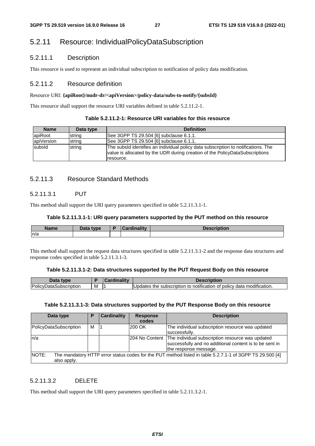# 5.2.11 Resource: IndividualPolicyDataSubscription

# 5.2.11.1 Description

This resource is used to represent an individual subscription to notification of policy data modification.

# 5.2.11.2 Resource definition

#### Resource URI: **{apiRoot}/nudr-dr/<apiVersion>/policy-data/subs-to-notify/{subsId}**

This resource shall support the resource URI variables defined in table 5.2.11.2-1.

|  | Table 5.2.11.2-1: Resource URI variables for this resource |
|--|------------------------------------------------------------|
|--|------------------------------------------------------------|

| <b>Name</b> | Data type | <b>Definition</b>                                                                                                                                                               |
|-------------|-----------|---------------------------------------------------------------------------------------------------------------------------------------------------------------------------------|
| lapiRoot    | string    | See 3GPP TS 29.504 [6] subclause 6.1.1.                                                                                                                                         |
| apiVersion  | string    | See 3GPP TS 29.504 [6] subclause 6.1.1.                                                                                                                                         |
| subsid      | string    | The subsId identifies an individual policy data subscription to notifications. The<br>value is allocated by the UDR during creation of the PolicyDataSubscriptions<br>resource. |

# 5.2.11.3 Resource Standard Methods

# 5.2.11.3.1 PUT

This method shall support the URI query parameters specified in table 5.2.11.3.1-1.

#### **Table 5.2.11.3.1-1: URI query parameters supported by the PUT method on this resource**

| <b>Name</b> | <b>Data type</b><br>$ -$ | Cardinalitv | <b>Description</b> |
|-------------|--------------------------|-------------|--------------------|
| n/a         |                          |             |                    |

This method shall support the request data structures specified in table 5.2.11.3.1-2 and the response data structures and response codes specified in table 5.2.11.3.1-3.

#### **Table 5.2.11.3.1-2: Data structures supported by the PUT Request Body on this resource**

| Data<br>tvne                  |   | ardinalitv | <b>Description</b>                                                                           |
|-------------------------------|---|------------|----------------------------------------------------------------------------------------------|
| <b>PolicyDataSubscription</b> | M |            | modification.<br>: policv data<br><b>Updates</b><br>e subscription to notification of<br>the |

#### **Table 5.2.11.3.1-3: Data structures supported by the PUT Response Body on this resource**

| Data type              | Р | <b>Cardinality</b> | <b>Response</b><br>codes | <b>Description</b>                                                                                                                                    |
|------------------------|---|--------------------|--------------------------|-------------------------------------------------------------------------------------------------------------------------------------------------------|
| PolicyDataSubscription | М |                    | 200 OK                   | The individual subscription resource was updated<br>successfully.                                                                                     |
| n/a                    |   |                    |                          | 204 No Content   The individual subscription resource was updated<br>successfully and no additional content is to be sent in<br>the response message. |
| NOTE:<br>also apply.   |   |                    |                          | The mandatory HTTP error status codes for the PUT method listed in table 5.2.7.1-1 of 3GPP TS 29.500 [4]                                              |

# 5.2.11.3.2 DELETE

This method shall support the URI query parameters specified in table 5.2.11.3.2-1.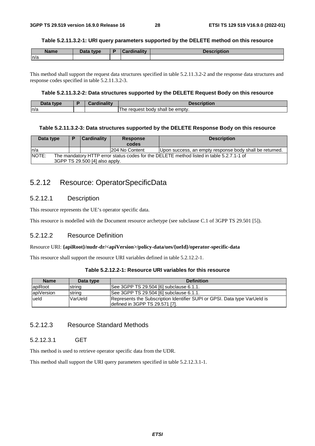#### **Table 5.2.11.3.2-1: URI query parameters supported by the DELETE method on this resource**

| <b>Name</b> | Data type | <b>Cardinality</b> | <b>Description</b> |
|-------------|-----------|--------------------|--------------------|
| n/a         |           |                    |                    |

This method shall support the request data structures specified in table 5.2.11.3.2-2 and the response data structures and response codes specified in table 5.2.11.3.2-3.

#### **Table 5.2.11.3.2-2: Data structures supported by the DELETE Request Body on this resource**

| That<br>tvne<br>Dald | <b>BR</b><br> | <b>Description</b>                               |
|----------------------|---------------|--------------------------------------------------|
| ln/a                 |               | emptv.<br>request<br>shall<br>body<br>he<br>. ne |

#### **Table 5.2.11.3.2-3: Data structures supported by the DELETE Response Body on this resource**

| Data type    |                                                                                                                            | Cardinality<br><b>Response</b><br>codes |  | <b>Description</b>                                      |  |  |  |
|--------------|----------------------------------------------------------------------------------------------------------------------------|-----------------------------------------|--|---------------------------------------------------------|--|--|--|
| ln/a         |                                                                                                                            | 204 No Content                          |  | Upon success, an empty response body shall be returned. |  |  |  |
| <b>NOTE:</b> | The mandatory HTTP error status codes for the DELETE method listed in table 5.2.7.1-1 of<br>3GPP TS 29.500 [4] also apply. |                                         |  |                                                         |  |  |  |

# 5.2.12 Resource: OperatorSpecificData

# 5.2.12.1 Description

This resource represents the UE's operator specific data.

This resource is modelled with the Document resource archetype (see subclause C.1 of 3GPP TS 29.501 [5]).

# 5.2.12.2 Resource Definition

#### Resource URI: **{apiRoot}/nudr-dr/<apiVersion>/policy-data/ues/{ueId}/operator-specific-data**

This resource shall support the resource URI variables defined in table 5.2.12.2-1.

### **Table 5.2.12.2-1: Resource URI variables for this resource**

| <b>Name</b>    | Data type | <b>Definition</b>                                                                                           |
|----------------|-----------|-------------------------------------------------------------------------------------------------------------|
| <b>apiRoot</b> | string    | See 3GPP TS 29.504 [6] subclause 6.1.1.                                                                     |
| apiVersion     | string    | See 3GPP TS 29.504 [6] subclause 6.1.1.                                                                     |
| lueld          | VarUeld   | Represents the Subscription Identifier SUPI or GPSI. Data type VarUeld is<br>defined in 3GPP TS 29.571 [7]. |

# 5.2.12.3 Resource Standard Methods

### 5.2.12.3.1 GET

This method is used to retrieve operator specific data from the UDR.

This method shall support the URI query parameters specified in table 5.2.12.3.1-1.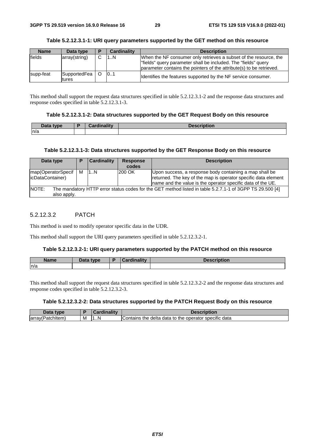#### **Table 5.2.12.3.1-1: URI query parameters supported by the GET method on this resource**

| <b>Name</b>   | Data type                 | в | <b>Cardinality</b> | <b>Description</b>                                                                                                                                                                                          |
|---------------|---------------------------|---|--------------------|-------------------------------------------------------------------------------------------------------------------------------------------------------------------------------------------------------------|
| <b>fields</b> | array(string)             | C | 1N                 | When the NF consumer only retrieves a subset of the resource, the<br>"fields" query parameter shall be included. The "fields" query<br>parameter contains the pointers of the attribute(s) to be retrieved. |
| supp-feat     | SupportedFea   O<br>tures |   | 0.1                | Identifies the features supported by the NF service consumer.                                                                                                                                               |

This method shall support the request data structures specified in table 5.2.12.3.1-2 and the response data structures and response codes specified in table 5.2.12.3.1-3.

#### **Table 5.2.12.3.1-2: Data structures supported by the GET Request Body on this resource**

| Data type | $\overline{\phantom{a}}$ | <b>Cardinality</b> | <b>Description</b> |
|-----------|--------------------------|--------------------|--------------------|
| n/a       |                          |                    |                    |

#### **Table 5.2.12.3.1-3: Data structures supported by the GET Response Body on this resource**

| Data type                                                                                                                        | P | <b>Cardinality</b> | <b>Response</b><br>codes | <b>Description</b>                                                                                                                                                                        |  |
|----------------------------------------------------------------------------------------------------------------------------------|---|--------------------|--------------------------|-------------------------------------------------------------------------------------------------------------------------------------------------------------------------------------------|--|
| map(OperatorSpecif<br>(icDataContainer)                                                                                          | м | 1N                 | 200 OK                   | Upon success, a response body containing a map shall be<br>returned. The key of the map is operator specific data element<br>Iname and the value is the operator specific data of the UE. |  |
| NOTE:<br>The mandatory HTTP error status codes for the GET method listed in table 5.2.7.1-1 of 3GPP TS 29.500 [4]<br>also apply. |   |                    |                          |                                                                                                                                                                                           |  |

### 5.2.12.3.2 PATCH

This method is used to modify operator specific data in the UDR.

This method shall support the URI query parameters specified in table 5.2.12.3.2-1.

#### **Table 5.2.12.3.2-1: URI query parameters supported by the PATCH method on this resource**

| <b>Name</b> | Data.<br>tvne<br>Dala<br>- F | والمقالح ومقالوها | - 1011 - |
|-------------|------------------------------|-------------------|----------|
| n/a         |                              |                   |          |

This method shall support the request data structures specified in table 5.2.12.3.2-2 and the response data structures and response codes specified in table 5.2.12.3.2-3.

#### **Table 5.2.12.3.2-2: Data structures supported by the PATCH Request Body on this resource**

| <b>VDE</b>                   |   | .           |                                                                       |
|------------------------------|---|-------------|-----------------------------------------------------------------------|
| → chitem)<br>larrav(P)<br>ΉЮ | M | м<br>N<br>. | data<br>delta data<br>operator specific<br>Contains<br>⊤to the<br>the |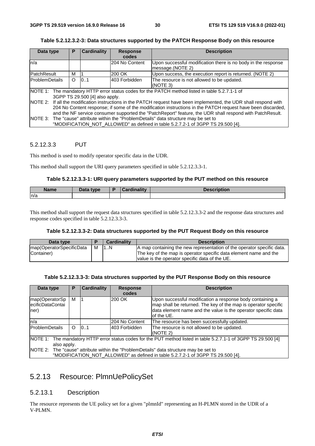| Data type             | Р                                                                                                                                                                                                                                                                                                                                              | <b>Cardinality</b>               | <b>Response</b>                                                                   | <b>Description</b>                                                                                                                                                        |  |  |  |
|-----------------------|------------------------------------------------------------------------------------------------------------------------------------------------------------------------------------------------------------------------------------------------------------------------------------------------------------------------------------------------|----------------------------------|-----------------------------------------------------------------------------------|---------------------------------------------------------------------------------------------------------------------------------------------------------------------------|--|--|--|
|                       |                                                                                                                                                                                                                                                                                                                                                |                                  | codes                                                                             |                                                                                                                                                                           |  |  |  |
| n/a                   |                                                                                                                                                                                                                                                                                                                                                | 204 No Content                   | Upon successful modification there is no body in the response<br>message.(NOTE 2) |                                                                                                                                                                           |  |  |  |
| PatchResult           | м                                                                                                                                                                                                                                                                                                                                              |                                  | 200 OK                                                                            | Upon success, the execution report is returned. (NOTE 2)                                                                                                                  |  |  |  |
| <b>ProblemDetails</b> | O                                                                                                                                                                                                                                                                                                                                              | 0.1<br>403 Forbidden<br>(NOTE 3) |                                                                                   | The resource is not allowed to be updated.                                                                                                                                |  |  |  |
|                       |                                                                                                                                                                                                                                                                                                                                                | 3GPP TS 29.500 [4] also apply.   |                                                                                   | NOTE 1: The mandatory HTTP error status codes for the PATCH method listed in table 5.2.7.1-1 of                                                                           |  |  |  |
|                       | NOTE 2: If all the modification instructions in the PATCH request have been implemented, the UDR shall respond with<br>204 No Content response; if some of the modification instructions in the PATCH request have been discarded,<br>and the NF service consumer supported the "PatchReport" feature, the UDR shall respond with PatchResult. |                                  |                                                                                   |                                                                                                                                                                           |  |  |  |
|                       |                                                                                                                                                                                                                                                                                                                                                |                                  |                                                                                   | NOTE 3: The "cause" attribute within the "ProblemDetails" data structure may be set to<br>"MODIFICATION_NOT_ALLOWED" as defined in table 5.2.7.2-1 of 3GPP TS 29.500 [4]. |  |  |  |

#### **Table 5.2.12.3.2-3: Data structures supported by the PATCH Response Body on this resource**

### 5.2.12.3.3 PUT

This method is used to modify operator specific data in the UDR.

This method shall support the URI query parameters specified in table 5.2.12.3.3-1.

#### **Table 5.2.12.3.3-1: URI query parameters supported by the PUT method on this resource**

| <b>Name</b> | Data type.<br>Dala | ╺ | inality | $D - - -$<br>wh |
|-------------|--------------------|---|---------|-----------------|
| ln/a        |                    |   |         |                 |

This method shall support the request data structures specified in table 5.2.12.3.3-2 and the response data structures and response codes specified in table 5.2.12.3.3-3.

#### **Table 5.2.12.3.3-2: Data structures supported by the PUT Request Body on this resource**

| Data type                |   | <b>Cardinality</b> | <b>Description</b>                                                     |
|--------------------------|---|--------------------|------------------------------------------------------------------------|
| map(OperatorSpecificData | M | 11N                | A map containing the new representation of the operator specific data. |
| Container)               |   |                    | The key of the map is operator specific data element name and the      |
|                          |   |                    | value is the operator specific data of the UE.                         |

#### **Table 5.2.12.3.3-3: Data structures supported by the PUT Response Body on this resource**

| Data type                                       | Р       | <b>Cardinality</b> | <b>Response</b>                                                                                                                                                                                            | <b>Description</b>                                                                                       |
|-------------------------------------------------|---------|--------------------|------------------------------------------------------------------------------------------------------------------------------------------------------------------------------------------------------------|----------------------------------------------------------------------------------------------------------|
|                                                 |         |                    | codes                                                                                                                                                                                                      |                                                                                                          |
| map(OperatorSp<br>м<br>ecificDataContai<br>ner) |         | 200 OK             | Upon successful modification a response body containing a<br>map shall be returned. The key of the map is operator specific<br>data element name and the value is the operator specific data<br>of the UE. |                                                                                                          |
| n/a                                             |         |                    | 204 No Content                                                                                                                                                                                             | The resource has been successfully updated.                                                              |
| ProblemDetails                                  | $\circ$ | 0.1                | 403 Forbidden                                                                                                                                                                                              | The resource is not allowed to be updated.<br>(NOTE 2)                                                   |
| NOTE 1:                                         |         |                    |                                                                                                                                                                                                            | The mandatory HTTP error status codes for the PUT method listed in table 5.2.7.1-1 of 3GPP TS 29.500 [4] |
| also apply.                                     |         |                    |                                                                                                                                                                                                            |                                                                                                          |
|                                                 |         |                    |                                                                                                                                                                                                            | NOTE 2: The "cause" attribute within the "ProblemDetails" data structure may be set to                   |
|                                                 |         |                    |                                                                                                                                                                                                            | "MODIFICATION NOT ALLOWED" as defined in table 5.2.7.2-1 of 3GPP TS 29.500 [4].                          |

# 5.2.13 Resource: PlmnUePolicySet

# 5.2.13.1 Description

The resource represents the UE policy set for a given "plmnId" representing an H-PLMN stored in the UDR of a V-PLMN.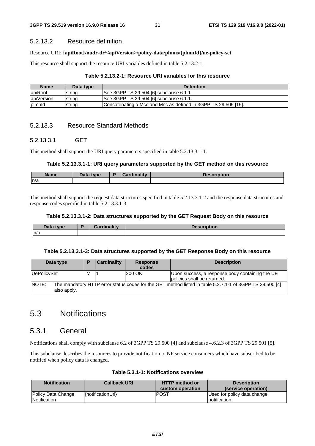# 5.2.13.2 Resource definition

### Resource URI: **{apiRoot}/nudr-dr/<apiVersion>/policy-data/plmns/{plmnId}/ue-policy-set**

This resource shall support the resource URI variables defined in table 5.2.13.2-1.

### **Table 5.2.13.2-1: Resource URI variables for this resource**

| <b>Name</b> | Data type | <b>Definition</b>                                              |
|-------------|-----------|----------------------------------------------------------------|
| apiRoot     | string    | See 3GPP TS 29.504 [6] subclause 6.1.1.                        |
| apiVersion  | string    | See 3GPP TS 29.504 [6] subclause 6.1.1.                        |
| plmnld      | string    | Concatenating a Mcc and Mnc as defined in 3GPP TS 29.505 [15]. |

# 5.2.13.3 Resource Standard Methods

# 5.2.13.3.1 GET

This method shall support the URI query parameters specified in table 5.2.13.3.1-1.

# **Table 5.2.13.3.1-1: URI query parameters supported by the GET method on this resource**

| Name | That<br>tync<br>Putu | and a little and the<br>.aro | intion<br>Description |
|------|----------------------|------------------------------|-----------------------|
| n/a  |                      |                              |                       |

This method shall support the request data structures specified in table 5.2.13.3.1-2 and the response data structures and response codes specified in table 5.2.13.3.1-3.

### **Table 5.2.13.3.1-2: Data structures supported by the GET Request Body on this resource**

| nata<br>t | $-$<br>Ð | $\sim$ 10 $-$ 10 $\sim$ | ווטוו |
|-----------|----------|-------------------------|-------|
| n/a       |          |                         |       |

### **Table 5.2.13.3.1-3: Data structures supported by the GET Response Body on this resource**

| Data type            |                                                                                                          | <b>Cardinality</b> | <b>Response</b><br>codes | <b>Description</b>                                                             |  |  |
|----------------------|----------------------------------------------------------------------------------------------------------|--------------------|--------------------------|--------------------------------------------------------------------------------|--|--|
| UePolicySet          | м                                                                                                        |                    | 200 OK                   | Upon success, a response body containing the UE<br>policies shall be returned. |  |  |
| NOTE:<br>also apply. | The mandatory HTTP error status codes for the GET method listed in table 5.2.7.1-1 of 3GPP TS 29.500 [4] |                    |                          |                                                                                |  |  |

# 5.3 Notifications

# 5.3.1 General

Notifications shall comply with subclause 6.2 of 3GPP TS 29.500 [4] and subclause 4.6.2.3 of 3GPP TS 29.501 [5].

This subclause describes the resources to provide notification to NF service consumers which have subscribed to be notified when policy data is changed.

| <b>Notification</b>                | <b>Callback URI</b> | <b>HTTP</b> method or<br>custom operation | <b>Description</b><br>(service operation)    |
|------------------------------------|---------------------|-------------------------------------------|----------------------------------------------|
| Policy Data Change<br>Notification | {notificationUri}   | <b>IPOST</b>                              | Used for policy data change<br>Inotification |

#### **Table 5.3.1-1: Notifications overview**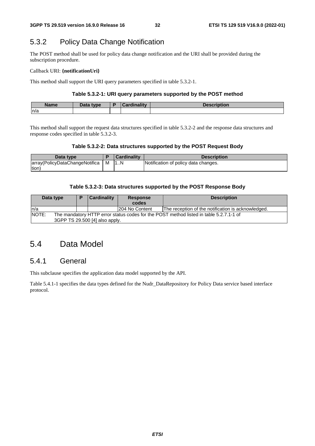# 5.3.2 Policy Data Change Notification

The POST method shall be used for policy data change notification and the URI shall be provided during the subscription procedure.

#### Callback URI: **{notificationUri}**

This method shall support the URI query parameters specified in table 5.3.2-1.

#### **Table 5.3.2-1: URI query parameters supported by the POST method**

| <b>Name</b> | Data type | $-15$ and $-15$ and $-1$<br><b>Pordu</b> | <b>Description</b> |
|-------------|-----------|------------------------------------------|--------------------|
| n/a         |           |                                          |                    |

This method shall support the request data structures specified in table 5.3.2-2 and the response data structures and response codes specified in table 5.3.2-3.

#### **Table 5.3.2-2: Data structures supported by the POST Request Body**

| Data type                          | <b>Cardinality</b> | <b>Description</b>                   |
|------------------------------------|--------------------|--------------------------------------|
| array(PolicyDataChangeNotifica   M |                    | Notification of policy data changes. |
| tion)                              |                    |                                      |

#### **Table 5.3.2-3: Data structures supported by the POST Response Body**

| Data type    |                                                                                        | <b>Cardinality</b> |  | <b>Response</b> | <b>Description</b>                                 |  |  |
|--------------|----------------------------------------------------------------------------------------|--------------------|--|-----------------|----------------------------------------------------|--|--|
|              |                                                                                        |                    |  | codes           |                                                    |  |  |
| ln/a         |                                                                                        |                    |  | 204 No Content  | The reception of the notification is acknowledged. |  |  |
| <b>NOTE:</b> | The mandatory HTTP error status codes for the POST method listed in table 5.2.7.1-1 of |                    |  |                 |                                                    |  |  |
|              | 3GPP TS 29.500 [4] also apply.                                                         |                    |  |                 |                                                    |  |  |

# 5.4 Data Model

# 5.4.1 General

This subclause specifies the application data model supported by the API.

Table 5.4.1-1 specifies the data types defined for the Nudr\_DataRepository for Policy Data service based interface protocol.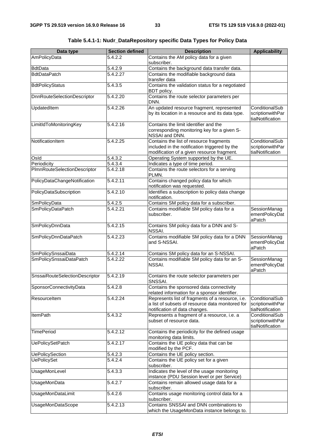| Data type                          | <b>Section defined</b> | <b>Description</b>                                                                                                                     | <b>Applicability</b>                                   |
|------------------------------------|------------------------|----------------------------------------------------------------------------------------------------------------------------------------|--------------------------------------------------------|
| AmPolicyData                       | 5.4.2.2                | Contains the AM policy data for a given<br>subscriber.                                                                                 |                                                        |
| <b>BdtData</b>                     | 5.4.2.9                | Contains the background data transfer data.                                                                                            |                                                        |
| <b>BdtDataPatch</b>                | 5.4.2.27               | Contains the modifiable background data<br>transfer data                                                                               |                                                        |
| <b>BdtPolicyStatus</b>             | 5.4.3.5                | Contains the validation status for a negotiated<br>BDT policy.                                                                         |                                                        |
| <b>DnnRouteSelectionDescriptor</b> | 5.4.2.20               | Contains the route selector parameters per<br>DNN.                                                                                     |                                                        |
| UpdatedItem<br>5.4.2.26            |                        | An updated resource fragment, represented<br>by its location in a resource and its data type.                                          | ConditionalSub<br>scriptionwithPar<br>tialNotification |
| LimitIdToMonitoringKey             | 5.4.2.16               | Contains the limit identifier and the<br>corresponding monitoring key for a given S-<br>NSSAI and DNN.                                 |                                                        |
| NotificationItem                   | 5.4.2.25               | Contains the list of resource fragments<br>included in the notification triggered by the<br>modification of a given resource fragment. | ConditionalSub<br>scriptionwithPar<br>tialNotification |
| Osld                               | 5.4.3.2                | Operating System supported by the UE.                                                                                                  |                                                        |
| Periodicity                        | 5.4.3.4                | Indicates a type of time period.                                                                                                       |                                                        |
| PImnRouteSelectionDescriptor       | 5.4.2.18               | Contains the route selectors for a serving<br>PLMN.                                                                                    |                                                        |
| PolicyDataChangeNotification       | 5.4.2.11               | Contains changed policy data for which<br>notification was requested.                                                                  |                                                        |
| PolicyDataSubscription             | 5.4.2.10               | Identifies a subscription to policy data change<br>notification.                                                                       |                                                        |
| SmPolicyData                       | 5.4.2.5                | Contains SM policy data for a subscriber.                                                                                              |                                                        |
| SmPolicyDataPatch                  | 5.4.2.21               | Contains modifiable SM policy data for a<br>subscriber.                                                                                | SessionManag<br>ementPolicyDat<br>aPatch               |
| SmPolicyDnnData                    | 5.4.2.15               | Contains SM policy data for a DNN and S-<br>NSSAI.                                                                                     |                                                        |
| SmPolicyDnnDataPatch               | 5.4.2.23               | Contains modifiable SM policy data for a DNN<br>and S-NSSAI.                                                                           | SessionManag<br>ementPolicyDat<br>aPatch               |
| SmPolicySnssaiData                 | 5.4.2.14               | Contains SM policy data for an S-NSSAI.                                                                                                |                                                        |
| SmPolicySnssaiDataPatch            | 5.4.2.22               | Contains modifiable SM policy data for an S-<br>NSSAI.                                                                                 | SessionManag<br>ementPolicyDat<br>aPatch               |
| SnssaiRouteSelectionDescriptor     | 5.4.2.19               | Contains the route selector parameters per<br>SNSSAI.                                                                                  |                                                        |
| SponsorConnectivityData            | 5.4.2.8                | Contains the sponsored data connectivity<br>related information for a sponsor identifier.                                              |                                                        |
| Resourceltem<br>5.4.2.24           |                        | Represents list of fragments of a resource, i.e.<br>a list of subsets of resource data monitored for<br>notification of data changes.  | ConditionalSub<br>scriptionwithPar<br>tialNotification |
| <b>ItemPath</b>                    | 5.4.3.2                | Represents a fragment of a resource, i.e. a<br>subset of resource data.                                                                | ConditionalSub<br>scriptionwithPar<br>tialNotification |
| <b>TimePeriod</b>                  | 5.4.2.12               | Contains the periodicity for the defined usage<br>monitoring data limits.                                                              |                                                        |
| <b>UePolicySetPatch</b>            | 5.4.2.17               | Contains the UE policy data that can be<br>modified by the PCF.                                                                        |                                                        |
| <b>UePolicySection</b>             | 5.4.2.3                | Contains the UE policy section.                                                                                                        |                                                        |
| <b>UePolicySet</b>                 | 5.4.2.4                | Contains the UE policy set for a given<br>subscriber.                                                                                  |                                                        |
| <b>UsageMonLevel</b>               | 5.4.3.3                | Indicates the level of the usage monitoring<br>instance (PDU Session level or per Service)                                             |                                                        |
| <b>UsageMonData</b>                | 5.4.2.7                | Contains remain allowed usage data for a<br>subscriber.                                                                                |                                                        |
| <b>UsageMonDataLimit</b>           | 5.4.2.6                | Contains usage monitoring control data for a<br>subscriber.                                                                            |                                                        |
| <b>UsageMonDataScope</b>           | 5.4.2.13               | Contains SNSSAI and DNN combinations to<br>which the UsageMonData instance belongs to.                                                 |                                                        |

**Table 5.4.1-1: Nudr\_DataRepository specific Data Types for Policy Data**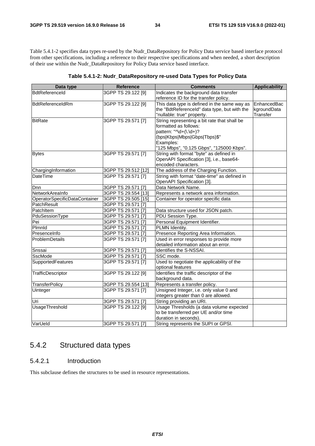Table 5.4.1-2 specifies data types re-used by the Nudr\_DataRepository for Policy Data service based interface protocol from other specifications, including a reference to their respective specifications and when needed, a short description of their use within the Nudr\_DataRepository for Policy Data service based interface.

| Data type                     | <b>Reference</b>    | <b>Comments</b>                              | <b>Applicability</b> |  |
|-------------------------------|---------------------|----------------------------------------------|----------------------|--|
| <b>BdtReferenceld</b>         | 3GPP TS 29.122 [9]  | Indicates the background data transfer       |                      |  |
|                               |                     | reference ID for the transfer policy.        |                      |  |
| BdtReferenceIdRm              | 3GPP TS 29.122 [9]  | This data type is defined in the same way as | EnhancedBac          |  |
|                               |                     | the "BdtReferenceId" data type, but with the | kgroundData          |  |
|                               |                     | "nullable: true" property.                   | Transfer             |  |
| <b>BitRate</b>                | 3GPP TS 29.571 [7]  | String representing a bit rate that shall be |                      |  |
|                               |                     | formatted as follows:                        |                      |  |
|                               |                     | pattern: "^\d+(\.\d+)?                       |                      |  |
|                               |                     | (bps Kbps Mbps Gbps Tbps)\$"                 |                      |  |
|                               |                     | Examples:                                    |                      |  |
|                               |                     | "125 Mbps", "0.125 Gbps", "125000 Kbps".     |                      |  |
| <b>Bytes</b>                  | 3GPP TS 29.571 [7]  | String with format "byte" as defined in      |                      |  |
|                               |                     | OpenAPI Specification [3], i.e., base64-     |                      |  |
|                               |                     | encoded characters.                          |                      |  |
| ChargingInformation           | 3GPP TS 29.512 [12] | The address of the Charging Function.        |                      |  |
| <b>DateTime</b>               | 3GPP TS 29.571 [7]  | String with format "date-time" as defined in |                      |  |
|                               |                     | OpenAPI Specification [3].                   |                      |  |
| Dnn                           | 3GPP TS 29.571 [7]  | Data Network Name.                           |                      |  |
| NetworkAreaInfo               | 3GPP TS 29.554 [13] | Represents a network area information.       |                      |  |
| OperatorSpecificDataContainer | 3GPP TS 29.505 [15] | Container for operator specific data         |                      |  |
| PatchResult                   | 3GPP TS 29.571 [7]  |                                              |                      |  |
| PatchItem                     | 3GPP TS 29.571 [7]  | Data structure used for JSON patch.          |                      |  |
| PduSessionType                | 3GPP TS 29.571 [7]  | PDU Session Type.                            |                      |  |
| Pei                           | 3GPP TS 29.571 [7]  | Personal Equipment Identifier.               |                      |  |
| Plmnld                        | 3GPP TS 29.571 [7]  | PLMN Identity.                               |                      |  |
| PresenceInfo                  | 3GPP TS 29.571 [7]  | Presence Reporting Area Information.         |                      |  |
| ProblemDetails                | 3GPP TS 29.571 [7]  | Used in error responses to provide more      |                      |  |
|                               |                     | detailed information about an error.         |                      |  |
| Snssai                        | 3GPP TS 29.571 [7]  | Identifies the S-NSSAI.                      |                      |  |
| <b>SscMode</b>                | 3GPP TS 29.571 [7]  | SSC mode.                                    |                      |  |
| SupportedFeatures             | 3GPP TS 29.571 [7]  | Used to negotiate the applicability of the   |                      |  |
|                               |                     | optional features                            |                      |  |
| TrafficDescriptor             | 3GPP TS 29.122 [9]  | Identifies the traffic descriptor of the     |                      |  |
|                               |                     | background data.                             |                      |  |
| <b>TransferPolicy</b>         | 3GPP TS 29.554 [13] | Represents a transfer policy.                |                      |  |
| Uinteger                      | 3GPP TS 29.571 [7]  | Unsigned Integer, i.e. only value 0 and      |                      |  |
|                               |                     | integers greater than 0 are allowed.         |                      |  |
| Uri                           | 3GPP TS 29.571 [7]  | String providing an URI.                     |                      |  |
| <b>UsageThreshold</b>         | 3GPP TS 29.122 [9]  | Usage Thresholds (a data volume expected     |                      |  |
|                               |                     | to be transferred per UE and/or time         |                      |  |
|                               |                     | duration in seconds).                        |                      |  |
| VarUeld                       | 3GPP TS 29.571 [7]  | String represents the SUPI or GPSI.          |                      |  |

| Table 5.4.1-2: Nudr_DataRepository re-used Data Types for Policy Data |  |  |  |  |  |
|-----------------------------------------------------------------------|--|--|--|--|--|
|-----------------------------------------------------------------------|--|--|--|--|--|

# 5.4.2 Structured data types

# 5.4.2.1 Introduction

This subclause defines the structures to be used in resource representations.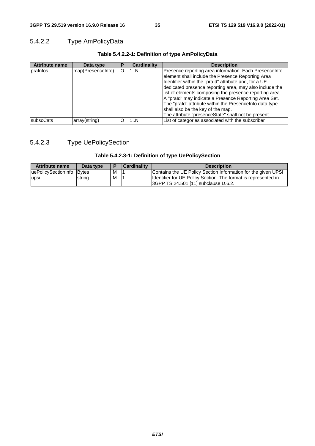# 5.4.2.2 Type AmPolicyData

| <b>Attribute name</b> | Data type         | Р | <b>Cardinality</b> | <b>Description</b>                                                                                                                                                                                                                                                                                                                                                                                                                                                                                          |
|-----------------------|-------------------|---|--------------------|-------------------------------------------------------------------------------------------------------------------------------------------------------------------------------------------------------------------------------------------------------------------------------------------------------------------------------------------------------------------------------------------------------------------------------------------------------------------------------------------------------------|
| prainfos              | map(PresenceInfo) | O | 1N                 | Presence reporting area information. Each PresenceInfo<br>element shall include the Presence Reporting Area<br>Identifier within the "praid" attribute and, for a UE-<br>dedicated presence reporting area, may also include the<br>list of elements composing the presence reporting area.<br>A "prald" may indicate a Presence Reporting Area Set.<br>The "praId" attribute within the PresenceInfo data type<br>shall also be the key of the map.<br>The attribute "presenceState" shall not be present. |
| <b>subscCats</b>      | array(string)     | O | 1N                 | List of categories associated with the subscriber                                                                                                                                                                                                                                                                                                                                                                                                                                                           |

# **Table 5.4.2.2-1: Definition of type AmPolicyData**

# 5.4.2.3 Type UePolicySection

# **Table 5.4.2.3-1: Definition of type UePolicySection**

| <b>Attribute name</b>     | Data type |   | Cardinality | <b>Description</b>                                                                                            |
|---------------------------|-----------|---|-------------|---------------------------------------------------------------------------------------------------------------|
| uePolicySectionInfo Bytes |           | М |             | Contains the UE Policy Section Information for the given UPSI                                                 |
| upsi                      | string    | M |             | Identifier for UE Policy Section. The format is represented in<br><b>SGPP TS 24.501 [11] subclause D.6.2.</b> |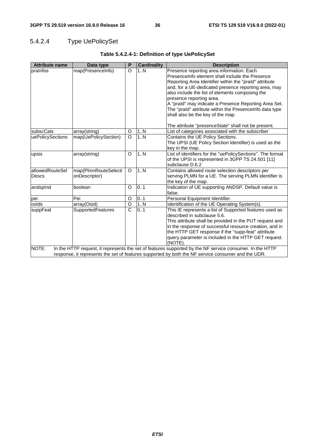# 5.4.2.4 Type UePolicySet

| <b>Attribute name</b>    | Data type                             | P                     | <b>Cardinality</b> | <b>Description</b>                                                                                                                                                                                                                                                                                                                                                                                                                                     |
|--------------------------|---------------------------------------|-----------------------|--------------------|--------------------------------------------------------------------------------------------------------------------------------------------------------------------------------------------------------------------------------------------------------------------------------------------------------------------------------------------------------------------------------------------------------------------------------------------------------|
| prainfos                 | map(PresenceInfo)                     | $\circ$               | 1N                 | Presence reporting area information. Each<br>PresenceInfo element shall include the Presence<br>Reporting Area Identifier within the "praId" attribute<br>and, for a UE-dedicated presence reporting area, may<br>also include the list of elements composing the<br>presence reporting area.<br>A "prald" may indicate a Presence Reporting Area Set.<br>The "prald" attribute within the PresenceInfo data type<br>shall also be the key of the map. |
|                          |                                       |                       |                    | The attribute "presenceState" shall not be present.                                                                                                                                                                                                                                                                                                                                                                                                    |
| subscCats                | array(string)                         | O                     | 1N                 | List of categories associated with the subscriber                                                                                                                                                                                                                                                                                                                                                                                                      |
| uePolicySections         | map(UePolicySection)                  | $\circ$               | 1N                 | Contains the UE Policy Sections.<br>The UPSI (UE Policy Section Identifier) is used as the<br>key in the map.                                                                                                                                                                                                                                                                                                                                          |
| upsis                    | array(string)                         | O                     | 1N                 | List of identifiers for the "uePolicySections". The format<br>of the UPSI is represented in 3GPP TS 24.501 [11]<br>subclause D.6.2                                                                                                                                                                                                                                                                                                                     |
| allowedRouteSel<br>Descs | map(PlmnRouteSelecti<br>onDescriptor) | O                     | 1.N                | Contains allowed route selection descriptors per<br>serving PLMN for a UE. The serving PLMN identifier is<br>the key of the map.                                                                                                                                                                                                                                                                                                                       |
| andspind                 | boolean                               | O                     | 0.1                | Indication of UE supporting ANDSP. Default value is<br>false.                                                                                                                                                                                                                                                                                                                                                                                          |
| pei                      | Pei                                   | O                     | 01                 | Personal Equipment Identifier.                                                                                                                                                                                                                                                                                                                                                                                                                         |
| osids                    | array(Osld)                           | $\overline{O}$        | 1.N                | Identification of the UE Operating System(s).                                                                                                                                                                                                                                                                                                                                                                                                          |
| suppFeat                 | SupportedFeatures                     | $\overline{\text{c}}$ | 0.1                | This IE represents a list of Supported features used as<br>described in subclause 5.6.<br>This attribute shall be provided in the PUT request and<br>in the response of successful resource creation, and in<br>the HTTP GET response if the "supp-feat" attribute<br>query parameter is included in the HTTP GET request.<br>(NOTE).                                                                                                                  |
| NOTE:                    |                                       |                       |                    | In the HTTP request, it represents the set of features supported by the NF service consumer. In the HTTP<br>response, it represents the set of features supported by both the NF service consumer and the UDR.                                                                                                                                                                                                                                         |

# **Table 5.4.2.4-1: Definition of type UePolicySet**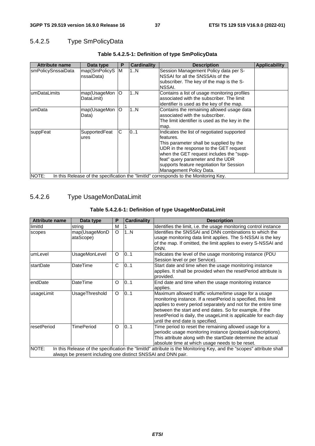# 5.4.2.5 Type SmPolicyData

| <b>Attribute name</b> | Data type                   | P  | <b>Cardinality</b> | <b>Description</b>                                                                                                                                                                                                                                                                                    | <b>Applicability</b> |
|-----------------------|-----------------------------|----|--------------------|-------------------------------------------------------------------------------------------------------------------------------------------------------------------------------------------------------------------------------------------------------------------------------------------------------|----------------------|
| smPolicySnssaiData    | map(SmPolicyS<br>nssaiData) | M  | 1N                 | Session Management Policy data per S-<br>NSSAI for all the SNSSAIs of the<br>subscriber. The key of the map is the S-<br>NSSAI.                                                                                                                                                                       |                      |
| lumDataLimits         | map(UsageMon<br>DataLimit)  | O  | 1N                 | Contains a list of usage monitoring profiles<br>associated with the subscriber. The limit<br>identifier is used as the key of the map.                                                                                                                                                                |                      |
| lumData               | map(UsageMon<br>Data)       | lО | 1N                 | Contains the remaining allowed usage data<br>associated with the subscriber.<br>The limit identifier is used as the key in the<br>map.                                                                                                                                                                |                      |
| suppFeat              | SupportedFeat<br>ures       | C  | 01                 | Indicates the list of negotiated supported<br>lfeatures.<br>This parameter shall be supplied by the<br>UDR in the response to the GET request<br>when the GET request includes the "supp-<br>feat" query parameter and the UDR<br>supports feature negotiation for Session<br>Management Policy Data. |                      |
| NOTE:                 |                             |    |                    | In this Release of the specification the "limitld" corresponds to the Monitoring Key.                                                                                                                                                                                                                 |                      |

# **Table 5.4.2.5-1: Definition of type SmPolicyData**

# 5.4.2.6 Type UsageMonDataLimit

# **Table 5.4.2.6-1: Definition of type UsageMonDataLimit**

| <b>Attribute name</b> | Data type                                                                                                                                                                             | P        | <b>Cardinality</b> | <b>Description</b>                                                                                                                                                                                                                                                                                                                                          |  |  |  |  |
|-----------------------|---------------------------------------------------------------------------------------------------------------------------------------------------------------------------------------|----------|--------------------|-------------------------------------------------------------------------------------------------------------------------------------------------------------------------------------------------------------------------------------------------------------------------------------------------------------------------------------------------------------|--|--|--|--|
| limitld               | string                                                                                                                                                                                | M        |                    | Identifies the limit, i.e. the usage monitoring control instance                                                                                                                                                                                                                                                                                            |  |  |  |  |
| scopes                | map(UsageMonD<br>ataScope)                                                                                                                                                            | O        | 1N                 | Identifies the SNSSAI and DNN combinations to which the<br>usage monitoring data limit applies. The S-NSSAI is the key<br>of the map. If omitted, the limit applies to every S-NSSAI and<br>DNN.                                                                                                                                                            |  |  |  |  |
| umLevel               | UsageMonLevel                                                                                                                                                                         | O        | 0.1                | Indicates the level of the usage monitoring instance (PDU<br>Session level or per Service).                                                                                                                                                                                                                                                                 |  |  |  |  |
| startDate             | DateTime                                                                                                                                                                              | C        | 0.1                | Start date and time when the usage monitoring instance<br>applies. It shall be provided when the resetPeriod attribute is<br>provided.                                                                                                                                                                                                                      |  |  |  |  |
| endDate               | DateTime                                                                                                                                                                              | $\Omega$ | 01                 | End date and time when the usage monitoring instance<br>applies.                                                                                                                                                                                                                                                                                            |  |  |  |  |
| usageLimit            | UsageThreshold                                                                                                                                                                        | O        | 0.1                | Maximum allowed traffic volume/time usage for a usage<br>monitoring instance. If a resetPeriod is specified, this limit<br>applies to every period separately and not for the entire time<br>between the start and end dates. So for example, if the<br>resetPeriod is daily, the usageLimit is applicable for each day<br>until the end date is specified. |  |  |  |  |
| resetPeriod           | <b>TimePeriod</b>                                                                                                                                                                     | $\Omega$ | 01                 | Time period to reset the remaining allowed usage for a<br>periodic usage monitoring instance (postpaid subscriptions).<br>This attribute along with the startDate determine the actual<br>absolute time at which usage needs to be reset.                                                                                                                   |  |  |  |  |
| NOTE:                 | In this Release of the specification the "limitld" attribute is the Monitoring Key, and the "scopes" attribute shall<br>always be present including one distinct SNSSAI and DNN pair. |          |                    |                                                                                                                                                                                                                                                                                                                                                             |  |  |  |  |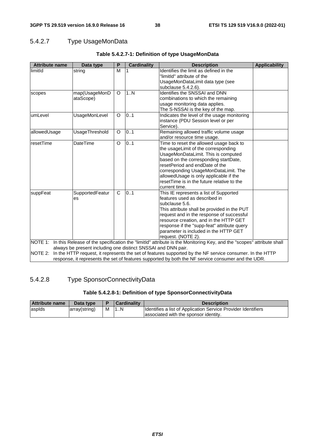# 5.4.2.7 Type UsageMonData

| <b>Attribute name</b> | Data type                                                     | P            | <b>Cardinality</b> | <b>Description</b>                                                                                                           | <b>Applicability</b> |
|-----------------------|---------------------------------------------------------------|--------------|--------------------|------------------------------------------------------------------------------------------------------------------------------|----------------------|
| limitId               | string                                                        | M            |                    | Identifies the limit as defined in the                                                                                       |                      |
|                       |                                                               |              |                    | "limitId" attribute of the                                                                                                   |                      |
|                       |                                                               |              |                    | UsageMonDataLimit data type (see                                                                                             |                      |
|                       |                                                               |              |                    | subclause 5.4.2.6).                                                                                                          |                      |
| scopes                | map(UsageMonD                                                 | O            | 1.N                | <b>Identifies the SNSSAI and DNN</b>                                                                                         |                      |
|                       | ataScope)                                                     |              |                    | combinations to which the remaining                                                                                          |                      |
|                       |                                                               |              |                    | usage monitoring data applies.                                                                                               |                      |
|                       |                                                               |              |                    | The S-NSSAI is the key of the map.                                                                                           |                      |
| umLevel               | <b>UsageMonLevel</b>                                          | $\circ$      | 0.1                | Indicates the level of the usage monitoring                                                                                  |                      |
|                       |                                                               |              |                    | instance (PDU Session level or per                                                                                           |                      |
|                       |                                                               |              |                    | Service).                                                                                                                    |                      |
| allowedUsage          | UsageThreshold                                                | O            | 0.1                | Remaining allowed traffic volume usage                                                                                       |                      |
|                       |                                                               |              |                    | and/or resource time usage.                                                                                                  |                      |
| resetTime             | DateTime                                                      | $\circ$      | 0.1                | Time to reset the allowed usage back to                                                                                      |                      |
|                       |                                                               |              |                    | the usageLimit of the corresponding                                                                                          |                      |
|                       |                                                               |              |                    | UsageMonDataLimit. This is computed                                                                                          |                      |
|                       |                                                               |              |                    | based on the corresponding startDate,                                                                                        |                      |
|                       |                                                               |              |                    | resetPeriod and endDate of the                                                                                               |                      |
|                       |                                                               |              |                    | corresponding UsageMonDataLimit. The                                                                                         |                      |
|                       |                                                               |              |                    | allowedUsage is only applicable if the                                                                                       |                      |
|                       |                                                               |              |                    | reset Time is in the future relative to the                                                                                  |                      |
|                       |                                                               |              |                    | current time.                                                                                                                |                      |
| suppFeat              | SupportedFeatur                                               | $\mathsf{C}$ | 0.1                | This IE represents a list of Supported                                                                                       |                      |
|                       | es                                                            |              |                    | features used as described in                                                                                                |                      |
|                       |                                                               |              |                    | subclause 5.6.                                                                                                               |                      |
|                       |                                                               |              |                    | This attribute shall be provided in the PUT                                                                                  |                      |
|                       |                                                               |              |                    | request and in the response of successful                                                                                    |                      |
|                       |                                                               |              |                    | resource creation, and in the HTTP GET                                                                                       |                      |
|                       |                                                               |              |                    | response if the "supp-feat" attribute query                                                                                  |                      |
|                       |                                                               |              |                    | parameter is included in the HTTP GET                                                                                        |                      |
|                       |                                                               |              |                    | request. (NOTE 2).                                                                                                           |                      |
|                       |                                                               |              |                    | NOTE 1: In this Release of the specification the "limitld" attribute is the Monitoring Key, and the "scopes" attribute shall |                      |
|                       | always be present including one distinct SNSSAI and DNN pair. |              |                    |                                                                                                                              |                      |
| <b>NOTE 2:</b>        |                                                               |              |                    | In the HTTP request, it represents the set of features supported by the NF service consumer. In the HTTP                     |                      |
|                       |                                                               |              |                    | response, it represents the set of features supported by both the NF service consumer and the UDR.                           |                      |

# **Table 5.4.2.7-1: Definition of type UsageMonData**

# 5.4.2.8 Type SponsorConnectivityData

## **Table 5.4.2.8-1: Definition of type SponsorConnectivityData**

| <b>Attribute name</b> | Data type     |   | <b>Cardinality</b> | <b>Description</b>                                            |
|-----------------------|---------------|---|--------------------|---------------------------------------------------------------|
| laspids               | array(string) | м | 11N                | Identifies a list of Application Service Provider Identifiers |
|                       |               |   |                    | lassociated with the sponsor identity.                        |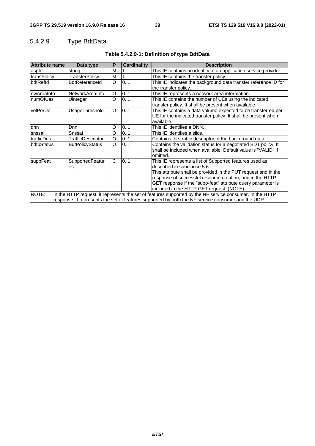# 5.4.2.9 Type BdtData

| <b>Attribute name</b> | Data type                                                                                                | P        | <b>Cardinality</b> | <b>Description</b>                                               |  |  |  |  |
|-----------------------|----------------------------------------------------------------------------------------------------------|----------|--------------------|------------------------------------------------------------------|--|--|--|--|
| aspid                 | string                                                                                                   | M        |                    | This IE contains an identity of an application service provider. |  |  |  |  |
| transPolicy           | <b>TransferPolicy</b>                                                                                    | M        |                    | This IE contains the transfer policy.                            |  |  |  |  |
| <b>IbdtRefId</b>      | <b>BdtReferenceld</b>                                                                                    | $\circ$  | 0.1                | This IE indicates the background data transfer reference ID for  |  |  |  |  |
|                       |                                                                                                          |          |                    | the transfer policy.                                             |  |  |  |  |
| nwAreaInfo            | NetworkAreaInfo                                                                                          | O        | 0.1                | This IE represents a network area information.                   |  |  |  |  |
| InumOfUes             | Uinteger                                                                                                 | $\circ$  | 0.1                | This IE contains the number of UEs using the indicated           |  |  |  |  |
|                       |                                                                                                          |          |                    | transfer policy. It shall be present when available.             |  |  |  |  |
| volPerUe              | UsageThreshold                                                                                           | $\Omega$ | 0.1                | This IE contains a data volume expected to be transferred per    |  |  |  |  |
|                       |                                                                                                          |          |                    | UE for the indicated transfer policy. It shall be present when   |  |  |  |  |
|                       |                                                                                                          |          |                    | available.                                                       |  |  |  |  |
| dnn                   | <b>D</b> nn                                                                                              | O        | 01                 | This IE identifies a DNN.                                        |  |  |  |  |
| snssai                | Snssai                                                                                                   | O        | 0.1                | This IE identifies a slice.                                      |  |  |  |  |
| trafficDes            | TrafficDescriptor                                                                                        | O        | 0.1                | Contains the traffic descriptor of the background data.          |  |  |  |  |
| bdtpStatus            | <b>BdtPolicyStatus</b>                                                                                   | O        | 0.1                | Contains the validation status for a negotiated BDT policy. It   |  |  |  |  |
|                       |                                                                                                          |          |                    | shall be included when available. Default value is "VALID" if    |  |  |  |  |
|                       |                                                                                                          |          |                    | omitted.                                                         |  |  |  |  |
| suppFeat              | SupportedFeatur                                                                                          | C        | 0.1                | This IE represents a list of Supported features used as          |  |  |  |  |
|                       | es                                                                                                       |          |                    | described in subclause 5.6.                                      |  |  |  |  |
|                       |                                                                                                          |          |                    | This attribute shall be provided in the PUT request and in the   |  |  |  |  |
|                       |                                                                                                          |          |                    | response of successful resource creation, and in the HTTP        |  |  |  |  |
|                       |                                                                                                          |          |                    | GET response if the "supp-feat" attribute query parameter is     |  |  |  |  |
|                       |                                                                                                          |          |                    | included in the HTTP GET request. (NOTE).                        |  |  |  |  |
| NOTE:                 | In the HTTP request, it represents the set of features supported by the NF service consumer. In the HTTP |          |                    |                                                                  |  |  |  |  |
|                       | response, it represents the set of features supported by both the NF service consumer and the UDR.       |          |                    |                                                                  |  |  |  |  |

# **Table 5.4.2.9-1: Definition of type BdtData**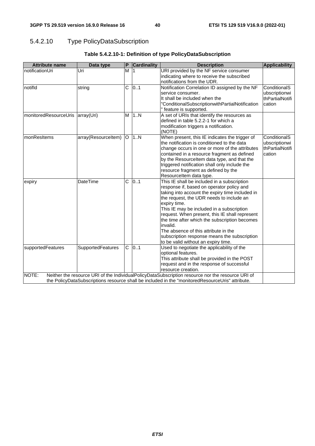# 5.4.2.10 Type PolicyDataSubscription

| <b>Attribute name</b> | Data type           | $\mathsf{P}$ | <b>Cardinality</b> | <b>Description</b>                                                                                                                                                                                                                                                                                                                                                                                                                                                                                 | Applicability                                              |
|-----------------------|---------------------|--------------|--------------------|----------------------------------------------------------------------------------------------------------------------------------------------------------------------------------------------------------------------------------------------------------------------------------------------------------------------------------------------------------------------------------------------------------------------------------------------------------------------------------------------------|------------------------------------------------------------|
| notificationUri       | Uri                 | M            |                    | URI provided by the NF service consumer<br>indicating where to receive the subscribed<br>notifications from the UDR.                                                                                                                                                                                                                                                                                                                                                                               |                                                            |
| notifld               | string              | С            | 0.1                | Notification Correlation ID assigned by the NF<br>service consumer.<br>It shall be included when the<br>"ConditionalSubscriptionwithPartialNotification<br>" feature is supported.                                                                                                                                                                                                                                                                                                                 | ConditionalS<br>ubscriptionwi<br>thPartialNotifi<br>cation |
| monitoredResourceUris | array(Uri)          | M            | 1N                 | A set of URIs that identify the resources as<br>defined in table 5.2.2-1 for which a<br>modification triggers a notification.<br>(NOTE)                                                                                                                                                                                                                                                                                                                                                            |                                                            |
| ImonResItems          | array(Resourceltem) | lO.          | 1. N               | When present, this IE indicates the trigger of<br>the notification is conditioned to the data<br>change occurs in one or more of the attributes<br>contained in a resource fragment as defined<br>by the Resourceltem data type, and that the<br>triggered notification shall only include the<br>resource fragment as defined by the<br>Resourceltem data type.                                                                                                                                   | ConditionalS<br>ubscriptionwi<br>thPartialNotifi<br>cation |
| expiry                | <b>DateTime</b>     | Ć            | 0.1                | This IE shall be included in a subscription<br>response if, based on operator policy and<br>taking into account the expiry time included in<br>the request, the UDR needs to include an<br>expiry time.<br>This IE may be included in a subscription<br>request. When present, this IE shall represent<br>the time after which the subscription becomes<br>invalid.<br>The absence of this attribute in the<br>subscription response means the subscription<br>to be valid without an expiry time. |                                                            |
| supportedFeatures     | SupportedFeatures   | C            | 0.1                | Used to negotiate the applicability of the<br>optional features.<br>This attribute shall be provided in the POST<br>request and in the response of successful<br>resource creation.                                                                                                                                                                                                                                                                                                                |                                                            |
| NOTE:                 |                     |              |                    | Neither the resource URI of the IndividualPolicyDataSubscription resource nor the resource URI of<br>the PolicyDataSubscriptions resource shall be included in the "monitoredResourceUris" attribute.                                                                                                                                                                                                                                                                                              |                                                            |

# **Table 5.4.2.10-1: Definition of type PolicyDataSubscription**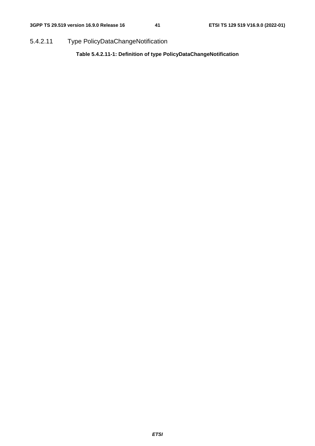5.4.2.11 Type PolicyDataChangeNotification

**Table 5.4.2.11-1: Definition of type PolicyDataChangeNotification**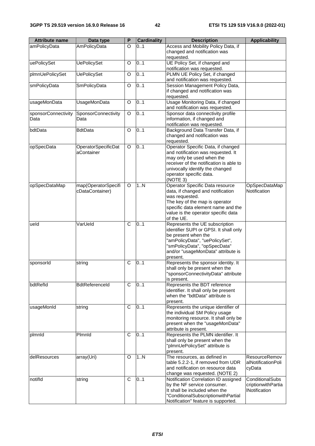| <b>Attribute name</b> | Data type             | Ρ | <b>Cardinality</b> | <b>Description</b>                                                     | <b>Applicability</b>   |
|-----------------------|-----------------------|---|--------------------|------------------------------------------------------------------------|------------------------|
| amPolicyData          | AmPolicyData          | O | 01                 | Access and Mobility Policy Data, if                                    |                        |
|                       |                       |   |                    | changed and notification was                                           |                        |
|                       |                       |   |                    | requested.                                                             |                        |
| uePolicySet           | <b>UePolicySet</b>    | O | 0.1                | UE Policy Set, if changed and                                          |                        |
|                       |                       |   |                    | notification was requested.                                            |                        |
| plmnUePolicySet       | <b>UePolicySet</b>    | O | 0.1                | PLMN UE Policy Set, if changed                                         |                        |
|                       |                       |   |                    | and notification was requested.                                        |                        |
| smPolicyData          | SmPolicyData          | O | 0.1                | Session Management Policy Data,                                        |                        |
|                       |                       |   |                    | if changed and notification was                                        |                        |
|                       |                       |   |                    | requested.                                                             |                        |
| usageMonData          | <b>UsageMonData</b>   | O | 0.1                | Usage Monitoring Data, if changed                                      |                        |
|                       |                       |   |                    | and notification was requested.                                        |                        |
| sponsorConnectivity   | SponsorConnectivity   | O | 01                 | Sponsor data connectivity profile                                      |                        |
| Data                  | Data                  |   |                    | information, if changed and                                            |                        |
|                       |                       |   |                    | notification was requested.                                            |                        |
| bdtData               | <b>BdtData</b>        | O | 0.1                | Background Data Transfer Data, if                                      |                        |
|                       |                       |   |                    | changed and notification was                                           |                        |
|                       |                       |   |                    | requested.                                                             |                        |
| opSpecData            | OperatorSpecificDat   | O | 0.1                | Operator Specific Data, if changed                                     |                        |
|                       | aContainer            |   |                    | and notification was requested. It                                     |                        |
|                       |                       |   |                    | may only be used when the                                              |                        |
|                       |                       |   |                    | receiver of the notification is able to                                |                        |
|                       |                       |   |                    | univocally identify the changed                                        |                        |
|                       |                       |   |                    | operator specific data.                                                |                        |
|                       |                       |   |                    | (NOTE 3)                                                               |                        |
| opSpecDataMap         | map(OperatorSpecifi   | O | 1N                 | Operator Specific Data resource                                        | OpSpecDataMap          |
|                       | cDataContainer)       |   |                    | data, if changed and notification                                      | Notification           |
|                       |                       |   |                    | was requested.                                                         |                        |
|                       |                       |   |                    | The key of the map is operator                                         |                        |
|                       |                       |   |                    | specific data element name and the                                     |                        |
|                       |                       |   |                    | value is the operator specific data<br>of the UE.                      |                        |
| ueld                  | VarUeld               | C | 0.1                | Represents the UE subscription                                         |                        |
|                       |                       |   |                    | identifier SUPI or GPSI. It shall only                                 |                        |
|                       |                       |   |                    | be present when the                                                    |                        |
|                       |                       |   |                    | "amPolicyData", "uePolicySet",                                         |                        |
|                       |                       |   |                    | "smPolicyData", "opSpecData"                                           |                        |
|                       |                       |   |                    | and/or "usageMonData" attribute is                                     |                        |
|                       |                       |   |                    | present.                                                               |                        |
| sponsorId             | string                | C | 0.1                | Represents the sponsor identity. It                                    |                        |
|                       |                       |   |                    | shall only be present when the                                         |                        |
|                       |                       |   |                    | "sponsorConnectivityData" attribute                                    |                        |
|                       |                       |   |                    | is present.                                                            |                        |
| bdtRefld              | <b>BdtReferenceld</b> | C | 0.1                | Represents the BDT reference                                           |                        |
|                       |                       |   |                    | identifier. It shall only be present                                   |                        |
|                       |                       |   |                    | when the "bdtData" attribute is                                        |                        |
|                       |                       |   |                    | present.                                                               |                        |
| usageMonId            | string                | C | 0.1                | Represents the unique identifier of                                    |                        |
|                       |                       |   |                    | the individual SM Policy usage                                         |                        |
|                       |                       |   |                    | monitoring resource. It shall only be                                  |                        |
|                       |                       |   |                    | present when the "usageMonData"                                        |                        |
|                       |                       |   |                    | attribute is present.                                                  |                        |
| plmnld                | Plmnld                | C | 0.1                | Represents the PLMN identifier. It                                     |                        |
|                       |                       |   |                    | shall only be present when the                                         |                        |
|                       |                       |   |                    | "plmnUePolicySet" attribute is                                         |                        |
|                       |                       |   |                    | present.                                                               |                        |
| delResources          | array(Uri)            | O | 1N                 | The resources, as defined in                                           | <b>ResourceRemov</b>   |
|                       |                       |   |                    | table 5.2.2-1, if removed from UDR                                     | alNotificationPoli     |
|                       |                       |   |                    | and notification on resource data                                      | cyData                 |
| notifld               |                       | C | 0.1                | change was requested. (NOTE 2)<br>Notification Correlation ID assigned | <b>ConditionalSubs</b> |
|                       | string                |   |                    | by the NF service consumer.                                            | criptionwithPartia     |
|                       |                       |   |                    | It shall be included when the                                          | <b>INotification</b>   |
|                       |                       |   |                    | "ConditionalSubscriptionwithPartial                                    |                        |
|                       |                       |   |                    | Notification" feature is supported.                                    |                        |
|                       |                       |   |                    |                                                                        |                        |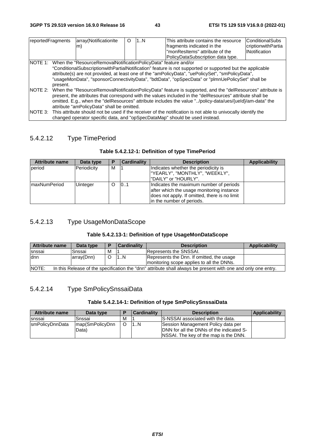| reportedFragments |                                                                                                                      | array(NotificationIte                                                   | Ω | 1N | This attribute contains the resource                                                                               | ConditionalSubs      |
|-------------------|----------------------------------------------------------------------------------------------------------------------|-------------------------------------------------------------------------|---|----|--------------------------------------------------------------------------------------------------------------------|----------------------|
|                   |                                                                                                                      | m)                                                                      |   |    | fragments indicated in the                                                                                         | criptionwithPartia   |
|                   |                                                                                                                      |                                                                         |   |    | "monResItems" attribute of the                                                                                     | <b>INotification</b> |
|                   |                                                                                                                      |                                                                         |   |    | PolicyDataSubscription data type.                                                                                  |                      |
|                   |                                                                                                                      | NOTE 1: When the "ResourceRemovalNotificationPolicyData" feature and/or |   |    |                                                                                                                    |                      |
|                   |                                                                                                                      |                                                                         |   |    | "ConditionalSubscriptionwithPartialNotification" feature is not supported or supported but the applicable          |                      |
|                   |                                                                                                                      |                                                                         |   |    | attribute(s) are not provided, at least one of the "amPolicyData", "uePolicySet", "smPolicyData",                  |                      |
|                   |                                                                                                                      |                                                                         |   |    | "usageMonData", "sponsorConnectivityData", "bdtData", "opSpecData" or "plmnUePolicySet" shall be                   |                      |
|                   | present.                                                                                                             |                                                                         |   |    |                                                                                                                    |                      |
|                   |                                                                                                                      |                                                                         |   |    | NOTE 2: When the "ResourceRemovalNotificationPolicyData" feature is supported, and the "delResources" attribute is |                      |
|                   |                                                                                                                      |                                                                         |   |    | present, the attributes that correspond with the values included in the "delResources" attribute shall be          |                      |
|                   |                                                                                                                      |                                                                         |   |    | omitted. E.g., when the "delResources" attribute includes the value "/policy-data/ues/{ueld}/am-data" the          |                      |
|                   | attribute "amPolicyData" shall be omitted.                                                                           |                                                                         |   |    |                                                                                                                    |                      |
|                   | NOTE 3: This attribute should not be used if the receiver of the notification is not able to univocally identify the |                                                                         |   |    |                                                                                                                    |                      |
|                   |                                                                                                                      |                                                                         |   |    | changed operator specific data, and "opSpecDataMap" should be used instead.                                        |                      |

# 5.4.2.12 Type TimePeriod

| Table 5.4.2.12-1: Definition of type TimePeriod |  |  |
|-------------------------------------------------|--|--|
|                                                 |  |  |

| <b>Attribute name</b> | Data type       | Р | <b>Cardinality</b> | <b>Description</b>                                                                                                                                                 | <b>Applicability</b> |
|-----------------------|-----------------|---|--------------------|--------------------------------------------------------------------------------------------------------------------------------------------------------------------|----------------------|
| period                | Periodicity     | м |                    | Indicates whether the periodicity is<br> "YEARLY", "MONTHLY", "WEEKLY",<br>l"DAILY" or "HOURLY".                                                                   |                      |
| <b>ImaxNumPeriod</b>  | <b>Uinteger</b> | O | 101                | Indicates the maximum number of periods<br>after which the usage monitoring instance<br>does not apply. If omitted, there is no limit<br>in the number of periods. |                      |

# 5.4.2.13 Type UsageMonDataScope

## **Table 5.4.2.13-1: Definition of type UsageMonDataScope**

| <b>Attribute name</b>                                                                                                   | Data type  |   | <b>Cardinality</b> | <b>Description</b>                                                                     | Applicability |  |
|-------------------------------------------------------------------------------------------------------------------------|------------|---|--------------------|----------------------------------------------------------------------------------------|---------------|--|
| snssai                                                                                                                  | Snssai     | М |                    | Represents the SNSSAI.                                                                 |               |  |
| dnn                                                                                                                     | array(Dnn) |   | 1N                 | Represents the Dnn. If omitted, the usage<br>monitoring scope applies to all the DNNs. |               |  |
| INOTE:<br>In this Release of the specification the "dnn" attribute shall always be present with one and only one entry. |            |   |                    |                                                                                        |               |  |

# 5.4.2.14 Type SmPolicySnssaiData

# **Table 5.4.2.14-1: Definition of type SmPolicySnssaiData**

| Attribute name  | Data type       |   | <b>Cardinality</b> | <b>Description</b>                               | Applicability |
|-----------------|-----------------|---|--------------------|--------------------------------------------------|---------------|
| <b>Isnssai</b>  | Snssai          | M |                    | S-NSSAI associated with the data.                |               |
| smPolicyDnnData | map(SmPolicyDnn |   | 1N                 | Session Management Policy data per               |               |
|                 | Data)           |   |                    | <b>IDNN</b> for all the DNNs of the indicated S- |               |
|                 |                 |   |                    | INSSAI. The key of the map is the DNN.           |               |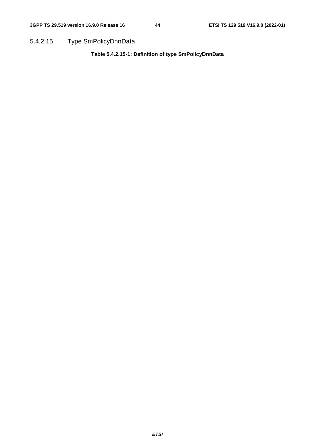5.4.2.15 Type SmPolicyDnnData

**Table 5.4.2.15-1: Definition of type SmPolicyDnnData**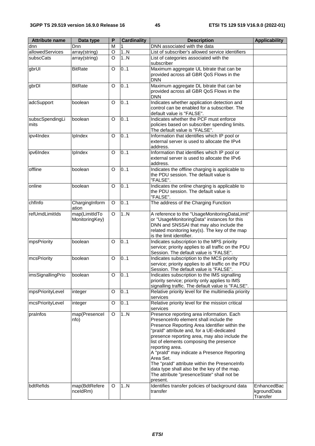| <b>Attribute name</b>   | Data type                       | P        | <b>Cardinality</b> | <b>Description</b>                                                                                                                                                                                                                                                                                                                                                                                                                                                                                                     | <b>Applicability</b>                   |
|-------------------------|---------------------------------|----------|--------------------|------------------------------------------------------------------------------------------------------------------------------------------------------------------------------------------------------------------------------------------------------------------------------------------------------------------------------------------------------------------------------------------------------------------------------------------------------------------------------------------------------------------------|----------------------------------------|
| dnn                     | Dnn                             | M        |                    | DNN associated with the data                                                                                                                                                                                                                                                                                                                                                                                                                                                                                           |                                        |
| allowedServices         | array(string)                   | $\circ$  | 1N                 | List of subscriber's allowed service identifiers                                                                                                                                                                                                                                                                                                                                                                                                                                                                       |                                        |
| subscCats               | array(string)                   | O        | 1N                 | List of categories associated with the<br>subscriber                                                                                                                                                                                                                                                                                                                                                                                                                                                                   |                                        |
| gbrUl                   | <b>BitRate</b>                  | O        | 0.1                | Maximum aggregate UL bitrate that can be<br>provided across all GBR QoS Flows in the<br><b>DNN</b>                                                                                                                                                                                                                                                                                                                                                                                                                     |                                        |
| gbrDl                   | <b>BitRate</b>                  | $\Omega$ | 0.1                | Maximum aggregate DL bitrate that can be<br>provided across all GBR QoS Flows in the<br><b>DNN</b>                                                                                                                                                                                                                                                                                                                                                                                                                     |                                        |
| adcSupport              | boolean                         | $\circ$  | 0.1                | Indicates whether application detection and<br>control can be enabled for a subscriber. The<br>default value is "FALSE".                                                                                                                                                                                                                                                                                                                                                                                               |                                        |
| subscSpendingLi<br>mits | boolean                         | O        | 0.1                | Indicates whether the PCF must enforce<br>policies based on subscriber spending limits.<br>The default value is "FALSE".                                                                                                                                                                                                                                                                                                                                                                                               |                                        |
| ipv4Index               | IpIndex                         | $\circ$  | 0.1                | Information that identifies which IP pool or<br>external server is used to allocate the IPv4<br>address.                                                                                                                                                                                                                                                                                                                                                                                                               |                                        |
| ipv6Index               | IpIndex                         | O        | 0.1                | Information that identifies which IP pool or<br>external server is used to allocate the IPv6<br>address.                                                                                                                                                                                                                                                                                                                                                                                                               |                                        |
| offline                 | boolean                         | O        | 0.1                | Indicates the offline charging is applicable to<br>the PDU session. The default value is<br>"FALSE".                                                                                                                                                                                                                                                                                                                                                                                                                   |                                        |
| online                  | boolean                         | O        | 0.1                | Indicates the online charging is applicable to<br>the PDU session. The default value is<br>"FALSE".                                                                                                                                                                                                                                                                                                                                                                                                                    |                                        |
| chfInfo                 | ChargingInform<br>ation         | $\circ$  | 0.1                | The address of the Charging Function                                                                                                                                                                                                                                                                                                                                                                                                                                                                                   |                                        |
| refUmdLimitIds          | map(LimitIdTo<br>MonitoringKey) | $\circ$  | 1.N                | A reference to the "UsageMonitoringDataLimit"<br>or "UsageMonitoringData" instances for this<br>DNN and SNSSAI that may also include the<br>related monitoring key(s). The key of the map<br>is the limit identifier.                                                                                                                                                                                                                                                                                                  |                                        |
| mpsPriority             | boolean                         | O        | 0.1                | Indicates subscription to the MPS priority<br>service; priority applies to all traffic on the PDU<br>Session. The default value is "FALSE".                                                                                                                                                                                                                                                                                                                                                                            |                                        |
| mcsPriority             | boolean                         | O        | 0.1                | Indicates subscription to the MCS priority<br>service; priority applies to all traffic on the PDU<br>Session. The default value is "FALSE".                                                                                                                                                                                                                                                                                                                                                                            |                                        |
| imsSignallingPrio       | boolean                         | O        | 0.1                | Indicates subscription to the IMS signalling<br>priority service; priority only applies to IMS<br>signalling traffic. The default value is "FALSE".                                                                                                                                                                                                                                                                                                                                                                    |                                        |
| mpsPriorityLevel        | integer                         | O        | 0.1                | Relative priority level for the multimedia priority<br>services                                                                                                                                                                                                                                                                                                                                                                                                                                                        |                                        |
| mcsPriorityLevel        | integer                         | O        | 01                 | Relative priority level for the mission critical<br>services                                                                                                                                                                                                                                                                                                                                                                                                                                                           |                                        |
| praInfos                | map(Presencel<br>nfo)           | O        | 1.N                | Presence reporting area information. Each<br>PresenceInfo element shall include the<br>Presence Reporting Area Identifier within the<br>"prald" attribute and, for a UE-dedicated<br>presence reporting area, may also include the<br>list of elements composing the presence<br>reporting area.<br>A "prald" may indicate a Presence Reporting<br>Area Set.<br>The "praId" attribute within the PresenceInfo<br>data type shall also be the key of the map.<br>The attribute "presenceState" shall not be<br>present. |                                        |
| bdtReflds               | map(BdtRefere<br>nceldRm)       | O        | 1N                 | Identifies transfer policies of background data<br>transfer                                                                                                                                                                                                                                                                                                                                                                                                                                                            | EnhancedBac<br>kgroundData<br>Transfer |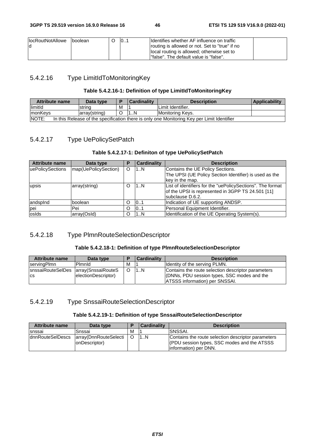| <b>IocRoutNotAllowe</b> | Iboolean | 0 | Identifies whether AF influence on traffic     |  |
|-------------------------|----------|---|------------------------------------------------|--|
|                         |          |   | routing is allowed or not. Set to "true" if no |  |
|                         |          |   | local routing is allowed; otherwise set to     |  |
|                         |          |   | l"false". The default value is "false".        |  |

# 5.4.2.16 Type LimitIdToMonitoringKey

## **Table 5.4.2.16-1: Definition of type LimitIdToMonitoringKey**

| Attribute name                                                                                             | Data type     |   | <b>Cardinality</b> | <b>Description</b>      | <b>Applicability</b> |  |
|------------------------------------------------------------------------------------------------------------|---------------|---|--------------------|-------------------------|----------------------|--|
| limitId                                                                                                    | strina        | M |                    | Limit Identifier.       |                      |  |
| <b>ImonKeys</b>                                                                                            | array(string) |   |                    | <b>Monitoring Keys.</b> |                      |  |
| <b>NOTE:</b><br>In this Release of the specification there is only one Monitoring Key per Limit Identifier |               |   |                    |                         |                      |  |

# 5.4.2.17 Type UePolicySetPatch

## **Table 5.4.2.17-1: Definiton of type UePolicySetPatch**

| <b>Attribute name</b> | Data type            | Р | <b>Cardinality</b> | <b>Description</b>                                         |
|-----------------------|----------------------|---|--------------------|------------------------------------------------------------|
| uePolicySections      | map(UePolicySection) |   | 1N                 | Contains the UE Policy Sections.                           |
|                       |                      |   |                    | The UPSI (UE Policy Section Identifier) is used as the     |
|                       |                      |   |                    | key in the map.                                            |
| upsis                 | array(string)        |   | 1N                 | List of identifiers for the "uePolicySections". The format |
|                       |                      |   |                    | of the UPSI is represented in 3GPP TS 24.501 [11]          |
|                       |                      |   |                    | subclause D.6.2.                                           |
| landspind             | boolean              |   | 101                | Indication of UE supporting ANDSP.                         |
| pei                   | Pei                  |   | 0.1                | Personal Equipment Identifier.                             |
| losids                | array(OsId)          |   | 1N                 | Identification of the UE Operating System(s).              |

## 5.4.2.18 Type PlmnRouteSelectionDescriptor

## **Table 5.4.2.18-1: Definition of type PlmnRouteSelectionDescriptor**

| <b>Attribute name</b>                  | Data type           |   | <b>Cardinality</b> | <b>Description</b>                                 |
|----------------------------------------|---------------------|---|--------------------|----------------------------------------------------|
| servingPlmn                            | Pimnid              | М |                    | <b>Identity of the serving PLMN.</b>               |
| snssaiRouteSelDes   array(SnssaiRouteS |                     |   | 1N                 | Contains the route selection descriptor parameters |
| <b>CS</b>                              | electionDescriptor) |   |                    | (DNNs, PDU session types, SSC modes and the        |
|                                        |                     |   |                    | <b>ATSSS information) per SNSSAI.</b>              |

## 5.4.2.19 Type SnssaiRouteSelectionDescriptor

#### **Table 5.4.2.19-1: Definition of type SnssaiRouteSelectionDescriptor**

| <b>Attribute name</b> | Data type                              |   | <b>Cardinality</b> | <b>Description</b>                                                                                                          |
|-----------------------|----------------------------------------|---|--------------------|-----------------------------------------------------------------------------------------------------------------------------|
| snssai                | Snssai                                 | М |                    | <b>ISNSSAI.</b>                                                                                                             |
| dnnRouteSelDescs      | array(DnnRouteSelecti<br>onDescriptor) |   | 1N                 | Contains the route selection descriptor parameters<br>(PDU session types, SSC modes and the ATSSS<br>linformation) per DNN. |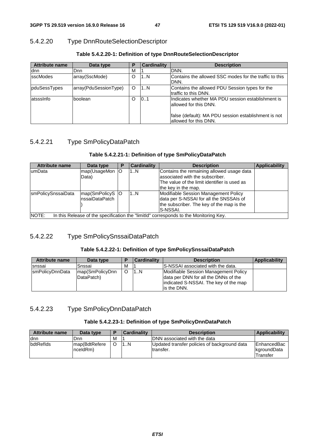# 5.4.2.20 Type DnnRouteSelectionDescriptor

| <b>Attribute name</b> | Data type             | Р | <b>Cardinality</b> | <b>Description</b>                                                            |
|-----------------------|-----------------------|---|--------------------|-------------------------------------------------------------------------------|
| dnn                   | Dnn                   | М |                    | DNN.                                                                          |
| <b>sscModes</b>       | array(SscMode)        | O | 1N                 | Contains the allowed SSC modes for the traffic to this<br>DNN.                |
| pduSessTypes          | array(PduSessionType) | O | 1N                 | Contains the allowed PDU Session types for the<br>Itraffic to this DNN.       |
| latsssInfo            | lboolean              | O | 101                | Indicates whether MA PDU session establishment is<br>lallowed for this DNN.   |
|                       |                       |   |                    | false (default): MA PDU session establishment is not<br>allowed for this DNN. |

## **Table 5.4.2.20-1: Definition of type DnnRouteSelectionDescriptor**

# 5.4.2.21 Type SmPolicyDataPatch

## **Table 5.4.2.21-1: Definition of type SmPolicyDataPatch**

| <b>Attribute name</b> | Data type                                                                             | Р | <b>Cardinality</b> | <b>Description</b>                           | <b>Applicability</b> |  |  |  |  |
|-----------------------|---------------------------------------------------------------------------------------|---|--------------------|----------------------------------------------|----------------------|--|--|--|--|
| lumData               | map(UsageMon O                                                                        |   | 1N                 | Contains the remaining allowed usage data    |                      |  |  |  |  |
|                       | Data)                                                                                 |   |                    | associated with the subscriber.              |                      |  |  |  |  |
|                       |                                                                                       |   |                    | The value of the limit identifier is used as |                      |  |  |  |  |
|                       |                                                                                       |   |                    | the key in the map.                          |                      |  |  |  |  |
| smPolicySnssaiData    | map(SmPolicyS O                                                                       |   | 1N                 | Modifiable Session Management Policy         |                      |  |  |  |  |
|                       | InssaiDataPatch                                                                       |   |                    | data per S-NSSAI for all the SNSSAIs of      |                      |  |  |  |  |
|                       |                                                                                       |   |                    | the subscriber. The key of the map is the    |                      |  |  |  |  |
|                       |                                                                                       |   |                    | IS-NSSAI.                                    |                      |  |  |  |  |
| <b>NOTE:</b>          | In this Release of the specification the "limitld" corresponds to the Monitoring Key. |   |                    |                                              |                      |  |  |  |  |

# 5.4.2.22 Type SmPolicySnssaiDataPatch

### **Table 5.4.2.22-1: Definition of type SmPolicySnssaiDataPatch**

| <b>Attribute name</b> | Data type                     |   | <b>Cardinality</b> | <b>Description</b>                                                                                                                     | <b>Applicability</b> |
|-----------------------|-------------------------------|---|--------------------|----------------------------------------------------------------------------------------------------------------------------------------|----------------------|
| Isnssai               | Snssai                        | м |                    | <b>S-NSSAI</b> associated with the data.                                                                                               |                      |
| smPolicyDnnData       | map(SmPolicyDnn<br>DataPatch) | O | N                  | Modifiable Session Management Policy<br>data per DNN for all the DNNs of the<br>lindicated S-NSSAI. The key of the map<br>lis the DNN. |                      |

# 5.4.2.23 Type SmPolicyDnnDataPatch

## **Table 5.4.2.23-1: Definition of type SmPolicyDnnDataPatch**

| Attribute name    | Data type                 | E | <b>Cardinality</b> | <b>Description</b>                                         | <b>Applicability</b>                                  |
|-------------------|---------------------------|---|--------------------|------------------------------------------------------------|-------------------------------------------------------|
| ldnn              | Dnn                       | м |                    | DNN associated with the data                               |                                                       |
| <b>IbdtReflds</b> | map(BdtRefere<br>nceldRm) |   | 1N                 | Updated transfer policies of background data<br>ltransfer. | <b>IEnhancedBac</b><br><b>kgroundData</b><br>Transfer |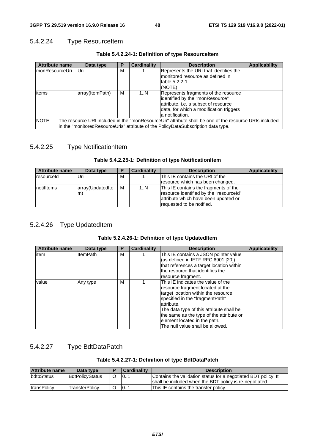# 5.4.2.24 Type ResourceItem

| <b>Attribute name</b>                                                                                                                                                                                | Data type       | Р | Cardinality | <b>Description</b>                                                                                                                                                            | <b>Applicability</b> |  |  |
|------------------------------------------------------------------------------------------------------------------------------------------------------------------------------------------------------|-----------------|---|-------------|-------------------------------------------------------------------------------------------------------------------------------------------------------------------------------|----------------------|--|--|
| ImonResourceUri                                                                                                                                                                                      | Uri             | М |             | Represents the URI that identifies the<br>monitored resource as defined in<br>table 5.2.2-1.<br>(NOTE)                                                                        |                      |  |  |
| litems                                                                                                                                                                                               | array(ItemPath) | М | 1N          | Represents fragments of the resource<br>identified by the "monResource"<br>attribute, i.e. a subset of resource<br>data, for which a modification triggers<br>a notification. |                      |  |  |
| NOTE:<br>The resource URI included in the "monResourceUri" attribute shall be one of the resource URIs included<br>in the "monitoredResourceUris" attribute of the PolicyDataSubscription data type. |                 |   |             |                                                                                                                                                                               |                      |  |  |

## **Table 5.4.2.24-1: Definition of type ResourceItem**

# 5.4.2.25 Type NotificationItem

## **Table 5.4.2.25-1: Definition of type NotificationItem**

| <b>Attribute name</b> | Data type        |   | Cardinality | <b>Description</b>                      | Applicability |
|-----------------------|------------------|---|-------------|-----------------------------------------|---------------|
| IresourceId           | Uri              | м |             | This IE contains the URI of the         |               |
|                       |                  |   |             | resource which has been changed.        |               |
| InotifItems           | array(UpdatedIte | М | 1N          | This IE contains the fragments of the   |               |
|                       | m)               |   |             | resource identified by the "resourceld" |               |
|                       |                  |   |             | attribute which have been updated or    |               |
|                       |                  |   |             | requested to be notified.               |               |

# 5.2.4.26 Type UpdatedItem

## **Table 5.2.4.26-1: Definition of type UpdatedItem**

| <b>Attribute name</b> | Data type       | Р | <b>Cardinality</b> | <b>Description</b>                                                                                                                                                                                                                                                                                                          | <b>Applicability</b> |
|-----------------------|-----------------|---|--------------------|-----------------------------------------------------------------------------------------------------------------------------------------------------------------------------------------------------------------------------------------------------------------------------------------------------------------------------|----------------------|
| item                  | <b>ItemPath</b> | М |                    | This IE contains a JSON pointer value<br>(as defined in IETF RFC 6901 [20])<br>that references a target location within<br>the resource that identifies the<br>resource fragment.                                                                                                                                           |                      |
| value                 | Any type        | М |                    | This IE indicates the value of the<br>resource fragment located at the<br>target location within the resource<br>specified in the "fragmentPath"<br>lattribute.<br>The data type of this attribute shall be<br>the same as the type of the attribute or<br>element located in the path.<br>The null value shall be allowed. |                      |

# 5.4.2.27 Type BdtDataPatch

#### **Table 5.4.2.27-1: Definition of type BdtDataPatch**

| <b>Attribute name</b> | Data type              | <b>Cardinality</b> | <b>Description</b>                                                                                                        |
|-----------------------|------------------------|--------------------|---------------------------------------------------------------------------------------------------------------------------|
| <i>bdtpStatus</i>     | <b>BdtPolicyStatus</b> | 101                | Contains the validation status for a negotiated BDT policy. It<br>shall be included when the BDT policy is re-negotiated. |
| <b>ItransPolicy</b>   | TransferPolicv         | 101                | This IE contains the transfer policy.                                                                                     |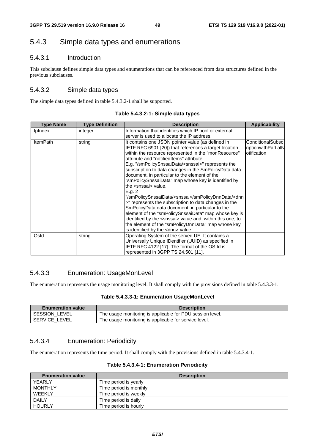# 5.4.3 Simple data types and enumerations

## 5.4.3.1 Introduction

This subclause defines simple data types and enumerations that can be referenced from data structures defined in the previous subclauses.

## 5.4.3.2 Simple data types

The simple data types defined in table 5.4.3.2-1 shall be supported.

| <b>Type Name</b> | <b>Type Definition</b> | <b>Description</b>                                                                                                                                                                                                                                                                                                                                                                                                                                                                                                                                                                                                                                                                                                                                                                                                                                                                                                         | <b>Applicability</b>                                          |
|------------------|------------------------|----------------------------------------------------------------------------------------------------------------------------------------------------------------------------------------------------------------------------------------------------------------------------------------------------------------------------------------------------------------------------------------------------------------------------------------------------------------------------------------------------------------------------------------------------------------------------------------------------------------------------------------------------------------------------------------------------------------------------------------------------------------------------------------------------------------------------------------------------------------------------------------------------------------------------|---------------------------------------------------------------|
| <b>IpIndex</b>   | integer                | Information that identifies which IP pool or external<br>server is used to allocate the IP address.                                                                                                                                                                                                                                                                                                                                                                                                                                                                                                                                                                                                                                                                                                                                                                                                                        |                                                               |
| <b>ItemPath</b>  | string                 | It contains one JSON pointer value (as defined in<br>IETF RFC 6901 [20]) that references a target location<br>within the resource represented in the "monResource"<br>attribute and "notifiedItems" attribute.<br>E.g. "/smPolicySnssaiData/ <snssai>" represents the<br/>subscription to data changes in the SmPolicyData data<br/>document, in particular to the element of the<br/>"smPolicySnssaiData" map whose key is identified by<br/>the <snssai> value.<br/>E.q.2<br/>"/smPolicySnssaiData/<snssai>/smPolicyDnnData/<dnn<br>&gt;" represents the subscription to data changes in the<br/>SmPolicyData data document, in particular to the<br/>element of the "smPolicySnssaiData" map whose key is<br/>identified by the <snssai> value and, within this one, to<br/>the element of the "smPolicyDnnData" map whose key<br/>is identified by the <dnn> value.</dnn></snssai></dnn<br></snssai></snssai></snssai> | <b>ConditionalSubsc</b><br>riptionwithPartialN<br>otification |
| Osld             | string                 | Operating System of the served UE. It contains a<br>Universally Unique IDentifier (UUID) as specified in<br>IETF RFC 4122 [17]. The format of the OS Id is<br>represented in 3GPP TS 24.501 [11].                                                                                                                                                                                                                                                                                                                                                                                                                                                                                                                                                                                                                                                                                                                          |                                                               |

**Table 5.4.3.2-1: Simple data types** 

## 5.4.3.3 Enumeration: UsageMonLevel

The enumeration represents the usage monitoring level. It shall comply with the provisions defined in table 5.4.3.3-1.

#### **Table 5.4.3.3-1: Enumeration UsageMonLevel**

| <b>Enumeration value</b> | <b>Description</b>                                        |
|--------------------------|-----------------------------------------------------------|
| SESSION LEVEL            | The usage monitoring is applicable for PDU session level. |
| SERVICE LEVEL            | The usage monitoring is applicable for service level.     |

## 5.4.3.4 Enumeration: Periodicity

The enumeration represents the time period. It shall comply with the provisions defined in table 5.4.3.4-1.

#### **Table 5.4.3.4-1: Enumeration Periodicity**

| <b>Enumeration value</b> | <b>Description</b>     |
|--------------------------|------------------------|
| YEARLY                   | Time period is yearly  |
| <b>MONTHLY</b>           | Time period is monthly |
| WEEKLY                   | Time period is weekly  |
| <b>DAILY</b>             | Time period is daily   |
| <b>HOURLY</b>            | Time period is hourly  |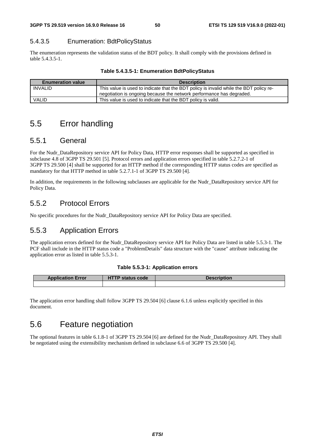## 5.4.3.5 Enumeration: BdtPolicyStatus

The enumeration represents the validation status of the BDT policy. It shall comply with the provisions defined in table 5.4.3.5-1.

| <b>Enumeration value</b> | <b>Description</b>                                                                     |
|--------------------------|----------------------------------------------------------------------------------------|
| INVALID                  | This value is used to indicate that the BDT policy is invalid while the BDT policy re- |
|                          | negotiation is ongoing because the network performance has degraded.                   |
| <b>VALID</b>             | This value is used to indicate that the BDT policy is valid.                           |

# 5.5 Error handling

# 5.5.1 General

For the Nudr\_DataRepository service API for Policy Data, HTTP error responses shall be supported as specified in subclause 4.8 of 3GPP TS 29.501 [5]. Protocol errors and application errors specified in table 5.2.7.2-1 of 3GPP TS 29.500 [4] shall be supported for an HTTP method if the corresponding HTTP status codes are specified as mandatory for that HTTP method in table 5.2.7.1-1 of 3GPP TS 29.500 [4].

In addition, the requirements in the following subclauses are applicable for the Nudr\_DataRepository service API for Policy Data.

# 5.5.2 Protocol Errors

No specific procedures for the Nudr\_DataRepository service API for Policy Data are specified.

# 5.5.3 Application Errors

The application errors defined for the Nudr\_DataRepository service API for Policy Data are listed in table 5.5.3-1. The PCF shall include in the HTTP status code a "ProblemDetails" data structure with the "cause" attribute indicating the application error as listed in table 5.5.3-1.

### **Table 5.5.3-1: Application errors**

| <b>Application Error</b> | <b>HTTP status code</b> | <b>Description</b> |
|--------------------------|-------------------------|--------------------|
|                          |                         |                    |

The application error handling shall follow 3GPP TS 29.504 [6] clause 6.1.6 unless explicitly specified in this document.

# 5.6 Feature negotiation

The optional features in table 6.1.8-1 of 3GPP TS 29.504 [6] are defined for the Nudr\_DataRepository API. They shall be negotiated using the extensibility mechanism defined in subclause 6.6 of 3GPP TS 29.500 [4].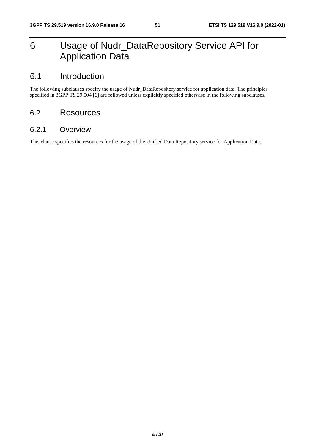# 6 Usage of Nudr\_DataRepository Service API for Application Data

# 6.1 Introduction

The following subclauses specify the usage of Nudr\_DataRepository service for application data. The principles specified in 3GPP TS 29.504 [6] are followed unless explicitly specified otherwise in the following subclauses.

# 6.2 Resources

# 6.2.1 Overview

This clause specifies the resources for the usage of the Unified Data Repository service for Application Data.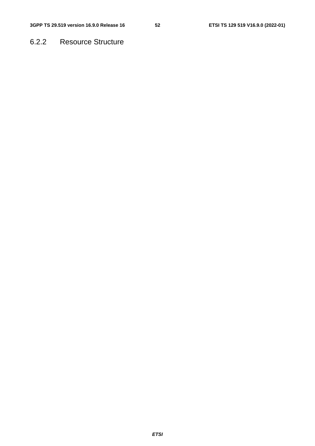# 6.2.2 Resource Structure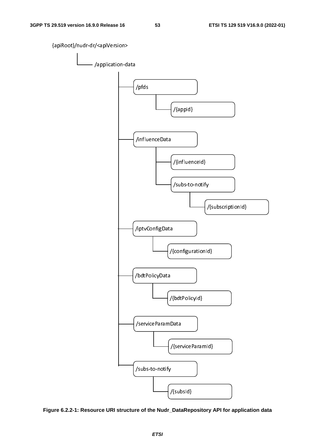

**Figure 6.2.2-1: Resource URI structure of the Nudr\_DataRepository API for application data**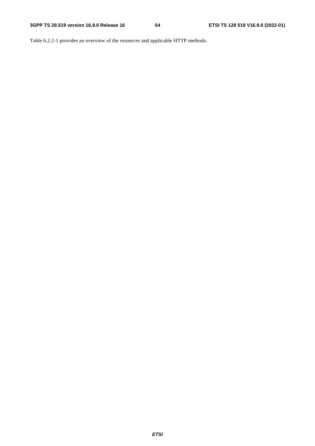Table 6.2.2-1 provides an overview of the resources and applicable HTTP methods.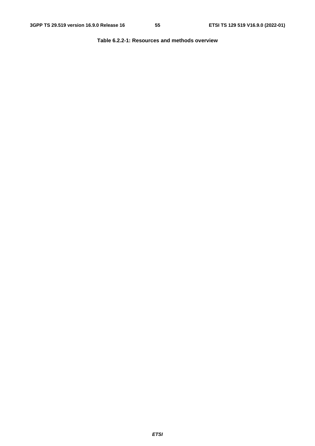**Table 6.2.2-1: Resources and methods overview**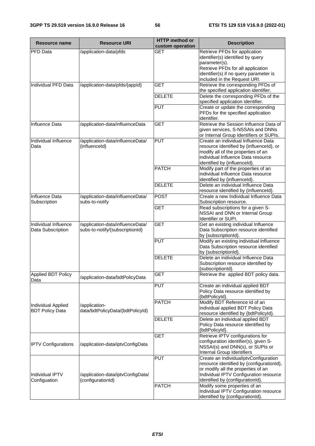| Resource name                                | <b>Resource URI</b>                                                 | <b>HTTP</b> method or<br>custom operation | <b>Description</b>                                                                                                                                                                          |
|----------------------------------------------|---------------------------------------------------------------------|-------------------------------------------|---------------------------------------------------------------------------------------------------------------------------------------------------------------------------------------------|
| PFD Data                                     | /application-data/pfds                                              | <b>GET</b>                                | Retrieve PFDs for application<br>identifier(s) identified by query                                                                                                                          |
|                                              |                                                                     |                                           | parameter(s).<br>Retrieve PFDs for all application                                                                                                                                          |
|                                              |                                                                     |                                           | identifier(s) if no query parameter is<br>included in the Request URI.                                                                                                                      |
| Individual PFD Data                          | /application-data/pfds/{appld}                                      | GET                                       | Retrieve the corresponding PFDs of<br>the specified application identifier.                                                                                                                 |
|                                              |                                                                     | <b>DELETE</b>                             | Delete the corresponding PFDs of the<br>specified application identifier.                                                                                                                   |
|                                              |                                                                     | <b>PUT</b>                                | Create or update the corresponding<br>PFDs for the specified application<br>identifier.                                                                                                     |
| Influence Data                               | /application-data/influenceData                                     | <b>GET</b>                                | Retrieve the Session Influence Data of<br>given services, S-NSSAIs and DNNs<br>or Internal Group Identifiers or SUPIs.                                                                      |
| Individual Influence<br>Data                 | /application-data/influenceData/<br>{influenceId}                   | <b>PUT</b>                                | Create an individual Influence Data<br>resource identified by {influenceId}, or<br>modify all of the properties of an<br>individual Influence Data resource<br>identified by {influenceId}. |
|                                              |                                                                     | <b>PATCH</b>                              | Modify part of the properties of an<br>individual Influence Data resource<br>identified by {influenceId}.                                                                                   |
|                                              |                                                                     | <b>DELETE</b>                             | Delete an individual Influence Data<br>resource identified by {influenceId}.                                                                                                                |
| Influence Data<br>Subscription               | /application-data/influenceData/<br>subs-to-notify                  | <b>POST</b>                               | Create a new Individual Influence Data<br>Subscription resource.                                                                                                                            |
|                                              |                                                                     | <b>GET</b>                                | Read subscriptions for a given S-<br>NSSAI and DNN or Internal Group<br>Identifier or SUPI.                                                                                                 |
| Individual Influence<br>Data Subscription    | /application-data/influenceData/<br>subs-to-notify/{subscriptionId} | <b>GET</b>                                | Get an existing individual Influence<br>Data Subscription resource identified<br>by {subscriptionId}.                                                                                       |
|                                              |                                                                     | <b>PUT</b>                                | Modify an existing individual Influence<br>Data Subscription resource identified<br>by {subscriptionId}.                                                                                    |
|                                              |                                                                     | <b>DELETE</b>                             | Delete an individual Influence Data<br>Subscription resource identified by<br>{subscriptionId}.                                                                                             |
| <b>Applied BDT Policy</b><br>Data            | /application-data/bdtPolicyData                                     | <b>GET</b>                                | Retrieve the applied BDT policy data.                                                                                                                                                       |
|                                              |                                                                     | <b>PUT</b>                                | Create an individual applied BDT<br>Policy Data resource identified by<br>{bdtPolicyId}.                                                                                                    |
| Individual Applied<br><b>BDT Policy Data</b> | /application-<br>data/bdtPolicyData/{bdtPolicyId}                   | <b>PATCH</b>                              | Modify BDT Reference Id of an<br>individual applied BDT Policy Data<br>resource identified by {bdtPolicyId}.                                                                                |
|                                              |                                                                     | <b>DELETE</b>                             | Delete an individual applied BDT<br>Policy Data resource identified by<br>{bdtPolicyId}.                                                                                                    |
| <b>IPTV Configurations</b>                   | /application-data/iptvConfigData                                    | <b>GET</b>                                | Retrieve IPTV configurations for<br>configuration identifier(s), given S-<br>NSSAI(s) and DNN(s), or SUPIs or<br>Internal Group Identifiers                                                 |
| Individual IPTV                              | /application-data/iptvConfigData/                                   | <b>PUT</b>                                | Create an IndividualIptvConfiguration<br>resource identified by {configurationId},<br>or modify all the properties of an<br>Individual IPTV Configuration resource                          |
| Configuation                                 | {configurationId}                                                   | <b>PATCH</b>                              | identified by {configurationId}.<br>Modify some properties of an<br>Individual IPTV Configuration resource                                                                                  |
|                                              |                                                                     |                                           | identified by {configurationId}.                                                                                                                                                            |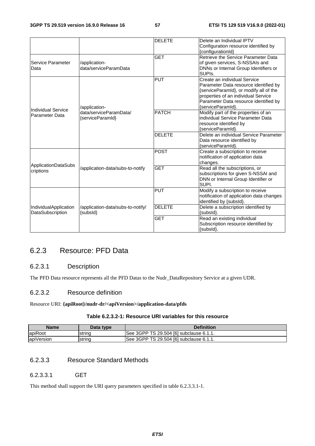|                                             |                                               | <b>DELETE</b> | Delete an Individual IPTV                                                                                                                                                                                            |
|---------------------------------------------|-----------------------------------------------|---------------|----------------------------------------------------------------------------------------------------------------------------------------------------------------------------------------------------------------------|
|                                             |                                               |               | Configuration resource identified by<br>{configurationId}                                                                                                                                                            |
| Service Parameter<br>Data                   | /application-<br>data/serviceParamData        | <b>GET</b>    | Retrieve the Service Parameter Data<br>of given services, S-NSSAIs and<br>DNNs or Internal Group Identifiers or<br>SUPI <sub>s</sub> .                                                                               |
|                                             | /application-                                 | <b>PUT</b>    | Create an individual Service<br>Parameter Data resource identified by<br>{serviceParamId}, or modify all of the<br>properties of an individual Service<br>Parameter Data resource identified by<br>{serviceParamId}. |
| <b>Individual Service</b><br>Parameter Data | data/serviceParamData/<br>{serviceParamId}    | <b>PATCH</b>  | Modify part of the properties of an<br>individual Service Parameter Data<br>resource identified by<br>{serviceParamId}.                                                                                              |
|                                             |                                               | <b>DELETE</b> | Delete an individual Service Parameter<br>Data resource identified by<br>{serviceParamId}.                                                                                                                           |
|                                             |                                               | <b>POST</b>   | Create a subscription to receive<br>notification of application data<br>changes.                                                                                                                                     |
| ApplicationDataSubs<br>criptions            | /application-data/subs-to-notify              | <b>GET</b>    | Read all the subscriptions, or<br>subscriptions for given S-NSSAI and<br>DNN or Internal Group Identifier or<br>SUPI.                                                                                                |
|                                             |                                               | <b>PUT</b>    | Modify a subscription to receive<br>notification of application data changes<br>identified by {subsId}.                                                                                                              |
| IndividualApplication<br>DataSubscription   | /application-data/subs-to-notify/<br>{subsId} | <b>DELETE</b> | Delete a subscription identified by<br>{subsId}.                                                                                                                                                                     |
|                                             |                                               | <b>GET</b>    | Read an existing individual<br>Subscription resource identified by<br>{subsId}.                                                                                                                                      |

# 6.2.3 Resource: PFD Data

## 6.2.3.1 Description

The PFD Data resource represents all the PFD Datas to the Nudr\_DataRepository Service at a given UDR.

## 6.2.3.2 Resource definition

Resource URI: **{apiRoot}/nudr-dr/<apiVersion>/application-data/pfds**

## **Table 6.2.3.2-1: Resource URI variables for this resource**

| Name       | Data type | <b>Definition</b>                       |
|------------|-----------|-----------------------------------------|
| apiRoot    | Istrina   | See 3GPP TS 29.504 [6] subclause 6.1.1. |
| apiVersion | string    | See 3GPP TS 29.504 [6] subclause 6.1.1. |

# 6.2.3.3 Resource Standard Methods

#### 6.2.3.3.1 GET

This method shall support the URI query parameters specified in table 6.2.3.3.1-1.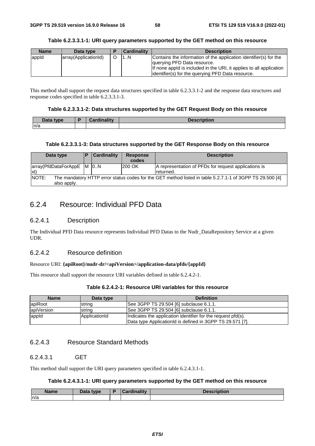|  |  | Table 6.2.3.3.1-1: URI query parameters supported by the GET method on this resource |
|--|--|--------------------------------------------------------------------------------------|
|--|--|--------------------------------------------------------------------------------------|

| <b>Name</b> | Data type            | <b>Cardinality</b> | <b>Description</b>                                                                                                                                                                                                            |
|-------------|----------------------|--------------------|-------------------------------------------------------------------------------------------------------------------------------------------------------------------------------------------------------------------------------|
| appid       | array(ApplicationId) | 1N                 | Contains the information of the application identifier(s) for the<br>querying PFD Data resource.<br>If none appld is included in the URI, it applies to all application<br>lidentifier(s) for the querying PFD Data resource. |

This method shall support the request data structures specified in table 6.2.3.3.1-2 and the response data structures and response codes specified in table 6.2.3.3.1-3.

#### **Table 6.2.3.3.1-2: Data structures supported by the GET Request Body on this resource**

| Data type | <b>Cordinality</b><br>Cardinality | <b>Description</b> |
|-----------|-----------------------------------|--------------------|
| n/a       |                                   |                    |

#### **Table 6.2.3.3.1-3: Data structures supported by the GET Response Body on this resource**

| Data type                                   | D | Cardinality | <b>Response</b><br>codes | <b>Description</b>                                                                                       |
|---------------------------------------------|---|-------------|--------------------------|----------------------------------------------------------------------------------------------------------|
| array(PfdDataForAppE   M   0N<br>$\vert$ xt |   |             | 200 OK                   | A representation of PFDs for request applications is<br>returned.                                        |
| NOTE:<br>also apply.                        |   |             |                          | The mandatory HTTP error status codes for the GET method listed in table 5.2.7.1-1 of 3GPP TS 29.500 [4] |

# 6.2.4 Resource: Individual PFD Data

### 6.2.4.1 Description

The Individual PFD Data resource represents Individual PFD Datas to the Nudr\_DataRepository Service at a given UDR.

## 6.2.4.2 Resource definition

#### Resource URI: **{apiRoot}/nudr-dr/<apiVersion>/application-data/pfds/{appId}**

This resource shall support the resource URI variables defined in table 6.2.4.2-1.

| Table 6.2.4.2-1: Resource URI variables for this resource |  |  |  |
|-----------------------------------------------------------|--|--|--|
|-----------------------------------------------------------|--|--|--|

| <b>Name</b> | Data type     | <b>Definition</b>                                            |
|-------------|---------------|--------------------------------------------------------------|
| apiRoot     | string        | See 3GPP TS 29.504 [6] subclause 6.1.1.                      |
| apiVersion  | string        | See 3GPP TS 29.504 [6] subclause 6.1.1.                      |
| appid       | ApplicationId | Indicates the application identifier for the request pfd(s). |
|             |               | Data type ApplicationId is defined in 3GPP TS 29.571 [7].    |

## 6.2.4.3 Resource Standard Methods

## 6.2.4.3.1 GET

This method shall support the URI query parameters specified in table 6.2.4.3.1-1.

#### **Table 6.2.4.3.1-1: URI query parameters supported by the GET method on this resource**

| <b>Name</b> | <b>Pata type</b><br>Dala | Cardinality<br>. | Description |
|-------------|--------------------------|------------------|-------------|
| n/a         |                          |                  |             |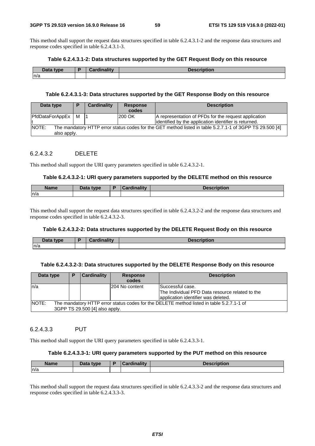This method shall support the request data structures specified in table 6.2.4.3.1-2 and the response data structures and response codes specified in table 6.2.4.3.1-3.

#### **Table 6.2.4.3.1-2: Data structures supported by the GET Request Body on this resource**

| วารรา<br>type<br>$-$ aca<br>. . | $1 - 11$<br> | the contract of the contract of<br>vuvı. |
|---------------------------------|--------------|------------------------------------------|
| n/a                             |              |                                          |

#### **Table 6.2.4.3.1-3: Data structures supported by the GET Response Body on this resource**

| Data type                                                                                                                        | D | Cardinality | <b>Response</b><br>codes | <b>Description</b>                                                                                            |  |
|----------------------------------------------------------------------------------------------------------------------------------|---|-------------|--------------------------|---------------------------------------------------------------------------------------------------------------|--|
| PfdDataForAppEx                                                                                                                  | м |             | <b>200 OK</b>            | A representation of PFDs for the request application<br>identified by the application identifier is returned. |  |
| NOTE:<br>The mandatory HTTP error status codes for the GET method listed in table 5.2.7.1-1 of 3GPP TS 29.500 [4]<br>also apply. |   |             |                          |                                                                                                               |  |

## 6.2.4.3.2 DELETE

This method shall support the URI query parameters specified in table 6.2.4.3.2-1.

#### **Table 6.2.4.3.2-1: URI query parameters supported by the DELETE method on this resource**

| <b>Name</b> | Data tyne<br>Putt | and in a little control | $-0.00000000000$<br>11VII |
|-------------|-------------------|-------------------------|---------------------------|
| ln/a        |                   |                         |                           |

This method shall support the request data structures specified in table 6.2.4.3.2-2 and the response data structures and response codes specified in table 6.2.4.3.2-3.

#### **Table 6.2.4.3.2-2: Data structures supported by the DELETE Request Body on this resource**

| Data f<br>type | Cardinalitv | <b>Tanarintian</b><br><b>Description</b> |
|----------------|-------------|------------------------------------------|
| n/a            |             |                                          |

#### **Table 6.2.4.3.2-3: Data structures supported by the DELETE Response Body on this resource**

| Data type | P                                                                                                                          | Cardinality | <b>Response</b><br>codes | <b>Description</b>                                                                                         |  |  |  |  |
|-----------|----------------------------------------------------------------------------------------------------------------------------|-------------|--------------------------|------------------------------------------------------------------------------------------------------------|--|--|--|--|
| ln/a      |                                                                                                                            |             | 1204 No content          | Successful case.<br>The Individual PFD Data resource related to the<br>application identifier was deleted. |  |  |  |  |
| NOTE:     | The mandatory HTTP error status codes for the DELETE method listed in table 5.2.7.1-1 of<br>3GPP TS 29.500 [4] also apply. |             |                          |                                                                                                            |  |  |  |  |

## 6.2.4.3.3 PUT

This method shall support the URI query parameters specified in table 6.2.4.3.3-1.

#### **Table 6.2.4.3.3-1: URI query parameters supported by the PUT method on this resource**

| <b>Name</b> | Data type | D | <b>THE R</b><br>inality<br>.<br>.arc | <b>Description</b> |
|-------------|-----------|---|--------------------------------------|--------------------|
| n/a         |           |   |                                      |                    |

This method shall support the request data structures specified in table 6.2.4.3.3-2 and the response data structures and response codes specified in table 6.2.4.3.3-3.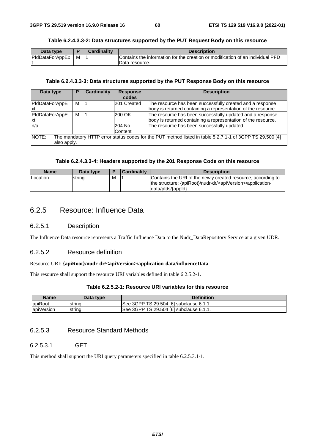| Table 6.2.4.3.3-2: Data structures supported by the PUT Request Body on this resource |
|---------------------------------------------------------------------------------------|
|---------------------------------------------------------------------------------------|

| Data type       |   | Cardinalitv | <b>Description</b>                                                             |
|-----------------|---|-------------|--------------------------------------------------------------------------------|
| PfdDataForAppEx | м |             | Contains the information for the creation or modification of an individual PFD |
|                 |   |             | Data resource.                                                                 |

#### **Table 6.2.4.3.3-3: Data structures supported by the PUT Response Body on this resource**

| Data type                   | Р | <b>Cardinality</b> | <b>Response</b><br>codes | <b>Description</b>                                                                                                         |
|-----------------------------|---|--------------------|--------------------------|----------------------------------------------------------------------------------------------------------------------------|
| PfdDataForAppE<br>lxt       | м |                    | 201 Created              | The resource has been successfully created and a response<br>body is returned containing a representation of the resource. |
| PfdDataForAppE<br><b>xt</b> | м |                    | 200 OK                   | The resource has been successfully updated and a response<br>body is returned containing a representation of the resource. |
| ln/a                        |   |                    | 204 No<br><b>Content</b> | The resource has been successfully updated.                                                                                |
| NOTE:<br>also apply.        |   |                    |                          | The mandatory HTTP error status codes for the PUT method listed in table 5.2.7.1-1 of 3GPP TS 29.500 [4]                   |

#### **Table 6.2.4.3.3-4: Headers supported by the 201 Response Code on this resource**

| <b>Name</b>     | Data type |   | Cardinality | <b>Description</b>                                                                                                                                             |
|-----------------|-----------|---|-------------|----------------------------------------------------------------------------------------------------------------------------------------------------------------|
| <b>Location</b> | string    | M |             | Contains the URI of the newly created resource, according to<br>the structure: {apiRoot}/nudr-dr/ <apiversion>/application-<br/>data/pfds/{appld}</apiversion> |

# 6.2.5 Resource: Influence Data

## 6.2.5.1 Description

The Influence Data resource represents a Traffic Influence Data to the Nudr\_DataRepository Service at a given UDR.

## 6.2.5.2 Resource definition

### Resource URI: **{apiRoot}/nudr-dr/<apiVersion>/application-data/influenceData**

This resource shall support the resource URI variables defined in table 6.2.5.2-1.

### **Table 6.2.5.2-1: Resource URI variables for this resource**

| <b>Name</b> | Data type | <b>Definition</b>                        |
|-------------|-----------|------------------------------------------|
| apiRoot     | strina    | ISee 3GPP TS 29.504 [6] subclause 6.1.1. |
| apiVersion  | string    | See 3GPP TS 29.504 [6] subclause 6.1.1.  |

## 6.2.5.3 Resource Standard Methods

#### 6.2.5.3.1 GET

This method shall support the URI query parameters specified in table 6.2.5.3.1-1.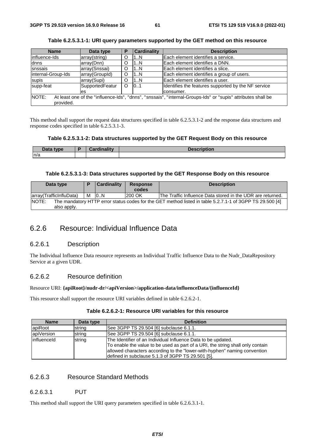| <b>Name</b>        | Data type       | Р | <b>Cardinality</b> | <b>Description</b>                                                                                           |
|--------------------|-----------------|---|--------------------|--------------------------------------------------------------------------------------------------------------|
| linfluence-Ids     | array(string)   |   | 1N                 | Each element identifies a service.                                                                           |
| dnns               | array(Dnn)      |   | 1N                 | Each element identifies a DNN.                                                                               |
| snssais            | array(Snssai)   |   | 1N                 | Each element identifies a slice.                                                                             |
| internal-Group-Ids | array(GroupId)  | O | 1N                 | Each element identifies a group of users.                                                                    |
| supis              | array(Supi)     |   | 1N                 | Each element identifies a user.                                                                              |
| supp-feat          | SupportedFeatur | ∩ | 0.1                | Identifies the features supported by the NF service                                                          |
|                    | les             |   |                    | consumer.                                                                                                    |
| NOTE:              |                 |   |                    | At least one of the "influence-Ids", "dnns", "snssais", "internal-Groups-Ids" or "supis" attributes shall be |
| provided.          |                 |   |                    |                                                                                                              |
|                    |                 |   |                    |                                                                                                              |

**Table 6.2.5.3.1-1: URI query parameters supported by the GET method on this resource** 

This method shall support the request data structures specified in table 6.2.5.3.1-2 and the response data structures and response codes specified in table 6.2.5.3.1-3.

## **Table 6.2.5.3.1-2: Data structures supported by the GET Request Body on this resource**

| <b>The Lating Street</b><br>type<br><b>Dala</b> | <br>$\overline{\phantom{a}}$ | <b>Description</b> |
|-------------------------------------------------|------------------------------|--------------------|
| n/a                                             |                              |                    |

### **Table 6.2.5.3.1-3: Data structures supported by the GET Response Body on this resource**

| Data type               | <b>Cardinality</b> | <b>Response</b><br>codes | <b>Description</b>                                                                                       |
|-------------------------|--------------------|--------------------------|----------------------------------------------------------------------------------------------------------|
| array(TrafficInfluData) | M 0N               | 200 OK                   | The Traffic Influence Data stored in the UDR are returned.                                               |
| NOTE:                   |                    |                          | The mandatory HTTP error status codes for the GET method listed in table 5.2.7.1-1 of 3GPP TS 29.500 [4] |
| also apply.             |                    |                          |                                                                                                          |

# 6.2.6 Resource: Individual Influence Data

#### 6.2.6.1 Description

The Individual Influence Data resource represents an Individual Traffic Influence Data to the Nudr\_DataRepository Service at a given UDR.

## 6.2.6.2 Resource definition

#### Resource URI: **{apiRoot}/nudr-dr/<apiVersion>/application-data/influenceData/{influenceId}**

This resource shall support the resource URI variables defined in table 6.2.6.2-1.

| <b>Name</b> | Data type | <b>Definition</b>                                                                                                                                                                                                                                                                 |
|-------------|-----------|-----------------------------------------------------------------------------------------------------------------------------------------------------------------------------------------------------------------------------------------------------------------------------------|
| apiRoot     | string    | See 3GPP TS 29.504 [6] subclause 6.1.1.                                                                                                                                                                                                                                           |
| apiVersion  | string    | See 3GPP TS 29.504 [6] subclause 6.1.1.                                                                                                                                                                                                                                           |
| influenceId | string    | The Identifier of an Individual Influence Data to be updated.<br>To enable the value to be used as part of a URI, the string shall only contain<br>allowed characters according to the "lower-with-hyphen" naming convention<br>defined in subclause 5.1.3 of 3GPP TS 29.501 [5]. |

## **Table 6.2.6.2-1: Resource URI variables for this resource**

## 6.2.6.3 Resource Standard Methods

### 6.2.6.3.1 PUT

This method shall support the URI query parameters specified in table 6.2.6.3.1-1.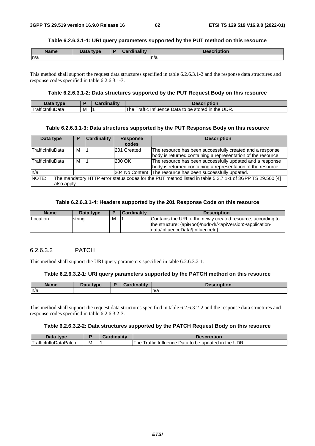#### **Table 6.2.6.3.1-1: URI query parameters supported by the PUT method on this resource**

| <b>Name</b> | Data type | <b>Cardinality</b> | <b>Description</b> |
|-------------|-----------|--------------------|--------------------|
| n/a         |           |                    | n/a                |

This method shall support the request data structures specified in table 6.2.6.3.1-2 and the response data structures and response codes specified in table 6.2.6.3.1-3.

#### **Table 6.2.6.3.1-2: Data structures supported by the PUT Request Body on this resource**

| Data<br>tvne             |   | Description                                            |
|--------------------------|---|--------------------------------------------------------|
| <u>I rafficinfluData</u> | M | Traffic Influence Data to be stored in the UDR.<br>The |

#### **Table 6.2.6.3.1-3: Data structures supported by the PUT Response Body on this resource**

| Data type                   | Р | <b>Cardinality</b> | <b>Response</b><br>codes | <b>Description</b>                                                                                                         |
|-----------------------------|---|--------------------|--------------------------|----------------------------------------------------------------------------------------------------------------------------|
| TrafficInfluData            | м |                    | 201 Created              | The resource has been successfully created and a response<br>body is returned containing a representation of the resource. |
| <b>TrafficInfluData</b>     | м |                    | 200 OK                   | The resource has been successfully updated and a response<br>body is returned containing a representation of the resource. |
| n/a                         |   |                    |                          | 204 No Content   The resource has been successfully updated.                                                               |
| <b>NOTE:</b><br>also apply. |   |                    |                          | The mandatory HTTP error status codes for the PUT method listed in table 5.2.7.1-1 of 3GPP TS 29.500 [4]                   |

## **Table 6.2.6.3.1-4: Headers supported by the 201 Response Code on this resource**

| <b>Name</b> | Data type | E | <b>Cardinality</b> | <b>Description</b>                                                                                                                                                             |
|-------------|-----------|---|--------------------|--------------------------------------------------------------------------------------------------------------------------------------------------------------------------------|
| Location    | string    | м |                    | Contains the URI of the newly created resource, according to<br>the structure: {apiRoot}/nudr-dr/ <apiversion>/application-<br/>Idata/influenceData/{influenceId}</apiversion> |

## 6.2.6.3.2 PATCH

This method shall support the URI query parameters specified in table 6.2.6.3.2-1.

#### **Table 6.2.6.3.2-1: URI query parameters supported by the PATCH method on this resource**

| <b>Name</b> | and a<br>tvpe | .<br><b>THE R</b><br><b>CONTINUES</b><br>------- | <b>Description</b> |
|-------------|---------------|--------------------------------------------------|--------------------|
| n/a         |               |                                                  | n/a                |

This method shall support the request data structures specified in table 6.2.6.3.2-2 and the response data structures and response codes specified in table 6.2.6.3.2-3.

#### **Table 6.2.6.3.2-2: Data structures supported by the PATCH Request Body on this resource**

| Data type                                 |     | Cardinality | <b>Description</b>                                                    |
|-------------------------------------------|-----|-------------|-----------------------------------------------------------------------|
| $\cdots$<br>$-$<br>⊺TrafficInfluDataPatch | ΙVΙ |             | <br>Data to be updated in the UDR.<br>' rattic<br>ı he<br>Influence I |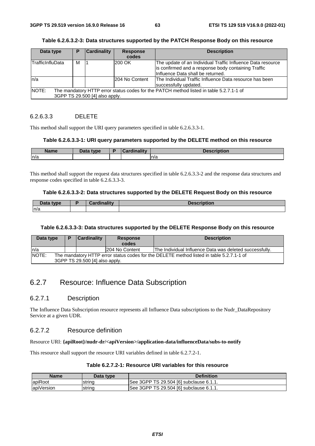| Data type                |   | <b>Cardinality</b>             | <b>Response</b> | <b>Description</b>                                                                      |
|--------------------------|---|--------------------------------|-----------------|-----------------------------------------------------------------------------------------|
|                          |   |                                | codes           |                                                                                         |
| <b>ITrafficInfluData</b> | м |                                | 200 OK          | The update of an Individual Traffic Influence Data resource                             |
|                          |   |                                |                 | is confirmed and a response body containing Traffic                                     |
|                          |   |                                |                 | Influence Data shall be returned.                                                       |
| n/a                      |   |                                | 204 No Content  | The Individual Traffic Influence Data resource has been                                 |
|                          |   |                                |                 | successfully updated.                                                                   |
| NOTE:                    |   |                                |                 | The mandatory HTTP error status codes for the PATCH method listed in table 5.2.7.1-1 of |
|                          |   | 3GPP TS 29.500 [4] also apply. |                 |                                                                                         |

#### **Table 6.2.6.3.2-3: Data structures supported by the PATCH Response Body on this resource**

## 6.2.6.3.3 DELETE

This method shall support the URI query parameters specified in table 6.2.6.3.3-1.

#### **Table 6.2.6.3.3-1: URI query parameters supported by the DELETE method on this resource**

| Name | Data tyne<br>Putu | $\frac{1}{2}$ and $\frac{1}{2}$ and $\frac{1}{2}$ and $\frac{1}{2}$<br>. | .   |
|------|-------------------|--------------------------------------------------------------------------|-----|
| ln/a |                   |                                                                          | n/a |

This method shall support the request data structures specified in table 6.2.6.3.3-2 and the response data structures and response codes specified in table 6.2.6.3.3-3.

#### **Table 6.2.6.3.3-2: Data structures supported by the DELETE Request Body on this resource**

| Data type | Cardinality | <b>Description</b> |
|-----------|-------------|--------------------|
| n/a       |             |                    |

#### **Table 6.2.6.3.3-3: Data structures supported by the DELETE Response Body on this resource**

| Data type    |                                                                                                                            | <b>Cardinality</b> | <b>Response</b> | <b>Description</b>                                      |  |
|--------------|----------------------------------------------------------------------------------------------------------------------------|--------------------|-----------------|---------------------------------------------------------|--|
|              |                                                                                                                            |                    | codes           |                                                         |  |
| In/a         |                                                                                                                            |                    | 1204 No Content | The Individual Influence Data was deleted successfully. |  |
| <b>NOTE:</b> | The mandatory HTTP error status codes for the DELETE method listed in table 5.2.7.1-1 of<br>3GPP TS 29.500 [4] also apply. |                    |                 |                                                         |  |

# 6.2.7 Resource: Influence Data Subscription

## 6.2.7.1 Description

The Influence Data Subscription resource represents all Influence Data subscriptions to the Nudr\_DataRepository Service at a given UDR.

## 6.2.7.2 Resource definition

#### Resource URI: **{apiRoot}/nudr-dr/<apiVersion>/application-data/influenceData/subs-to-notify**

This resource shall support the resource URI variables defined in table 6.2.7.2-1.

| Table 6.2.7.2-1: Resource URI variables for this resource |  |  |
|-----------------------------------------------------------|--|--|
|-----------------------------------------------------------|--|--|

| Name       | Data type | <b>Definition</b>                       |
|------------|-----------|-----------------------------------------|
| lapiRoot   | strina    | See 3GPP TS 29.504 [6] subclause 6.1.1. |
| apiVersion | string    | See 3GPP TS 29.504 [6] subclause 6.1.1. |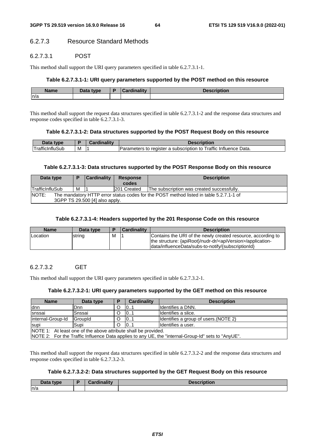## 6.2.7.3 Resource Standard Methods

## 6.2.7.3.1 POST

This method shall support the URI query parameters specified in table 6.2.7.3.1-1.

#### **Table 6.2.7.3.1-1: URI query parameters supported by the POST method on this resource**

| <b>Name</b> | $\Box$ ata type<br>Dala | Ð | realised its community | $1 - 1 - 1$ |
|-------------|-------------------------|---|------------------------|-------------|
| n/a         |                         |   |                        |             |

This method shall support the request data structures specified in table 6.2.7.3.1-2 and the response data structures and response codes specified in table 6.2.7.3.1-3.

#### **Table 6.2.7.3.1-2: Data structures supported by the POST Request Body on this resource**

| Data<br>tvne.                 |   | ardinalitv:<br>Jaru II | scription:                                                                                      |
|-------------------------------|---|------------------------|-------------------------------------------------------------------------------------------------|
| 'Sub<br><b>Traffic</b><br>анн | M |                        | <br>Data.<br><u>Traffic</u><br>register a<br>⊧ subscription to<br>∶ Influence<br>meters<br>didi |

#### **Table 6.2.7.3.1-3: Data structures supported by the POST Response Body on this resource**

| Data type              |                                                                                        | <b>Cardinality</b> | <b>Response</b> | <b>Description</b>                         |  |  |  |
|------------------------|----------------------------------------------------------------------------------------|--------------------|-----------------|--------------------------------------------|--|--|--|
|                        |                                                                                        |                    | codes           |                                            |  |  |  |
| <b>TrafficInfluSub</b> | м                                                                                      |                    | 201 Created     | The subscription was created successfully. |  |  |  |
| <b>NOTE:</b>           | The mandatory HTTP error status codes for the POST method listed in table 5.2.7.1-1 of |                    |                 |                                            |  |  |  |
|                        | 3GPP TS 29.500 [4] also apply.                                                         |                    |                 |                                            |  |  |  |

#### **Table 6.2.7.3.1-4: Headers supported by the 201 Response Code on this resource**

| <b>Name</b>     | Data type |   | <b>Cardinality</b> | <b>Description</b>                                                                                                                       |
|-----------------|-----------|---|--------------------|------------------------------------------------------------------------------------------------------------------------------------------|
| <b>Location</b> | string    | м |                    | Contains the URI of the newly created resource, according to<br>the structure: {apiRoot}/nudr-dr/ <apiversion>/application-</apiversion> |
|                 |           |   |                    | data/influenceData/subs-to-notify/{subscriptionId}                                                                                       |

## 6.2.7.3.2 GET

This method shall support the URI query parameters specified in table 6.2.7.3.2-1.

#### **Table 6.2.7.3.2-1: URI query parameters supported by the GET method on this resource**

| <b>Name</b>                                                                                        | Data type | D | Cardinality | <b>Description</b>                    |  |
|----------------------------------------------------------------------------------------------------|-----------|---|-------------|---------------------------------------|--|
| ldnn                                                                                               | Dnn       |   | 101         | Ildentifies a DNN.                    |  |
| snssai                                                                                             | Snssai    | O | 101         | Ildentifies a slice.                  |  |
| linternal-Group-Id                                                                                 | GroupId   | O | 101         | Identifies a group of users. (NOTE 2) |  |
| 10.1<br>Ildentifies a user.<br>Supi<br>O<br>supi                                                   |           |   |             |                                       |  |
| NOTE 1: At least one of the above attribute shall be provided.                                     |           |   |             |                                       |  |
| NOTE 2: For the Traffic Influence Data applies to any UE, the "internal-Group-Id" sets to "AnyUE". |           |   |             |                                       |  |

This method shall support the request data structures specified in table 6.2.7.3.2-2 and the response data structures and response codes specified in table 6.2.7.3.2-3.

#### **Table 6.2.7.3.2-2: Data structures supported by the GET Request Body on this resource**

| <br>tvpe<br>Putu | والمقال والمسالمون | ----<br>ווטווטוי |
|------------------|--------------------|------------------|
| n/a              |                    |                  |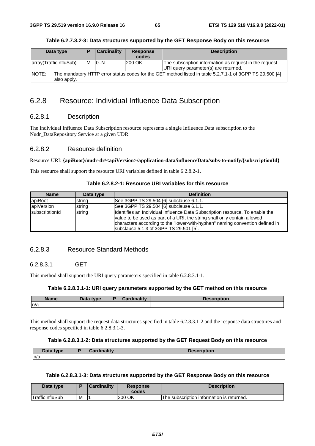| Data type           |    | Cardinality    | <b>Response</b><br>codes | <b>Description</b>                                     |
|---------------------|----|----------------|--------------------------|--------------------------------------------------------|
| rrav/TraffichffuSuh | NЛ | $\overline{M}$ | lann AK                  | The subscription information as request in the request |

| Table 6.2.7.3.2-3: Data structures supported by the GET Response Body on this resource |  |  |  |
|----------------------------------------------------------------------------------------|--|--|--|
|----------------------------------------------------------------------------------------|--|--|--|

|                             |                                                                                                          |     | ------- |                                                        |  |  |
|-----------------------------|----------------------------------------------------------------------------------------------------------|-----|---------|--------------------------------------------------------|--|--|
| array(TrafficInfluSub)      | M                                                                                                        | 10N | 1200 OK | The subscription information as request in the request |  |  |
|                             |                                                                                                          |     |         | URI query parameter(s) are returned.                   |  |  |
| <b>NOTE:</b><br>also apply. | The mandatory HTTP error status codes for the GET method listed in table 5.2.7.1-1 of 3GPP TS 29.500 [4] |     |         |                                                        |  |  |
|                             |                                                                                                          |     |         |                                                        |  |  |

# 6.2.8 Resource: Individual Influence Data Subscription

## 6.2.8.1 Description

 $\overline{\phantom{a}}$ 

The Individual Influence Data Subscription resource represents a single Influence Data subscription to the Nudr\_DataRepository Service at a given UDR.

## 6.2.8.2 Resource definition

#### Resource URI: **{apiRoot}/nudr-dr/<apiVersion>/application-data/influenceData/subs-to-notify/{subscriptionId}**

This resource shall support the resource URI variables defined in table 6.2.8.2-1.

| <b>Name</b>    | Data type | <b>Definition</b>                                                                                                                                                                                                                                                                  |
|----------------|-----------|------------------------------------------------------------------------------------------------------------------------------------------------------------------------------------------------------------------------------------------------------------------------------------|
| lapiRoot       | string    | See 3GPP TS 29.504 [6] subclause 6.1.1.                                                                                                                                                                                                                                            |
| apiVersion     | string    | See 3GPP TS 29.504 [6] subclause 6.1.1.                                                                                                                                                                                                                                            |
| subscriptionId | string    | Identifies an Individual Influence Data Subscription resource. To enable the<br>value to be used as part of a URI, the string shall only contain allowed<br>characters according to the "lower-with-hyphen" naming convention defined in<br>subclause 5.1.3 of 3GPP TS 29.501 [5]. |

### **Table 6.2.8.2-1: Resource URI variables for this resource**

## 6.2.8.3 Resource Standard Methods

## 6.2.8.3.1 GET

This method shall support the URI query parameters specified in table 6.2.8.3.1-1.

#### **Table 6.2.8.3.1-1: URI query parameters supported by the GET method on this resource**

| <b>Name</b> | <b>Data type</b><br>Putu | $1 - 11$ | <b>ition</b> |
|-------------|--------------------------|----------|--------------|
| n/a         |                          |          |              |

This method shall support the request data structures specified in table 6.2.8.3.1-2 and the response data structures and response codes specified in table 6.2.8.3.1-3.

#### **Table 6.2.8.3.1-2: Data structures supported by the GET Request Body on this resource**

| <b>Data type</b><br>Putu | $O = -d \cdot \frac{d}{d}$ | <b>Description</b> |
|--------------------------|----------------------------|--------------------|
| n/a                      |                            |                    |

#### **Table 6.2.8.3.1-3: Data structures supported by the GET Response Body on this resource**

| Data type              |   | <b>Cardinality</b> | <b>Response</b><br>codes | <b>Description</b>                        |
|------------------------|---|--------------------|--------------------------|-------------------------------------------|
| <b>TrafficInfluSub</b> | M |                    | 200 OK                   | The subscription information is returned. |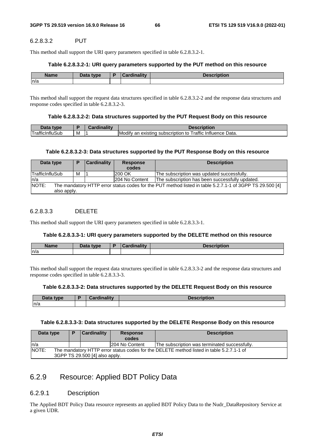## 6.2.8.3.2 PUT

This method shall support the URI query parameters specified in table 6.2.8.3.2-1.

### **Table 6.2.8.3.2-1: URI query parameters supported by the PUT method on this resource**

| <b>Name</b> | Data type<br><b>Data</b> | inality | <b><i><u>PERSONAL PROPERTY AND INCOME.</u></i></b><br>UII |
|-------------|--------------------------|---------|-----------------------------------------------------------|
| ln/a        |                          |         |                                                           |

This method shall support the request data structures specified in table 6.2.8.3.2-2 and the response data structures and response codes specified in table 6.2.8.3.2-3.

#### **Table 6.2.8.3.2-2: Data structures supported by the PUT Request Body on this resource**

| tyne                       |   | $  -$ |                                                                                                                       |
|----------------------------|---|-------|-----------------------------------------------------------------------------------------------------------------------|
| Traffi<br>sur<br>пшла<br>. | M |       | $\cdots$<br>__<br>$\sim$ $\sim$ $\sim$<br>Modify<br>Influence Data.<br>rattıo<br>existinc<br>an<br>subscription<br>ТC |

## **Table 6.2.8.3.2-3: Data structures supported by the PUT Response Body on this resource**

| Data type                                                                                                                        | о | <b>Cardinality</b> | <b>Response</b><br>codes | <b>Description</b>                              |  |  |
|----------------------------------------------------------------------------------------------------------------------------------|---|--------------------|--------------------------|-------------------------------------------------|--|--|
| TrafficInfluSub                                                                                                                  | м |                    | 200 OK                   | The subscription was updated successfully.      |  |  |
| ln/a                                                                                                                             |   |                    | 204 No Content           | The subscription has been successfully updated. |  |  |
| NOTE:<br>The mandatory HTTP error status codes for the PUT method listed in table 5.2.7.1-1 of 3GPP TS 29.500 [4]<br>also apply. |   |                    |                          |                                                 |  |  |

## 6.2.8.3.3 DELETE

This method shall support the URI query parameters specified in table 6.2.8.3.3-1.

### **Table 6.2.8.3.3-1: URI query parameters supported by the DELETE method on this resource**

| <b>Name</b> | Data tuna<br>Pata | - 1945 - | --- |
|-------------|-------------------|----------|-----|
| n/a         |                   |          |     |

This method shall support the request data structures specified in table 6.2.8.3.3-2 and the response data structures and response codes specified in table 6.2.8.3.3-3.

## **Table 6.2.8.3.3-2: Data structures supported by the DELETE Request Body on this resource**

| Doto<br>type<br>Duw | $: -11$ | <b>Docc</b><br>1VII. |
|---------------------|---------|----------------------|
| n/a                 |         |                      |

## **Table 6.2.8.3.3-3: Data structures supported by the DELETE Response Body on this resource**

| Data type | P                                                                                                                          | <b>Cardinality</b> | <b>Response</b><br>codes | <b>Description</b>                            |  |
|-----------|----------------------------------------------------------------------------------------------------------------------------|--------------------|--------------------------|-----------------------------------------------|--|
| ln/a      |                                                                                                                            |                    | 1204 No Content          | The subscription was terminated successfully. |  |
| NOTE:     | The mandatory HTTP error status codes for the DELETE method listed in table 5.2.7.1-1 of<br>3GPP TS 29.500 [4] also apply. |                    |                          |                                               |  |

# 6.2.9 Resource: Applied BDT Policy Data

## 6.2.9.1 Description

The Applied BDT Policy Data resource represents an applied BDT Policy Data to the Nudr\_DataRepository Service at a given UDR.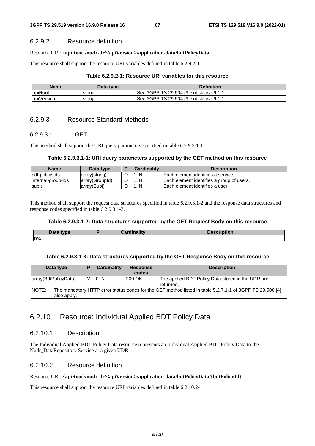## 6.2.9.2 Resource definition

### Resource URI: **{apiRoot}/nudr-dr/<apiVersion>/application-data/bdtPolicyData**

This resource shall support the resource URI variables defined in table 6.2.9.2-1.

### **Table 6.2.9.2-1: Resource URI variables for this resource**

| <b>Name</b> | Data type | <b>Definition</b>                       |
|-------------|-----------|-----------------------------------------|
| apiRoot     | strina    | See 3GPP TS 29.504 [6] subclause 6.1.1. |
| apiVersion  | Istring   | See 3GPP TS 29.504 [6] subclause 6.1.1. |

# 6.2.9.3 Resource Standard Methods

## 6.2.9.3.1 GET

This method shall support the URI query parameters specified in table 6.2.9.3.1-1.

## **Table 6.2.9.3.1-1: URI query parameters supported by the GET method on this resource**

| Name                | Data type       | Cardinalitv | <b>Description</b>                        |
|---------------------|-----------------|-------------|-------------------------------------------|
| bdt-policy-ids      | array(string)   | N           | Each element identifies a service.        |
| linternal-group-ids | larray(GroupId) | N           | Each element identifies a group of users. |
| supis               | larrav(Supi)    |             | IEach element identifies a user.          |

This method shall support the request data structures specified in table 6.2.9.3.1-2 and the response data structures and response codes specified in table 6.2.9.3.1-3.

### **Table 6.2.9.3.1-2: Data structures supported by the GET Request Body on this resource**

| Data type | $-$ and in all $\cdots$ | <b>Description</b> |
|-----------|-------------------------|--------------------|
| ln/a      |                         |                    |

### **Table 6.2.9.3.1-3: Data structures supported by the GET Response Body on this resource**

| Data type                   |   | <b>Cardinality</b> | <b>Response</b><br>codes | <b>Description</b>                                                                                       |
|-----------------------------|---|--------------------|--------------------------|----------------------------------------------------------------------------------------------------------|
| array(BdtPolicyData)        | м | 10N                | 200 OK                   | The applied BDT Policy Data stored in the UDR are<br>returned.                                           |
| <b>NOTE:</b><br>also apply. |   |                    |                          | The mandatory HTTP error status codes for the GET method listed in table 5.2.7.1-1 of 3GPP TS 29.500 [4] |

# 6.2.10 Resource: Individual Applied BDT Policy Data

## 6.2.10.1 Description

The Individual Applied BDT Policy Data resource represents an Individual Applied BDT Policy Data to the Nudr\_DataRepository Service at a given UDR.

# 6.2.10.2 Resource definition

## Resource URI: **{apiRoot}/nudr-dr/<apiVersion>/application-data/bdtPolicyData/{bdtPolicyId}**

This resource shall support the resource URI variables defined in table 6.2.10.2-1.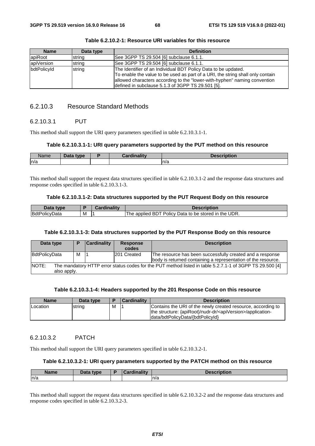| <b>Name</b> | Data type | <b>Definition</b>                                                                                                                                                                                                                                                                  |
|-------------|-----------|------------------------------------------------------------------------------------------------------------------------------------------------------------------------------------------------------------------------------------------------------------------------------------|
| lapiRoot    | string    | See 3GPP TS 29.504 [6] subclause 6.1.1.                                                                                                                                                                                                                                            |
| apiVersion  | string    | See 3GPP TS 29.504 [6] subclause 6.1.1.                                                                                                                                                                                                                                            |
| bdtPolicyId | string    | The Identifier of an Individual BDT Policy Data to be updated.<br>To enable the value to be used as part of a URI, the string shall only contain<br>allowed characters according to the "lower-with-hyphen" naming convention<br>defined in subclause 5.1.3 of 3GPP TS 29.501 [5]. |

**Table 6.2.10.2-1: Resource URI variables for this resource** 

## 6.2.10.3 Resource Standard Methods

#### 6.2.10.3.1 PUT

This method shall support the URI query parameters specified in table 6.2.10.3.1-1.

#### **Table 6.2.10.3.1-1: URI query parameters supported by the PUT method on this resource**

| Name | <b>Data</b><br>type | <b>Cardinality</b><br>saru. | <b>Description</b><br><b>CHDUOR</b> |
|------|---------------------|-----------------------------|-------------------------------------|
| n/a  |                     |                             | n/a                                 |

This method shall support the request data structures specified in table 6.2.10.3.1-2 and the response data structures and response codes specified in table 6.2.10.3.1-3.

#### **Table 6.2.10.3.1-2: Data structures supported by the PUT Request Body on this resource**

| Data<br>tvne         |   | <b>Cardinality</b> | <b>Description</b>                                                           |
|----------------------|---|--------------------|------------------------------------------------------------------------------|
| <b>BdtPolicvData</b> | M |                    | <br>Policy<br>UDR.<br>the<br>Data to be stored in<br>applied<br>. ne<br>் நட |

#### **Table 6.2.10.3.1-3: Data structures supported by the PUT Response Body on this resource**

| Data type                                                                                                         | D | <b>Cardinality</b> | <b>Response</b><br>codes | <b>Description</b>                                            |  |  |
|-------------------------------------------------------------------------------------------------------------------|---|--------------------|--------------------------|---------------------------------------------------------------|--|--|
|                                                                                                                   |   |                    |                          |                                                               |  |  |
| BdtPolicyData                                                                                                     | м |                    | 201 Created              | The resource has been successfully created and a response     |  |  |
|                                                                                                                   |   |                    |                          | body is returned containing a representation of the resource. |  |  |
| NOTE:<br>The mandatory HTTP error status codes for the PUT method listed in table 5.2.7.1-1 of 3GPP TS 29.500 [4] |   |                    |                          |                                                               |  |  |
| also apply.                                                                                                       |   |                    |                          |                                                               |  |  |

#### **Table 6.2.10.3.1-4: Headers supported by the 201 Response Code on this resource**

| <b>Name</b> | Data type |   | <b>Cardinality</b> | <b>Description</b>                                                                                                                                                            |
|-------------|-----------|---|--------------------|-------------------------------------------------------------------------------------------------------------------------------------------------------------------------------|
| Location    | string    | M |                    | Contains the URI of the newly created resource, according to<br>the structure: {apiRoot}/nudr-dr/ <apiversion>/application-<br/>data/bdtPolicyData/{bdtPolicyId}</apiversion> |

#### 6.2.10.3.2 PATCH

This method shall support the URI query parameters specified in table 6.2.10.3.2-1.

#### **Table 6.2.10.3.2-1: URI query parameters supported by the PATCH method on this resource**

| <b>Name</b> | Data type | <b>Cardinality</b> | <b>Description</b> |
|-------------|-----------|--------------------|--------------------|
| ln/a        |           |                    | n/a                |

This method shall support the request data structures specified in table 6.2.10.3.2-2 and the response data structures and response codes specified in table 6.2.10.3.2-3.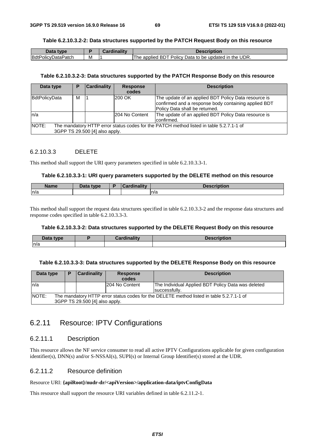#### **Table 6.2.10.3.2-2: Data structures supported by the PATCH Request Body on this resource**

| Data<br>type       |   | $\blacksquare$ | Description                                                                       |
|--------------------|---|----------------|-----------------------------------------------------------------------------------|
| BdtPolicyDataPatch | M |                | → UDR.<br>Policy I<br>the<br>BD1<br>Data to be<br>applied<br>updated<br>'he<br>ın |

#### **Table 6.2.10.3.2-3: Data structures supported by the PATCH Response Body on this resource**

| Data type            |                                                                                                                           | <b>Cardinality</b> | <b>Response</b><br>codes | <b>Description</b>                                                                                                                             |  |  |  |
|----------------------|---------------------------------------------------------------------------------------------------------------------------|--------------------|--------------------------|------------------------------------------------------------------------------------------------------------------------------------------------|--|--|--|
| <b>BdtPolicyData</b> | м                                                                                                                         |                    | 200 OK                   | The update of an applied BDT Policy Data resource is<br>confirmed and a response body containing applied BDT<br>Policy Data shall be returned. |  |  |  |
| ln/a                 |                                                                                                                           |                    | 204 No Content           | The update of an applied BDT Policy Data resource is<br>confirmed.                                                                             |  |  |  |
| NOTE:                | The mandatory HTTP error status codes for the PATCH method listed in table 5.2.7.1-1 of<br>3GPP TS 29.500 [4] also apply. |                    |                          |                                                                                                                                                |  |  |  |

### 6.2.10.3.3 DELETE

This method shall support the URI query parameters specified in table 6.2.10.3.3-1.

#### **Table 6.2.10.3.3-1: URI query parameters supported by the DELETE method on this resource**

| <b>Name</b> | Data type | D | <b>Cardinality</b> | <b>Description</b> |
|-------------|-----------|---|--------------------|--------------------|
| n/a         |           |   |                    | ln/a               |

This method shall support the request data structures specified in table 6.2.10.3.3-2 and the response data structures and response codes specified in table 6.2.10.3.3-3.

#### **Table 6.2.10.3.3-2: Data structures supported by the DELETE Request Body on this resource**

| Data type | Cardinalitv | <b>Description</b> |
|-----------|-------------|--------------------|
| ln/a      |             |                    |

#### **Table 6.2.10.3.3-3: Data structures supported by the DELETE Response Body on this resource**

| Data type     |                                                                                                                            | <b>Cardinality</b> | <b>Response</b><br>codes | <b>Description</b>                                                  |  |  |  |
|---------------|----------------------------------------------------------------------------------------------------------------------------|--------------------|--------------------------|---------------------------------------------------------------------|--|--|--|
| ln/a          |                                                                                                                            |                    | 204 No Content           | The Individual Applied BDT Policy Data was deleted<br>successfully. |  |  |  |
| <b>INOTE:</b> | The mandatory HTTP error status codes for the DELETE method listed in table 5.2.7.1-1 of<br>3GPP TS 29.500 [4] also apply. |                    |                          |                                                                     |  |  |  |

# 6.2.11 Resource: IPTV Configurations

## 6.2.11.1 Description

This resource allows the NF service consumer to read all active IPTV Configurations applicable for given configuration identifier(s), DNN(s) and/or S-NSSAI(s), SUPI(s) or Internal Group Identifier(s) stored at the UDR.

## 6.2.11.2 Resource definition

#### Resource URI: **{apiRoot}/nudr-dr/<apiVersion>/application-data/iptvConfigData**

This resource shall support the resource URI variables defined in table 6.2.11.2-1.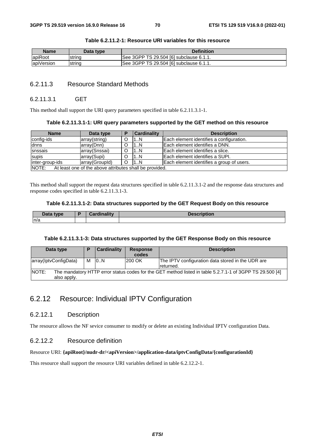| Name       | Data type | <b>Definition</b>                       |
|------------|-----------|-----------------------------------------|
| apiRoot    | string    | See 3GPP TS 29.504 [6] subclause 6.1.1. |
| apiVersion | string    | See 3GPP TS 29.504 [6] subclause 6.1.1. |

### **Table 6.2.11.2-1: Resource URI variables for this resource**

## 6.2.11.3 Resource Standard Methods

#### 6.2.11.3.1 GET

This method shall support the URI query parameters specified in table 6.2.11.3.1-1.

#### **Table 6.2.11.3.1-1: URI query parameters supported by the GET method on this resource**

| <b>Name</b>                                                      | Data type      |  | <b>Cardinality</b> | <b>Description</b>                        |  |
|------------------------------------------------------------------|----------------|--|--------------------|-------------------------------------------|--|
| config-ids                                                       | array(string)  |  | 1N                 | Each element identifies a configuration.  |  |
| dnns                                                             | array(Dnn)     |  | L.N                | Each element identifies a DNN.            |  |
| snssais                                                          | array(Snssai)  |  | 1N                 | Each element identifies a slice.          |  |
| supis                                                            | array(Supi)    |  | 1N                 | Each element identifies a SUPI.           |  |
| inter-group-ids                                                  | array(GroupId) |  | 1N                 | Each element identifies a group of users. |  |
| NOTE:<br>At least one of the above attributes shall be provided. |                |  |                    |                                           |  |

This method shall support the request data structures specified in table 6.2.11.3.1-2 and the response data structures and response codes specified in table 6.2.11.3.1-3.

#### **Table 6.2.11.3.1-2: Data structures supported by the GET Request Body on this resource**

| <b>Pata type</b> | - - - | <b>Desci</b> |
|------------------|-------|--------------|
| Dala             |       | 'DUOIL       |
| n/a              |       |              |

#### **Table 6.2.11.3.1-3: Data structures supported by the GET Response Body on this resource**

| Data type                                                                                                                               | D | <b>Cardinality</b> | <b>Response</b><br>codes | <b>Description</b>                                             |  |  |
|-----------------------------------------------------------------------------------------------------------------------------------------|---|--------------------|--------------------------|----------------------------------------------------------------|--|--|
| array(lptvConfigData)                                                                                                                   | M | 10N                | 200 OK                   | The IPTV configuration data stored in the UDR are<br>returned. |  |  |
| <b>NOTE:</b><br>The mandatory HTTP error status codes for the GET method listed in table 5.2.7.1-1 of 3GPP TS 29.500 [4]<br>also apply. |   |                    |                          |                                                                |  |  |

# 6.2.12 Resource: Individual IPTV Configuration

## 6.2.12.1 Description

The resource allows the NF sevice consumer to modify or delete an existing Individual IPTV configuration Data.

## 6.2.12.2 Resource definition

#### Resource URI: **{apiRoot}/nudr-dr/<apiVersion>/application-data/iptvConfigData/{configurationId}**

This resource shall support the resource URI variables defined in table 6.2.12.2-1.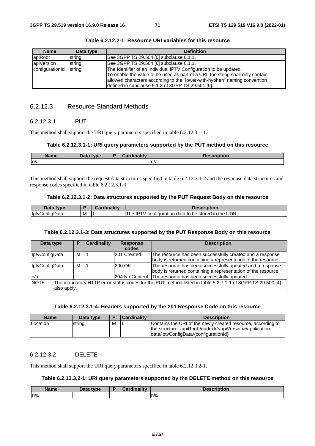| <b>Name</b>     | Data type | <b>Definition</b>                                                                                                                                                                                                                                                                     |
|-----------------|-----------|---------------------------------------------------------------------------------------------------------------------------------------------------------------------------------------------------------------------------------------------------------------------------------------|
| lapiRoot        | string    | See 3GPP TS 29.504 [6] subclause 6.1.1.                                                                                                                                                                                                                                               |
| apiVersion      | string    | See 3GPP TS 29.504 [6] subclause 6.1.1.                                                                                                                                                                                                                                               |
| configurationId | string    | The Identifier of an Individual IPTV Configuration to be updated.<br>To enable the value to be used as part of a URI, the string shall only contain<br>allowed characters according to the "lower-with-hyphen" naming convention<br>defined in subclause 5.1.3 of 3GPP TS 29.501 [5]. |

**Table 6.2.12.2-1: Resource URI variables for this resource** 

## 6.2.12.3 Resource Standard Methods

## 6.2.12.3.1 PUT

This method shall support the URI query parameters specified in table 6.2.12.3.1-1.

#### **Table 6.2.12.3.1-1: URI query parameters supported by the PUT method on this resource**

| <b>Name</b> | <b>Data type</b> | <b>Cardinality</b> | <b>Jonarintian</b><br><b>Description</b> |
|-------------|------------------|--------------------|------------------------------------------|
| n/a         |                  |                    | ln/a                                     |

This method shall support the request data structures specified in table 6.2.12.3.1-2 and the response data structures and response codes specified in table 6.2.12.3.1-3.

#### **Table 6.2.12.3.1-2: Data structures supported by the PUT Request Body on this resource**

| Data<br>type          |   | <b>Cardinality</b> | <b>Description</b>                                                              |
|-----------------------|---|--------------------|---------------------------------------------------------------------------------|
| <b>IptyConfigData</b> | M |                    | ידפו<br>$\cdot$ the UDR.<br>'The<br>i data to be stored in :<br>' configuration |

#### **Table 6.2.12.3.1-3: Data structures supported by the PUT Response Body on this resource**

| Data type                                                                                                                        | Р | <b>Cardinality</b> | <b>Response</b><br>codes | <b>Description</b>                                                                                                         |  |
|----------------------------------------------------------------------------------------------------------------------------------|---|--------------------|--------------------------|----------------------------------------------------------------------------------------------------------------------------|--|
| IptvConfigData                                                                                                                   | м |                    | 201 Created              | The resource has been successfully created and a response<br>body is returned containing a representation of the resource. |  |
| IptvConfigData                                                                                                                   | м |                    | 200 OK                   | The resource has been successfully updated and a response<br>body is returned containing a representation of the resource. |  |
| ln/a                                                                                                                             |   |                    |                          | 204 No Content The resource has been successfully updated.                                                                 |  |
| NOTE:<br>The mandatory HTTP error status codes for the PUT method listed in table 5.2.7.1-1 of 3GPP TS 29.500 [4]<br>also apply. |   |                    |                          |                                                                                                                            |  |

#### **Table 6.2.12.3.1-4: Headers supported by the 201 Response Code on this resource**

| <b>Name</b>     | Data type |   | <b>Cardinality</b> | <b>Description</b>                                                                                                                                                                  |
|-----------------|-----------|---|--------------------|-------------------------------------------------------------------------------------------------------------------------------------------------------------------------------------|
| <b>Location</b> | string    | M |                    | Contains the URI of the newly created resource, according to<br>the structure: {apiRoot}/nudr-dr/ <apiversion>/application-<br/>Idata/iptyConfigData/{configurationId}</apiversion> |

## 6.2.12.3.2 DELETE

This method shall support the URI query parameters specified in table 6.2.12.3.2-1.

#### **Table 6.2.12.3.2-1: URI query parameters supported by the DELETE method on this resource**

| <b>Name</b> | Data type | ╺ | <b>Cardinality</b> | <b>Description</b> |
|-------------|-----------|---|--------------------|--------------------|
| n/a         |           |   |                    | n/a                |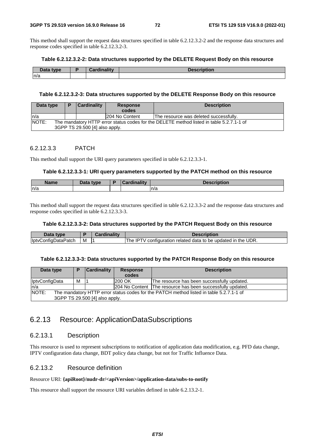This method shall support the request data structures specified in table 6.2.12.3.2-2 and the response data structures and response codes specified in table 6.2.12.3.2-3.

#### **Table 6.2.12.3.2-2: Data structures supported by the DELETE Request Body on this resource**

| Data type | 0-aadim-lituu | .<br><b>Description</b> |
|-----------|---------------|-------------------------|
| n/a       |               |                         |

#### **Table 6.2.12.3.2-3: Data structures supported by the DELETE Response Body on this resource**

| Data type |                                                                                                                            | <b>Cardinality</b><br><b>Response</b><br>codes |                | <b>Description</b>                     |  |  |
|-----------|----------------------------------------------------------------------------------------------------------------------------|------------------------------------------------|----------------|----------------------------------------|--|--|
| ln/a      |                                                                                                                            |                                                | 204 No Content | The resource was deleted successfully. |  |  |
| NOTE:     | The mandatory HTTP error status codes for the DELETE method listed in table 5.2.7.1-1 of<br>3GPP TS 29.500 [4] also apply. |                                                |                |                                        |  |  |

### 6.2.12.3.3 PATCH

This method shall support the URI query parameters specified in table 6.2.12.3.3-1.

### **Table 6.2.12.3.3-1: URI query parameters supported by the PATCH method on this resource**

| Name | Data type | . | ----<br>DESCHRIJUL |
|------|-----------|---|--------------------|
| n/a  |           |   | n/a                |

This method shall support the request data structures specified in table 6.2.12.3.3-2 and the response data structures and response codes specified in table 6.2.12.3.3-3.

### **Table 6.2.12.3.3-2: Data structures supported by the PATCH Request Body on this resource**

| Data type           |   | Cardinality | <b>Description</b>                                                 |
|---------------------|---|-------------|--------------------------------------------------------------------|
| IptvConfigDataPatch | M |             | . IPTV configuration related data to be updated in the UDR.<br>The |

#### **Table 6.2.12.3.3-3: Data structures supported by the PATCH Response Body on this resource**

| Data type             |                                                                                                                           | <b>Cardinality</b> | <b>Response</b><br>codes | <b>Description</b>                                         |  |  |
|-----------------------|---------------------------------------------------------------------------------------------------------------------------|--------------------|--------------------------|------------------------------------------------------------|--|--|
| <b>IptvConfigData</b> | м                                                                                                                         |                    | <b>200 OK</b>            | The resource has been successfully updated.                |  |  |
| ln/a                  |                                                                                                                           |                    |                          | 204 No Content The resource has been successfully updated. |  |  |
| NOTE:                 | The mandatory HTTP error status codes for the PATCH method listed in table 5.2.7.1-1 of<br>3GPP TS 29.500 [4] also apply. |                    |                          |                                                            |  |  |

## 6.2.13 Resource: ApplicationDataSubscriptions

### 6.2.13.1 Description

This resource is used to represent subscriptions to notification of application data modification, e.g. PFD data change, IPTV configuration data change, BDT policy data change, but not for Traffic Influence Data.

### 6.2.13.2 Resource definition

#### Resource URI: **{apiRoot}/nudr-dr/<apiVersion>/application-data/subs-to-notify**

This resource shall support the resource URI variables defined in table 6.2.13.2-1.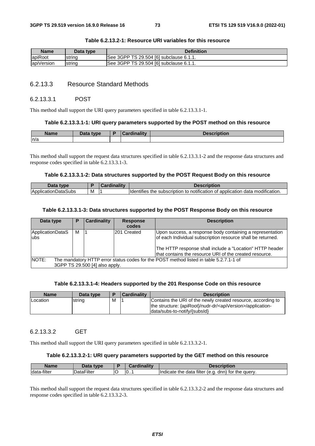| Name       | Data type | <b>Definition</b>                       |
|------------|-----------|-----------------------------------------|
| apiRoot    | Istring   | See 3GPP TS 29.504 [6] subclause 6.1.1. |
| apiVersion | string    | See 3GPP TS 29.504 [6] subclause 6.1.1. |

### **Table 6.2.13.2-1: Resource URI variables for this resource**

### 6.2.13.3 Resource Standard Methods

#### 6.2.13.3.1 POST

This method shall support the URI query parameters specified in table 6.2.13.3.1-1.

#### **Table 6.2.13.3.1-1: URI query parameters supported by the POST method on this resource**

| <b>Name</b> | Data type<br>Dala | `ordinolity | $-1 - 1$<br><b>Description</b> |
|-------------|-------------------|-------------|--------------------------------|
| n/a         |                   |             |                                |

This method shall support the request data structures specified in table 6.2.13.3.1-2 and the response data structures and response codes specified in table 6.2.13.3.1-3.

#### **Table 6.2.13.3.1-2: Data structures supported by the POST Request Body on this resource**

| Data type           |   | $\mathcal{L}$ ardinality | <b>Description</b>                                                            |
|---------------------|---|--------------------------|-------------------------------------------------------------------------------|
| ApplicationDataSubs | M |                          | Identifies the subscription to notification of application data modification. |

#### **Table 6.2.13.3.1-3: Data structures supported by the POST Response Body on this resource**

| Data type                                                                                                                                 | Р | <b>Cardinality</b> | <b>Response</b><br>codes | <b>Description</b>                                                                                                                                                                                                                              |  |  |
|-------------------------------------------------------------------------------------------------------------------------------------------|---|--------------------|--------------------------|-------------------------------------------------------------------------------------------------------------------------------------------------------------------------------------------------------------------------------------------------|--|--|
| ApplicationDataS<br>ubs                                                                                                                   | М |                    | 201 Created              | Upon success, a response body containing a representation<br>of each Individual subscription resource shall be returned.<br>The HTTP response shall include a "Location" HTTP header<br>that contains the resource URI of the created resource. |  |  |
| <b>INOTE:</b><br>The mandatory HTTP error status codes for the POST method listed in table 5.2.7.1-1 of<br>3GPP TS 29.500 [4] also apply. |   |                    |                          |                                                                                                                                                                                                                                                 |  |  |

#### **Table 6.2.13.3.1-4: Headers supported by the 201 Response Code on this resource**

| <b>Name</b>     | Data type |   | <b>Cardinality</b> | <b>Description</b>                                                                                                                                                        |
|-----------------|-----------|---|--------------------|---------------------------------------------------------------------------------------------------------------------------------------------------------------------------|
| <b>Location</b> | string    | м |                    | Contains the URI of the newly created resource, according to<br>the structure: {apiRoot}/nudr-dr/ <apiversion>/application-<br/>data/subs-to-notify/{subsid}</apiversion> |

### 6.2.13.3.2 GET

This method shall support the URI query parameters specified in table 6.2.13.3.2-1.

#### **Table 6.2.13.3.2-1: URI query parameters supported by the GET method on this resource**

| Name        | Data typel |   | <b>Cardinality</b> | <b>Description</b>                                    |
|-------------|------------|---|--------------------|-------------------------------------------------------|
| data-filter | DataFilter | ~ | 10                 | Indicate the data filter (e.g.<br>dnn) for the query. |

This method shall support the request data structures specified in table 6.2.13.3.2-2 and the response data structures and response codes specified in table 6.2.13.3.2-3.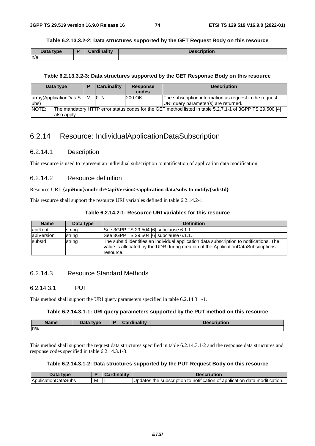#### **Table 6.2.13.3.2-2: Data structures supported by the GET Request Body on this resource**

| Data type | متحالف وبال<br>$\mathbf{r}$<br><b>Antiquity</b> | <b>Description</b> |
|-----------|-------------------------------------------------|--------------------|
| ln/a      |                                                 |                    |

#### **Table 6.2.13.3.2-3: Data structures supported by the GET Response Body on this resource**

| Data type                                                                                                                        |   | <b>Cardinality</b> | <b>Response</b><br>codes | <b>Description</b>                                                                             |  |  |
|----------------------------------------------------------------------------------------------------------------------------------|---|--------------------|--------------------------|------------------------------------------------------------------------------------------------|--|--|
| array(ApplicationDataS<br>lubs)                                                                                                  | м | 10N                | <b>200 OK</b>            | The subscription information as request in the request<br>URI query parameter(s) are returned. |  |  |
| NOTE:<br>The mandatory HTTP error status codes for the GET method listed in table 5.2.7.1-1 of 3GPP TS 29.500 [4]<br>also apply. |   |                    |                          |                                                                                                |  |  |

### 6.2.14 Resource: IndividualApplicationDataSubscription

### 6.2.14.1 Description

This resource is used to represent an individual subscription to notification of application data modification.

### 6.2.14.2 Resource definition

### Resource URI: **{apiRoot}/nudr-dr/<apiVersion>/application-data/subs-to-notify/{subsId}**

This resource shall support the resource URI variables defined in table 6.2.14.2-1.

#### **Table 6.2.14.2-1: Resource URI variables for this resource**

| <b>Name</b> | Data type | <b>Definition</b>                                                                                                                                                                         |
|-------------|-----------|-------------------------------------------------------------------------------------------------------------------------------------------------------------------------------------------|
| apiRoot     | string    | See 3GPP TS 29.504 [6] subclause 6.1.1.                                                                                                                                                   |
| apiVersion  | string    | See 3GPP TS 29.504 [6] subclause 6.1.1.                                                                                                                                                   |
| subsid      | string    | The subsId identifies an individual application data subscription to notifications. The<br>value is allocated by the UDR during creation of the ApplicationDataSubscriptions<br>resource. |

### 6.2.14.3 Resource Standard Methods

### 6.2.14.3.1 PUT

This method shall support the URI query parameters specified in table 6.2.14.3.1-1.

#### **Table 6.2.14.3.1-1: URI query parameters supported by the PUT method on this resource**

| <b>Name</b> | Data type | ۰. | ardinalitv | <b>Description</b> |
|-------------|-----------|----|------------|--------------------|
| n/a         |           |    |            |                    |

This method shall support the request data structures specified in table 6.2.14.3.1-2 and the response data structures and response codes specified in table 6.2.14.3.1-3.

### **Table 6.2.14.3.1-2: Data structures supported by the PUT Request Body on this resource**

| Data type                   |   | ardinality | <b>Description</b>                                                                                   |
|-----------------------------|---|------------|------------------------------------------------------------------------------------------------------|
| <b>IApplicationDataSubs</b> | M |            | f application data modification.<br>; the subscription to notification of $\colon$<br><b>Updates</b> |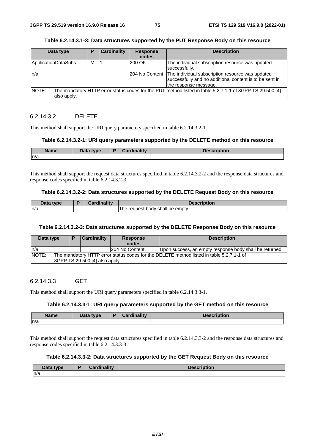| Table 6.2.14.3.1-3: Data structures supported by the PUT Response Body on this resource |  |  |  |
|-----------------------------------------------------------------------------------------|--|--|--|
|                                                                                         |  |  |  |

| Data type                   | Р | Cardinality | <b>Response</b><br>codes | <b>Description</b>                                                                                                                                  |
|-----------------------------|---|-------------|--------------------------|-----------------------------------------------------------------------------------------------------------------------------------------------------|
| ApplicationDataSubs         | м |             | 200 OK                   | The individual subscription resource was updated<br>successfully.                                                                                   |
| n/a                         |   |             |                          | 204 No Content The individual subscription resource was updated<br>successfully and no additional content is to be sent in<br>the response message. |
| <b>NOTE:</b><br>also apply. |   |             |                          | The mandatory HTTP error status codes for the PUT method listed in table 5.2.7.1-1 of 3GPP TS 29.500 [4]                                            |

### 6.2.14.3.2 DELETE

This method shall support the URI query parameters specified in table 6.2.14.3.2-1.

#### **Table 6.2.14.3.2-1: URI query parameters supported by the DELETE method on this resource**

| . .<br>Name | Data tyne<br>$-$ uw | $1 - 11$<br>. . | intian<br>-----<br>ποπ |
|-------------|---------------------|-----------------|------------------------|
| n/a         |                     |                 |                        |

This method shall support the request data structures specified in table 6.2.14.3.2-2 and the response data structures and response codes specified in table 6.2.14.3.2-3.

#### **Table 6.2.14.3.2-2: Data structures supported by the DELETE Request Body on this resource**

| Data type | <b>Cardinality</b> | <b>Description</b>                   |
|-----------|--------------------|--------------------------------------|
| n/a       |                    | request body shall be empty.<br>l he |

#### **Table 6.2.14.3.2-3: Data structures supported by the DELETE Response Body on this resource**

| Data type |                                | в | <b>Cardinality</b>                                                                       | <b>Response</b><br>codes | <b>Description</b>                                      |  |  |  |
|-----------|--------------------------------|---|------------------------------------------------------------------------------------------|--------------------------|---------------------------------------------------------|--|--|--|
| In/a      |                                |   |                                                                                          | 204 No Content           | Upon success, an empty response body shall be returned. |  |  |  |
| NOTE:     |                                |   | The mandatory HTTP error status codes for the DELETE method listed in table 5.2.7.1-1 of |                          |                                                         |  |  |  |
|           | 3GPP TS 29.500 [4] also apply. |   |                                                                                          |                          |                                                         |  |  |  |

### 6.2.14.3.3 GET

This method shall support the URI query parameters specified in table 6.2.14.3.3-1.

#### **Table 6.2.14.3.3-1: URI query parameters supported by the GET method on this resource**

| <b>Name</b> | Data type | D | <b>Cardinality</b> | <b>Description</b> |
|-------------|-----------|---|--------------------|--------------------|
| n/a         |           |   |                    |                    |

This method shall support the request data structures specified in table 6.2.14.3.3-2 and the response data structures and response codes specified in table 6.2.14.3.3-3.

### **Table 6.2.14.3.3-2: Data structures supported by the GET Request Body on this resource**

| Data type | Cordinalis<br>Cardinality | <b>Description</b> |
|-----------|---------------------------|--------------------|
| n/a       |                           |                    |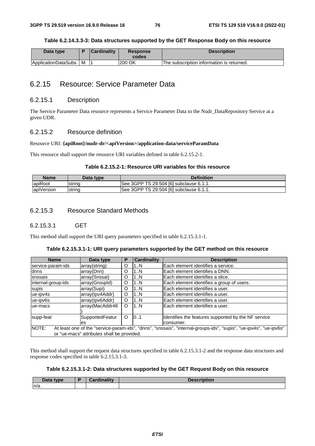#### **Table 6.2.14.3.3-3: Data structures supported by the GET Response Body on this resource**

| Data type           |   | <b>Cardinality</b> | <b>Response</b><br>codes | <b>Description</b>                        |
|---------------------|---|--------------------|--------------------------|-------------------------------------------|
| ApplicationDataSubs | M |                    | l200 OK                  | The subscription information is returned. |

### 6.2.15 Resource: Service Parameter Data

### 6.2.15.1 Description

The Service Parameter Data resource represents a Service Parameter Data to the Nudr\_DataRepository Service at a given UDR.

### 6.2.15.2 Resource definition

### Resource URI: **{apiRoot}/nudr-dr/<apiVersion>/application-data/serviceParamData**

This resource shall support the resource URI variables defined in table 6.2.15.2-1.

### **Table 6.2.15.2-1: Resource URI variables for this resource**

| Name       | Data type | <b>Definition</b>                       |
|------------|-----------|-----------------------------------------|
| lapiRoot   | istrina   | See 3GPP TS 29.504 [6] subclause 6.1.1. |
| apiVersion | string    | See 3GPP TS 29.504 [6] subclause 6.1.1. |

### 6.2.15.3 Resource Standard Methods

#### 6.2.15.3.1 GET

This method shall support the URI query parameters specified in table 6.2.15.3.1-1.

|  | Table 6.2.15.3.1-1: URI query parameters supported by the GET method on this resource |
|--|---------------------------------------------------------------------------------------|
|  |                                                                                       |

| <b>Name</b>        | Data type                                  | Р | <b>Cardinality</b> | <b>Description</b>                                                                                                 |
|--------------------|--------------------------------------------|---|--------------------|--------------------------------------------------------------------------------------------------------------------|
| service-param-ids  | array(string)                              | O | 1N                 | Each element identifies a service.                                                                                 |
| dnns               | array(Dnn)                                 | O | 1N                 | Each element identifies a DNN.                                                                                     |
| snssais            | array(Snssai)                              | O | 1N                 | lEach element identifies a slice.                                                                                  |
| internal-group-ids | array(GroupId)                             | O | 1N                 | Each element identifies a group of users.                                                                          |
| supis              | array(Supi)                                | O | 1N                 | Each element identifies a user.                                                                                    |
| ue-ipv4s           | array(lpv4Addr)                            | O | 1N                 | lEach element identifies a user.                                                                                   |
| ue-ipv6s           | array(Ipv6Addr)                            | O | 1N                 | lEach element identifies a user.                                                                                   |
| ue-macs            | array(MacAddr48                            | O | 1N                 | lEach element identifies a user.                                                                                   |
| supp-feat          | SupportedFeatur                            | O | 101                | Identifies the features supported by the NF service                                                                |
|                    | les.                                       |   |                    | consumer.                                                                                                          |
| NOTE:              |                                            |   |                    | At least one of the "service-param-ids", "dnns", "snssais", "internal-groups-ids", "supis", "ue-ipv4s", "ue-ipv6s" |
|                    | or "ue-macs" attributes shall be provided. |   |                    |                                                                                                                    |

This method shall support the request data structures specified in table 6.2.15.3.1-2 and the response data structures and response codes specified in table 6.2.15.3.1-3.

#### **Table 6.2.15.3.1-2: Data structures supported by the GET Request Body on this resource**

| Data type | <b>Cardinality</b> | <b>Description</b> |
|-----------|--------------------|--------------------|
| ln/a      |                    |                    |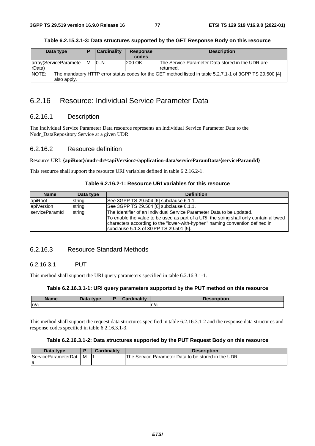| Data type                                                                                                                        |  | Cardinality | <b>Response</b><br>codes | <b>Description</b>                                             |  |  |
|----------------------------------------------------------------------------------------------------------------------------------|--|-------------|--------------------------|----------------------------------------------------------------|--|--|
| array(ServiceParamete   M<br>rData)                                                                                              |  | 10N         | <b>200 OK</b>            | The Service Parameter Data stored in the UDR are<br>Ireturned. |  |  |
| NOTE:<br>The mandatory HTTP error status codes for the GET method listed in table 5.2.7.1-1 of 3GPP TS 29.500 [4]<br>also apply. |  |             |                          |                                                                |  |  |

### **Table 6.2.15.3.1-3: Data structures supported by the GET Response Body on this resource**

### 6.2.16 Resource: Individual Service Parameter Data

### 6.2.16.1 Description

The Individual Service Parameter Data resource represents an Individual Service Parameter Data to the Nudr\_DataRepository Service at a given UDR.

### 6.2.16.2 Resource definition

#### Resource URI: **{apiRoot}/nudr-dr/<apiVersion>/application-data/serviceParamData/{serviceParamId}**

This resource shall support the resource URI variables defined in table 6.2.16.2-1.

| <b>Name</b>            | Data type | <b>Definition</b>                                                                                                                                                                                                                                                                         |
|------------------------|-----------|-------------------------------------------------------------------------------------------------------------------------------------------------------------------------------------------------------------------------------------------------------------------------------------------|
| apiRoot                | string    | See 3GPP TS 29.504 [6] subclause 6.1.1.                                                                                                                                                                                                                                                   |
| apiVersion             | string    | See 3GPP TS 29.504 [6] subclause 6.1.1.                                                                                                                                                                                                                                                   |
| <b>IserviceParamId</b> | string    | The Identifier of an Individual Service Parameter Data to be updated.<br>To enable the value to be used as part of a URI, the string shall only contain allowed<br>characters according to the "lower-with-hyphen" naming convention defined in<br>subclause 5.1.3 of 3GPP TS 29.501 [5]. |

### 6.2.16.3 Resource Standard Methods

### 6.2.16.3.1 PUT

This method shall support the URI query parameters specified in table 6.2.16.3.1-1.

#### **Table 6.2.16.3.1-1: URI query parameters supported by the PUT method on this resource**

| <b>Name</b> | <b>Pata type</b><br>Dala | <b>Time little</b> | .<br>uvil |
|-------------|--------------------------|--------------------|-----------|
| n/a         |                          |                    | n/a       |

This method shall support the request data structures specified in table 6.2.16.3.1-2 and the response data structures and response codes specified in table 6.2.16.3.1-3.

#### **Table 6.2.16.3.1-2: Data structures supported by the PUT Request Body on this resource**

| Data type                  |   | Cardinalitv | <b>Description</b>                                  |
|----------------------------|---|-------------|-----------------------------------------------------|
| <b>ServiceParameterDat</b> | M |             | The Service Parameter Data to be stored in the UDR. |
| la                         |   |             |                                                     |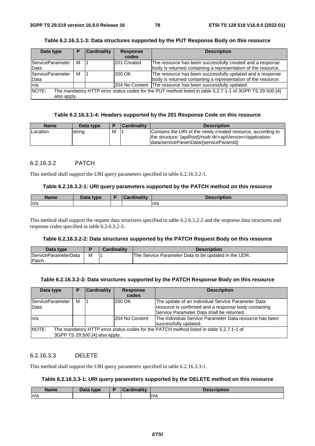| Data type                | Р | <b>Cardinality</b> | <b>Response</b><br>codes | <b>Description</b>                                                                                                         |
|--------------------------|---|--------------------|--------------------------|----------------------------------------------------------------------------------------------------------------------------|
| ServiceParameter<br>Data | м |                    | 201 Created              | The resource has been successfully created and a response<br>body is returned containing a representation of the resource. |
| ServiceParameter<br>Data | м |                    | 200 OK                   | The resource has been successfully updated and a response<br>body is returned containing a representation of the resource. |
| n/a                      |   |                    |                          | 204 No Content The resource has been successfully updated.                                                                 |
| NOTE:<br>also apply.     |   |                    |                          | The mandatory HTTP error status codes for the PUT method listed in table 5.2.7.1-1 of 3GPP TS 29.500 [4]                   |

**Table 6.2.16.3.1-3: Data structures supported by the PUT Response Body on this resource** 

### **Table 6.2.16.3.1-4: Headers supported by the 201 Response Code on this resource**

| <b>Name</b>     | Data type |   | Cardinality | <b>Description</b>                                                                                                                                                                   |
|-----------------|-----------|---|-------------|--------------------------------------------------------------------------------------------------------------------------------------------------------------------------------------|
| <b>Location</b> | string    | M |             | Contains the URI of the newly created resource, according to<br>the structure: {apiRoot}/nudr-dr/ <apiversion>/application-<br/> data/serviceParamData/{serviceParamId}</apiversion> |

### 6.2.16.3.2 PATCH

This method shall support the URI query parameters specified in table 6.2.16.3.2-1.

#### **Table 6.2.16.3.2-1: URI query parameters supported by the PATCH method on this resource**

| Name | Data type<br><u>sala</u><br>- | $: -1:$ | $-1$ on<br>TIDLION |
|------|-------------------------------|---------|--------------------|
| ln/a |                               |         | n/a                |

This method shall support the request data structures specified in table 6.2.6.3.2-2 and the response data structures and response codes specified in table 6.2.6.3.2-3.

#### **Table 6.2.16.3.2-2: Data structures supported by the PATCH Request Body on this resource**

| Data type                   |   | Cardinalitv | <b>Description</b>                                   |
|-----------------------------|---|-------------|------------------------------------------------------|
| <b>ServiceParameterData</b> | M |             | The Service Parameter Data to be updated in the UDR. |
| <b>IPatch</b>               |   |             |                                                      |

#### **Table 6.2.16.3.2-3: Data structures supported by the PATCH Response Body on this resource**

| Data type                                                                                                                          | Р | <b>Cardinality</b> | <b>Response</b><br>codes | <b>Description</b>                                                                                                                                      |  |  |
|------------------------------------------------------------------------------------------------------------------------------------|---|--------------------|--------------------------|---------------------------------------------------------------------------------------------------------------------------------------------------------|--|--|
| <b>ServiceParameter</b><br>Data                                                                                                    | м |                    | 200 OK                   | The update of an Individual Service Parameter Data<br>resource is confirmed and a response body containing<br>Service Parameter Data shall be returned. |  |  |
| ln/a                                                                                                                               |   |                    | l204 No Content          | The Individual Service Parameter Data resource has been<br>successfully updated.                                                                        |  |  |
| NOTE:<br>The mandatory HTTP error status codes for the PATCH method listed in table 5.2.7.1-1 of<br>3GPP TS 29.500 [4] also apply. |   |                    |                          |                                                                                                                                                         |  |  |
|                                                                                                                                    |   |                    |                          |                                                                                                                                                         |  |  |

### 6.2.16.3.3 DELETE

This method shall support the URI query parameters specified in table 6.2.16.3.3-1.

### **Table 6.2.16.3.3-1: URI query parameters supported by the DELETE method on this resource**

| Name | <b>Pata type</b> | <b>Cardinality</b><br>ual ull | <b>Description</b><br>vesc |
|------|------------------|-------------------------------|----------------------------|
| n/a  |                  |                               | n/a                        |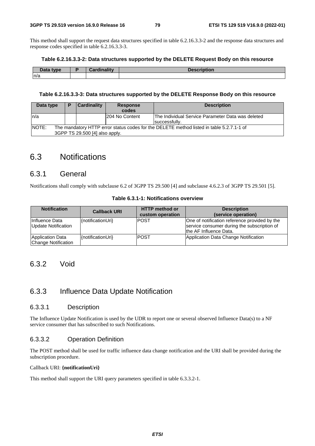This method shall support the request data structures specified in table 6.2.16.3.3-2 and the response data structures and response codes specified in table 6.2.16.3.3-3.

#### **Table 6.2.16.3.3-2: Data structures supported by the DELETE Request Body on this resource**

| Data type | $O = 11.4$ | Description |
|-----------|------------|-------------|
| n/a       |            |             |

#### **Table 6.2.16.3.3-3: Data structures supported by the DELETE Response Body on this resource**

| Data type                                                                                                                           | D | <b>Cardinality</b> | <b>Response</b><br>codes | <b>Description</b>                                                 |  |  |
|-------------------------------------------------------------------------------------------------------------------------------------|---|--------------------|--------------------------|--------------------------------------------------------------------|--|--|
| In/a                                                                                                                                |   |                    | 204 No Content           | The Individual Service Parameter Data was deleted<br>successfully. |  |  |
| NOTE:<br>The mandatory HTTP error status codes for the DELETE method listed in table 5.2.7.1-1 of<br>3GPP TS 29.500 [4] also apply. |   |                    |                          |                                                                    |  |  |

# 6.3 Notifications

### 6.3.1 General

Notifications shall comply with subclause 6.2 of 3GPP TS 29.500 [4] and subclause 4.6.2.3 of 3GPP TS 29.501 [5].

| <b>Notification</b>                     | <b>Callback URI</b> | <b>HTTP</b> method or<br>custom operation | <b>Description</b><br>(service operation)                                                                               |
|-----------------------------------------|---------------------|-------------------------------------------|-------------------------------------------------------------------------------------------------------------------------|
| Influence Data<br>Update Notification   | {notificationUri}   | IPOST                                     | One of notification reference provided by the<br>service consumer during the subscription of<br>Ithe AF Influence Data. |
| Application Data<br>Change Notification | {notificationUri}   | <b>IPOST</b>                              | Application Data Change Notification                                                                                    |

#### **Table 6.3.1-1: Notifications overview**

### 6.3.2 Void

### 6.3.3 Influence Data Update Notification

### 6.3.3.1 Description

The Influence Update Notification is used by the UDR to report one or several observed Influence Data(s) to a NF service consumer that has subscribed to such Notifications.

### 6.3.3.2 Operation Definition

The POST method shall be used for traffic influence data change notification and the URI shall be provided during the subscription procedure.

### Callback URI: **{notificationUri}**

This method shall support the URI query parameters specified in table 6.3.3.2-1.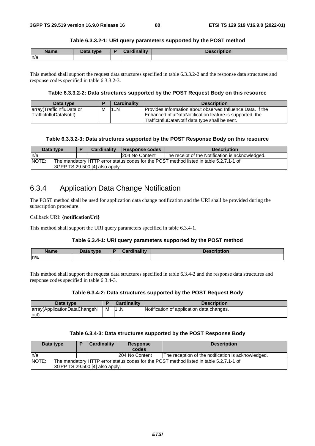### **Table 6.3.3.2-1: URI query parameters supported by the POST method**

| <b>Name</b> | Data type | <b>Cardinality</b> | <b>Description</b> |
|-------------|-----------|--------------------|--------------------|
| ∣n/a        |           |                    |                    |

This method shall support the request data structures specified in table 6.3.3.2-2 and the response data structures and response codes specified in table 6.3.3.2-3.

### **Table 6.3.3.2-2: Data structures supported by the POST Request Body on this resource**

| Data type                                             |   | <b>Cardinality</b> | <b>Description</b>                                                                                                                                                      |
|-------------------------------------------------------|---|--------------------|-------------------------------------------------------------------------------------------------------------------------------------------------------------------------|
| array (TrafficinfluData or<br> TrafficInfluDataNotif) | M | 11N                | Provides Information about observed Influence Data. If the<br>EnhancedInfluDataNotification feature is supported, the<br>TrafficInfluDataNotif data type shall be sent. |

### **Table 6.3.3.2-3: Data structures supported by the POST Response Body on this resource**

|        | Data type                                                                                                                | <b>Cardinality</b> |  | Response codes | <b>Description</b>                               |  |  |
|--------|--------------------------------------------------------------------------------------------------------------------------|--------------------|--|----------------|--------------------------------------------------|--|--|
| In/a   |                                                                                                                          |                    |  | 204 No Content | The receipt of the Notification is acknowledged. |  |  |
| INOTE: | The mandatory HTTP error status codes for the POST method listed in table 5.2.7.1-1 of<br>3GPP TS 29.500 [4] also apply. |                    |  |                |                                                  |  |  |

### 6.3.4 Application Data Change Notification

The POST method shall be used for application data change notification and the URI shall be provided during the subscription procedure.

#### Callback URI: **{notificationUri}**

This method shall support the URI query parameters specified in table 6.3.4-1.

### **Table 6.3.4-1: URI query parameters supported by the POST method**

| <b>Name</b> | Data type | $\sqrt{R}$ | <b>Cardinality</b> | <b>Description</b> |
|-------------|-----------|------------|--------------------|--------------------|
| n/a         |           |            |                    |                    |

This method shall support the request data structures specified in table 6.3.4-2 and the response data structures and response codes specified in table 6.3.4-3.

#### **Table 6.3.4-2: Data structures supported by the POST Request Body**

| Data type                    |   | <b>Cardinality</b> | <b>Description</b>                        |
|------------------------------|---|--------------------|-------------------------------------------|
| array(ApplicationDataChangeN | M | 1N                 | Notification of application data changes. |
| lotif                        |   |                    |                                           |

### **Table 6.3.4-3: Data structures supported by the POST Response Body**

| Data type |                                |                                                                                        | <b>Cardinality</b> | <b>Response</b> | <b>Description</b>                                 |  |  |
|-----------|--------------------------------|----------------------------------------------------------------------------------------|--------------------|-----------------|----------------------------------------------------|--|--|
|           |                                |                                                                                        |                    | codes           |                                                    |  |  |
| ln/a      |                                |                                                                                        |                    | 204 No Content  | The reception of the notification is acknowledged. |  |  |
| NOTE:     |                                | The mandatory HTTP error status codes for the POST method listed in table 5.2.7.1-1 of |                    |                 |                                                    |  |  |
|           | 3GPP TS 29.500 [4] also apply. |                                                                                        |                    |                 |                                                    |  |  |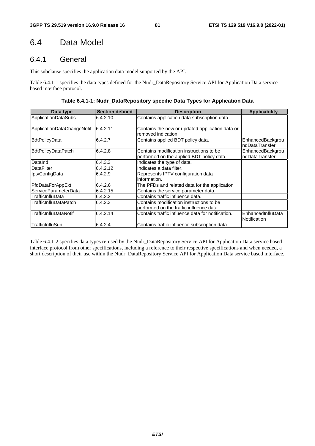# 6.4 Data Model

# 6.4.1 General

This subclause specifies the application data model supported by the API.

Table 6.4.1-1 specifies the data types defined for the Nudr\_DataRepository Service API for Application Data service based interface protocol.

**Table 6.4.1-1: Nudr\_DataRepository specific Data Types for Application Data** 

| Data type                  | <b>Section defined</b> | <b>Description</b>                                                                    | <b>Applicability</b>               |
|----------------------------|------------------------|---------------------------------------------------------------------------------------|------------------------------------|
| <b>ApplicationDataSubs</b> | 6.4.2.10               | Contains application data subscription data.                                          |                                    |
| ApplicationDataChangeNotif | 6.4.2.11               | Contains the new or updated application data or<br>removed indication.                |                                    |
| <b>BdtPolicyData</b>       | 6.4.2.7                | Contains applied BDT policy data.                                                     | EnhancedBackgrou<br>ndDataTransfer |
| <b>BdtPolicyDataPatch</b>  | 6.4.2.8                | Contains modification instructions to be<br>performed on the applied BDT policy data. | EnhancedBackgrou<br>ndDataTransfer |
| DataInd                    | 6.4.3.3                | Indicates the type of data.                                                           |                                    |
| <b>DataFilter</b>          | 6.4.2.12               | Indicates a data filter.                                                              |                                    |
| <b>IptvConfigData</b>      | 6.4.2.9                | Represents IPTV configuration data<br>linformation.                                   |                                    |
| PfdDataForAppExt           | 6.4.2.6                | The PFDs and related data for the application                                         |                                    |
| ServiceParameterData       | 6.4.2.15               | Contains the service parameter data.                                                  |                                    |
| TrafficInfluData           | 6.4.2.2                | Contains traffic influence data.                                                      |                                    |
| TrafficInfluDataPatch      | 6.4.2.3                | Contains modification instructions to be<br>performed on the traffic influence data.  |                                    |
| TrafficInfluDataNotif      | 6.4.2.14               | Contains traffic influence data for notification.                                     | EnhancedInfluData<br>Notification  |
| TrafficInfluSub            | 6.4.2.4                | Contains traffic influence subscription data.                                         |                                    |

Table 6.4.1-2 specifies data types re-used by the Nudr\_DataRepository Service API for Application Data service based interface protocol from other specifications, including a reference to their respective specifications and when needed, a short description of their use within the Nudr\_DataRepository Service API for Application Data service based interface.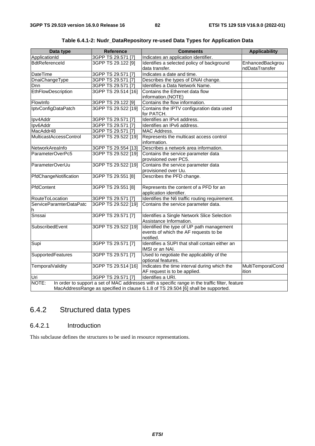| Data type               | <b>Reference</b>    | <b>Comments</b>                                                                                 | <b>Applicability</b> |
|-------------------------|---------------------|-------------------------------------------------------------------------------------------------|----------------------|
| ApplicationId           | 3GPP TS 29.571 [7]  | Indicates an application identifier.                                                            |                      |
| <b>BdtReferenceld</b>   | 3GPP TS 29.122 [9]  | Identifies a selected policy of background                                                      | EnhancedBackgrou     |
|                         |                     | data transfer.                                                                                  | ndDataTransfer       |
| DateTime                | 3GPP TS 29.571 [7]  | Indicates a date and time.                                                                      |                      |
| DnaiChangeType          | 3GPP TS 29.571 [7]  | Describes the types of DNAI change.                                                             |                      |
| Dnn                     | 3GPP TS 29.571 [7]  | Identifies a Data Network Name.                                                                 |                      |
| EthFlowDescription      | 3GPP TS 29.514 [16] | Contains the Ethernet data flow                                                                 |                      |
|                         |                     | information.(NOTE)                                                                              |                      |
| FlowInfo                | 3GPP TS 29.122 [9]  | Contains the flow information.                                                                  |                      |
| IptvConfigDataPatch     | 3GPP TS 29.522 [19] | Contains the IPTV configuration data used                                                       |                      |
|                         |                     | for PATCH.                                                                                      |                      |
| Ipv4Addr                | 3GPP TS 29.571 [7]  | Identifies an IPv4 address.                                                                     |                      |
| Ipv6Addr                | 3GPP TS 29.571 [7]  | Identifies an IPv6 address.                                                                     |                      |
| MacAddr48               | 3GPP TS 29.571 [7]  | MAC Address.                                                                                    |                      |
| MulticastAccessControl  | 3GPP TS 29.522 [19] | Represents the multicast access control                                                         |                      |
|                         |                     | information.                                                                                    |                      |
| NetworkAreaInfo         | 3GPP TS 29.554 [13] | Describes a network area information.                                                           |                      |
| ParameterOverPc5        | 3GPP TS 29.522 [19] | Contains the service parameter data                                                             |                      |
|                         |                     | provisioned over PC5.                                                                           |                      |
| ParameterOverUu         | 3GPP TS 29.522 [19] | Contains the service parameter data                                                             |                      |
|                         |                     | provisioned over Uu.                                                                            |                      |
| PfdChangeNotification   | 3GPP TS 29.551 [8]  | Describes the PFD change.                                                                       |                      |
|                         |                     |                                                                                                 |                      |
| PfdContent              | 3GPP TS 29.551 [8]  | Represents the content of a PFD for an                                                          |                      |
|                         |                     | application identifier.                                                                         |                      |
| RouteToLocation         | 3GPP TS 29.571 [7]  | Identifies the N6 traffic routing requirement.                                                  |                      |
| ServiceParamterDataPatc | 3GPP TS 29.522 [19] | Contains the service parameter data.                                                            |                      |
| h                       |                     |                                                                                                 |                      |
| Snssai                  | 3GPP TS 29.571 [7]  | Identifies a Single Network Slice Selection                                                     |                      |
|                         |                     | Assistance Information.                                                                         |                      |
| SubscribedEvent         | 3GPP TS 29.522 [19] | Identified the type of UP path management<br>events of which the AF requests to be              |                      |
|                         |                     | notified.                                                                                       |                      |
| Supi                    | 3GPP TS 29.571 [7]  | Identifies a SUPI that shall contain either an                                                  |                      |
|                         |                     | IMSI or an NAI.                                                                                 |                      |
| SupportedFeatures       | 3GPP TS 29.571 [7]  | Used to negotiate the applicability of the                                                      |                      |
|                         |                     | optional features.                                                                              |                      |
| <b>TemporalValidity</b> | 3GPP TS 29.514 [16] | Indicates the time interval during which the                                                    | MultiTemporalCond    |
|                         |                     | AF request is to be applied.                                                                    | ition                |
| Uri                     | 3GPP TS 29.571 [7]  | Identifies a URI.                                                                               |                      |
| NOTE:                   |                     | In order to support a set of MAC addresses with a specific range in the traffic filter, feature |                      |
|                         |                     | MacAddressRange as specified in clause 6.1.8 of TS 29.504 [6] shall be supported.               |                      |

**Table 6.4.1-2: Nudr\_DataRepository re-used Data Types for Application Data** 

# 6.4.2 Structured data types

### 6.4.2.1 Introduction

This subclause defines the structures to be used in resource representations.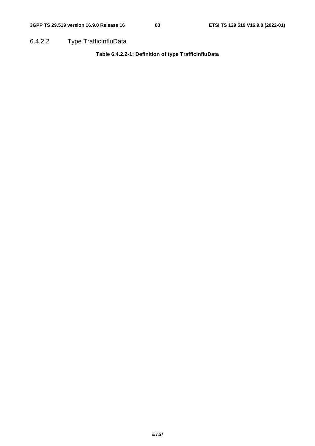6.4.2.2 Type TrafficInfluData

**Table 6.4.2.2-1: Definition of type TrafficInfluData**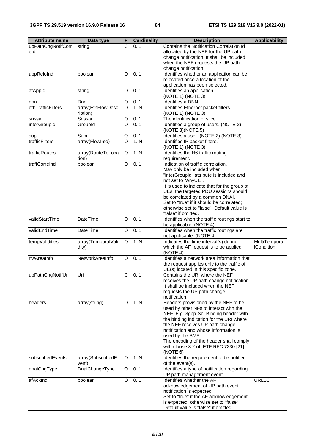| <b>Attribute name</b> | Data type          | P                     | <b>Cardinality</b> | <b>Description</b>                                                                      | <b>Applicability</b> |
|-----------------------|--------------------|-----------------------|--------------------|-----------------------------------------------------------------------------------------|----------------------|
| upPathChgNotifCorr    | string             | $\overline{\text{c}}$ | 0.1                | Contains the Notification Correlation Id                                                |                      |
| eld                   |                    |                       |                    | allocated by the NEF for the UP path                                                    |                      |
|                       |                    |                       |                    | change notification. It shall be included                                               |                      |
|                       |                    |                       |                    | when the NEF requests the UP path                                                       |                      |
|                       |                    |                       |                    | change notification.                                                                    |                      |
| appReloInd            | boolean            | O                     | 0.1                | Identifies whether an application can be<br>relocated once a location of the            |                      |
|                       |                    |                       |                    | application has been selected.                                                          |                      |
| afAppId               | string             | $\circ$               | 0.1                | Identifies an application.                                                              |                      |
|                       |                    |                       |                    | (NOTE 1) (NOTE 3)                                                                       |                      |
| dnn                   | Dnn                | O                     | 01                 | <b>Identifies a DNN</b>                                                                 |                      |
| ethTrafficFilters     | array(EthFlowDesc  | $\overline{O}$        | 1. N               | Identifies Ethernet packet filters.                                                     |                      |
|                       | ription)           |                       |                    | (NOTE 1) (NOTE 3)                                                                       |                      |
| snssai                | Snssai             | $\circ$               | 01                 | The identification of slice.                                                            |                      |
| interGroupId          | GroupId            | O                     | 0.1                | Identifies a group of users. (NOTE 2)                                                   |                      |
|                       |                    |                       |                    | (NOTE 3) (NOTE 5)                                                                       |                      |
| supi                  | Supi               | O                     | 01                 | Identifies a user. (NOTE 2) (NOTE 3)                                                    |                      |
| trafficFilters        | array(FlowInfo)    | $\overline{O}$        | 1.N                | Identifies IP packet filters.<br>(NOTE 1) (NOTE 3)                                      |                      |
| trafficRoutes         | array(RouteToLoca  | O                     | 1.N                | Identifies the N6 traffic routing                                                       |                      |
|                       | tion)              |                       |                    | requirement.                                                                            |                      |
| traffCorreInd         | boolean            | O                     | 0.1                | Indication of traffic correlation.                                                      |                      |
|                       |                    |                       |                    | May only be included when                                                               |                      |
|                       |                    |                       |                    | "interGroupId" attribute is included and                                                |                      |
|                       |                    |                       |                    | not set to "AnyUE".                                                                     |                      |
|                       |                    |                       |                    | It is used to indicate that for the group of                                            |                      |
|                       |                    |                       |                    | UEs, the targeted PDU sessions should                                                   |                      |
|                       |                    |                       |                    | be correlated by a common DNAI.                                                         |                      |
|                       |                    |                       |                    | Set to "true" if it should be correlated;<br>otherwise set to "false". Default value is |                      |
|                       |                    |                       |                    | "false" if omitted.                                                                     |                      |
| validStartTime        | <b>DateTime</b>    | O                     | 0.1                | Identifies when the traffic routings start to                                           |                      |
|                       |                    |                       |                    | be applicable. (NOTE 4)                                                                 |                      |
| validEndTime          | DateTime           | O                     | 0.1                | Identifies when the traffic routings are<br>not applicable. (NOTE 4)                    |                      |
| tempValidities        | array(TemporalVali | $\mathsf O$           | 1.N                | Indicates the time interval(s) during                                                   | MultiTempora         |
|                       | dity)              |                       |                    | which the AF request is to be applied.                                                  | <b>ICondition</b>    |
|                       |                    |                       |                    | (NOTE 4)                                                                                |                      |
| nwAreaInfo            | NetworkAreaInfo    | O                     | 0.1                | Identifies a network area information that                                              |                      |
|                       |                    |                       |                    | the request applies only to the traffic of                                              |                      |
|                       |                    |                       |                    | UE(s) located in this specific zone.                                                    |                      |
| upPathChgNotifUri     | Uri                | С                     | 01                 | Contains the URI where the NEF<br>receives the UP path change notification.             |                      |
|                       |                    |                       |                    | It shall be included when the NEF                                                       |                      |
|                       |                    |                       |                    | requests the UP path change                                                             |                      |
|                       |                    |                       |                    | notification.                                                                           |                      |
| headers               | array(string)      | O                     | 1N                 | Headers provisioned by the NEF to be                                                    |                      |
|                       |                    |                       |                    | used by other NFs to interact with the                                                  |                      |
|                       |                    |                       |                    | NEF. E.g. 3gpp-Sbi-Binding header with                                                  |                      |
|                       |                    |                       |                    | the binding indication for the URI where<br>the NEF receives UP path change             |                      |
|                       |                    |                       |                    | notification and whose information is                                                   |                      |
|                       |                    |                       |                    | used by the SMF.                                                                        |                      |
|                       |                    |                       |                    | The encoding of the header shall comply                                                 |                      |
|                       |                    |                       |                    | with clause 3.2 of IETF RFC 7230 [21].                                                  |                      |
|                       |                    |                       |                    | (NOTE 6)                                                                                |                      |
| subscribedEvents      | array(SubscribedE  | O                     | 1N                 | Identifies the requirement to be notified                                               |                      |
|                       | vent)              |                       |                    | of the event(s).                                                                        |                      |
| dnaiChgType           | DnaiChangeType     | O                     | 0.1                | Identifies a type of notification regarding                                             |                      |
| afAckInd              | boolean            | O                     | 0.1                | UP path management event.<br>Identifies whether the AF                                  | <b>URLLC</b>         |
|                       |                    |                       |                    | acknowledgement of UP path event                                                        |                      |
|                       |                    |                       |                    | notification is expected.                                                               |                      |
|                       |                    |                       |                    | Set to "true" if the AF acknowledgement                                                 |                      |
|                       |                    |                       |                    | is expected; otherwise set to "false".                                                  |                      |
|                       |                    |                       |                    | Default value is "false" if omitted.                                                    |                      |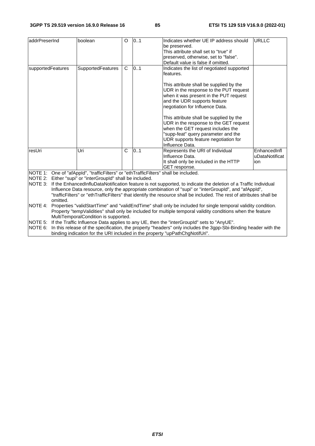| addrPreserInd                                                                                                            |                                                                                           | boolean                                                                                                                                            | O            | 0.1 | Indicates whether UE IP address should                                                                                | <b>URLLC</b>   |  |
|--------------------------------------------------------------------------------------------------------------------------|-------------------------------------------------------------------------------------------|----------------------------------------------------------------------------------------------------------------------------------------------------|--------------|-----|-----------------------------------------------------------------------------------------------------------------------|----------------|--|
|                                                                                                                          |                                                                                           |                                                                                                                                                    |              |     | be preserved.                                                                                                         |                |  |
|                                                                                                                          |                                                                                           |                                                                                                                                                    |              |     | This attribute shall set to "true" if                                                                                 |                |  |
|                                                                                                                          |                                                                                           |                                                                                                                                                    |              |     | preserved, otherwise, set to "false".                                                                                 |                |  |
|                                                                                                                          |                                                                                           |                                                                                                                                                    |              |     | Default value is false if omitted.                                                                                    |                |  |
| supportedFeatures                                                                                                        |                                                                                           | <b>SupportedFeatures</b>                                                                                                                           | $\mathsf{C}$ | 0.1 | Indicates the list of negotiated supported<br>features.                                                               |                |  |
|                                                                                                                          |                                                                                           |                                                                                                                                                    |              |     | This attribute shall be supplied by the                                                                               |                |  |
|                                                                                                                          |                                                                                           |                                                                                                                                                    |              |     | UDR in the response to the PUT request                                                                                |                |  |
|                                                                                                                          |                                                                                           |                                                                                                                                                    |              |     | when it was present in the PUT request                                                                                |                |  |
|                                                                                                                          |                                                                                           |                                                                                                                                                    |              |     | and the UDR supports feature                                                                                          |                |  |
|                                                                                                                          |                                                                                           |                                                                                                                                                    |              |     | negotiation for Influence Data.                                                                                       |                |  |
|                                                                                                                          |                                                                                           |                                                                                                                                                    |              |     | This attribute shall be supplied by the                                                                               |                |  |
|                                                                                                                          |                                                                                           |                                                                                                                                                    |              |     | UDR in the response to the GET request                                                                                |                |  |
|                                                                                                                          |                                                                                           |                                                                                                                                                    |              |     | when the GET request includes the                                                                                     |                |  |
|                                                                                                                          |                                                                                           |                                                                                                                                                    |              |     | "supp-feat" query parameter and the                                                                                   |                |  |
|                                                                                                                          |                                                                                           |                                                                                                                                                    |              |     | UDR supports feature negotiation for                                                                                  |                |  |
|                                                                                                                          |                                                                                           |                                                                                                                                                    |              |     | Influence Data.                                                                                                       |                |  |
| resUri                                                                                                                   |                                                                                           | Uri                                                                                                                                                | C            | 0.1 | Represents the URI of Individual                                                                                      | EnhancedInfl   |  |
|                                                                                                                          |                                                                                           |                                                                                                                                                    |              |     | Influence Data.                                                                                                       | uDataNotificat |  |
|                                                                                                                          |                                                                                           |                                                                                                                                                    |              |     | It shall only be included in the HTTP                                                                                 | ion            |  |
|                                                                                                                          |                                                                                           |                                                                                                                                                    |              |     | GET response.                                                                                                         |                |  |
|                                                                                                                          |                                                                                           | NOTE 1: One of "afAppId", "trafficFilters" or "ethTrafficFilters" shall be included.<br>NOTE 2: Either "supi" or "interGroupId" shall be included. |              |     |                                                                                                                       |                |  |
| INOTE 3:                                                                                                                 |                                                                                           |                                                                                                                                                    |              |     | If the EnhancedInfluDataNotification feature is not supported, to indicate the deletion of a Traffic Individual       |                |  |
|                                                                                                                          |                                                                                           |                                                                                                                                                    |              |     | Influence Data resource, only the appropriate combination of "supi" or "interGroupId", and "afAppId",                 |                |  |
|                                                                                                                          |                                                                                           |                                                                                                                                                    |              |     | "trafficFilters" or "ethTrafficFilters" that identify the resource shall be included. The rest of attributes shall be |                |  |
|                                                                                                                          | omitted.                                                                                  |                                                                                                                                                    |              |     |                                                                                                                       |                |  |
| Properties "validStartTime" and "validEndTime" shall only be included for single temporal validity condition.<br>NOTE 4: |                                                                                           |                                                                                                                                                    |              |     |                                                                                                                       |                |  |
|                                                                                                                          |                                                                                           |                                                                                                                                                    |              |     | Property "tempValidities" shall only be included for multiple temporal validity conditions when the feature           |                |  |
|                                                                                                                          |                                                                                           | MultiTemporalCondition is supported.                                                                                                               |              |     |                                                                                                                       |                |  |
| NOTE 5:                                                                                                                  | If the Traffic Influence Data applies to any UE, then the "interGroupId" sets to "AnyUE". |                                                                                                                                                    |              |     |                                                                                                                       |                |  |

NOTE 6: In this release of the specification, the property "headers" only includes the 3gpp-Sbi-Binding header with the binding indication for the URI included in the property "upPathChgNotifUri".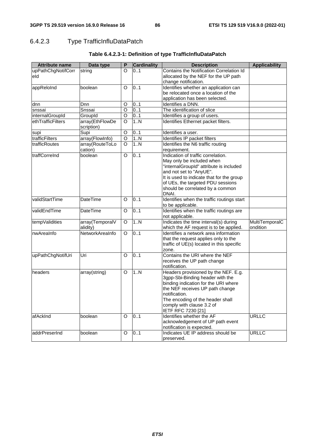# 6.4.2.3 Type TrafficInfluDataPatch

| <b>Attribute name</b> | Data type                     | P | <b>Cardinality</b> | <b>Description</b>                                                    | <b>Applicability</b> |
|-----------------------|-------------------------------|---|--------------------|-----------------------------------------------------------------------|----------------------|
| upPathChgNotifCorr    | string                        | O | 0.1                | Contains the Notification Correlation Id                              |                      |
| eld                   |                               |   |                    | allocated by the NEF for the UP path                                  |                      |
|                       |                               |   |                    | change notification.                                                  |                      |
| appReloInd            | boolean                       | O | 0.1                | Identifies whether an application can                                 |                      |
|                       |                               |   |                    | be relocated once a location of the                                   |                      |
|                       |                               |   |                    | application has been selected.                                        |                      |
| dnn                   | Dnn                           | O | 0.1                | Identifies a DNN.                                                     |                      |
| snssai                | Snssai                        | O | 01                 | The identification of slice                                           |                      |
| internalGroupId       | GroupId                       | O | 0.1                | Identifies a group of users.                                          |                      |
| ethTrafficFilters     | array(EthFlowDe<br>scription) | O | 1.N                | Identifies Ethernet packet filters.                                   |                      |
| supi                  | Supi                          | O | 01                 | Identifies a user.                                                    |                      |
| trafficFilters        | array(FlowInfo)               | O | 1N                 | Identifies IP packet filters                                          |                      |
| trafficRoutes         | array(RouteToLo               | O | 1N                 | Identifies the N6 traffic routing                                     |                      |
|                       | cation)                       |   |                    | requirement.                                                          |                      |
| traffCorreInd         | boolean                       | O | 0.1                | Indication of traffic correlation.                                    |                      |
|                       |                               |   |                    | May only be included when                                             |                      |
|                       |                               |   |                    | "internalGroupId" attribute is included                               |                      |
|                       |                               |   |                    | and not set to "AnyUE".                                               |                      |
|                       |                               |   |                    | It is used to indicate that for the group                             |                      |
|                       |                               |   |                    | of UEs, the targeted PDU sessions<br>should be correlated by a common |                      |
|                       |                               |   |                    | DNAI.                                                                 |                      |
| validStartTime        | <b>DateTime</b>               | O | 0.1                | Identifies when the traffic routings start                            |                      |
|                       |                               |   |                    | to be applicable.                                                     |                      |
| validEndTime          | <b>DateTime</b>               | O | 0.1                | Identifies when the traffic routings are                              |                      |
|                       |                               |   |                    | not applicable.                                                       |                      |
| tempValidities        | array(TemporalV               | O | 1N                 | Indicates the time interval(s) during                                 | MultiTemporalC       |
|                       | alidity)                      |   |                    | which the AF request is to be applied.                                | ondition             |
| nwAreaInfo            | NetworkAreaInfo               | O | 0.1                | Identifies a network area information                                 |                      |
|                       |                               |   |                    | that the request applies only to the                                  |                      |
|                       |                               |   |                    | traffic of UE(s) located in this specific                             |                      |
|                       |                               |   |                    | zone.                                                                 |                      |
| upPathChgNotifUri     | Uri                           | O | 0.1                | Contains the URI where the NEF                                        |                      |
|                       |                               |   |                    | receives the UP path change                                           |                      |
|                       |                               |   |                    | notification.                                                         |                      |
| headers               | array(string)                 | O | 1N                 | Headers provisioned by the NEF. E.g.                                  |                      |
|                       |                               |   |                    | 3gpp-Sbi-Binding header with the                                      |                      |
|                       |                               |   |                    | binding indication for the URI where                                  |                      |
|                       |                               |   |                    | the NEF receives UP path change                                       |                      |
|                       |                               |   |                    | notification.                                                         |                      |
|                       |                               |   |                    | The encoding of the header shall                                      |                      |
|                       |                               |   |                    | comply with clause 3.2 of<br>IETF RFC 7230 [21]                       |                      |
| afAckInd              | boolean                       | O | 0.1                | Identifies whether the AF                                             | <b>URLLC</b>         |
|                       |                               |   |                    | acknowledgement of UP path event                                      |                      |
|                       |                               |   |                    | notification is expected.                                             |                      |
| addrPreserInd         | boolean                       | O | 0.1                | Indicates UE IP address should be                                     | <b>URLLC</b>         |
|                       |                               |   |                    | preserved.                                                            |                      |
|                       |                               |   |                    |                                                                       |                      |

### **Table 6.4.2.3-1: Definition of type TrafficInfluDataPatch**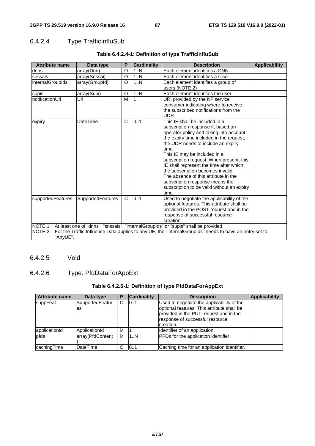### 6.4.2.4 Type TrafficInfluSub

| <b>Attribute name</b>                                                                                    | Data type                | P            | <b>Cardinality</b> | <b>Description</b>                                                                                             | <b>Applicability</b> |  |  |
|----------------------------------------------------------------------------------------------------------|--------------------------|--------------|--------------------|----------------------------------------------------------------------------------------------------------------|----------------------|--|--|
| dnns                                                                                                     | array(Dnn)               | O            | 1N                 | Each element identifies a DNN.                                                                                 |                      |  |  |
| snssais                                                                                                  | array(Snssai)            | O            | 1N                 | Each element identifies a slice.                                                                               |                      |  |  |
| internalGroupIds                                                                                         | array(GroupId)           | O            | 1N                 | Each element identifies a group of                                                                             |                      |  |  |
|                                                                                                          |                          |              |                    | users.(NOTE 2)                                                                                                 |                      |  |  |
| supis                                                                                                    | array(Supi)              | O            | 1N                 | Each element identifies the user.                                                                              |                      |  |  |
| notificationUri                                                                                          | Uri                      | M            |                    | URI provided by the NF service                                                                                 |                      |  |  |
|                                                                                                          |                          |              |                    | consumer indicating where to receive                                                                           |                      |  |  |
|                                                                                                          |                          |              |                    | the subscribed notifications from the                                                                          |                      |  |  |
|                                                                                                          |                          |              |                    | UDR.                                                                                                           |                      |  |  |
| expiry                                                                                                   | <b>DateTime</b>          | $\mathsf{C}$ | 0.1                | This IE shall be included in a                                                                                 |                      |  |  |
|                                                                                                          |                          |              |                    | subscription response if, based on                                                                             |                      |  |  |
|                                                                                                          |                          |              |                    | operator policy and taking into account                                                                        |                      |  |  |
|                                                                                                          |                          |              |                    | the expiry time included in the request,                                                                       |                      |  |  |
|                                                                                                          |                          |              |                    | the UDR needs to include an expiry                                                                             |                      |  |  |
|                                                                                                          |                          |              |                    | time.                                                                                                          |                      |  |  |
|                                                                                                          |                          |              |                    | This IE may be included in a                                                                                   |                      |  |  |
|                                                                                                          |                          |              |                    | subscription request. When present, this                                                                       |                      |  |  |
|                                                                                                          |                          |              |                    | IE shall represent the time after which                                                                        |                      |  |  |
|                                                                                                          |                          |              |                    | the subscription becomes invalid.                                                                              |                      |  |  |
|                                                                                                          |                          |              |                    | The absence of this attribute in the                                                                           |                      |  |  |
|                                                                                                          |                          |              |                    | subscription response means the                                                                                |                      |  |  |
|                                                                                                          |                          |              |                    | subscription to be valid without an expiry                                                                     |                      |  |  |
|                                                                                                          |                          |              |                    | time.                                                                                                          |                      |  |  |
| supportedFeatures                                                                                        | <b>SupportedFeatures</b> | C.           | 0.1                | Used to negotiate the applicability of the                                                                     |                      |  |  |
|                                                                                                          |                          |              |                    | optional features. This attribute shall be                                                                     |                      |  |  |
|                                                                                                          |                          |              |                    | provided in the POST request and in the                                                                        |                      |  |  |
|                                                                                                          |                          |              |                    | response of successful resource                                                                                |                      |  |  |
| creation.<br>NOTE 1: At least one of "dnns", "snssais", "internalGrouplds" or "supis" shall be provided. |                          |              |                    |                                                                                                                |                      |  |  |
|                                                                                                          |                          |              |                    |                                                                                                                |                      |  |  |
|                                                                                                          |                          |              |                    | NOTE 2: For the Traffic Influence Data applies to any UE, the "internalGroupIds" needs to have an entry set to |                      |  |  |
| "AnyUE".                                                                                                 |                          |              |                    |                                                                                                                |                      |  |  |

### **Table 6.4.2.4-1: Definition of type TrafficInfluSub**

### 6.4.2.5 Void

### 6.4.2.6 Type: PfdDataForAppExt

### **Table 6.4.2.6-1: Definition of type PfdDataForAppExt**

| <b>Attribute name</b> | Data type             | Ð | <b>Cardinality</b> | <b>Description</b>                                                                                                                                                                 | Applicability |
|-----------------------|-----------------------|---|--------------------|------------------------------------------------------------------------------------------------------------------------------------------------------------------------------------|---------------|
| suppFeat              | SupportedFeatur<br>es | O | 101                | Used to negotiate the applicability of the<br>optional features. This attribute shall be<br>provided in the PUT request and in the<br>response of successful resource<br>creation. |               |
| applicationId         | ApplicationId         | M |                    | Identifier of an application.                                                                                                                                                      |               |
| pfds                  | array(PfdContent      | M | 1N                 | <b>PFDs</b> for the application identifier.                                                                                                                                        |               |
| cachingTime           | <b>DateTime</b>       | O | 101                | Caching time for an application identifier.                                                                                                                                        |               |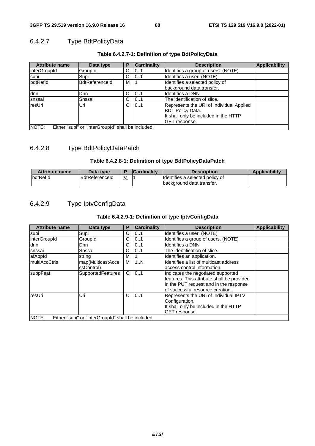### 6.4.2.7 Type BdtPolicyData

| <b>Attribute name</b>                                              | Data type             | P | <b>Cardinality</b> | <b>Description</b>                                                                                                            | <b>Applicability</b> |  |
|--------------------------------------------------------------------|-----------------------|---|--------------------|-------------------------------------------------------------------------------------------------------------------------------|----------------------|--|
| <b>linterGroupId</b>                                               | GroupId               | O | 0.1                | Identifies a group of users. (NOTE)                                                                                           |                      |  |
| supi                                                               | Supi                  | O | 0.1                | Identifies a user. (NOTE)                                                                                                     |                      |  |
| bdtRefld                                                           | <b>BdtReferenceld</b> | м |                    | Identifies a selected policy of                                                                                               |                      |  |
|                                                                    |                       |   |                    | background data transfer.                                                                                                     |                      |  |
| dnn                                                                | Dnn                   | O | 101                | Ildentifies a DNN                                                                                                             |                      |  |
| snssai                                                             | Snssai                | O | 101                | The identification of slice.                                                                                                  |                      |  |
| resUri                                                             | Uri                   | C | 101                | Represents the URI of Individual Applied<br><b>BDT Policy Data.</b><br>It shall only be included in the HTTP<br>GET response. |                      |  |
| <b>NOTE:</b><br>Either "supi" or "interGroupId" shall be included. |                       |   |                    |                                                                                                                               |                      |  |

### **Table 6.4.2.7-1: Definition of type BdtPolicyData**

# 6.4.2.8 Type BdtPolicyDataPatch

### **Table 6.4.2.8-1: Definition of type BdtPolicyDataPatch**

| <b>Attribute name</b> | Data type             |   | <b>Cardinality</b> | Description                     | <b>Applicability</b> |
|-----------------------|-----------------------|---|--------------------|---------------------------------|----------------------|
| <b>bdtRefld</b>       | <b>BdtReferenceld</b> | М |                    | Identifies a selected policy of |                      |
|                       |                       |   |                    | Ibackground data transfer.      |                      |

### 6.4.2.9 Type IptvConfigData

### **Table 6.4.2.9-1: Definition of type IptvConfigData**

| <b>Attribute name</b>                                       | Data type                | Р | <b>Cardinality</b> | <b>Description</b>                         | <b>Applicability</b> |  |
|-------------------------------------------------------------|--------------------------|---|--------------------|--------------------------------------------|----------------------|--|
| supi                                                        | Supi                     | C | 0.1                | Ildentifies a user. (NOTE)                 |                      |  |
| interGroupId                                                | GroupId                  | С | 01                 | Identifies a group of users. (NOTE)        |                      |  |
| dnn                                                         | Dnn                      | O | 01                 | Ildentifies a DNN                          |                      |  |
| snssai                                                      | Snssai                   | O | 0.1                | The identification of slice.               |                      |  |
| afAppId                                                     | string                   | М |                    | Identifies an application.                 |                      |  |
| <b>ImultiAccCtrls</b>                                       | map(MulticastAcce        | м | 1N                 | Identifies a list of multicast address     |                      |  |
|                                                             | ssControl)               |   |                    | laccess control information.               |                      |  |
| suppFeat                                                    | <b>SupportedFeatures</b> | C | 0.1                | Indicates the negotiated supported         |                      |  |
|                                                             |                          |   |                    | features. This attribute shall be provided |                      |  |
|                                                             |                          |   |                    | in the PUT request and in the response     |                      |  |
|                                                             |                          |   |                    | of successful resource creation.           |                      |  |
| resUri                                                      | Uri                      | C | 0.1                | Represents the URI of Individual IPTV      |                      |  |
|                                                             |                          |   |                    | Configuration.                             |                      |  |
|                                                             |                          |   |                    | It shall only be included in the HTTP      |                      |  |
|                                                             |                          |   |                    | GET response.                              |                      |  |
| NOTE:<br>Either "supi" or "interGroupId" shall be included. |                          |   |                    |                                            |                      |  |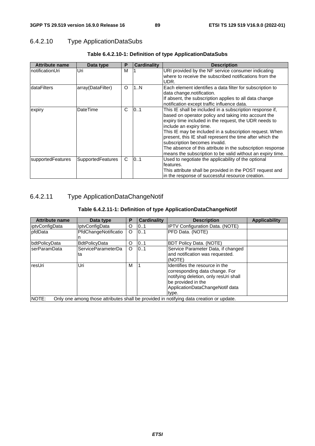### 6.4.2.10 Type ApplicationDataSubs

| <b>Attribute name</b> | Data type                | Р  | <b>Cardinality</b> | <b>Description</b>                                                                                                                                                                                                                                                                                                                                                                                                                                                                        |
|-----------------------|--------------------------|----|--------------------|-------------------------------------------------------------------------------------------------------------------------------------------------------------------------------------------------------------------------------------------------------------------------------------------------------------------------------------------------------------------------------------------------------------------------------------------------------------------------------------------|
| InotificationUri      | Uri                      | м  |                    | URI provided by the NF service consumer indicating<br>where to receive the subscribed notifications from the<br>UDR.                                                                                                                                                                                                                                                                                                                                                                      |
| <b>dataFilters</b>    | array(DataFilter)        | O  | 1N                 | Each element identifies a data filter for subscription to<br>data change.notification.<br>If absent, the subscription applies to all data change<br>notification except traffic influence data.                                                                                                                                                                                                                                                                                           |
| expiry                | DateTime                 | C. | 101                | This IE shall be included in a subscription response if,<br>based on operator policy and taking into account the<br>expiry time included in the request, the UDR needs to<br>include an expiry time.<br>This IE may be included in a subscription request. When<br>present, this IE shall represent the time after which the<br>subscription becomes invalid.<br>The absence of this attribute in the subscription response<br>means the subscription to be valid without an expiry time. |
| supportedFeatures     | <b>SupportedFeatures</b> | C. | 101                | Used to negotiate the applicability of the optional<br>features.<br>This attribute shall be provided in the POST request and<br>in the response of successful resource creation.                                                                                                                                                                                                                                                                                                          |

### **Table 6.4.2.10-1: Definition of type ApplicationDataSubs**

# 6.4.2.11 Type ApplicationDataChangeNotif

| <b>Attribute name</b> | Data type             | Р | <b>Cardinality</b> | <b>Description</b>                                                                      | <b>Applicability</b> |
|-----------------------|-----------------------|---|--------------------|-----------------------------------------------------------------------------------------|----------------------|
| liptvConfiqData       | <b>IptyConfigData</b> | O | 101                | <b>IPTV Configuration Data. (NOTE)</b>                                                  |                      |
| <b>I</b> pfdData      | PfdChangeNotificatio  | O | 101                | PFD Data. (NOTE)                                                                        |                      |
|                       |                       |   |                    |                                                                                         |                      |
| <b>bdtPolicyData</b>  | <b>BdtPolicyData</b>  | O | 0.1                | <b>BDT Policy Data. (NOTE)</b>                                                          |                      |
| lserParamData         | ServiceParameterDa    | O | 101                | Service Parameter Data, if changed                                                      |                      |
|                       | ta                    |   |                    | and notification was requested.                                                         |                      |
|                       |                       |   |                    | (NOTE)                                                                                  |                      |
| resUri                | Uri                   | M |                    | Ildentifies the resource in the                                                         |                      |
|                       |                       |   |                    | corresponding data change. For                                                          |                      |
|                       |                       |   |                    | notifying deletion, only resUri shall                                                   |                      |
|                       |                       |   |                    | be provided in the                                                                      |                      |
|                       |                       |   |                    | ApplicationDataChangeNotif data                                                         |                      |
|                       |                       |   |                    | type.                                                                                   |                      |
| NOTE:                 |                       |   |                    | Only one among those attributes shall be provided in notifying data creation or update. |                      |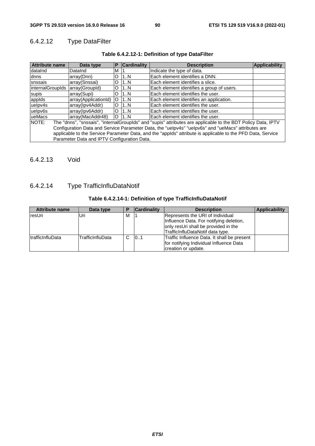### 6.4.2.12 Type DataFilter

| Table 6.4.2.12-1: Definition of type DataFilter |  |  |
|-------------------------------------------------|--|--|
|-------------------------------------------------|--|--|

| <b>Attribute name</b>                                                                                                 | Data type                                   | Р       | <b>Cardinality</b> | <b>Description</b>                        | <b>Applicability</b> |
|-----------------------------------------------------------------------------------------------------------------------|---------------------------------------------|---------|--------------------|-------------------------------------------|----------------------|
| dataInd                                                                                                               | DataInd                                     | M       |                    | Indicate the type of data.                |                      |
| dnns                                                                                                                  | array(Dnn)                                  | O       | 1N                 | Each element identifies a DNN.            |                      |
| snssais                                                                                                               | array(Snssai)                               | O       | 11N                | lEach element identifies a slice.         |                      |
| internalGroupIds array(GroupId)                                                                                       |                                             | O       | 11N                | Each element identifies a group of users. |                      |
| supis                                                                                                                 | array(Supi)                                 | O       | 11N                | Each element identifies the user.         |                      |
| appids                                                                                                                | array(ApplicationId)                        | $\circ$ | 11N                | Each element identifies an application.   |                      |
| uelpv4s                                                                                                               | array(Ipv4Addr)                             | O       | 11N                | Each element identifies the user.         |                      |
| uelpv6s                                                                                                               | array(Ipv6Addr)                             | $\circ$ | 11.N               | lEach element identifies the user.        |                      |
| ueMacs                                                                                                                | array(MacAddr48)                            | $\circ$ | 11N                | <b>IEach element identifies the user.</b> |                      |
| The "dnns", "snssais", "internalGroupIds" and "supis" attributes are applicable to the BDT Policy Data, IPTV<br>NOTE: |                                             |         |                    |                                           |                      |
| Configuration Data and Service Parameter Data, the "uelpv4s" "uelpv6s" and "ueMacs" attributes are                    |                                             |         |                    |                                           |                      |
| applicable to the Service Parameter Data, and the "applds" attribute is applicable to the PFD Data, Service           |                                             |         |                    |                                           |                      |
|                                                                                                                       | Parameter Data and IPTV Configuration Data. |         |                    |                                           |                      |

### 6.4.2.13 Void

# 6.4.2.14 Type TrafficInfluDataNotif

### **Table 6.4.2.14-1: Definition of type TrafficInfluDataNotif**

| <b>Attribute name</b>    | Data type        | D | <b>Cardinality</b> | <b>Description</b>                                                                                                                                      | Applicability |
|--------------------------|------------------|---|--------------------|---------------------------------------------------------------------------------------------------------------------------------------------------------|---------------|
| resUri                   | Uri              | м |                    | Represents the URI of Individual<br>Influence Data. For notifying deletion,<br>only resUri shall be provided in the<br>TrafficInfluDataNotif data type. |               |
| <b>ItrafficInfluData</b> | TrafficInfluData | C | 101                | Traffic Influence Data. It shall be present<br>for notifying Individual Influence Data<br>creation or update.                                           |               |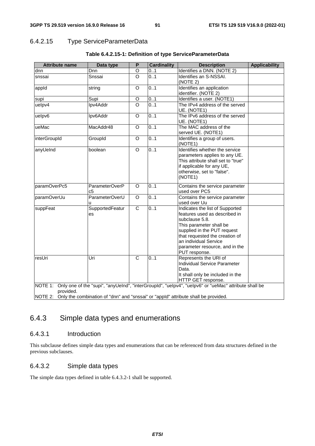### 6.4.2.15 Type ServiceParameterData

| <b>Attribute name</b>                                                                                   | Data type             | P                       | <b>Cardinality</b> | <b>Description</b>                                                                                                                                                                                                                                         | <b>Applicability</b> |
|---------------------------------------------------------------------------------------------------------|-----------------------|-------------------------|--------------------|------------------------------------------------------------------------------------------------------------------------------------------------------------------------------------------------------------------------------------------------------------|----------------------|
| dnn                                                                                                     | Dnn                   | O                       | 0.1                | Identifies a DNN. (NOTE 2)                                                                                                                                                                                                                                 |                      |
| snssai                                                                                                  | Snssai                | $\circ$                 | 0.1                | Identifies an S-NSSAI.                                                                                                                                                                                                                                     |                      |
|                                                                                                         |                       |                         |                    | (NOTE 2)                                                                                                                                                                                                                                                   |                      |
| appid                                                                                                   | string                | O                       | 0.1                | Identifies an application                                                                                                                                                                                                                                  |                      |
|                                                                                                         |                       |                         |                    | identifier. (NOTE 2)                                                                                                                                                                                                                                       |                      |
| supi                                                                                                    | Supi                  | O                       | 0.1                | Identifies a user. (NOTE1)                                                                                                                                                                                                                                 |                      |
| uelpv4                                                                                                  | Ipv4Addr              | $\circ$                 | 0.1                | The IPv4 address of the served<br>UE. (NOTE1)                                                                                                                                                                                                              |                      |
| uelpv6                                                                                                  | Ipv6Addr              | $\overline{O}$          | 0.1                | The IPv6 address of the served<br>UE. (NOTE1)                                                                                                                                                                                                              |                      |
| ueMac                                                                                                   | MacAddr48             | $\circ$                 | 0.1                | The MAC address of the<br>served UE. (NOTE1)                                                                                                                                                                                                               |                      |
| interGroupId                                                                                            | GroupId               | $\Omega$                | 0.1                | Identifies a group of users.<br>(NOTE1)                                                                                                                                                                                                                    |                      |
| anyUeInd                                                                                                | boolean               | $\circ$                 | 0.1                | Identifies whether the service<br>parameters applies to any UE.<br>This attribute shall set to "true"<br>if applicable for any UE,<br>otherwise, set to "false".<br>(NOTE1)                                                                                |                      |
| paramOverPc5                                                                                            | ParameterOverP<br>c5  | $\Omega$                | 0.1                | Contains the service parameter<br>used over PC5                                                                                                                                                                                                            |                      |
| paramOverUu                                                                                             | ParameterOverU<br>u   | $\overline{O}$          | 0.1                | Contains the service parameter<br>used over Uu                                                                                                                                                                                                             |                      |
| suppFeat                                                                                                | SupportedFeatur<br>es | $\overline{\text{c}}$   | 0.1                | Indicates the list of Supported<br>features used as described in<br>subclause 5.8.<br>This parameter shall be<br>supplied in the PUT request<br>that requested the creation of<br>an individual Service<br>parameter resource, and in the<br>PUT response. |                      |
| resUri                                                                                                  | Uri                   | $\overline{\mathsf{c}}$ | 0.1                | Represents the URI of<br>Individual Service Parameter<br>Data.<br>It shall only be included in the<br>HTTP GET response.<br>NOTE 1: Only one of the "supi", "anyUeInd", "interGroupId", "ueIpv4", "ueIpv6" or "ueMac" attribute shall be                   |                      |
| provided.<br>NOTE 2: Only the combination of "dnn" and "snssai" or "appld" attribute shall be provided. |                       |                         |                    |                                                                                                                                                                                                                                                            |                      |

### **Table 6.4.2.15-1: Definition of type ServiceParameterData**

# 6.4.3 Simple data types and enumerations

### 6.4.3.1 Introduction

This subclause defines simple data types and enumerations that can be referenced from data structures defined in the previous subclauses.

### 6.4.3.2 Simple data types

The simple data types defined in table 6.4.3.2-1 shall be supported.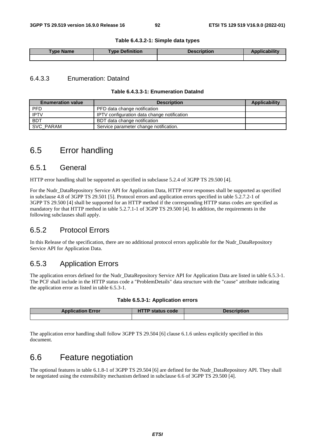#### **Table 6.4.3.2-1: Simple data types**

| Type Name | <b>Type Definition</b> | <b>Description</b> |  |
|-----------|------------------------|--------------------|--|
|           |                        |                    |  |

### 6.4.3.3 Enumeration: DataInd

### **Table 6.4.3.3-1: Enumeration DataInd**

| <b>Enumeration value</b> | <b>Applicability</b>                        |  |
|--------------------------|---------------------------------------------|--|
| <b>PFD</b>               | PFD data change notification                |  |
| <b>IPTV</b>              | IPTV configuration data change notification |  |
| <b>BDT</b>               | BDT data change notification                |  |
| SVC_PARAM                | Service parameter change notification.      |  |

# 6.5 Error handling

### 6.5.1 General

HTTP error handling shall be supported as specified in subclause 5.2.4 of 3GPP TS 29.500 [4].

For the Nudr\_DataRepository Service API for Application Data, HTTP error responses shall be supported as specified in subclause 4.8 of 3GPP TS 29.501 [5]. Protocol errors and application errors specified in table 5.2.7.2-1 of 3GPP TS 29.500 [4] shall be supported for an HTTP method if the corresponding HTTP status codes are specified as mandatory for that HTTP method in table 5.2.7.1-1 of 3GPP TS 29.500 [4]. In addition, the requirements in the following subclauses shall apply.

### 6.5.2 Protocol Errors

In this Release of the specification, there are no additional protocol errors applicable for the Nudr\_DataRepository Service API for Application Data.

### 6.5.3 Application Errors

The application errors defined for the Nudr\_DataRepository Service API for Application Data are listed in table 6.5.3-1. The PCF shall include in the HTTP status code a "ProblemDetails" data structure with the "cause" attribute indicating the application error as listed in table 6.5.3-1.

#### **Table 6.5.3-1: Application errors**

| <b>Application Error</b> | <b>HTTP status code</b> | <b>Description</b> |
|--------------------------|-------------------------|--------------------|
|                          |                         |                    |

The application error handling shall follow 3GPP TS 29.504 [6] clause 6.1.6 unless explicitly specified in this document.

# 6.6 Feature negotiation

The optional features in table 6.1.8-1 of 3GPP TS 29.504 [6] are defined for the Nudr\_DataRepository API. They shall be negotiated using the extensibility mechanism defined in subclause 6.6 of 3GPP TS 29.500 [4].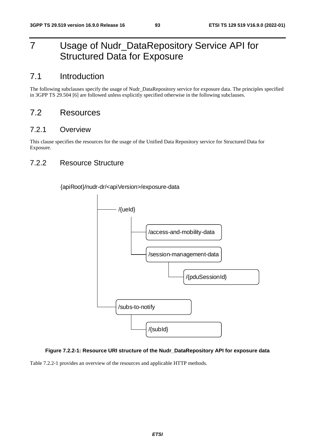# 7 Usage of Nudr\_DataRepository Service API for Structured Data for Exposure

# 7.1 Introduction

The following subclauses specify the usage of Nudr\_DataRepository service for exposure data. The principles specified in 3GPP TS 29.504 [6] are followed unless explicitly specified otherwise in the following subclauses.

## 7.2 Resources

### 7.2.1 Overview

This clause specifies the resources for the usage of the Unified Data Repository service for Structured Data for Exposure.

### 7.2.2 Resource Structure

{apiRoot}/nudr-dr/<apiVersion>/exposure-data



### **Figure 7.2.2-1: Resource URI structure of the Nudr\_DataRepository API for exposure data**

Table 7.2.2-1 provides an overview of the resources and applicable HTTP methods.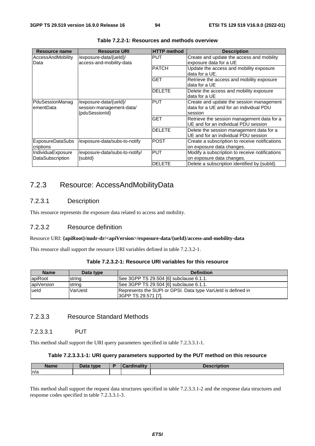| <b>Resource name</b>                         | <b>Resource URI</b>                                                  | <b>HTTP method</b> | <b>Description</b>                                                                             |
|----------------------------------------------|----------------------------------------------------------------------|--------------------|------------------------------------------------------------------------------------------------|
| <b>AccessAndMobility</b><br>Data             | /exposure-data/{ueld}/<br>access-and-mobility-data                   | PUT                | Create and update the access and mobility<br>exposure data for a UE                            |
|                                              |                                                                      | <b>PATCH</b>       | Update the access and mobility exposure<br>data for a $UE$ .                                   |
|                                              |                                                                      | <b>GET</b>         | Retrieve the access and mobility exposure<br>data for a UE                                     |
|                                              |                                                                      | <b>DELETE</b>      | Delete the access and mobility exposure<br>data for a UE                                       |
| PduSessionManag<br>ementData                 | /exposure-data/{ueld}/<br>session-management-data/<br>{pduSessionId} | <b>PUT</b>         | Create and update the session management<br>data for a UE and for an individual PDU<br>session |
|                                              |                                                                      | <b>GET</b>         | Retrieve the session management data for a<br>UE and for an individual PDU session             |
|                                              |                                                                      | <b>DELETE</b>      | Delete the session management data for a<br>UE and for an individual PDU session               |
| <b>ExposureDataSubs</b><br>criptions         | /exposure-data/subs-to-notify                                        | <b>POST</b>        | Create a subscription to receive notifications<br>on exposure data changes.                    |
| IndividuaExposure<br><b>DataSubscription</b> | /exposure-data/subs-to-notify/<br>{subld}                            | <b>PUT</b>         | Modify a subscription to receive notifications<br>on exposure data changes.                    |
|                                              |                                                                      | <b>DELETE</b>      | Delete a subscription identified by {subld}.                                                   |

**Table 7.2.2-1: Resources and methods overview** 

### 7.2.3 Resource: AccessAndMobilityData

### 7.2.3.1 Description

This resource represents the exposure data related to access and mobility.

### 7.2.3.2 Resource definition

#### Resource URI: **{apiRoot}/nudr-dr/<apiVersion>/exposure-data/{ueId}/access-and-mobility-data**

This resource shall support the resource URI variables defined in table 7.2.3.2-1.

| <b>Name</b> | Data type | <b>Definition</b>                                                                   |
|-------------|-----------|-------------------------------------------------------------------------------------|
| lapiRoot    | string    | See 3GPP TS 29.504 [6] subclause 6.1.1.                                             |
| apiVersion  | string    | See 3GPP TS 29.504 [6] subclause 6.1.1.                                             |
| lueld       | VarUeld   | Represents the SUPI or GPSI. Data type VarUeld is defined in<br>3GPP TS 29.571 [7]. |

### 7.2.3.3 Resource Standard Methods

### 7.2.3.3.1 PUT

This method shall support the URI query parameters specified in table 7.2.3.3.1-1.

#### **Table 7.2.3.3.1-1: URI query parameters supported by the PUT method on this resource**

| <b>Name</b> | Data type | <b>Cardinality</b> | <b>Description</b> |
|-------------|-----------|--------------------|--------------------|
| ln/a        |           |                    |                    |

This method shall support the request data structures specified in table 7.2.3.3.1-2 and the response data structures and response codes specified in table 7.2.3.3.1-3.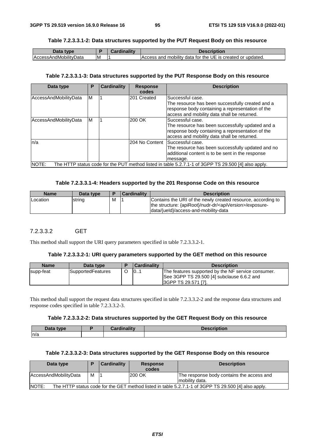### **Table 7.2.3.3.1-2: Data structures supported by the PUT Request Body on this resource**

| Data<br>type                 |    | <br>Cardinalitv | Description                                                |
|------------------------------|----|-----------------|------------------------------------------------------------|
| <b>AccessAndMobilityData</b> | ΙM |                 | Access and mobility data for the UE is created or updated. |

#### **Table 7.2.3.3.1-3: Data structures supported by the PUT Response Body on this resource**

| Data type             | Р | Cardinality | <b>Response</b><br>codes | <b>Description</b>                                                                                                                                                      |
|-----------------------|---|-------------|--------------------------|-------------------------------------------------------------------------------------------------------------------------------------------------------------------------|
| AccessAndMobilityData | M |             | 201 Created              | Successful case.<br>The resource has been successfully created and a<br>response body containing a representation of the<br>access and mobility data shall be returned. |
| AccessAndMobilityData | M |             | 200 OK                   | Successful case.<br>The resource has been successfully updated and a<br>response body containing a representation of the<br>access and mobility data shall be returned. |
| n/a                   |   |             |                          | 204 No Content Successful case.<br>The resource has been successfully updated and no<br>additional content is to be sent in the response<br>message.                    |
| NOTE:                 |   |             |                          | The HTTP status code for the PUT method listed in table 5.2.7.1-1 of 3GPP TS 29.500 [4] also apply.                                                                     |

#### **Table 7.2.3.3.1-4: Headers supported by the 201 Response Code on this resource**

| <b>Name</b> | Data type |   | <b>Cardinality</b> | <b>Description</b>                                                                                                                                                             |
|-------------|-----------|---|--------------------|--------------------------------------------------------------------------------------------------------------------------------------------------------------------------------|
| Location    | string    | м |                    | Contains the URI of the newly created resource, according to<br>the structure: {apiRoot}/nudr-dr/ <apiversion>/exposure-<br/>data/{ueld}/access-and-mobility-data</apiversion> |

### 7.2.3.3.2 GET

This method shall support the URI query parameters specified in table 7.2.3.3.2-1.

#### **Table 7.2.3.3.2-1: URI query parameters supported by the GET method on this resource**

| <b>Name</b> | Data type                | <b>Cardinality</b> | <b>Description</b>                                                                                                       |
|-------------|--------------------------|--------------------|--------------------------------------------------------------------------------------------------------------------------|
| supp-feat   | <b>SupportedFeatures</b> | 0                  | The features supported by the NF service consumer.<br>See 3GPP TS 29.500 [4] subclause 6.6.2 and<br>I3GPP TS 29.571 [7]. |

This method shall support the request data structures specified in table 7.2.3.3.2-2 and the response data structures and response codes specified in table 7.2.3.3.2-3.

#### **Table 7.2.3.3.2-2: Data structures supported by the GET Request Body on this resource**

| Data<br>type | .<br>-- | <b>Description</b> |
|--------------|---------|--------------------|
| n/a          |         |                    |

### **Table 7.2.3.3.2-3: Data structures supported by the GET Response Body on this resource**

| Data type             |   | <b>Cardinality</b> | <b>Response</b><br>codes | <b>Description</b>                                                                                  |
|-----------------------|---|--------------------|--------------------------|-----------------------------------------------------------------------------------------------------|
| AccessAndMobilityData | M |                    | 200 OK                   | The response body contains the access and<br>mobility data.                                         |
| NOTE:                 |   |                    |                          | The HTTP status code for the GET method listed in table 5.2.7.1-1 of 3GPP TS 29.500 [4] also apply. |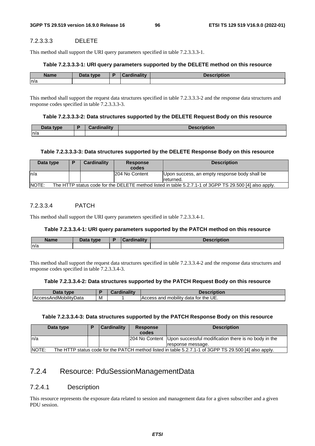### 7.2.3.3.3 DELETE

This method shall support the URI query parameters specified in table 7.2.3.3.3-1.

#### **Table 7.2.3.3.3-1: URI query parameters supported by the DELETE method on this resource**

| Name | <b>Data type</b><br>Dala | <b>Cardinality</b> | .<br><b><i>CONTRACTOR</i></b><br><b>Description</b> |
|------|--------------------------|--------------------|-----------------------------------------------------|
| ln/a |                          |                    |                                                     |

This method shall support the request data structures specified in table 7.2.3.3.3-2 and the response data structures and response codes specified in table 7.2.3.3.3-3.

#### **Table 7.2.3.3.3-2: Data structures supported by the DELETE Request Body on this resource**

| Data tvne   |      | $1000-1$  |
|-------------|------|-----------|
| <b>Data</b> | $-1$ | חטנוטווי. |
| n/a         |      |           |

#### **Table 7.2.3.3.3-3: Data structures supported by the DELETE Response Body on this resource**

| Data type                                                                                                       | P | <b>Cardinality</b> | <b>Response</b><br>codes | <b>Description</b>                                          |  |  |  |
|-----------------------------------------------------------------------------------------------------------------|---|--------------------|--------------------------|-------------------------------------------------------------|--|--|--|
| In/a                                                                                                            |   |                    | 204 No Content           | Upon success, an empty response body shall be<br>Ireturned. |  |  |  |
| NOTE:<br>The HTTP status code for the DELETE method listed in table 5.2.7.1-1 of 3GPP TS 29.500 [4] also apply. |   |                    |                          |                                                             |  |  |  |

### 7.2.3.3.4 PATCH

This method shall support the URI query parameters specified in table 7.2.3.3.4-1.

### **Table 7.2.3.3.4-1: URI query parameters supported by the PATCH method on this resource**

| <b>Name</b> | <b>Data type</b> | Cardinality | Description |
|-------------|------------------|-------------|-------------|
| ln/a        |                  |             |             |

This method shall support the request data structures specified in table 7.2.3.3.4-2 and the response data structures and response codes specified in table 7.2.3.3.4-3.

### **Table 7.2.3.3.4-2: Data structures supported by the PATCH Request Body on this resource**

| Data<br>type                                      |   | .<br>. .<br>Cardi<br>inolity | <b>Description</b>                                        |
|---------------------------------------------------|---|------------------------------|-----------------------------------------------------------|
| <br>$\cdot$ .<br>Data<br>. ıMobilit.<br><b>AC</b> | M |                              | <br>UE.<br>tor the<br>mobility a<br>ano<br>data<br>Access |

#### **Table 7.2.3.3.4-3: Data structures supported by the PATCH Response Body on this resource**

|        | Data type                                                                                             |  | <b>Cardinality</b> | <b>Response</b><br>codes | <b>Description</b>                                                  |  |  |
|--------|-------------------------------------------------------------------------------------------------------|--|--------------------|--------------------------|---------------------------------------------------------------------|--|--|
| In/a   |                                                                                                       |  |                    |                          | 204 No Content Upon successful modification there is no body in the |  |  |
|        |                                                                                                       |  |                    |                          | response message.                                                   |  |  |
| INOTE: | The HTTP status code for the PATCH method listed in table 5.2.7.1-1 of 3GPP TS 29.500 [4] also apply. |  |                    |                          |                                                                     |  |  |

## 7.2.4 Resource: PduSessionManagementData

### 7.2.4.1 Description

This resource represents the exposure data related to session and management data for a given subscriber and a given PDU session.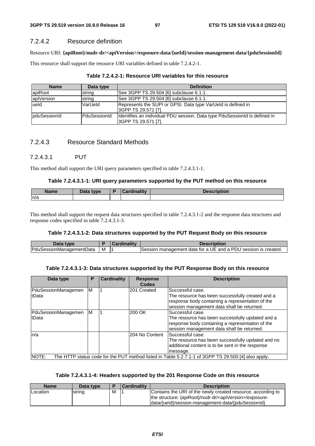### 7.2.4.2 Resource definition

Resource URI: **{apiRoot}/nudr-dr/<apiVersion>/exposure-data/{ueId}/session-management-data/{pduSessionId}**

This resource shall support the resource URI variables defined in table 7.2.4.2-1.

| <b>Name</b>           | Data type     | <b>Definition</b>                                                                                  |
|-----------------------|---------------|----------------------------------------------------------------------------------------------------|
| apiRoot               | string        | See 3GPP TS 29.504 [6] subclause 6.1.1.                                                            |
| apiVersion            | string        | See 3GPP TS 29.504 [6] subclause 6.1.1.                                                            |
| lueld                 | VarUeld       | Represents the SUPI or GPSI. Data type VarUeld is defined in<br>SGPP TS 29.571 [7].                |
| <b>I</b> pduSessionId | lPduSessionId | Identifies an individual PDU session. Data type PduSessionId is defined in<br> 3GPP TS 29.571 [7]. |

### 7.2.4.3 Resource Standard Methods

### 7.2.4.3.1 PUT

This method shall support the URI query parameters specified in table 7.2.4.3.1-1.

### **Table 7.2.4.3.1-1: URI query parameters supported by the PUT method on this resource**

| <b>Name</b> | <b>Pata type</b> | ببهزا ومعاز<br> | <b>Description</b> |
|-------------|------------------|-----------------|--------------------|
| ln/a        |                  |                 |                    |

This method shall support the request data structures specified in table 7.2.4.3.1-2 and the response data structures and response codes specified in table 7.2.4.3.1-3.

### **Table 7.2.4.3.1-2: Data structures supported by the PUT Request Body on this resource**

| Data<br>'vne                     |   | -1145<br>nalitv | cription                                                                      |
|----------------------------------|---|-----------------|-------------------------------------------------------------------------------|
| Pdu.<br>Data<br>ssionManadementL | M |                 | management data for a UE and a PDU<br><b>Session</b><br>session is<br>created |

### **Table 7.2.4.3.1-3: Data structures supported by the PUT Response Body on this resource**

| Data type           | Р | <b>Cardinality</b> | <b>Response</b> | <b>Description</b>                                                                                  |
|---------------------|---|--------------------|-----------------|-----------------------------------------------------------------------------------------------------|
|                     |   |                    | <b>Codes</b>    |                                                                                                     |
| PduSessionManagemen | M |                    | 201 Created     | Successful case.                                                                                    |
| <b>ItData</b>       |   |                    |                 | The resource has been successfully created and a                                                    |
|                     |   |                    |                 | response body containing a representation of the                                                    |
|                     |   |                    |                 | session management data shall be returned.                                                          |
| PduSessionManagemen | M |                    | 200 OK          | Successful case.                                                                                    |
| <b>ItData</b>       |   |                    |                 | The resource has been successfully updated and a                                                    |
|                     |   |                    |                 | response body containing a representation of the                                                    |
|                     |   |                    |                 | session management data shall be returned.                                                          |
| ln/a                |   |                    | 204 No Content  | lSuccessful case.                                                                                   |
|                     |   |                    |                 | The resource has been successfully updated and no                                                   |
|                     |   |                    |                 | additional content is to be sent in the response                                                    |
|                     |   |                    |                 | message.                                                                                            |
| NOTE:               |   |                    |                 | The HTTP status code for the PUT method listed in Table 5.2.7.1-1 of 3GPP TS 29.500 [4] also apply. |

### **Table 7.2.4.3.1-4: Headers supported by the 201 Response Code on this resource**

| <b>Name</b> | Data type |   | <b>Cardinality</b> | <b>Description</b>                                                                                                                                                                            |
|-------------|-----------|---|--------------------|-----------------------------------------------------------------------------------------------------------------------------------------------------------------------------------------------|
| Location    | string    | M |                    | Contains the URI of the newly created resource, according to<br>the structure: {apiRoot}/nudr-dr/ <apiversion>/exposure-<br/> data/{ueld}/session-management-data/{pduSessionId}</apiversion> |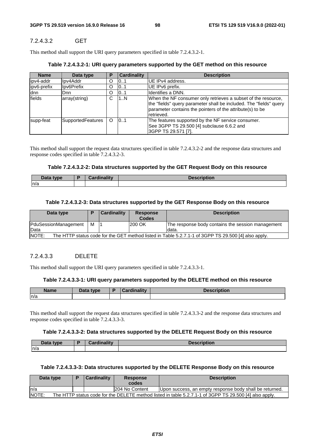### 7.2.4.3.2 GET

This method shall support the URI query parameters specified in table 7.2.4.3.2-1.

### **Table 7.2.4.3.2-1: URI query parameters supported by the GET method on this resource**

| <b>Name</b> | Data type                |   | <b>Cardinality</b> | <b>Description</b>                                                                                                                                                                                             |
|-------------|--------------------------|---|--------------------|----------------------------------------------------------------------------------------------------------------------------------------------------------------------------------------------------------------|
| ipv4-addr   | llpv4Addr                |   | 101                | UE IPv4 address.                                                                                                                                                                                               |
| ipv6-prefix | Ipv6Prefix               |   | 101                | UE IPv6 prefix.                                                                                                                                                                                                |
| ldnn        | <b>D</b> nn              |   | 101                | Identifies a DNN.                                                                                                                                                                                              |
| fields      | array(string)            |   | 1N                 | When the NF consumer only retrieves a subset of the resource,<br>the "fields" query parameter shall be included. The "fields" query<br>parameter contains the pointers of the attribute(s) to be<br>retrieved. |
| supp-feat   | <b>SupportedFeatures</b> | O | 0.1                | The features supported by the NF service consumer.<br>See 3GPP TS 29.500 [4] subclause 6.6.2 and<br>3GPP TS 29.571 [7].                                                                                        |

This method shall support the request data structures specified in table 7.2.4.3.2-2 and the response data structures and response codes specified in table 7.2.4.3.2-3.

### **Table 7.2.4.3.2-2: Data structures supported by the GET Request Body on this resource**

| Data type | <b><i>Poralinality</i></b> | Jes <sup>,</sup><br>puvil |
|-----------|----------------------------|---------------------------|
| n/a       |                            |                           |

### **Table 7.2.4.3.2-3: Data structures supported by the GET Response Body on this resource**

| Data type            |   | <b>Cardinality</b> | <b>Response</b><br><b>Codes</b> | <b>Description</b>                                                                                  |
|----------------------|---|--------------------|---------------------------------|-----------------------------------------------------------------------------------------------------|
| PduSessionManagement | М |                    | 1200 OK                         | The response body contains the session management                                                   |
| Data                 |   |                    |                                 | ldata.                                                                                              |
| NOTE:                |   |                    |                                 | The HTTP status code for the GET method listed in Table 5.2.7.1-1 of 3GPP TS 29.500 [4] also apply. |

### 7.2.4.3.3 DELETE

This method shall support the URI query parameters specified in table 7.2.4.3.3-1.

#### **Table 7.2.4.3.3-1: URI query parameters supported by the DELETE method on this resource**

| <b>Name</b> | Data type<br><i>_o</i> ua | B | <b>Tinality</b><br>`ord | <b>SCription</b> |
|-------------|---------------------------|---|-------------------------|------------------|
| n/a         |                           |   |                         |                  |

This method shall support the request data structures specified in table 7.2.4.3.3-2 and the response data structures and response codes specified in table 7.2.4.3.3-3.

#### **Table 7.2.4.3.3-2: Data structures supported by the DELETE Request Body on this resource**

| D <sub>2</sub><br>type<br>Dala | <b>Cordinality</b><br>.711 | Nescrintion<br><b>Description</b> |
|--------------------------------|----------------------------|-----------------------------------|
| n/a                            |                            |                                   |

#### **Table 7.2.4.3.3-3: Data structures supported by the DELETE Response Body on this resource**

| Data type |                                                                                                        |  | <b>Cardinality</b> | <b>Response</b><br>codes | <b>Description</b>                                        |  |  |  |
|-----------|--------------------------------------------------------------------------------------------------------|--|--------------------|--------------------------|-----------------------------------------------------------|--|--|--|
| n/a       |                                                                                                        |  |                    | 1204 No Content          | (Upon success, an empty response body shall be returned.) |  |  |  |
| NOTE:     | The HTTP status code for the DELETE method listed in table 5.2.7.1-1 of 3GPP TS 29.500 [4] also apply. |  |                    |                          |                                                           |  |  |  |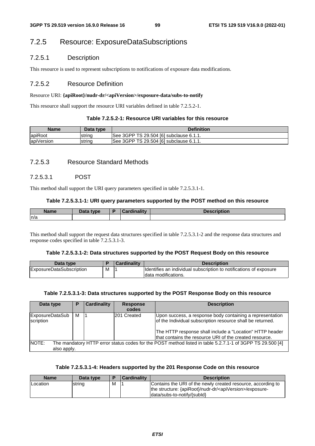### 7.2.5 Resource: ExposureDataSubscriptions

### 7.2.5.1 Description

This resource is used to represent subscriptions to notifications of exposure data modifications.

### 7.2.5.2 Resource Definition

#### Resource URI: **{apiRoot}/nudr-dr/<apiVersion>/exposure-data/subs-to-notify**

This resource shall support the resource URI variables defined in table 7.2.5.2-1.

#### **Table 7.2.5.2-1: Resource URI variables for this resource**

| <b>Name</b> | Data type | <b>Definition</b>                       |
|-------------|-----------|-----------------------------------------|
| apiRoot     | strina    | See 3GPP TS 29.504 [6] subclause 6.1.1. |
| apiVersion  | string    | See 3GPP TS 29.504 [6] subclause 6.1.1. |

### 7.2.5.3 Resource Standard Methods

### 7.2.5.3.1 POST

This method shall support the URI query parameters specified in table 7.2.5.3.1-1.

#### **Table 7.2.5.3.1-1: URI query parameters supported by the POST method on this resource**

| <b>Name</b> | $\Box$ ata type<br>Dala | ببهزا و مرزاوی و ۱ | $-1 - n$ and the same<br><b>DESCRIPTION</b> |
|-------------|-------------------------|--------------------|---------------------------------------------|
| ln/a        |                         |                    |                                             |

This method shall support the request data structures specified in table 7.2.5.3.1-2 and the response data structures and response codes specified in table 7.2.5.3.1-3.

#### **Table 7.2.5.3.1-2: Data structures supported by the POST Request Body on this resource**

| Data type                       |   | <b>Cardinality</b> | <b>Description</b>                                                 |
|---------------------------------|---|--------------------|--------------------------------------------------------------------|
| <b>ExposureDataSubscription</b> | M |                    | Identifies an individual subscription to notifications of exposure |
|                                 |   |                    | Idata modifications.                                               |

#### **Table 7.2.5.3.1-3: Data structures supported by the POST Response Body on this resource**

| Data type                    | Р | Cardinality | <b>Response</b><br>codes | <b>Description</b>                                                                                                                                                                                                                             |
|------------------------------|---|-------------|--------------------------|------------------------------------------------------------------------------------------------------------------------------------------------------------------------------------------------------------------------------------------------|
| ExposureDataSub<br>scription | м |             | 201 Created              | Upon success, a response body containing a representation<br>of the Individual subscription resource shall be returned.<br>The HTTP response shall include a "Location" HTTP header<br>that contains the resource URI of the created resource. |
| NOTE:<br>also apply.         |   |             |                          | The mandatory HTTP error status codes for the POST method listed in table 5.2.7.1-1 of 3GPP TS 29.500 [4]                                                                                                                                      |

#### **Table 7.2.5.3.1-4: Headers supported by the 201 Response Code on this resource**

| <b>Name</b> | Data type | E | Cardinality | <b>Description</b>                                                                                                                                                    |
|-------------|-----------|---|-------------|-----------------------------------------------------------------------------------------------------------------------------------------------------------------------|
| Location    | string    | м |             | Contains the URI of the newly created resource, according to<br>the structure: {apiRoot}/nudr-dr/ <apiversion>/exposure-<br/>data/subs-to-notify/{subld}</apiversion> |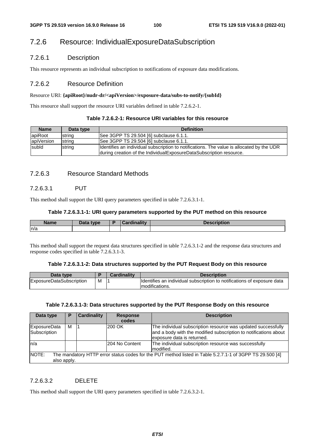# 7.2.6 Resource: IndividualExposureDataSubscription

### 7.2.6.1 Description

This resource represents an individual subscription to notifications of exposure data modifications.

### 7.2.6.2 Resource Definition

#### Resource URI: **{apiRoot}/nudr-dr/<apiVersion>/exposure-data/subs-to-notify/{subId}**

This resource shall support the resource URI variables defined in table 7.2.6.2-1.

#### **Table 7.2.6.2-1: Resource URI variables for this resource**

| <b>Name</b> | Data type | <b>Definition</b>                                                                                                                                                    |
|-------------|-----------|----------------------------------------------------------------------------------------------------------------------------------------------------------------------|
| apiRoot     | string    | See 3GPP TS 29.504 [6] subclause 6.1.1.                                                                                                                              |
| apiVersion  | string    | See 3GPP TS 29.504 [6] subclause 6.1.1.                                                                                                                              |
| subld       | string    | Identifies an individual subscription to notifications. The value is allocated by the UDR<br>Iduring creation of the Individual Exposure Data Subscription resource. |

### 7.2.6.3 Resource Standard Methods

### 7.2.6.3.1 PUT

This method shall support the URI query parameters specified in table 7.2.6.3.1-1.

### **Table 7.2.6.3.1-1: URI query parameters supported by the PUT method on this resource**

| <b>Name</b> | $R = 1$<br>type<br>Data | $r$ ardinality<br>$\sim$ | <b><i><u>PERSONAL PROPERTY AND INCOME.</u></i></b><br>VIIDUON. |
|-------------|-------------------------|--------------------------|----------------------------------------------------------------|
| n/a         |                         |                          |                                                                |

This method shall support the request data structures specified in table 7.2.6.3.1-2 and the response data structures and response codes specified in table 7.2.6.3.1-3.

### **Table 7.2.6.3.1-2: Data structures supported by the PUT Request Body on this resource**

| Data type                       |   | <b>Cardinality</b> | <b>Description</b>                                                      |
|---------------------------------|---|--------------------|-------------------------------------------------------------------------|
| <b>ExposureDataSubscription</b> | M |                    | Identifies an individual subscription to notifications of exposure data |
|                                 |   |                    | Imodifications.                                                         |

### **Table 7.2.6.3.1-3: Data structures supported by the PUT Response Body on this resource**

| Data type                           | Р | <b>Cardinality</b> | <b>Response</b><br>codes | <b>Description</b>                                                                                                                                              |
|-------------------------------------|---|--------------------|--------------------------|-----------------------------------------------------------------------------------------------------------------------------------------------------------------|
| <b>ExposureData</b><br>Subscription | М |                    | 200 OK                   | The individual subscription resource was updated successfully<br>and a body with the modified subscription to notifications about<br>exposure data is returned. |
| n/a                                 |   |                    | 204 No Content           | The individual subscription resource was successfully<br>Imodified.                                                                                             |
| NOTE:<br>also apply.                |   |                    |                          | The mandatory HTTP error status codes for the PUT method listed in Table 5.2.7.1-1 of 3GPP TS 29.500 [4]                                                        |

### 7.2.6.3.2 DELETE

This method shall support the URI query parameters specified in table 7.2.6.3.2-1.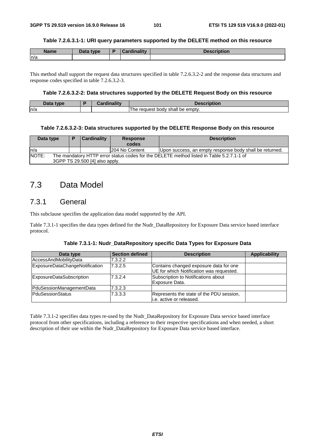#### **Table 7.2.6.3.1-1: URI query parameters supported by the DELETE method on this resource**

| <b>Name</b> | Data type | <b>Cordinality</b><br>aanty<br>oar t | <b>Description</b> |
|-------------|-----------|--------------------------------------|--------------------|
| ln/a        |           |                                      |                    |

This method shall support the request data structures specified in table 7.2.6.3.2-2 and the response data structures and response codes specified in table 7.2.6.3.2-3.

### **Table 7.2.6.3.2-2: Data structures supported by the DELETE Request Body on this resource**

| That<br>tvne | <br>$\sim$ $\sim$ $\sim$<br>------- | .                                            |
|--------------|-------------------------------------|----------------------------------------------|
| ln/a         |                                     | be empty.<br>shall<br>The<br>request<br>body |

#### **Table 7.2.6.3.2-3: Data structures supported by the DELETE Response Body on this resource**

| Data type | Þ                                                                                                                          | <b>Cardinality</b> | <b>Response</b><br>codes | <b>Description</b>                                      |  |  |  |
|-----------|----------------------------------------------------------------------------------------------------------------------------|--------------------|--------------------------|---------------------------------------------------------|--|--|--|
| ln/a      |                                                                                                                            | 204 No Content     |                          | Upon success, an empty response body shall be returned. |  |  |  |
| NOTE:     | The mandatory HTTP error status codes for the DELETE method listed in Table 5.2.7.1-1 of<br>3GPP TS 29.500 [4] also apply. |                    |                          |                                                         |  |  |  |

# 7.3 Data Model

### 7.3.1 General

This subclause specifies the application data model supported by the API.

Table 7.3.1-1 specifies the data types defined for the Nudr\_DataRepository for Exposure Data service based interface protocol.

| Table 7.3.1-1: Nudr_DataRepository specific Data Types for Exposure Data |  |  |  |  |
|--------------------------------------------------------------------------|--|--|--|--|
|--------------------------------------------------------------------------|--|--|--|--|

| Data type                      | <b>Section defined</b> | <b>Description</b>                                                                 | <b>Applicability</b> |
|--------------------------------|------------------------|------------------------------------------------------------------------------------|----------------------|
| <b>AccessAndMobilityData</b>   | 7.3.2.2                |                                                                                    |                      |
| ExposureDataChangeNotification | 7.3.2.5                | Contains changed exposure data for one<br>UE for which Notification was requested. |                      |
| ExposureDataSubscription       | 7.3.2.4                | Subscription to Notifications about<br>Exposure Data.                              |                      |
| PduSessionManagementData       | 7.3.2.3                |                                                                                    |                      |
| PduSessionStatus               | 7.3.3.3                | Represents the state of the PDU session,<br>i.e. active or released.               |                      |

Table 7.3.1-2 specifies data types re-used by the Nudr\_DataRepository for Exposure Data service based interface protocol from other specifications, including a reference to their respective specifications and when needed, a short description of their use within the Nudr\_DataRepository for Exposure Data service based interface.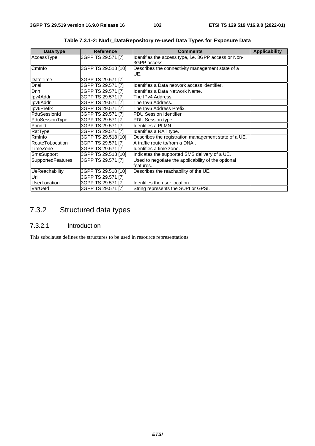| Data type                | <b>Reference</b>    | <b>Comments</b>                                                      | <b>Applicability</b> |
|--------------------------|---------------------|----------------------------------------------------------------------|----------------------|
| AccessType               | 3GPP TS 29.571 [7]  | Identifies the access type, i.e. 3GPP access or Non-<br>3GPP access. |                      |
| CmInfo                   | 3GPP TS 29.518 [10] | Describes the connectivity management state of a<br>UE.              |                      |
| <b>DateTime</b>          | 3GPP TS 29.571 [7]  |                                                                      |                      |
| Dnai                     | 3GPP TS 29.571 [7]  | Identifies a Data network access identifier.                         |                      |
| Dnn                      | 3GPP TS 29.571 [7]  | Identifies a Data Network Name.                                      |                      |
| Ipv4Addr                 | 3GPP TS 29.571 [7]  | The IPv4 Address.                                                    |                      |
| Ipv6Addr                 | 3GPP TS 29.571 [7]  | The Ipv6 Address.                                                    |                      |
| Ipv6Prefix               | 3GPP TS 29.571 [7]  | The Ipv6 Address Prefix.                                             |                      |
| PduSessionId             | 3GPP TS 29.571 [7]  | PDU Session Identifier                                               |                      |
| PduSessionType           | 3GPP TS 29.571 [7]  | PDU Session type.                                                    |                      |
| Pimnid                   | 3GPP TS 29.571 [7]  | Identifies a PLMN.                                                   |                      |
| RatType                  | 3GPP TS 29.571 [7]  | Identifies a RAT type.                                               |                      |
| Rminfo                   | 3GPP TS 29.518 [10] | Describes the registration management state of a UE.                 |                      |
| RouteToLocation          | 3GPP TS 29.571 [7]  | A traffic route to/from a DNAI.                                      |                      |
| TimeZone                 | 3GPP TS 29.571 [7]  | Identifies a time zone.                                              |                      |
| <b>SmsSupport</b>        | 3GPP TS 29.518 [10] | Indicates the supported SMS delivery of a UE.                        |                      |
| <b>SupportedFeatures</b> | 3GPP TS 29.571 [7]  | Used to negotiate the applicability of the optional<br>features.     |                      |
| <b>UeReachability</b>    | 3GPP TS 29.518 [10] | Describes the reachability of the UE.                                |                      |
| Uri                      | 3GPP TS 29.571 [7]  |                                                                      |                      |
| <b>UserLocation</b>      | 3GPP TS 29.571 [7]  | Identifies the user location.                                        |                      |
| VarUeld                  | 3GPP TS 29.571 [7]  | String represents the SUPI or GPSI.                                  |                      |

**Table 7.3.1-2: Nudr\_DataRepository re-used Data Types for Exposure Data** 

# 7.3.2 Structured data types

### 7.3.2.1 Introduction

This subclause defines the structures to be used in resource representations.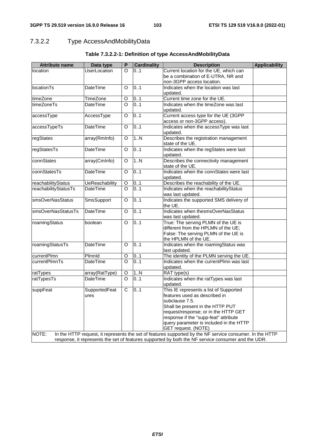# 7.3.2.2 Type AccessAndMobilityData

| <b>Attribute name</b> | Data type             | P                  | <b>Cardinality</b> | <b>Description</b>                                                                                       | <b>Applicability</b> |
|-----------------------|-----------------------|--------------------|--------------------|----------------------------------------------------------------------------------------------------------|----------------------|
| location              | <b>UserLocation</b>   | O                  | 0.1                | Current location for the UE, which can                                                                   |                      |
|                       |                       |                    |                    | be a combination of E-UTRA, NR and                                                                       |                      |
|                       |                       |                    |                    | non-3GPP access location.                                                                                |                      |
| <b>locationTs</b>     | DateTime              | O                  | 0.1                | Indicates when the location was last                                                                     |                      |
|                       |                       |                    |                    | updated.                                                                                                 |                      |
| timeZone              | <b>TimeZone</b>       | O                  | 01                 | Current time zone for the UE.                                                                            |                      |
| timeZoneTs            | <b>DateTime</b>       | $\overline{\circ}$ | 0.1                | Indicates when the timeZone was last                                                                     |                      |
|                       |                       |                    |                    | updated.                                                                                                 |                      |
| accessType            | AccessType            | O                  | 0.1                | Current access type for the UE (3GPP                                                                     |                      |
| accessTypeTs          | DateTime              | O                  | 0.1                | access or non-3GPP access).<br>Indicates when the accessType was last                                    |                      |
|                       |                       |                    |                    | updated.                                                                                                 |                      |
| regStates             | array(RmInfo)         | O                  | 1.N                | Describes the registration management                                                                    |                      |
|                       |                       |                    |                    | state of the UE.                                                                                         |                      |
| regStatesTs           | <b>DateTime</b>       | O                  | 0.1                | Indicates when the regStates were last                                                                   |                      |
|                       |                       |                    |                    | updated.                                                                                                 |                      |
| connStates            | array(CmInfo)         | O                  | 1N                 | Describes the connectivity management                                                                    |                      |
|                       |                       |                    |                    | state of the UE.                                                                                         |                      |
| connStatesTs          | <b>DateTime</b>       | O                  | 0.1                | Indicates when the connStates were last                                                                  |                      |
|                       |                       |                    |                    | updated.                                                                                                 |                      |
| reachabilityStatus    | <b>UeReachability</b> | O                  | 01                 | Describes the reachability of the UE.                                                                    |                      |
| reachabilityStatusTs  | <b>DateTime</b>       | $\circ$            | 0.1                | Indicates when the reachabilityStatus                                                                    |                      |
|                       |                       |                    |                    | was last updated.                                                                                        |                      |
| smsOverNasStatus      | SmsSupport            | O                  | 0.1                | Indicates the supported SMS delivery of                                                                  |                      |
|                       |                       |                    |                    | the UE.                                                                                                  |                      |
| smsOverNasStatusTs    | <b>DateTime</b>       | O                  | 0.1                | Indicates when thesmsOverNasStatus                                                                       |                      |
|                       |                       |                    |                    | was last updated.                                                                                        |                      |
| roamingStatus         | boolean               | O                  | 0.1                | True: The serving PLMN of the UE is                                                                      |                      |
|                       |                       |                    |                    | different from the HPLMN of the UE;                                                                      |                      |
|                       |                       |                    |                    | False: The serving PLMN of the UE is                                                                     |                      |
| roamingStatusTs       | <b>DateTime</b>       | $\Omega$           | 0.1                | the HPLMN of the UE.<br>Indicates when the roamingStatus was                                             |                      |
|                       |                       |                    |                    | last updated.                                                                                            |                      |
| currentPlmn           | Plmnld                | O                  | 01                 | The identity of the PLMN serving the UE.                                                                 |                      |
| currentPlmnTs         | <b>DateTime</b>       | $\overline{\circ}$ | 0.1                | Indicates when the currentPlmn was last                                                                  |                      |
|                       |                       |                    |                    | updated.                                                                                                 |                      |
| ratTypes              | array(RatType)        | O                  | 1N                 | RAT type(s)                                                                                              |                      |
| ratTypesTs            | <b>DateTime</b>       | $\overline{\circ}$ | 0.1                | Indicates when the ratTypes was last                                                                     |                      |
|                       |                       |                    |                    | updated.                                                                                                 |                      |
| suppFeat              | SupportedFeat         | $\mathsf C$        | 0.1                | This IE represents a list of Supported                                                                   |                      |
|                       | ures                  |                    |                    | features used as described in                                                                            |                      |
|                       |                       |                    |                    | subclause 7.5.                                                                                           |                      |
|                       |                       |                    |                    | Shall be present in the HTTP PUT                                                                         |                      |
|                       |                       |                    |                    | request/response; or in the HTTP GET                                                                     |                      |
|                       |                       |                    |                    | response if the "supp-feat" attribute                                                                    |                      |
|                       |                       |                    |                    | query parameter is included in the HTTP                                                                  |                      |
|                       |                       |                    |                    | GET request. (NOTE)                                                                                      |                      |
| NOTE:                 |                       |                    |                    | In the HTTP request, it represents the set of features supported by the NF service consumer. In the HTTP |                      |
|                       |                       |                    |                    | response, it represents the set of features supported by both the NF service consumer and the UDR.       |                      |

### **Table 7.3.2.2-1: Definition of type AccessAndMobilityData**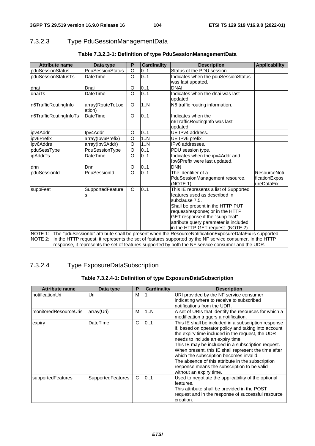### 7.3.2.3 Type PduSessionManagementData

| <b>Attribute name</b>     | Data type                  | P       | <b>Cardinality</b> | <b>Description</b>                                                                                                                                                                                                                                                                 | <b>Applicability</b>                        |
|---------------------------|----------------------------|---------|--------------------|------------------------------------------------------------------------------------------------------------------------------------------------------------------------------------------------------------------------------------------------------------------------------------|---------------------------------------------|
| pduSessionStatus          | <b>PduSessionStatus</b>    | O       | 0.1                | Status of the PDU session.                                                                                                                                                                                                                                                         |                                             |
| <b>pduSessionStatusTs</b> | DateTime                   | O       | 01                 | Indicates when the pduSessionStatus                                                                                                                                                                                                                                                |                                             |
|                           |                            |         |                    | was last updated.                                                                                                                                                                                                                                                                  |                                             |
| dnai                      | Dnai                       | O       | 0.1                | <b>DNAI</b>                                                                                                                                                                                                                                                                        |                                             |
| dnaiTs                    | DateTime                   | $\circ$ | 0.1                | Indicates when the dnai was last<br>updated.                                                                                                                                                                                                                                       |                                             |
| n6TrafficRoutingInfo      | array(RouteToLoc<br>ation) | $\circ$ | 1N                 | N6 traffic routing information.                                                                                                                                                                                                                                                    |                                             |
| n6TrafficRoutingInfoTs    | DateTime                   | $\circ$ | 0.1                | Indicates when the<br>n6TrafficRoutingInfo was last<br>updated.                                                                                                                                                                                                                    |                                             |
| ipv4Addr                  | Ipv4Addr                   | O       | 0.1                | UE IPv4 address.                                                                                                                                                                                                                                                                   |                                             |
| ipv6Prefix                | array(Ipv6Prefix)          | $\circ$ | 1.N                | UE IPv6 prefix.                                                                                                                                                                                                                                                                    |                                             |
| ipv6Addrs                 | array(Ipv6Addr)            | $\circ$ | 1N                 | IPv6 addresses.                                                                                                                                                                                                                                                                    |                                             |
| pduSessType               | PduSessionType             | O       | 0.1                | PDU session type.                                                                                                                                                                                                                                                                  |                                             |
| ipAddrTs                  | DateTime                   | $\circ$ | 0.1                | Indicates when the ipv4Addr and<br>Ipv6Prefix were last updated.                                                                                                                                                                                                                   |                                             |
| dnn                       | Dnn                        | O       | 0.1                | <b>DNN</b>                                                                                                                                                                                                                                                                         |                                             |
| pduSessionId              | PduSessionId               | $\circ$ | 0.1                | The identifier of a<br>PduSessionManagement resource.<br>(NOTE 1).                                                                                                                                                                                                                 | ResourceNoti<br>ficationExpos<br>ureDataFix |
| suppFeat                  | SupportedFeature<br>s      | C       | 0.1                | This IE represents a list of Supported<br>features used as described in<br>subclause 7.5.<br>Shall be present in the HTTP PUT<br>request/response; or in the HTTP<br>GET response if the "supp-feat"<br>attribute query parameter is included<br>in the HTTP GET request. (NOTE 2) |                                             |
|                           |                            |         |                    | NOTE 1: The "pduSessionId" attribute shall be present when the ResourceNotificationExposureDataFix is supported.                                                                                                                                                                   |                                             |
| NOTE 2:                   |                            |         |                    | In the HTTP request, it represents the set of features supported by the NF service consumer. In the HTTP                                                                                                                                                                           |                                             |
|                           |                            |         |                    | response, it represents the set of features supported by both the NF service consumer and the UDR.                                                                                                                                                                                 |                                             |

### **Table 7.3.2.3-1: Definition of type PduSessionManagementData**

### 7.3.2.4 Type ExposureDataSubscription

### **Table 7.3.2.4-1: Definition of type ExposureDataSubscription**

| <b>Attribute name</b> | Data type                | P | <b>Cardinality</b> | <b>Description</b>                                                                                                                                                                                                                                                                                                                                                                                                                                                                           |
|-----------------------|--------------------------|---|--------------------|----------------------------------------------------------------------------------------------------------------------------------------------------------------------------------------------------------------------------------------------------------------------------------------------------------------------------------------------------------------------------------------------------------------------------------------------------------------------------------------------|
| InotificationUri      | Uri                      | M |                    | URI provided by the NF service consumer<br>indicating where to receive to subscribed<br>notifications from the UDR.                                                                                                                                                                                                                                                                                                                                                                          |
| monitoredResourceUris | array(Uri)               | М | 1N                 | A set of URIs that identify the resources for which a<br>modification triggers a notification.                                                                                                                                                                                                                                                                                                                                                                                               |
| expiry                | <b>DateTime</b>          | C | 0.1                | This IE shall be included in a subscription response<br>if, based on operator policy and taking into account<br>the expiry time included in the request, the UDR<br>needs to include an expiry time.<br>This IE may be included in a subscription request.<br>When present, this IE shall represent the time after<br>which the subscription becomes invalid.<br>The absence of this attribute in the subscription<br>response means the subscription to be valid<br>without an expiry time. |
| supportedFeatures     | <b>SupportedFeatures</b> | C | 0.1                | Used to negotiate the applicability of the optional<br>features.<br>This attribute shall be provided in the POST<br>request and in the response of successful resource<br>creation.                                                                                                                                                                                                                                                                                                          |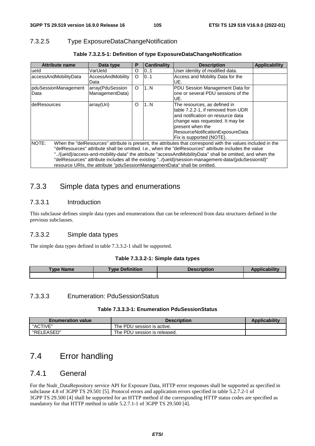### 7.3.2.5 Type ExposureDataChangeNotification

| <b>Attribute name</b>  | Data type                                                                 | P        | <b>Cardinality</b> | <b>Description</b>                                                                                           | <b>Applicability</b> |
|------------------------|---------------------------------------------------------------------------|----------|--------------------|--------------------------------------------------------------------------------------------------------------|----------------------|
| lueld                  | VarUeld                                                                   | $\Omega$ | 0.1                | User identity of modified data.                                                                              |                      |
| laccessAndMobilityData | AccessAndMobility                                                         | $\circ$  | 0.1                | Access and Mobility Data for the                                                                             |                      |
|                        | Data                                                                      |          |                    | IUE.                                                                                                         |                      |
| pduSessionManagement   | array(PduSession                                                          | $\circ$  | 1N                 | PDU Session Management Data for                                                                              |                      |
| Data                   | ManagementData)                                                           |          |                    | lone or several PDU sessions of the                                                                          |                      |
|                        |                                                                           |          |                    | IUE.                                                                                                         |                      |
| IdelResources          | array(Uri)                                                                | $\Omega$ | 1N                 | The resources, as defined in                                                                                 |                      |
|                        |                                                                           |          |                    | table 7.2.2-1, if removed from UDR                                                                           |                      |
|                        |                                                                           |          |                    | and notification on resource data                                                                            |                      |
|                        |                                                                           |          |                    | change was requested. It may be                                                                              |                      |
|                        |                                                                           |          |                    | present when the                                                                                             |                      |
|                        |                                                                           |          |                    | ResourceNotificationExposureData                                                                             |                      |
|                        |                                                                           |          |                    | Fix is supported (NOTE).                                                                                     |                      |
| <b>NOTE:</b>           |                                                                           |          |                    | When the "delResources" attribute is present, the attributes that correspond with the values included in the |                      |
|                        |                                                                           |          |                    | "delResources" attribute shall be omitted. I.e., when the "delResources" attribute includes the value        |                      |
|                        |                                                                           |          |                    | locas-and-mobility-data" the attribute "accessAndMobilityData" shall be omitted, and when the ""             |                      |
|                        |                                                                           |          |                    | "delResources" attribute includes all the existing "/{ueld}/session-management-data/{pduSessionId}"          |                      |
|                        | resource URIs, the attribute "pduSessionManagementData" shall be omitted. |          |                    |                                                                                                              |                      |

### **Table 7.3.2.5-1: Definition of type ExposureDataChangeNotification**

## 7.3.3 Simple data types and enumerations

### 7.3.3.1 Introduction

This subclause defines simple data types and enumerations that can be referenced from data structures defined in the previous subclauses.

### 7.3.3.2 Simple data types

The simple data types defined in table 7.3.3.2-1 shall be supported.

### **Table 7.3.3.2-1: Simple data types**

| <b>Type Name</b> | <b>Type Definition</b> | <b>Description</b> | Applicability |
|------------------|------------------------|--------------------|---------------|
|                  |                        |                    |               |

### 7.3.3.3 Enumeration: PduSessionStatus

#### **Table 7.3.3.3-1: Enumeration PduSessionStatus**

| <b>Enumeration value</b> | <b>Description</b>           | <b>Applicability</b> |
|--------------------------|------------------------------|----------------------|
| "ACTIVE"                 | The PDU session is active.   |                      |
| "RELEASED"               | The PDU session is released. |                      |

# 7.4 Error handling

### 7.4.1 General

For the Nudr\_DataRepository service API for Exposure Data, HTTP error responses shall be supported as specified in subclause 4.8 of 3GPP TS 29.501 [5]. Protocol errors and application errors specified in table 5.2.7.2-1 of 3GPP TS 29.500 [4] shall be supported for an HTTP method if the corresponding HTTP status codes are specified as mandatory for that HTTP method in table 5.2.7.1-1 of 3GPP TS 29.500 [4].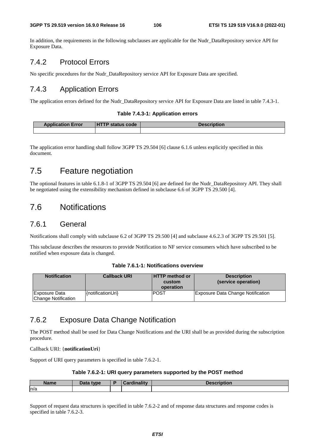In addition, the requirements in the following subclauses are applicable for the Nudr\_DataRepository service API for Exposure Data.

### 7.4.2 Protocol Errors

No specific procedures for the Nudr\_DataRepository service API for Exposure Data are specified.

### 7.4.3 Application Errors

The application errors defined for the Nudr\_DataRepository service API for Exposure Data are listed in table 7.4.3-1.

#### **Table 7.4.3-1: Application errors**

| <b>Application Error</b> | <b>TP status code</b><br>1 H Z | <b>Description</b> |
|--------------------------|--------------------------------|--------------------|
|                          |                                |                    |

The application error handling shall follow 3GPP TS 29.504 [6] clause 6.1.6 unless explicitly specified in this document.

# 7.5 Feature negotiation

The optional features in table 6.1.8-1 of 3GPP TS 29.504 [6] are defined for the Nudr\_DataRepository API. They shall be negotiated using the extensibility mechanism defined in subclause 6.6 of 3GPP TS 29.500 [4].

# 7.6 Notifications

### 7.6.1 General

Notifications shall comply with subclause 6.2 of 3GPP TS 29.500 [4] and subclause 4.6.2.3 of 3GPP TS 29.501 [5].

This subclause describes the resources to provide Notification to NF service consumers which have subscribed to be notified when exposure data is changed.

### **Table 7.6.1-1: Notifications overview**

| <b>Notification</b>                  | <b>Callback URI</b>   | <b>HTTP method or</b><br>custom<br>operation | <b>Description</b><br>(service operation) |
|--------------------------------------|-----------------------|----------------------------------------------|-------------------------------------------|
| Exposure Data<br>Change Notification | $\{$ notificationUri} | <b>POST</b>                                  | <b>Exposure Data Change Notification</b>  |

### 7.6.2 Exposure Data Change Notification

The POST method shall be used for Data Change Notifications and the URI shall be as provided during the subscription procedure.

#### Callback URI: {**notificationUri**}

Support of URI query parameters is specified in table 7.6.2-1.

#### **Table 7.6.2-1: URI query parameters supported by the POST method**

| <b>Nome</b><br>ame | Data type<br>Pata | Ð | $: -1:$<br>`^~ |  |
|--------------------|-------------------|---|----------------|--|
| ln/a               |                   |   |                |  |

Support of request data structures is specified in table 7.6.2-2 and of response data structures and response codes is specified in table 7.6.2-3.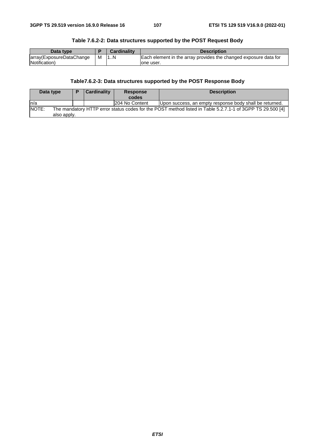| Data type                |   | <b>Cardinality</b> | <b>Description</b>                                               |
|--------------------------|---|--------------------|------------------------------------------------------------------|
| array(ExposureDataChange | M | 1.1N               | Each element in the array provides the changed exposure data for |
| Notification)            |   |                    | lone user.                                                       |

### **Table 7.6.2-2: Data structures supported by the POST Request Body**

### **Table7.6.2-3: Data structures supported by the POST Response Body**

| Data type                                                                                                          |             | D | Cardinality | Response       | <b>Description</b>                                      |  |  |
|--------------------------------------------------------------------------------------------------------------------|-------------|---|-------------|----------------|---------------------------------------------------------|--|--|
|                                                                                                                    |             |   | codes       |                |                                                         |  |  |
| In/a                                                                                                               |             |   |             | 204 No Content | Upon success, an empty response body shall be returned. |  |  |
| NOTE:<br>The mandatory HTTP error status codes for the POST method listed in Table 5.2.7.1-1 of 3GPP TS 29.500 [4] |             |   |             |                |                                                         |  |  |
|                                                                                                                    | also apply. |   |             |                |                                                         |  |  |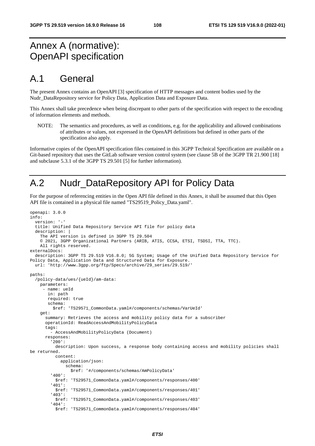### Annex A (normative): OpenAPI specification

### A.1 General

The present Annex contains an OpenAPI [3] specification of HTTP messages and content bodies used by the Nudr\_DataRepository service for Policy Data, Application Data and Exposure Data.

This Annex shall take precedence when being discrepant to other parts of the specification with respect to the encoding of information elements and methods.

NOTE: The semantics and procedures, as well as conditions, e.g. for the applicability and allowed combinations of attributes or values, not expressed in the OpenAPI definitions but defined in other parts of the specification also apply.

Informative copies of the OpenAPI specification files contained in this 3GPP Technical Specification are available on a Git-based repository that uses the GitLab software version control system (see clause 5B of the 3GPP TR 21.900 [18] and subclause 5.3.1 of the 3GPP TS 29.501 [5] for further information).

# A.2 Nudr\_DataRepository API for Policy Data

For the purpose of referencing entities in the Open API file defined in this Annex, it shall be assumed that this Open API file is contained in a physical file named "TS29519\_Policy\_Data.yaml".

```
openapi: 3.0.0 
info: 
   version: '-' 
   title: Unified Data Repository Service API file for policy data 
   description: | 
     The API version is defined in 3GPP TS 29.504 
     © 2021, 3GPP Organizational Partners (ARIB, ATIS, CCSA, ETSI, TSDSI, TTA, TTC). 
     All rights reserved. 
externalDocs: 
   description: 3GPP TS 29.519 V16.8.0; 5G System; Usage of the Unified Data Repository Service for 
Policy Data, Application Data and Structured Data for Exposure. 
   url: 'http://www.3gpp.org/ftp/Specs/archive/29_series/29.519/' 
paths: 
   /policy-data/ues/{ueId}/am-data: 
     parameters: 
       - name: ueId 
        in: path 
        required: true 
        schema: 
          $ref: 'TS29571_CommonData.yaml#/components/schemas/VarUeId' 
     get: 
       summary: Retrieves the access and mobility policy data for a subscriber 
       operationId: ReadAccessAndMobilityPolicyData 
       tags: 
         - AccessAndMobilityPolicyData (Document) 
       responses: 
          '200': 
           description: Upon success, a response body containing access and mobility policies shall 
be returned. 
           content: 
             application/json: 
                schema: 
                  $ref: '#/components/schemas/AmPolicyData' 
         '400': 
            $ref: 'TS29571_CommonData.yaml#/components/responses/400' 
          '401': 
           $ref: 'TS29571_CommonData.yaml#/components/responses/401' 
          '403': 
           $ref: 'TS29571_CommonData.yaml#/components/responses/403' 
          '404': 
           $ref: 'TS29571_CommonData.yaml#/components/responses/404'
```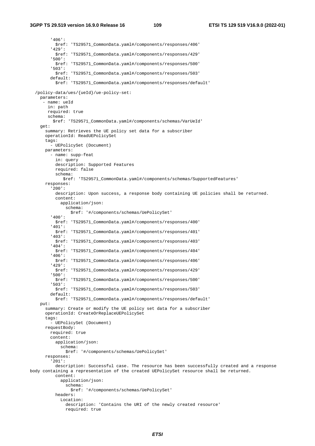#### **3GPP TS 29.519 version 16.9.0 Release 16 109 ETSI TS 129 519 V16.9.0 (2022-01)**

 '406': \$ref: 'TS29571\_CommonData.yaml#/components/responses/406' '429': \$ref: 'TS29571\_CommonData.yaml#/components/responses/429' '500': \$ref: 'TS29571\_CommonData.yaml#/components/responses/500' '503': \$ref: 'TS29571\_CommonData.yaml#/components/responses/503' default: \$ref: 'TS29571\_CommonData.yaml#/components/responses/default' /policy-data/ues/{ueId}/ue-policy-set: parameters: - name: ueId in: path required: true schema: \$ref: 'TS29571\_CommonData.yaml#/components/schemas/VarUeId' get: summary: Retrieves the UE policy set data for a subscriber operationId: ReadUEPolicySet tags: - UEPolicySet (Document) parameters: - name: supp-feat in: query description: Supported Features required: false schema: \$ref: 'TS29571\_CommonData.yaml#/components/schemas/SupportedFeatures' responses: '200': description: Upon success, a response body containing UE policies shall be returned. content: application/json: schema: \$ref: '#/components/schemas/UePolicySet' '400': \$ref: 'TS29571\_CommonData.yaml#/components/responses/400' '401': \$ref: 'TS29571\_CommonData.yaml#/components/responses/401' '403': \$ref: 'TS29571\_CommonData.yaml#/components/responses/403' '404': \$ref: 'TS29571\_CommonData.yaml#/components/responses/404' '406': \$ref: 'TS29571\_CommonData.yaml#/components/responses/406' '429': \$ref: 'TS29571\_CommonData.yaml#/components/responses/429' '500': \$ref: 'TS29571\_CommonData.yaml#/components/responses/500' '503': \$ref: 'TS29571\_CommonData.yaml#/components/responses/503' default: \$ref: 'TS29571\_CommonData.yaml#/components/responses/default' put: summary: Create or modify the UE policy set data for a subscriber operationId: CreateOrReplaceUEPolicySet tags: - UEPolicySet (Document) requestBody: required: true content: application/json: schema: \$ref: '#/components/schemas/UePolicySet' responses: '201': description: Successful case. The resource has been successfully created and a response body containing a representation of the created UEPolicySet resource shall be returned. content: application/json: schema: \$ref: '#/components/schemas/UePolicySet' headers: Location: description: 'Contains the URI of the newly created resource' required: true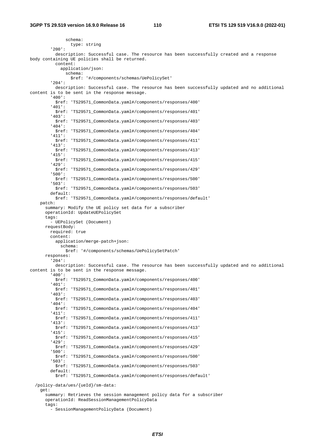schema: type: string '200': description: Successful case. The resource has been successfully created and a response body containing UE policies shall be returned. content: application/json: schema: \$ref: '#/components/schemas/UePolicySet' '204': description: Successful case. The resource has been successfully updated and no additional content is to be sent in the response message. '400': \$ref: 'TS29571\_CommonData.yaml#/components/responses/400' '401': \$ref: 'TS29571\_CommonData.yaml#/components/responses/401' '403': \$ref: 'TS29571\_CommonData.yaml#/components/responses/403' '404': \$ref: 'TS29571\_CommonData.yaml#/components/responses/404' '411': \$ref: 'TS29571\_CommonData.yaml#/components/responses/411' '413': \$ref: 'TS29571\_CommonData.yaml#/components/responses/413' '415': \$ref: 'TS29571\_CommonData.yaml#/components/responses/415' '429': \$ref: 'TS29571\_CommonData.yaml#/components/responses/429' '500': \$ref: 'TS29571\_CommonData.yaml#/components/responses/500' '503': \$ref: 'TS29571\_CommonData.yaml#/components/responses/503' default: \$ref: 'TS29571\_CommonData.yaml#/components/responses/default' patch: summary: Modify the UE policy set data for a subscriber operationId: UpdateUEPolicySet tags: - UEPolicySet (Document) requestBody: required: true content: application/merge-patch+json: schema: \$ref: '#/components/schemas/UePolicySetPatch' responses: '204': description: Successful case. The resource has been successfully updated and no additional content is to be sent in the response message. '400': \$ref: 'TS29571\_CommonData.yaml#/components/responses/400' '401': \$ref: 'TS29571\_CommonData.yaml#/components/responses/401' '403': \$ref: 'TS29571\_CommonData.yaml#/components/responses/403' '404': \$ref: 'TS29571\_CommonData.yaml#/components/responses/404' '411': \$ref: 'TS29571\_CommonData.yaml#/components/responses/411' '413': \$ref: 'TS29571\_CommonData.yaml#/components/responses/413' '415': \$ref: 'TS29571\_CommonData.yaml#/components/responses/415' '429': \$ref: 'TS29571\_CommonData.yaml#/components/responses/429' '500': \$ref: 'TS29571\_CommonData.yaml#/components/responses/500' '503': \$ref: 'TS29571\_CommonData.yaml#/components/responses/503' default: \$ref: 'TS29571\_CommonData.yaml#/components/responses/default' /policy-data/ues/{ueId}/sm-data: get: summary: Retrieves the session management policy data for a subscriber operationId: ReadSessionManagementPolicyData tags:

- SessionManagementPolicyData (Document)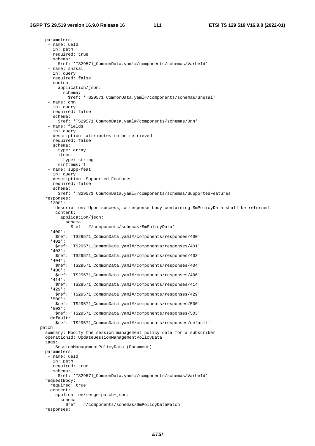parameters: - name: ueId in: path required: true schema: \$ref: 'TS29571\_CommonData.yaml#/components/schemas/VarUeId' - name: snssai in: query required: false content: application/json: schema: \$ref: 'TS29571\_CommonData.yaml#/components/schemas/Snssai' - name: dnn in: query required: false schema: \$ref: 'TS29571\_CommonData.yaml#/components/schemas/Dnn' - name: fields in: query description: attributes to be retrieved required: false schema: type: array items: type: string minItems: 1 - name: supp-feat in: query description: Supported Features required: false schema: \$ref: 'TS29571\_CommonData.yaml#/components/schemas/SupportedFeatures' responses: '200': description: Upon success, a response body containing SmPolicyData shall be returned. content: application/json: schema: \$ref: '#/components/schemas/SmPolicyData' '400': \$ref: 'TS29571\_CommonData.yaml#/components/responses/400' '401': \$ref: 'TS29571\_CommonData.yaml#/components/responses/401' '403': \$ref: 'TS29571\_CommonData.yaml#/components/responses/403' '404': \$ref: 'TS29571\_CommonData.yaml#/components/responses/404' '406': \$ref: 'TS29571\_CommonData.yaml#/components/responses/406' '414': \$ref: 'TS29571\_CommonData.yaml#/components/responses/414' '429': \$ref: 'TS29571\_CommonData.yaml#/components/responses/429' '500': \$ref: 'TS29571\_CommonData.yaml#/components/responses/500' '503': \$ref: 'TS29571\_CommonData.yaml#/components/responses/503' default: \$ref: 'TS29571\_CommonData.yaml#/components/responses/default' patch: summary: Modify the session management policy data for a subscriber operationId: UpdateSessionManagementPolicyData tags: - SessionManagementPolicyData (Document) parameters: - name: ueId in: path required: true schema: \$ref: 'TS29571\_CommonData.yaml#/components/schemas/VarUeId' requestBody: required: true content: application/merge-patch+json: schema: \$ref: '#/components/schemas/SmPolicyDataPatch' responses: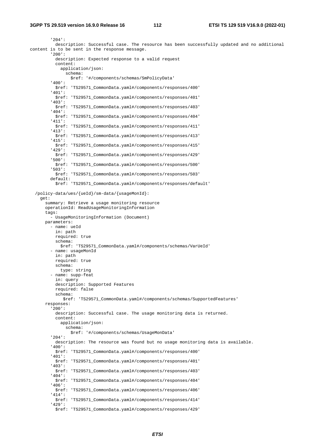'204': description: Successful case. The resource has been successfully updated and no additional content is to be sent in the response message. '200': description: Expected response to a valid request content: application/json: schema: \$ref: '#/components/schemas/SmPolicyData' '400': \$ref: 'TS29571\_CommonData.yaml#/components/responses/400' '401': \$ref: 'TS29571\_CommonData.yaml#/components/responses/401' '403': \$ref: 'TS29571\_CommonData.yaml#/components/responses/403' '404': \$ref: 'TS29571\_CommonData.yaml#/components/responses/404' '411': \$ref: 'TS29571\_CommonData.yaml#/components/responses/411' '413': \$ref: 'TS29571\_CommonData.yaml#/components/responses/413' '415': \$ref: 'TS29571\_CommonData.yaml#/components/responses/415' '429': \$ref: 'TS29571\_CommonData.yaml#/components/responses/429' '500': \$ref: 'TS29571\_CommonData.yaml#/components/responses/500' '503': \$ref: 'TS29571\_CommonData.yaml#/components/responses/503' default: \$ref: 'TS29571\_CommonData.yaml#/components/responses/default' /policy-data/ues/{ueId}/sm-data/{usageMonId}: get: summary: Retrieve a usage monitoring resource operationId: ReadUsageMonitoringInformation tags: - UsageMonitoringInformation (Document) parameters: - name: ueId in: path required: true schema: \$ref: 'TS29571\_CommonData.yaml#/components/schemas/VarUeId' - name: usageMonId in: path required: true schema: type: string - name: supp-feat in: query description: Supported Features required: false schema: \$ref: 'TS29571\_CommonData.yaml#/components/schemas/SupportedFeatures' responses: '200': description: Successful case. The usage monitoring data is returned. content: application/json: schema: \$ref: '#/components/schemas/UsageMonData' '204': description: The resource was found but no usage monitoring data is available. '400': \$ref: 'TS29571\_CommonData.yaml#/components/responses/400' '401': \$ref: 'TS29571\_CommonData.yaml#/components/responses/401' '403': \$ref: 'TS29571\_CommonData.yaml#/components/responses/403' '404': \$ref: 'TS29571\_CommonData.yaml#/components/responses/404' '406': \$ref: 'TS29571\_CommonData.yaml#/components/responses/406' '414': \$ref: 'TS29571\_CommonData.yaml#/components/responses/414' '429': \$ref: 'TS29571\_CommonData.yaml#/components/responses/429'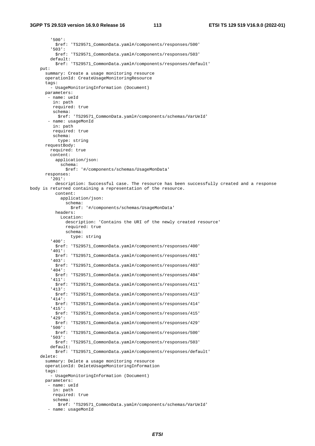#### **3GPP TS 29.519 version 16.9.0 Release 16 113 ETSI TS 129 519 V16.9.0 (2022-01)**

 '500': \$ref: 'TS29571\_CommonData.yaml#/components/responses/500' '503': \$ref: 'TS29571\_CommonData.yaml#/components/responses/503' default: \$ref: 'TS29571\_CommonData.yaml#/components/responses/default' put: summary: Create a usage monitoring resource operationId: CreateUsageMonitoringResource tags: - UsageMonitoringInformation (Document) parameters: - name: ueId in: path required: true schema: \$ref: 'TS29571\_CommonData.yaml#/components/schemas/VarUeId' - name: usageMonId in: path required: true schema: type: string requestBody: required: true content: application/json: schema: \$ref: '#/components/schemas/UsageMonData' responses: '201': description: Successful case. The resource has been successfully created and a response body is returned containing a representation of the resource. content: application/json: schema: \$ref: '#/components/schemas/UsageMonData' headers: Location: description: 'Contains the URI of the newly created resource' required: true schema: type: string '400': \$ref: 'TS29571\_CommonData.yaml#/components/responses/400' '401': \$ref: 'TS29571\_CommonData.yaml#/components/responses/401' '403': \$ref: 'TS29571\_CommonData.yaml#/components/responses/403' '404': \$ref: 'TS29571\_CommonData.yaml#/components/responses/404' '411': \$ref: 'TS29571\_CommonData.yaml#/components/responses/411' '413': \$ref: 'TS29571\_CommonData.yaml#/components/responses/413' '414': \$ref: 'TS29571\_CommonData.yaml#/components/responses/414' '415': \$ref: 'TS29571\_CommonData.yaml#/components/responses/415' '429': \$ref: 'TS29571\_CommonData.yaml#/components/responses/429' '500': \$ref: 'TS29571\_CommonData.yaml#/components/responses/500' '503': \$ref: 'TS29571\_CommonData.yaml#/components/responses/503' default: \$ref: 'TS29571\_CommonData.yaml#/components/responses/default' delete: summary: Delete a usage monitoring resource operationId: DeleteUsageMonitoringInformation tags: - UsageMonitoringInformation (Document) parameters: - name: ueId in: path required: true schema: \$ref: 'TS29571\_CommonData.yaml#/components/schemas/VarUeId' - name: usageMonId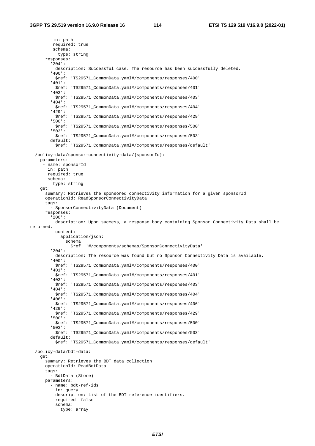in: path required: true schema: type: string responses: '204': description: Successful case. The resource has been successfully deleted. '400': \$ref: 'TS29571\_CommonData.yaml#/components/responses/400' '401': \$ref: 'TS29571\_CommonData.yaml#/components/responses/401' '403': \$ref: 'TS29571\_CommonData.yaml#/components/responses/403' '404': \$ref: 'TS29571\_CommonData.yaml#/components/responses/404' '429': \$ref: 'TS29571\_CommonData.yaml#/components/responses/429' '500': \$ref: 'TS29571\_CommonData.yaml#/components/responses/500' '503': \$ref: 'TS29571\_CommonData.yaml#/components/responses/503' default: \$ref: 'TS29571\_CommonData.yaml#/components/responses/default' /policy-data/sponsor-connectivity-data/{sponsorId}: parameters: - name: sponsorId in: path required: true schema: type: string get: summary: Retrieves the sponsored connectivity information for a given sponsorId operationId: ReadSponsorConnectivityData tags: - SponsorConnectivityData (Document) responses: '200': description: Upon success, a response body containing Sponsor Connectivity Data shall be returned. content: application/json: schema: \$ref: '#/components/schemas/SponsorConnectivityData' '204': description: The resource was found but no Sponsor Connectivity Data is available. '400': \$ref: 'TS29571\_CommonData.yaml#/components/responses/400' '401': \$ref: 'TS29571\_CommonData.yaml#/components/responses/401' '403': \$ref: 'TS29571\_CommonData.yaml#/components/responses/403' '404': \$ref: 'TS29571\_CommonData.yaml#/components/responses/404' '406': \$ref: 'TS29571\_CommonData.yaml#/components/responses/406' '429': \$ref: 'TS29571\_CommonData.yaml#/components/responses/429' '500': \$ref: 'TS29571\_CommonData.yaml#/components/responses/500' '503': \$ref: 'TS29571\_CommonData.yaml#/components/responses/503' default: \$ref: 'TS29571\_CommonData.yaml#/components/responses/default' /policy-data/bdt-data: get: summary: Retrieves the BDT data collection operationId: ReadBdtData tags: - BdtData (Store) parameters: - name: bdt-ref-ids in: query description: List of the BDT reference identifiers. required: false schema: type: array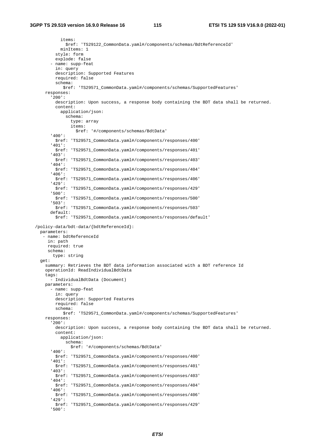items: \$ref: 'TS29122\_CommonData.yaml#/components/schemas/BdtReferenceId' minItems: 1 style: form explode: false - name: supp-feat in: query description: Supported Features required: false schema: \$ref: 'TS29571\_CommonData.yaml#/components/schemas/SupportedFeatures' responses: '200': description: Upon success, a response body containing the BDT data shall be returned. content: application/json: schema: type: array items: \$ref: '#/components/schemas/BdtData' '400': \$ref: 'TS29571\_CommonData.yaml#/components/responses/400' '401': \$ref: 'TS29571\_CommonData.yaml#/components/responses/401' '403': \$ref: 'TS29571\_CommonData.yaml#/components/responses/403' '404': \$ref: 'TS29571\_CommonData.yaml#/components/responses/404' '406': \$ref: 'TS29571\_CommonData.yaml#/components/responses/406' '429': \$ref: 'TS29571\_CommonData.yaml#/components/responses/429' '500': \$ref: 'TS29571\_CommonData.yaml#/components/responses/500' '503': \$ref: 'TS29571\_CommonData.yaml#/components/responses/503' default: \$ref: 'TS29571\_CommonData.yaml#/components/responses/default' /policy-data/bdt-data/{bdtReferenceId}: parameters: - name: bdtReferenceId in: path required: true schema: type: string get: summary: Retrieves the BDT data information associated with a BDT reference Id operationId: ReadIndividualBdtData tags: - IndividualBdtData (Document) parameters: - name: supp-feat in: query description: Supported Features required: false schema: \$ref: 'TS29571\_CommonData.yaml#/components/schemas/SupportedFeatures' responses: '200': description: Upon success, a response body containing the BDT data shall be returned. content: application/json: schema: \$ref: '#/components/schemas/BdtData' '400': \$ref: 'TS29571\_CommonData.yaml#/components/responses/400' '401': \$ref: 'TS29571\_CommonData.yaml#/components/responses/401' '403': \$ref: 'TS29571\_CommonData.yaml#/components/responses/403' '404': \$ref: 'TS29571\_CommonData.yaml#/components/responses/404' '406': \$ref: 'TS29571\_CommonData.yaml#/components/responses/406' '429': \$ref: 'TS29571\_CommonData.yaml#/components/responses/429' '500':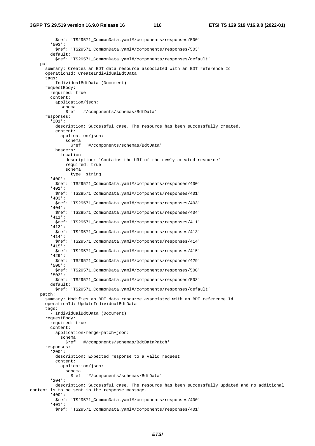\$ref: 'TS29571\_CommonData.yaml#/components/responses/500' '503': \$ref: 'TS29571\_CommonData.yaml#/components/responses/503' default: \$ref: 'TS29571\_CommonData.yaml#/components/responses/default' put: summary: Creates an BDT data resource associated with an BDT reference Id operationId: CreateIndividualBdtData tags: - IndividualBdtData (Document) requestBody: required: true content: application/json: schema: \$ref: '#/components/schemas/BdtData' responses: '201': description: Successful case. The resource has been successfully created. content: application/json: schema: \$ref: '#/components/schemas/BdtData' headers: Location: description: 'Contains the URI of the newly created resource' required: true schema: type: string '400': \$ref: 'TS29571\_CommonData.yaml#/components/responses/400' '401': \$ref: 'TS29571\_CommonData.yaml#/components/responses/401' '403': \$ref: 'TS29571\_CommonData.yaml#/components/responses/403' '404': \$ref: 'TS29571\_CommonData.yaml#/components/responses/404' '411': \$ref: 'TS29571\_CommonData.yaml#/components/responses/411' '413': \$ref: 'TS29571\_CommonData.yaml#/components/responses/413' '414': \$ref: 'TS29571\_CommonData.yaml#/components/responses/414' '415': \$ref: 'TS29571\_CommonData.yaml#/components/responses/415' '429': \$ref: 'TS29571\_CommonData.yaml#/components/responses/429' '500': \$ref: 'TS29571\_CommonData.yaml#/components/responses/500' '503': \$ref: 'TS29571\_CommonData.yaml#/components/responses/503' default: \$ref: 'TS29571\_CommonData.yaml#/components/responses/default' patch: summary: Modifies an BDT data resource associated with an BDT reference Id operationId: UpdateIndividualBdtData tags: - IndividualBdtData (Document) requestBody: required: true content: application/merge-patch+json: schema: \$ref: '#/components/schemas/BdtDataPatch' responses: '200': description: Expected response to a valid request content: application/json: schema: \$ref: '#/components/schemas/BdtData' '204': description: Successful case. The resource has been successfully updated and no additional content is to be sent in the response message. '400': \$ref: 'TS29571\_CommonData.yaml#/components/responses/400' '401': \$ref: 'TS29571\_CommonData.yaml#/components/responses/401'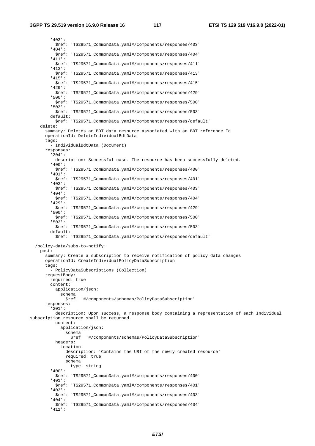'403': \$ref: 'TS29571\_CommonData.yaml#/components/responses/403' '404': \$ref: 'TS29571\_CommonData.yaml#/components/responses/404' '411': \$ref: 'TS29571\_CommonData.yaml#/components/responses/411' '413': \$ref: 'TS29571\_CommonData.yaml#/components/responses/413' '415': \$ref: 'TS29571\_CommonData.yaml#/components/responses/415' '429': \$ref: 'TS29571\_CommonData.yaml#/components/responses/429' '500': \$ref: 'TS29571\_CommonData.yaml#/components/responses/500' '503': \$ref: 'TS29571\_CommonData.yaml#/components/responses/503' default: \$ref: 'TS29571\_CommonData.yaml#/components/responses/default' delete: summary: Deletes an BDT data resource associated with an BDT reference Id operationId: DeleteIndividualBdtData tags: - IndividualBdtData (Document) responses: '204': description: Successful case. The resource has been successfully deleted. '400': \$ref: 'TS29571\_CommonData.yaml#/components/responses/400' '401': \$ref: 'TS29571\_CommonData.yaml#/components/responses/401' '403': \$ref: 'TS29571\_CommonData.yaml#/components/responses/403' '404': \$ref: 'TS29571\_CommonData.yaml#/components/responses/404' '429': \$ref: 'TS29571\_CommonData.yaml#/components/responses/429' '500': \$ref: 'TS29571\_CommonData.yaml#/components/responses/500' '503': \$ref: 'TS29571\_CommonData.yaml#/components/responses/503' default: \$ref: 'TS29571\_CommonData.yaml#/components/responses/default' /policy-data/subs-to-notify: post: summary: Create a subscription to receive notification of policy data changes operationId: CreateIndividualPolicyDataSubscription tags: - PolicyDataSubscriptions (Collection) requestBody: required: true content: application/json: schema: \$ref: '#/components/schemas/PolicyDataSubscription' responses: '201': description: Upon success, a response body containing a representation of each Individual subscription resource shall be returned. content: application/json: schema: \$ref: '#/components/schemas/PolicyDataSubscription' headers: Location: description: 'Contains the URI of the newly created resource' required: true schema: type: string '400': \$ref: 'TS29571\_CommonData.yaml#/components/responses/400' '401': \$ref: 'TS29571\_CommonData.yaml#/components/responses/401' '403': \$ref: 'TS29571\_CommonData.yaml#/components/responses/403' '404': \$ref: 'TS29571\_CommonData.yaml#/components/responses/404' '411':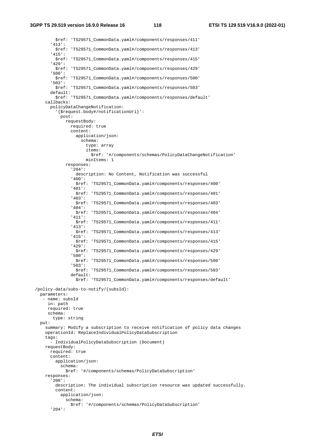\$ref: 'TS29571\_CommonData.yaml#/components/responses/411' '413': \$ref: 'TS29571\_CommonData.yaml#/components/responses/413' '415': \$ref: 'TS29571\_CommonData.yaml#/components/responses/415' '429': \$ref: 'TS29571\_CommonData.yaml#/components/responses/429' '500': \$ref: 'TS29571\_CommonData.yaml#/components/responses/500' '503': \$ref: 'TS29571\_CommonData.yaml#/components/responses/503' default: \$ref: 'TS29571\_CommonData.yaml#/components/responses/default' callbacks: policyDataChangeNotification: '{\$request.body#/notificationUri}': post: requestBody: required: true content: application/json: schema: type: array items: \$ref: '#/components/schemas/PolicyDataChangeNotification' minItems: 1 responses: '204': description: No Content, Notification was successful '400': \$ref: 'TS29571\_CommonData.yaml#/components/responses/400' '401': \$ref: 'TS29571\_CommonData.yaml#/components/responses/401' '403': \$ref: 'TS29571\_CommonData.yaml#/components/responses/403' '404': \$ref: 'TS29571\_CommonData.yaml#/components/responses/404' '411': \$ref: 'TS29571\_CommonData.yaml#/components/responses/411' '413': \$ref: 'TS29571\_CommonData.yaml#/components/responses/413' '415': \$ref: 'TS29571\_CommonData.yaml#/components/responses/415' '429': \$ref: 'TS29571\_CommonData.yaml#/components/responses/429' '500': \$ref: 'TS29571\_CommonData.yaml#/components/responses/500' '503': \$ref: 'TS29571\_CommonData.yaml#/components/responses/503' default: \$ref: 'TS29571\_CommonData.yaml#/components/responses/default' /policy-data/subs-to-notify/{subsId}: parameters: - name: subsId in: path required: true schema: type: string put: summary: Modify a subscription to receive notification of policy data changes operationId: ReplaceIndividualPolicyDataSubscription tags: - IndividualPolicyDataSubscription (Document) requestBody: required: true content: application/json: schema: \$ref: '#/components/schemas/PolicyDataSubscription' responses: '200': description: The individual subscription resource was updated successfully. content: application/json: schema: \$ref: '#/components/schemas/PolicyDataSubscription' '204':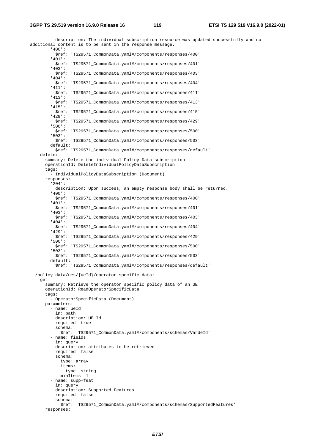description: The individual subscription resource was updated successfully and no additional content is to be sent in the response message. '400': \$ref: 'TS29571\_CommonData.yaml#/components/responses/400' '401': \$ref: 'TS29571\_CommonData.yaml#/components/responses/401' '403': \$ref: 'TS29571\_CommonData.yaml#/components/responses/403' '404': \$ref: 'TS29571\_CommonData.yaml#/components/responses/404' '411': \$ref: 'TS29571\_CommonData.yaml#/components/responses/411' '413': \$ref: 'TS29571\_CommonData.yaml#/components/responses/413' '415': \$ref: 'TS29571\_CommonData.yaml#/components/responses/415' '429': \$ref: 'TS29571\_CommonData.yaml#/components/responses/429' '500': \$ref: 'TS29571\_CommonData.yaml#/components/responses/500' '503': \$ref: 'TS29571\_CommonData.yaml#/components/responses/503' default: \$ref: 'TS29571\_CommonData.yaml#/components/responses/default' delete: summary: Delete the individual Policy Data subscription operationId: DeleteIndividualPolicyDataSubscription tags: - IndividualPolicyDataSubscription (Document) responses: '204': description: Upon success, an empty response body shall be returned. '400': \$ref: 'TS29571\_CommonData.yaml#/components/responses/400' '401': \$ref: 'TS29571\_CommonData.yaml#/components/responses/401' '403': \$ref: 'TS29571\_CommonData.yaml#/components/responses/403' '404': \$ref: 'TS29571\_CommonData.yaml#/components/responses/404' '429': \$ref: 'TS29571\_CommonData.yaml#/components/responses/429' '500': \$ref: 'TS29571\_CommonData.yaml#/components/responses/500' '503': \$ref: 'TS29571\_CommonData.yaml#/components/responses/503' default: \$ref: 'TS29571\_CommonData.yaml#/components/responses/default' /policy-data/ues/{ueId}/operator-specific-data: get: summary: Retrieve the operator specific policy data of an UE operationId: ReadOperatorSpecificData tags: - OperatorSpecificData (Document) parameters: - name: ueId in: path description: UE Id required: true schema: \$ref: 'TS29571\_CommonData.yaml#/components/schemas/VarUeId' - name: fields in: query description: attributes to be retrieved required: false schema: type: array items: type: string minItems: 1 - name: supp-feat in: query description: Supported Features required: false schema: \$ref: 'TS29571\_CommonData.yaml#/components/schemas/SupportedFeatures' responses: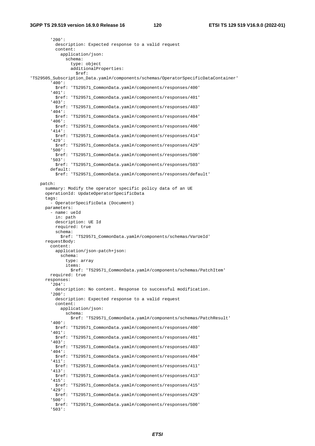'200': description: Expected response to a valid request content: application/json: schema: type: object additionalProperties: \$ref: 'TS29505\_Subscription\_Data.yaml#/components/schemas/OperatorSpecificDataContainer' '400': \$ref: 'TS29571\_CommonData.yaml#/components/responses/400' '401': \$ref: 'TS29571\_CommonData.yaml#/components/responses/401' '403': \$ref: 'TS29571\_CommonData.yaml#/components/responses/403' '404': \$ref: 'TS29571\_CommonData.yaml#/components/responses/404' '406': \$ref: 'TS29571\_CommonData.yaml#/components/responses/406' '414': \$ref: 'TS29571\_CommonData.yaml#/components/responses/414' '429': \$ref: 'TS29571\_CommonData.yaml#/components/responses/429' '500': \$ref: 'TS29571\_CommonData.yaml#/components/responses/500' '503': \$ref: 'TS29571\_CommonData.yaml#/components/responses/503' default: \$ref: 'TS29571\_CommonData.yaml#/components/responses/default' patch: summary: Modify the operator specific policy data of an UE operationId: UpdateOperatorSpecificData tags: - OperatorSpecificData (Document) parameters: - name: ueId in: path description: UE Id required: true schema: \$ref: 'TS29571\_CommonData.yaml#/components/schemas/VarUeId' requestBody: content: application/json-patch+json: schema: type: array items: \$ref: 'TS29571\_CommonData.yaml#/components/schemas/PatchItem' required: true responses: '204': description: No content. Response to successful modification. '200': description: Expected response to a valid request content: application/json: schema: \$ref: 'TS29571\_CommonData.yaml#/components/schemas/PatchResult' '400': \$ref: 'TS29571\_CommonData.yaml#/components/responses/400' '401': \$ref: 'TS29571\_CommonData.yaml#/components/responses/401' '403': \$ref: 'TS29571\_CommonData.yaml#/components/responses/403' '404': \$ref: 'TS29571\_CommonData.yaml#/components/responses/404' '411': \$ref: 'TS29571\_CommonData.yaml#/components/responses/411' '413': \$ref: 'TS29571\_CommonData.yaml#/components/responses/413' '415': \$ref: 'TS29571\_CommonData.yaml#/components/responses/415' '429': \$ref: 'TS29571\_CommonData.yaml#/components/responses/429' '500': \$ref: 'TS29571\_CommonData.yaml#/components/responses/500' '503':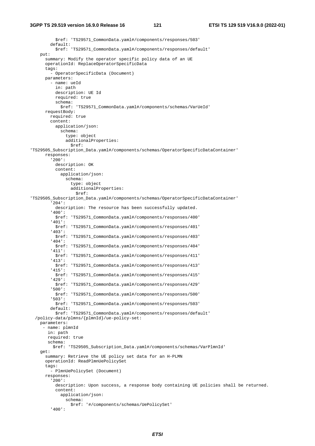\$ref: 'TS29571\_CommonData.yaml#/components/responses/503' default: \$ref: 'TS29571\_CommonData.yaml#/components/responses/default' put: summary: Modify the operator specific policy data of an UE operationId: ReplaceOperatorSpecificData tags: - OperatorSpecificData (Document) parameters: - name: ueId in: path description: UE Id required: true schema: \$ref: 'TS29571\_CommonData.yaml#/components/schemas/VarUeId' requestBody: required: true content: application/json: schema: type: object additionalProperties: \$ref: 'TS29505\_Subscription\_Data.yaml#/components/schemas/OperatorSpecificDataContainer' responses: '200': description: OK content: application/json: schema: type: object additionalProperties: \$ref: 'TS29505\_Subscription\_Data.yaml#/components/schemas/OperatorSpecificDataContainer' '204': description: The resource has been successfully updated. '400': \$ref: 'TS29571\_CommonData.yaml#/components/responses/400' '401': \$ref: 'TS29571\_CommonData.yaml#/components/responses/401' '403': \$ref: 'TS29571\_CommonData.yaml#/components/responses/403' '404': \$ref: 'TS29571\_CommonData.yaml#/components/responses/404' '411': \$ref: 'TS29571\_CommonData.yaml#/components/responses/411' '413': \$ref: 'TS29571\_CommonData.yaml#/components/responses/413' '415': \$ref: 'TS29571\_CommonData.yaml#/components/responses/415' '429': \$ref: 'TS29571\_CommonData.yaml#/components/responses/429' '500': \$ref: 'TS29571\_CommonData.yaml#/components/responses/500' '503': \$ref: 'TS29571\_CommonData.yaml#/components/responses/503' default: \$ref: 'TS29571\_CommonData.yaml#/components/responses/default' /policy-data/plmns/{plmnId}/ue-policy-set: parameters: - name: plmnId in: path required: true schema: \$ref: 'TS29505\_Subscription\_Data.yaml#/components/schemas/VarPlmnId' get: summary: Retrieve the UE policy set data for an H-PLMN operationId: ReadPlmnUePolicySet tags: - PlmnUePolicySet (Document) responses: '200': description: Upon success, a response body containing UE policies shall be returned. content: application/json: schema: \$ref: '#/components/schemas/UePolicySet' '400':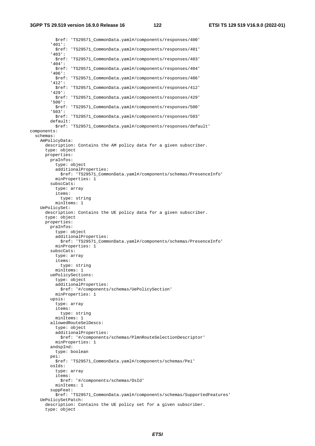\$ref: 'TS29571\_CommonData.yaml#/components/responses/400' '401': \$ref: 'TS29571\_CommonData.yaml#/components/responses/401' '403': \$ref: 'TS29571\_CommonData.yaml#/components/responses/403' '404': \$ref: 'TS29571\_CommonData.yaml#/components/responses/404' '406': \$ref: 'TS29571\_CommonData.yaml#/components/responses/406' '412': \$ref: 'TS29571\_CommonData.yaml#/components/responses/412' '429': \$ref: 'TS29571\_CommonData.yaml#/components/responses/429' '500': \$ref: 'TS29571\_CommonData.yaml#/components/responses/500' '503': \$ref: 'TS29571\_CommonData.yaml#/components/responses/503' default: \$ref: 'TS29571\_CommonData.yaml#/components/responses/default' components: schemas: AmPolicyData: description: Contains the AM policy data for a given subscriber. type: object properties: praInfos: type: object additionalProperties: \$ref: 'TS29571\_CommonData.yaml#/components/schemas/PresenceInfo' minProperties: 1 subscCats: type: array items: type: string minItems: 1 UePolicySet: description: Contains the UE policy data for a given subscriber. type: object properties: praInfos: type: object additionalProperties: \$ref: 'TS29571\_CommonData.yaml#/components/schemas/PresenceInfo' minProperties: 1 subscCats: type: array items: type: string minItems: 1 uePolicySections: type: object additionalProperties: \$ref: '#/components/schemas/UePolicySection' minProperties: 1 upsis: type: array items: type: string minItems: 1 allowedRouteSelDescs: type: object additionalProperties: \$ref: '#/components/schemas/PlmnRouteSelectionDescriptor' minProperties: 1 andspInd: type: boolean pei: \$ref: 'TS29571\_CommonData.yaml#/components/schemas/Pei' osIds: type: array items: \$ref: '#/components/schemas/OsId' minItems: 1 suppFeat: \$ref: 'TS29571\_CommonData.yaml#/components/schemas/SupportedFeatures' UePolicySetPatch: description: Contains the UE policy set for a given subscriber. type: object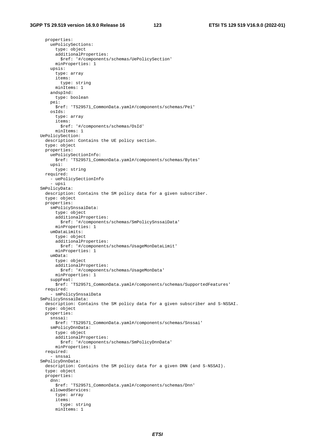properties: uePolicySections: type: object additionalProperties: \$ref: '#/components/schemas/UePolicySection' minProperties: 1 upsis: type: array items: type: string minItems: 1 andspInd: type: boolean pei: \$ref: 'TS29571\_CommonData.yaml#/components/schemas/Pei' osIds: type: array items: \$ref: '#/components/schemas/OsId' minItems: 1 UePolicySection: description: Contains the UE policy section. type: object properties: uePolicySectionInfo: \$ref: 'TS29571\_CommonData.yaml#/components/schemas/Bytes' upsi: type: string required: - uePolicySectionInfo - upsi SmPolicyData: description: Contains the SM policy data for a given subscriber. type: object properties: smPolicySnssaiData: type: object additionalProperties: \$ref: '#/components/schemas/SmPolicySnssaiData' minProperties: 1 umDataLimits: type: object additionalProperties: \$ref: '#/components/schemas/UsageMonDataLimit' minProperties: 1 umData: type: object additionalProperties: \$ref: '#/components/schemas/UsageMonData' minProperties: 1 suppFeat: \$ref: 'TS29571\_CommonData.yaml#/components/schemas/SupportedFeatures' required: - smPolicySnssaiData SmPolicySnssaiData: description: Contains the SM policy data for a given subscriber and S-NSSAI. type: object properties: snssai: \$ref: 'TS29571\_CommonData.yaml#/components/schemas/Snssai' smPolicyDnnData: type: object additionalProperties: \$ref: '#/components/schemas/SmPolicyDnnData' minProperties: 1 required: .<br>· snssai SmPolicyDnnData: description: Contains the SM policy data for a given DNN (and S-NSSAI). type: object properties: dnn: \$ref: 'TS29571\_CommonData.yaml#/components/schemas/Dnn' allowedServices: type: array items: type: string minItems: 1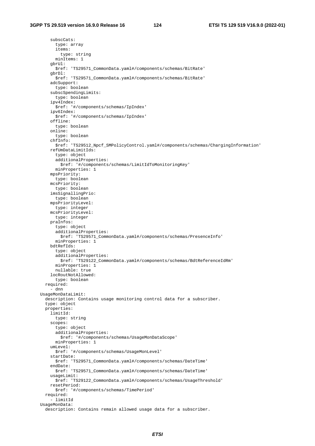subscCats: type: array items: type: string minItems: 1 gbrUl: \$ref: 'TS29571\_CommonData.yaml#/components/schemas/BitRate' gbrDl: \$ref: 'TS29571\_CommonData.yaml#/components/schemas/BitRate' adcSupport: type: boolean subscSpendingLimits: type: boolean ipv4Index: \$ref: '#/components/schemas/IpIndex' ipv6Index: \$ref: '#/components/schemas/IpIndex' offline: type: boolean online: type: boolean chfInfo: \$ref: 'TS29512\_Npcf\_SMPolicyControl.yaml#/components/schemas/ChargingInformation' refUmDataLimitIds: type: object additionalProperties: \$ref: '#/components/schemas/LimitIdToMonitoringKey' minProperties: 1 mpsPriority: type: boolean mcsPriority: type: boolean imsSignallingPrio: type: boolean mpsPriorityLevel: type: integer mcsPriorityLevel: type: integer praInfos: type: object additionalProperties: \$ref: 'TS29571\_CommonData.yaml#/components/schemas/PresenceInfo' minProperties: 1 bdtRefIds: type: object additionalProperties: \$ref: 'TS29122\_CommonData.yaml#/components/schemas/BdtReferenceIdRm' minProperties: 1 nullable: true locRoutNotAllowed: type: boolean required: - dnn UsageMonDataLimit: description: Contains usage monitoring control data for a subscriber. type: object properties: limitId: type: string scopes: type: object additionalProperties: \$ref: '#/components/schemas/UsageMonDataScope' minProperties: 1 umLevel: \$ref: '#/components/schemas/UsageMonLevel' startDate: \$ref: 'TS29571\_CommonData.yaml#/components/schemas/DateTime' endDate: \$ref: 'TS29571\_CommonData.yaml#/components/schemas/DateTime' usageLimit: \$ref: 'TS29122\_CommonData.yaml#/components/schemas/UsageThreshold' resetPeriod: \$ref: '#/components/schemas/TimePeriod' required: - limitId UsageMonData: description: Contains remain allowed usage data for a subscriber.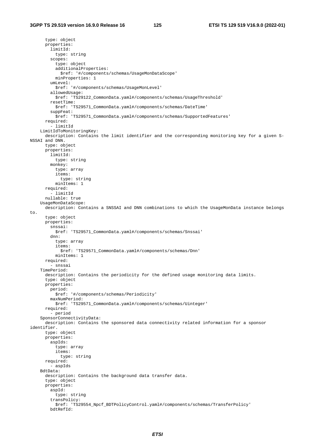type: object properties: limitId: type: string scopes: type: object additionalProperties: \$ref: '#/components/schemas/UsageMonDataScope' minProperties: 1 umLevel: \$ref: '#/components/schemas/UsageMonLevel' allowedUsage: \$ref: 'TS29122\_CommonData.yaml#/components/schemas/UsageThreshold' resetTime: \$ref: 'TS29571\_CommonData.yaml#/components/schemas/DateTime' suppFeat: \$ref: 'TS29571\_CommonData.yaml#/components/schemas/SupportedFeatures' required: - limitId LimitIdToMonitoringKey: description: Contains the limit identifier and the corresponding monitoring key for a given S-NSSAI and DNN. type: object properties: limitId: type: string monkey: type: array items: type: string minItems: 1 required: .<br>· limitId nullable: true UsageMonDataScope: description: Contains a SNSSAI and DNN combinations to which the UsageMonData instance belongs to. type: object properties: snssai: \$ref: 'TS29571\_CommonData.yaml#/components/schemas/Snssai' dnn: type: array items: \$ref: 'TS29571\_CommonData.yaml#/components/schemas/Dnn' minItems: 1 required: - snssai TimePeriod: description: Contains the periodicity for the defined usage monitoring data limits. type: object properties: period: \$ref: '#/components/schemas/Periodicity' maxNumPeriod: \$ref: 'TS29571\_CommonData.yaml#/components/schemas/Uinteger' required: - period SponsorConnectivityData: description: Contains the sponsored data connectivity related information for a sponsor identifier. type: object properties: aspIds: type: array items: type: string required: - aspIds BdtData: description: Contains the background data transfer data. type: object properties: aspId: type: string transPolicy: \$ref: 'TS29554\_Npcf\_BDTPolicyControl.yaml#/components/schemas/TransferPolicy' bdtRefId: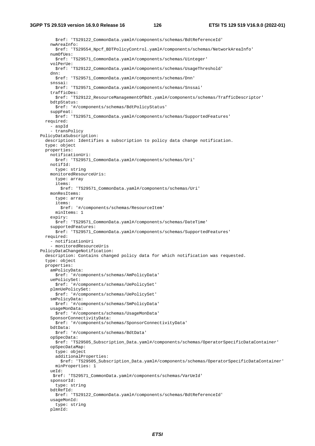\$ref: 'TS29122\_CommonData.yaml#/components/schemas/BdtReferenceId' nwAreaInfo: \$ref: 'TS29554\_Npcf\_BDTPolicyControl.yaml#/components/schemas/NetworkAreaInfo' numOfUes: \$ref: 'TS29571\_CommonData.yaml#/components/schemas/Uinteger' volPerUe: \$ref: 'TS29122\_CommonData.yaml#/components/schemas/UsageThreshold' dnn: \$ref: 'TS29571\_CommonData.yaml#/components/schemas/Dnn' snssai: \$ref: 'TS29571\_CommonData.yaml#/components/schemas/Snssai' trafficDes: \$ref: 'TS29122\_ResourceManagementOfBdt.yaml#/components/schemas/TrafficDescriptor' bdtpStatus: \$ref: '#/components/schemas/BdtPolicyStatus' suppFeat: \$ref: 'TS29571\_CommonData.yaml#/components/schemas/SupportedFeatures' required: - aspId - transPolicy PolicyDataSubscription: description: Identifies a subscription to policy data change notification. type: object properties: notificationUri: \$ref: 'TS29571\_CommonData.yaml#/components/schemas/Uri' notifId: type: string monitoredResourceUris: type: array items: \$ref: 'TS29571\_CommonData.yaml#/components/schemas/Uri' monResItems: type: array items: \$ref: '#/components/schemas/ResourceItem' minItems: 1 expiry: \$ref: 'TS29571\_CommonData.yaml#/components/schemas/DateTime' supportedFeatures: \$ref: 'TS29571\_CommonData.yaml#/components/schemas/SupportedFeatures' required: - notificationUri - monitoredResourceUris PolicyDataChangeNotification: description: Contains changed policy data for which notification was requested. type: object properties: amPolicyData: \$ref: '#/components/schemas/AmPolicyData' uePolicySet: \$ref: '#/components/schemas/UePolicySet' plmnUePolicySet: \$ref: '#/components/schemas/UePolicySet' smPolicyData: \$ref: '#/components/schemas/SmPolicyData' usageMonData: \$ref: '#/components/schemas/UsageMonData' SponsorConnectivityData: \$ref: '#/components/schemas/SponsorConnectivityData' bdtData: \$ref: '#/components/schemas/BdtData' opSpecData: \$ref: 'TS29505\_Subscription\_Data.yaml#/components/schemas/OperatorSpecificDataContainer' opSpecDataMap: type: object additionalProperties: \$ref: 'TS29505\_Subscription\_Data.yaml#/components/schemas/OperatorSpecificDataContainer' minProperties: 1 ueId: \$ref: 'TS29571\_CommonData.yaml#/components/schemas/VarUeId' sponsorId: type: string bdtRefId: \$ref: 'TS29122\_CommonData.yaml#/components/schemas/BdtReferenceId' usageMonId: type: string plmnId: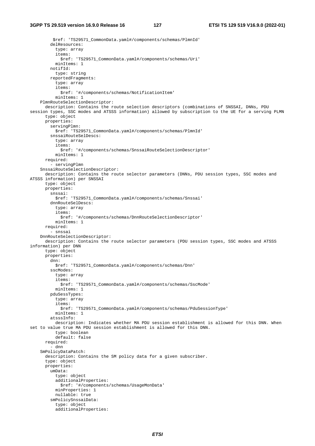\$ref: 'TS29571\_CommonData.yaml#/components/schemas/PlmnId' delResources: type: array items: \$ref: 'TS29571\_CommonData.yaml#/components/schemas/Uri' minItems: 1 notifId: type: string reportedFragments: type: array items: \$ref: '#/components/schemas/NotificationItem' minItems: 1 PlmnRouteSelectionDescriptor: description: Contains the route selection descriptors (combinations of SNSSAI, DNNs, PDU session types, SSC modes and ATSSS information) allowed by subscription to the UE for a serving PLMN type: object properties: servingPlmn: \$ref: 'TS29571\_CommonData.yaml#/components/schemas/PlmnId' snssaiRouteSelDescs: type: array items: \$ref: '#/components/schemas/SnssaiRouteSelectionDescriptor' minItems: 1 required: - servingPlmn SnssaiRouteSelectionDescriptor: description: Contains the route selector parameters (DNNs, PDU session types, SSC modes and ATSSS information) per SNSSAI type: object properties: snssai: \$ref: 'TS29571\_CommonData.yaml#/components/schemas/Snssai' dnnRouteSelDescs: type: array items: \$ref: '#/components/schemas/DnnRouteSelectionDescriptor' minItems: 1 required: - snssai DnnRouteSelectionDescriptor: description: Contains the route selector parameters (PDU session types, SSC modes and ATSSS information) per DNN type: object properties: dnn: \$ref: 'TS29571\_CommonData.yaml#/components/schemas/Dnn' sscModes: type: array items: \$ref: 'TS29571\_CommonData.yaml#/components/schemas/SscMode' minItems: 1 pduSessTypes: type: array items: \$ref: 'TS29571\_CommonData.yaml#/components/schemas/PduSessionType' minItems: 1 atsssInfo: description: Indicates whether MA PDU session establishment is allowed for this DNN. When set to value true MA PDU session establishment is allowed for this DNN. type: boolean default: false required: - dnn SmPolicyDataPatch: description: Contains the SM policy data for a given subscriber. type: object properties: umData: type: object additionalProperties: \$ref: '#/components/schemas/UsageMonData' minProperties: 1 nullable: true smPolicySnssaiData: type: object additionalProperties: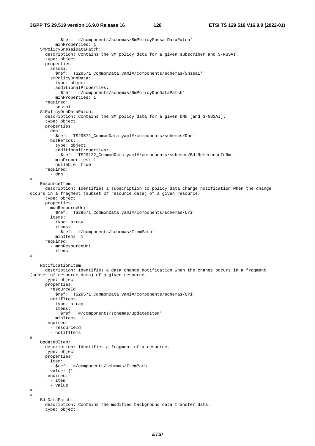```
 $ref: '#/components/schemas/SmPolicySnssaiDataPatch' 
           minProperties: 1 
     SmPolicySnssaiDataPatch: 
       description: Contains the SM policy data for a given subscriber and S-NSSAI. 
       type: object 
       properties: 
         snssai: 
           $ref: 'TS29571_CommonData.yaml#/components/schemas/Snssai' 
         smPolicyDnnData: 
           type: object 
           additionalProperties: 
              $ref: '#/components/schemas/SmPolicyDnnDataPatch' 
           minProperties: 1 
       required: 
           - snssai 
     SmPolicyDnnDataPatch: 
       description: Contains the SM policy data for a given DNN (and S-NSSAI). 
       type: object 
       properties: 
         dnn: 
           $ref: 'TS29571_CommonData.yaml#/components/schemas/Dnn' 
         bdtRefIds: 
           type: object 
           additionalProperties: 
              $ref: 'TS29122_CommonData.yaml#/components/schemas/BdtReferenceIdRm' 
           minProperties: 1 
           nullable: true 
       required: 
          - dnn 
# 
     ResourceItem: 
       description: Identifies a subscription to policy data change notification when the change 
occurs in a fragment (subset of resource data) of a given resource. 
       type: object 
       properties: 
         monResourceUri: 
           $ref: 'TS29571_CommonData.yaml#/components/schemas/Uri' 
         items: 
           type: array 
            items: 
              $ref: '#/components/schemas/ItemPath' 
           minItems: 1 
       required: 
         - monResourceUri 
         - items 
# 
     NotificationItem: 
       description: Identifies a data change notification when the change occurs in a fragment 
(subset of resource data) of a given resource. 
       type: object 
       properties: 
         resourceId: 
           $ref: 'TS29571_CommonData.yaml#/components/schemas/Uri' 
         notifItems: 
           type: array 
            items: 
              $ref: '#/components/schemas/UpdatedItem' 
           minItems: 1 
       required: 
         - resourceId 
         - notifItems 
# 
     UpdatedItem: 
       description: Identifies a fragment of a resource. 
       type: object 
       properties: 
         item: 
           $ref: '#/components/schemas/ItemPath' 
         value: {} 
       required: 
         - item 
         - value 
# 
# 
     BdtDataPatch: 
       description: Contains the modified background data transfer data. 
       type: object
```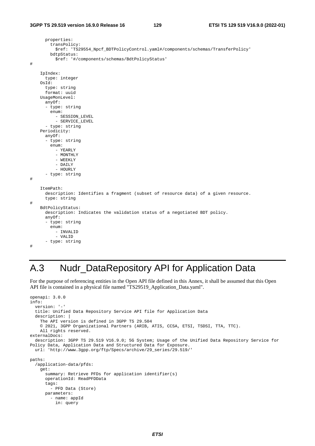```
 properties: 
          transPolicy: 
            $ref: 'TS29554_Npcf_BDTPolicyControl.yaml#/components/schemas/TransferPolicy' 
         bdtpStatus: 
            $ref: '#/components/schemas/BdtPolicyStatus' 
# 
     IpIndex: 
       type: integer 
     OsId: 
       type: string 
       format: uuid 
     UsageMonLevel: 
       anyOf: 
       - type: string 
         enum: 
            - SESSION_LEVEL 
            - SERVICE_LEVEL 
       - type: string 
     Periodicity: 
       anyOf: 
        - type: string 
          enum: 
           - YEARLY 
           - MONTHLY
            - WEEKLY 
            - DAILY 
            - HOURLY 
       - type: string 
# 
     ItemPath: 
       description: Identifies a fragment (subset of resource data) of a given resource. 
       type: string 
# 
     BdtPolicyStatus: 
       description: Indicates the validation status of a negotiated BDT policy. 
       anyOf: 
       - type: string 
          enum: 
            - INVALID 
            - VALID 
       - type: string 
#
```
# A.3 Nudr\_DataRepository API for Application Data

For the purpose of referencing entities in the Open API file defined in this Annex, it shall be assumed that this Open API file is contained in a physical file named "TS29519\_Application\_Data.yaml".

```
openapi: 3.0.0 
info: 
   version: '-' 
   title: Unified Data Repository Service API file for Application Data 
   description: | 
     The API version is defined in 3GPP TS 29.504 
     © 2021, 3GPP Organizational Partners (ARIB, ATIS, CCSA, ETSI, TSDSI, TTA, TTC). 
     All rights reserved. 
externalDocs: 
   description: 3GPP TS 29.519 V16.9.0; 5G System; Usage of the Unified Data Repository Service for 
Policy Data, Application Data and Structured Data for Exposure. 
   url: 'http://www.3gpp.org/ftp/Specs/archive/29_series/29.519/' 
paths: 
   /application-data/pfds: 
     get: 
       summary: Retrieve PFDs for application identifier(s) 
       operationId: ReadPFDData 
       tags: 
         - PFD Data (Store) 
       parameters: 
         - name: appId 
           in: query
```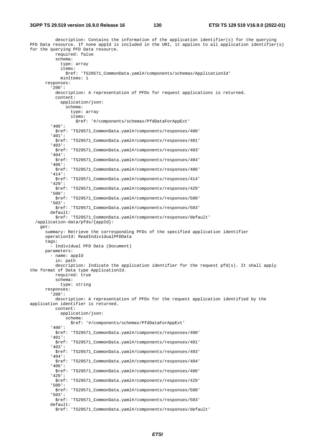#### **3GPP TS 29.519 version 16.9.0 Release 16 130 ETSI TS 129 519 V16.9.0 (2022-01)**

 description: Contains the information of the application identifier(s) for the querying PFD Data resource. If none appId is included in the URI, it applies to all application identifier(s) for the querying PFD Data resource. required: false schema: type: array items: \$ref: 'TS29571\_CommonData.yaml#/components/schemas/ApplicationId' minItems: 1 responses: '200': description: A representation of PFDs for request applications is returned. content: application/json: schema: type: array items: \$ref: '#/components/schemas/PfdDataForAppExt' '400': \$ref: 'TS29571\_CommonData.yaml#/components/responses/400' '401': \$ref: 'TS29571\_CommonData.yaml#/components/responses/401' '403': \$ref: 'TS29571\_CommonData.yaml#/components/responses/403' '404': \$ref: 'TS29571\_CommonData.yaml#/components/responses/404' '406': \$ref: 'TS29571\_CommonData.yaml#/components/responses/406' '414': \$ref: 'TS29571\_CommonData.yaml#/components/responses/414' '429': \$ref: 'TS29571\_CommonData.yaml#/components/responses/429' '500': \$ref: 'TS29571\_CommonData.yaml#/components/responses/500' '503': \$ref: 'TS29571\_CommonData.yaml#/components/responses/503' default: \$ref: 'TS29571\_CommonData.yaml#/components/responses/default' /application-data/pfds/{appId}: get: summary: Retrieve the corresponding PFDs of the specified application identifier operationId: ReadIndividualPFDData tags: - Individual PFD Data (Document) parameters: - name: appId in: path description: Indicate the application identifier for the request pfd(s). It shall apply the format of Data type ApplicationId. required: true schema: type: string responses: '200': description: A representation of PFDs for the request application identified by the application identifier is returned. content: application/json: schema: \$ref: '#/components/schemas/PfdDataForAppExt' '400': \$ref: 'TS29571\_CommonData.yaml#/components/responses/400' '401': \$ref: 'TS29571\_CommonData.yaml#/components/responses/401' '403': \$ref: 'TS29571\_CommonData.yaml#/components/responses/403' '404': \$ref: 'TS29571\_CommonData.yaml#/components/responses/404' '406': \$ref: 'TS29571\_CommonData.yaml#/components/responses/406' '429': \$ref: 'TS29571\_CommonData.yaml#/components/responses/429' '500': \$ref: 'TS29571\_CommonData.yaml#/components/responses/500' '503': \$ref: 'TS29571\_CommonData.yaml#/components/responses/503' default: \$ref: 'TS29571\_CommonData.yaml#/components/responses/default'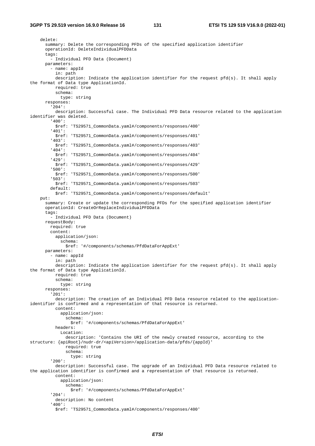delete: summary: Delete the corresponding PFDs of the specified application identifier operationId: DeleteIndividualPFDData tags: - Individual PFD Data (Document) parameters: - name: appId in: path description: Indicate the application identifier for the request pfd(s). It shall apply the format of Data type ApplicationId. required: true schema: type: string responses: '204': description: Successful case. The Individual PFD Data resource related to the application identifier was deleted. '400': \$ref: 'TS29571\_CommonData.yaml#/components/responses/400' '401': \$ref: 'TS29571\_CommonData.yaml#/components/responses/401' '403': \$ref: 'TS29571\_CommonData.yaml#/components/responses/403' '404': \$ref: 'TS29571\_CommonData.yaml#/components/responses/404' '429': \$ref: 'TS29571\_CommonData.yaml#/components/responses/429' '500': \$ref: 'TS29571\_CommonData.yaml#/components/responses/500' '503': \$ref: 'TS29571\_CommonData.yaml#/components/responses/503' default: \$ref: 'TS29571\_CommonData.yaml#/components/responses/default' put: summary: Create or update the corresponding PFDs for the specified application identifier operationId: CreateOrReplaceIndividualPFDData tags: - Individual PFD Data (Document) requestBody: required: true content: application/json: schema: \$ref: '#/components/schemas/PfdDataForAppExt' parameters: - name: appId in: path description: Indicate the application identifier for the request pfd(s). It shall apply the format of Data type ApplicationId. required: true schema: type: string responses: '201': description: The creation of an Individual PFD Data resource related to the applicationidentifier is confirmed and a representation of that resource is returned. content: application/json: schema: \$ref: '#/components/schemas/PfdDataForAppExt' headers: Location: description: 'Contains the URI of the newly created resource, according to the structure: {apiRoot}/nudr-dr/<apiVersion>/application-data/pfds/{appId}' required: true schema: type: string '200': description: Successful case. The upgrade of an Individual PFD Data resource related to the application identifier is confirmed and a representation of that resource is returned. content: application/json: schema: \$ref: '#/components/schemas/PfdDataForAppExt' '204': description: No content '400': \$ref: 'TS29571\_CommonData.yaml#/components/responses/400'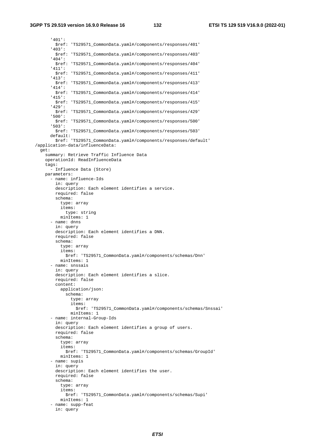'401': \$ref: 'TS29571\_CommonData.yaml#/components/responses/401' '403': \$ref: 'TS29571\_CommonData.yaml#/components/responses/403' '404': \$ref: 'TS29571\_CommonData.yaml#/components/responses/404' '411': \$ref: 'TS29571\_CommonData.yaml#/components/responses/411' '413': \$ref: 'TS29571\_CommonData.yaml#/components/responses/413' '414': \$ref: 'TS29571\_CommonData.yaml#/components/responses/414' '415': \$ref: 'TS29571\_CommonData.yaml#/components/responses/415' '429': \$ref: 'TS29571\_CommonData.yaml#/components/responses/429' '500': \$ref: 'TS29571\_CommonData.yaml#/components/responses/500' '503': \$ref: 'TS29571\_CommonData.yaml#/components/responses/503' default: \$ref: 'TS29571\_CommonData.yaml#/components/responses/default' /application-data/influenceData: get: summary: Retrieve Traffic Influence Data operationId: ReadInfluenceData tags: - Influence Data (Store) parameters: - name: influence-Ids in: query description: Each element identifies a service. required: false schema: type: array items: type: string minItems: 1 - name: dnns in: query description: Each element identifies a DNN. required: false schema: type: array items: \$ref: 'TS29571\_CommonData.yaml#/components/schemas/Dnn' minItems: 1 - name: snssais in: query description: Each element identifies a slice. required: false content: application/json: schema: type: array items: \$ref: 'TS29571\_CommonData.yaml#/components/schemas/Snssai' minItems: 1 - name: internal-Group-Ids in: query description: Each element identifies a group of users. required: false schema: type: array items: \$ref: 'TS29571\_CommonData.yaml#/components/schemas/GroupId' minItems: 1 - name: supis in: query description: Each element identifies the user. required: false schema: type: array items: \$ref: 'TS29571\_CommonData.yaml#/components/schemas/Supi' minItems: 1 - name: supp-feat in: query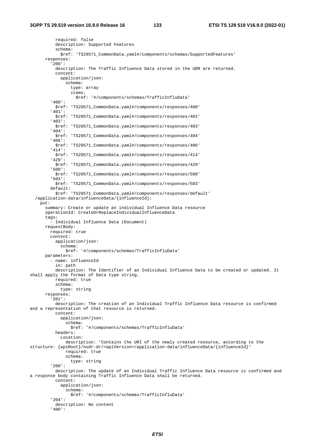required: false description: Supported Features schema: \$ref: 'TS29571\_CommonData.yaml#/components/schemas/SupportedFeatures' responses: '200': description: The Traffic Influence Data stored in the UDR are returned. content: application/json: schema: type: array items: \$ref: '#/components/schemas/TrafficInfluData' '400': \$ref: 'TS29571\_CommonData.yaml#/components/responses/400' '401': \$ref: 'TS29571\_CommonData.yaml#/components/responses/401' '403': \$ref: 'TS29571\_CommonData.yaml#/components/responses/403' '404': \$ref: 'TS29571\_CommonData.yaml#/components/responses/404' '406': \$ref: 'TS29571\_CommonData.yaml#/components/responses/406' '414': \$ref: 'TS29571\_CommonData.yaml#/components/responses/414' '429': \$ref: 'TS29571\_CommonData.yaml#/components/responses/429' '500': \$ref: 'TS29571\_CommonData.yaml#/components/responses/500' '503': \$ref: 'TS29571\_CommonData.yaml#/components/responses/503' default: \$ref: 'TS29571\_CommonData.yaml#/components/responses/default' /application-data/influenceData/{influenceId}: put: summary: Create or update an individual Influence Data resource operationId: CreateOrReplaceIndividualInfluenceData tags: - Individual Influence Data (Document) requestBody: required: true content: application/json: schema: \$ref: '#/components/schemas/TrafficInfluData' parameters: - name: influenceId in: path description: The Identifier of an Individual Influence Data to be created or updated. It shall apply the format of Data type string. required: true schema: type: string responses: '201': description: The creation of an Individual Traffic Influence Data resource is confirmed and a representation of that resource is returned. content: application/json: schema: \$ref: '#/components/schemas/TrafficInfluData' headers: Location: description: 'Contains the URI of the newly created resource, according to the structure: {apiRoot}/nudr-dr/<apiVersion>/application-data/influenceData/{influenceId}' required: true schema: type: string '200': description: The update of an Individual Traffic Influence Data resource is confirmed and a response body containing Traffic Influence Data shall be returned. content: application/json: schema: \$ref: '#/components/schemas/TrafficInfluData' '204': description: No content '400':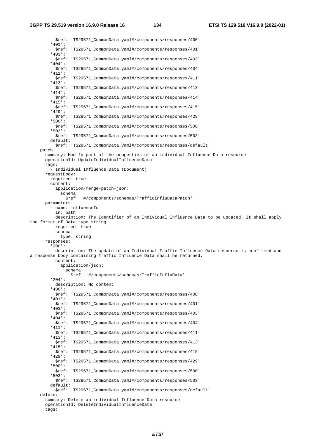**3GPP TS 29.519 version 16.9.0 Release 16 134 ETSI TS 129 519 V16.9.0 (2022-01)**

tags:

 \$ref: 'TS29571\_CommonData.yaml#/components/responses/400' '401': \$ref: 'TS29571\_CommonData.yaml#/components/responses/401' '403': \$ref: 'TS29571\_CommonData.yaml#/components/responses/403' '404': \$ref: 'TS29571\_CommonData.yaml#/components/responses/404' '411': \$ref: 'TS29571\_CommonData.yaml#/components/responses/411' '413': \$ref: 'TS29571\_CommonData.yaml#/components/responses/413' '414': \$ref: 'TS29571\_CommonData.yaml#/components/responses/414' '415': \$ref: 'TS29571\_CommonData.yaml#/components/responses/415' '429': \$ref: 'TS29571\_CommonData.yaml#/components/responses/429' '500': \$ref: 'TS29571\_CommonData.yaml#/components/responses/500' '503': \$ref: 'TS29571\_CommonData.yaml#/components/responses/503' default: \$ref: 'TS29571\_CommonData.yaml#/components/responses/default' patch: summary: Modify part of the properties of an individual Influence Data resource operationId: UpdateIndividualInfluenceData tags: - Individual Influence Data (Document) requestBody: required: true content: application/merge-patch+json: schema: \$ref: '#/components/schemas/TrafficInfluDataPatch' parameters: - name: influenceId in: path description: The Identifier of an Individual Influence Data to be updated. It shall apply the format of Data type string. required: true schema: type: string responses: '200': description: The update of an Individual Traffic Influence Data resource is confirmed and a response body containing Traffic Influence Data shall be returned. content: application/json: schema: \$ref: '#/components/schemas/TrafficInfluData' '204': description: No content '400': \$ref: 'TS29571\_CommonData.yaml#/components/responses/400' '401': \$ref: 'TS29571\_CommonData.yaml#/components/responses/401' '403': \$ref: 'TS29571\_CommonData.yaml#/components/responses/403' '404': \$ref: 'TS29571\_CommonData.yaml#/components/responses/404' '411': \$ref: 'TS29571\_CommonData.yaml#/components/responses/411' '413': \$ref: 'TS29571\_CommonData.yaml#/components/responses/413' '415': \$ref: 'TS29571\_CommonData.yaml#/components/responses/415' '429': \$ref: 'TS29571\_CommonData.yaml#/components/responses/429' '500': \$ref: 'TS29571\_CommonData.yaml#/components/responses/500' '503': \$ref: 'TS29571\_CommonData.yaml#/components/responses/503' default: \$ref: 'TS29571\_CommonData.yaml#/components/responses/default' delete: summary: Delete an individual Influence Data resource operationId: DeleteIndividualInfluenceData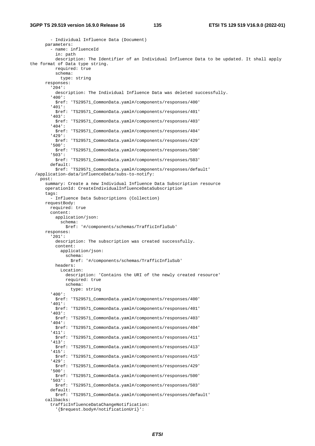- Individual Influence Data (Document) parameters: - name: influenceId in: path description: The Identifier of an Individual Influence Data to be updated. It shall apply the format of Data type string. required: true schema: type: string responses: '204': description: The Individual Influence Data was deleted successfully. '400': \$ref: 'TS29571\_CommonData.yaml#/components/responses/400' '401': \$ref: 'TS29571\_CommonData.yaml#/components/responses/401' '403': \$ref: 'TS29571\_CommonData.yaml#/components/responses/403' '404': \$ref: 'TS29571\_CommonData.yaml#/components/responses/404' '429': \$ref: 'TS29571\_CommonData.yaml#/components/responses/429' '500': \$ref: 'TS29571\_CommonData.yaml#/components/responses/500' '503': \$ref: 'TS29571\_CommonData.yaml#/components/responses/503' default: \$ref: 'TS29571\_CommonData.yaml#/components/responses/default' /application-data/influenceData/subs-to-notify: post: summary: Create a new Individual Influence Data Subscription resource operationId: CreateIndividualInfluenceDataSubscription tags: - Influence Data Subscriptions (Collection) requestBody: required: true content: application/json: schema: \$ref: '#/components/schemas/TrafficInfluSub' responses: '201': description: The subscription was created successfully. content: application/json: schema: \$ref: '#/components/schemas/TrafficInfluSub' headers: Location: description: 'Contains the URI of the newly created resource' required: true schema: type: string '400': \$ref: 'TS29571\_CommonData.yaml#/components/responses/400' '401': \$ref: 'TS29571\_CommonData.yaml#/components/responses/401' '403': \$ref: 'TS29571\_CommonData.yaml#/components/responses/403' '404': \$ref: 'TS29571\_CommonData.yaml#/components/responses/404' '411': \$ref: 'TS29571\_CommonData.yaml#/components/responses/411' '413': \$ref: 'TS29571\_CommonData.yaml#/components/responses/413' '415': \$ref: 'TS29571\_CommonData.yaml#/components/responses/415' '429': \$ref: 'TS29571\_CommonData.yaml#/components/responses/429' '500': \$ref: 'TS29571\_CommonData.yaml#/components/responses/500' '503': \$ref: 'TS29571\_CommonData.yaml#/components/responses/503' default: \$ref: 'TS29571\_CommonData.yaml#/components/responses/default' callbacks: trafficInfluenceDataChangeNotification:

'{\$request.body#/notificationUri}':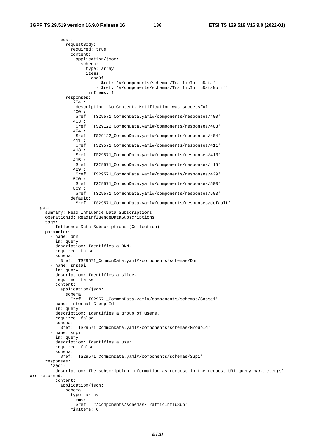post:

 requestBody: required: true content: application/json: schema: type: array items: oneOf: - \$ref: '#/components/schemas/TrafficInfluData' - \$ref: '#/components/schemas/TrafficInfluDataNotif' minItems: 1 responses: '204': description: No Content, Notification was successful '400': \$ref: 'TS29571\_CommonData.yaml#/components/responses/400' '403': \$ref: 'TS29122\_CommonData.yaml#/components/responses/403' '404': \$ref: 'TS29122\_CommonData.yaml#/components/responses/404' '411': \$ref: 'TS29571\_CommonData.yaml#/components/responses/411' '413': \$ref: 'TS29571\_CommonData.yaml#/components/responses/413' '415': \$ref: 'TS29571\_CommonData.yaml#/components/responses/415' '429': \$ref: 'TS29571\_CommonData.yaml#/components/responses/429' '500': \$ref: 'TS29571\_CommonData.yaml#/components/responses/500' '503': \$ref: 'TS29571\_CommonData.yaml#/components/responses/503' default: \$ref: 'TS29571\_CommonData.yaml#/components/responses/default' get: summary: Read Influence Data Subscriptions operationId: ReadInfluenceDataSubscriptions tags: - Influence Data Subscriptions (Collection) parameters: - name: dnn in: query description: Identifies a DNN. required: false schema: \$ref: 'TS29571\_CommonData.yaml#/components/schemas/Dnn' - name: snssai in: query description: Identifies a slice. required: false content: application/json: schema: \$ref: 'TS29571\_CommonData.yaml#/components/schemas/Snssai' - name: internal-Group-Id in: query description: Identifies a group of users. required: false schema: \$ref: 'TS29571\_CommonData.yaml#/components/schemas/GroupId' - name: supi in: query description: Identifies a user. required: false schema: \$ref: 'TS29571\_CommonData.yaml#/components/schemas/Supi' responses: '200': description: The subscription information as request in the request URI query parameter(s) are returned. content: application/json: schema: type: array items: \$ref: '#/components/schemas/TrafficInfluSub' minItems: 0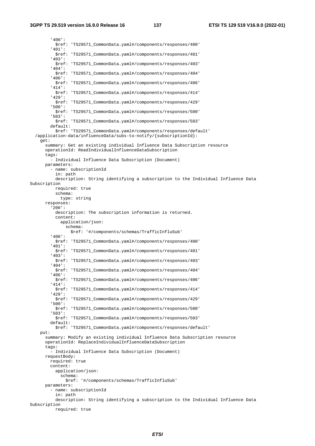'400': \$ref: 'TS29571\_CommonData.yaml#/components/responses/400' '401': \$ref: 'TS29571\_CommonData.yaml#/components/responses/401' '403': \$ref: 'TS29571\_CommonData.yaml#/components/responses/403' '404': \$ref: 'TS29571\_CommonData.yaml#/components/responses/404' '406': \$ref: 'TS29571\_CommonData.yaml#/components/responses/406' '414': \$ref: 'TS29571\_CommonData.yaml#/components/responses/414' '429': \$ref: 'TS29571\_CommonData.yaml#/components/responses/429' '500': \$ref: 'TS29571\_CommonData.yaml#/components/responses/500' '503': \$ref: 'TS29571\_CommonData.yaml#/components/responses/503' default: \$ref: 'TS29571\_CommonData.yaml#/components/responses/default' /application-data/influenceData/subs-to-notify/{subscriptionId}: get: summary: Get an existing individual Influence Data Subscription resource operationId: ReadIndividualInfluenceDataSubscription tags: - Individual Influence Data Subscription (Document) parameters: - name: subscriptionId in: path description: String identifying a subscription to the Individual Influence Data Subscription required: true schema: type: string responses: '200': description: The subscription information is returned. content: application/json: schema: \$ref: '#/components/schemas/TrafficInfluSub' '400': \$ref: 'TS29571\_CommonData.yaml#/components/responses/400' '401': \$ref: 'TS29571\_CommonData.yaml#/components/responses/401' '403': \$ref: 'TS29571\_CommonData.yaml#/components/responses/403' '404': \$ref: 'TS29571\_CommonData.yaml#/components/responses/404' '406': \$ref: 'TS29571\_CommonData.yaml#/components/responses/406' '414': \$ref: 'TS29571\_CommonData.yaml#/components/responses/414' '429': \$ref: 'TS29571\_CommonData.yaml#/components/responses/429' '500': \$ref: 'TS29571\_CommonData.yaml#/components/responses/500' '503': \$ref: 'TS29571\_CommonData.yaml#/components/responses/503' default: \$ref: 'TS29571\_CommonData.yaml#/components/responses/default' put: summary: Modify an existing individual Influence Data Subscription resource operationId: ReplaceIndividualInfluenceDataSubscription tags: - Individual Influence Data Subscription (Document) requestBody: required: true content: application/json: schema: \$ref: '#/components/schemas/TrafficInfluSub' parameters: - name: subscriptionId in: path description: String identifying a subscription to the Individual Influence Data Subscription required: true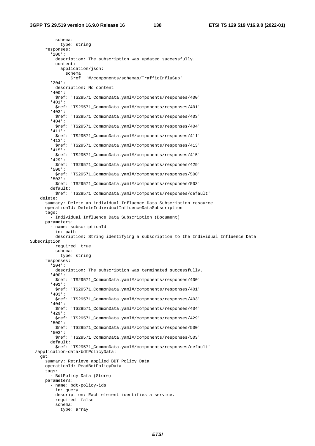schema: type: string responses: '200': description: The subscription was updated successfully. content: application/json: schema: \$ref: '#/components/schemas/TrafficInfluSub' '204': description: No content '400': \$ref: 'TS29571\_CommonData.yaml#/components/responses/400' '401': \$ref: 'TS29571\_CommonData.yaml#/components/responses/401' '403': \$ref: 'TS29571\_CommonData.yaml#/components/responses/403' '404': \$ref: 'TS29571\_CommonData.yaml#/components/responses/404' '411': \$ref: 'TS29571\_CommonData.yaml#/components/responses/411' '413': \$ref: 'TS29571\_CommonData.yaml#/components/responses/413' '415': \$ref: 'TS29571\_CommonData.yaml#/components/responses/415' '429': \$ref: 'TS29571\_CommonData.yaml#/components/responses/429' '500': \$ref: 'TS29571\_CommonData.yaml#/components/responses/500' '503': \$ref: 'TS29571\_CommonData.yaml#/components/responses/503' default: \$ref: 'TS29571\_CommonData.yaml#/components/responses/default' delete: summary: Delete an individual Influence Data Subscription resource operationId: DeleteIndividualInfluenceDataSubscription tags: - Individual Influence Data Subscription (Document) parameters: - name: subscriptionId in: path description: String identifying a subscription to the Individual Influence Data Subscription required: true schema: type: string responses: '204': description: The subscription was terminated successfully. '400': \$ref: 'TS29571\_CommonData.yaml#/components/responses/400' '401': \$ref: 'TS29571\_CommonData.yaml#/components/responses/401' '403': \$ref: 'TS29571\_CommonData.yaml#/components/responses/403' '404': \$ref: 'TS29571\_CommonData.yaml#/components/responses/404' '429': \$ref: 'TS29571\_CommonData.yaml#/components/responses/429' '500': \$ref: 'TS29571\_CommonData.yaml#/components/responses/500' '503': \$ref: 'TS29571\_CommonData.yaml#/components/responses/503' default: \$ref: 'TS29571\_CommonData.yaml#/components/responses/default' /application-data/bdtPolicyData: get: summary: Retrieve applied BDT Policy Data operationId: ReadBdtPolicyData tags: - BdtPolicy Data (Store) parameters: - name: bdt-policy-ids in: query description: Each element identifies a service. required: false schema: type: array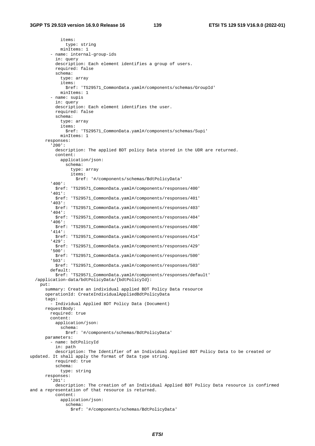items: type: string minItems: 1 - name: internal-group-ids in: query description: Each element identifies a group of users. required: false schema: type: array items: \$ref: 'TS29571\_CommonData.yaml#/components/schemas/GroupId' minItems: 1 - name: supis in: query description: Each element identifies the user. required: false schema: type: array items: \$ref: 'TS29571\_CommonData.yaml#/components/schemas/Supi' minItems: 1 responses: '200': description: The applied BDT policy Data stored in the UDR are returned. content: application/json: schema: type: array items: \$ref: '#/components/schemas/BdtPolicyData' '400': \$ref: 'TS29571\_CommonData.yaml#/components/responses/400' '401': \$ref: 'TS29571\_CommonData.yaml#/components/responses/401' '403': \$ref: 'TS29571\_CommonData.yaml#/components/responses/403' '404': \$ref: 'TS29571\_CommonData.yaml#/components/responses/404' '406': \$ref: 'TS29571\_CommonData.yaml#/components/responses/406' '414': \$ref: 'TS29571\_CommonData.yaml#/components/responses/414' '429': \$ref: 'TS29571\_CommonData.yaml#/components/responses/429' '500': \$ref: 'TS29571\_CommonData.yaml#/components/responses/500' '503': \$ref: 'TS29571\_CommonData.yaml#/components/responses/503' default: \$ref: 'TS29571\_CommonData.yaml#/components/responses/default' /application-data/bdtPolicyData/{bdtPolicyId}: put: summary: Create an individual applied BDT Policy Data resource operationId: CreateIndividualAppliedBdtPolicyData tags: - Individual Applied BDT Policy Data (Document) requestBody: required: true content: application/json: schema: \$ref: '#/components/schemas/BdtPolicyData' parameters: - name: bdtPolicyId in: path description: The Identifier of an Individual Applied BDT Policy Data to be created or updated. It shall apply the format of Data type string. required: true schema: type: string responses: '201': description: The creation of an Individual Applied BDT Policy Data resource is confirmed and a representation of that resource is returned. content: application/json: schema: \$ref: '#/components/schemas/BdtPolicyData'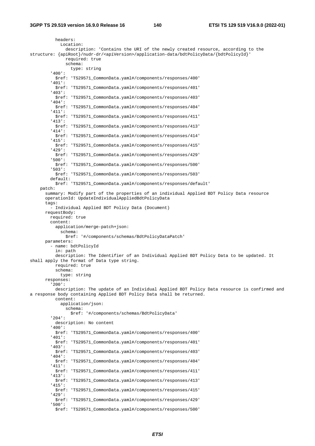headers: Location: description: 'Contains the URI of the newly created resource, according to the structure: {apiRoot}/nudr-dr/<apiVersion>/application-data/bdtPolicyData/{bdtPolicyId}' required: true schema: type: string '400': \$ref: 'TS29571\_CommonData.yaml#/components/responses/400' '401': \$ref: 'TS29571\_CommonData.yaml#/components/responses/401' '403': \$ref: 'TS29571\_CommonData.yaml#/components/responses/403' '404': \$ref: 'TS29571\_CommonData.yaml#/components/responses/404' '411': \$ref: 'TS29571\_CommonData.yaml#/components/responses/411' '413': \$ref: 'TS29571\_CommonData.yaml#/components/responses/413' '414': \$ref: 'TS29571\_CommonData.yaml#/components/responses/414' '415': \$ref: 'TS29571\_CommonData.yaml#/components/responses/415' '429': \$ref: 'TS29571\_CommonData.yaml#/components/responses/429' '500': \$ref: 'TS29571\_CommonData.yaml#/components/responses/500' '503': \$ref: 'TS29571\_CommonData.yaml#/components/responses/503' default: \$ref: 'TS29571\_CommonData.yaml#/components/responses/default' patch: summary: Modify part of the properties of an individual Applied BDT Policy Data resource operationId: UpdateIndividualAppliedBdtPolicyData tags: - Individual Applied BDT Policy Data (Document) requestBody: required: true content: application/merge-patch+json: schema: \$ref: '#/components/schemas/BdtPolicyDataPatch' parameters: - name: bdtPolicyId in: path description: The Identifier of an Individual Applied BDT Policy Data to be updated. It shall apply the format of Data type string. required: true schema: type: string responses: '200': description: The update of an Individual Applied BDT Policy Data resource is confirmed and a response body containing Applied BDT Policy Data shall be returned. content: application/json: schema: \$ref: '#/components/schemas/BdtPolicyData' '204': description: No content '400': \$ref: 'TS29571\_CommonData.yaml#/components/responses/400' '401': \$ref: 'TS29571\_CommonData.yaml#/components/responses/401' '403': \$ref: 'TS29571\_CommonData.yaml#/components/responses/403' '404': \$ref: 'TS29571\_CommonData.yaml#/components/responses/404' '411': \$ref: 'TS29571\_CommonData.yaml#/components/responses/411' '413': \$ref: 'TS29571\_CommonData.yaml#/components/responses/413' '415': \$ref: 'TS29571\_CommonData.yaml#/components/responses/415' '429': \$ref: 'TS29571\_CommonData.yaml#/components/responses/429' '500': \$ref: 'TS29571\_CommonData.yaml#/components/responses/500'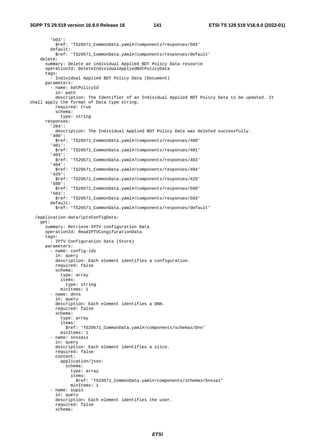'503': \$ref: 'TS29571\_CommonData.yaml#/components/responses/503' default: \$ref: 'TS29571\_CommonData.yaml#/components/responses/default' delete: summary: Delete an individual Applied BDT Policy Data resource operationId: DeleteIndividualAppliedBdtPolicyData tags: - Individual Applied BDT Policy Data (Document) parameters: - name: bdtPolicyId in: path description: The Identifier of an Individual Applied BDT Policy Data to be updated. It shall apply the format of Data type string. required: true schema: type: string responses: '204': description: The Individual Applied BDT Policy Data was deleted successfully. '400': \$ref: 'TS29571\_CommonData.yaml#/components/responses/400' '401': \$ref: 'TS29571\_CommonData.yaml#/components/responses/401' '403': \$ref: 'TS29571\_CommonData.yaml#/components/responses/403' '404': \$ref: 'TS29571\_CommonData.yaml#/components/responses/404' '429': \$ref: 'TS29571\_CommonData.yaml#/components/responses/429' '500': \$ref: 'TS29571\_CommonData.yaml#/components/responses/500' '503': \$ref: 'TS29571\_CommonData.yaml#/components/responses/503' default: \$ref: 'TS29571\_CommonData.yaml#/components/responses/default' /application-data/iptvConfigData: get: summary: Retrieve IPTV configuration Data operationId: ReadIPTVCongifurationData tags: - IPTV Configuration Data (Store) parameters: - name: config-ids in: query description: Each element identifies a configuration. required: false schema: type: array items: type: string minItems: 1 - name: dnns in: query description: Each element identifies a DNN. required: false schema: type: array items: \$ref: 'TS29571\_CommonData.yaml#/components/schemas/Dnn' minItems: 1 - name: snssais in: query description: Each element identifies a slice. required: false content: application/json: schema: type: array items: \$ref: 'TS29571\_CommonData.yaml#/components/schemas/Snssai' minItems: 1 - name: supis in: query description: Each element identifies the user. required: false schema: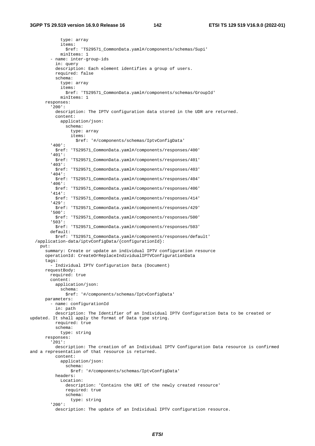type: array items: \$ref: 'TS29571\_CommonData.yaml#/components/schemas/Supi' minItems: 1 - name: inter-group-ids in: query description: Each element identifies a group of users. required: false schema: type: array items: \$ref: 'TS29571\_CommonData.yaml#/components/schemas/GroupId' minItems: 1 responses: '200': description: The IPTV configuration data stored in the UDR are returned. content: application/json: schema: type: array items: \$ref: '#/components/schemas/IptvConfigData' '400': \$ref: 'TS29571\_CommonData.yaml#/components/responses/400' '401': \$ref: 'TS29571\_CommonData.yaml#/components/responses/401' '403': \$ref: 'TS29571\_CommonData.yaml#/components/responses/403' '404': \$ref: 'TS29571\_CommonData.yaml#/components/responses/404' '406': \$ref: 'TS29571\_CommonData.yaml#/components/responses/406' '414': \$ref: 'TS29571\_CommonData.yaml#/components/responses/414' '429': \$ref: 'TS29571\_CommonData.yaml#/components/responses/429' '500': \$ref: 'TS29571\_CommonData.yaml#/components/responses/500' '503': \$ref: 'TS29571\_CommonData.yaml#/components/responses/503' default: \$ref: 'TS29571\_CommonData.yaml#/components/responses/default' /application-data/iptvConfigData/{configurationId}: put: summary: Create or update an individual IPTV configuration resource operationId: CreateOrReplaceIndividualIPTVConfigurationData tags: - Individual IPTV Configuration Data (Document) requestBody: required: true content: application/json: schema: \$ref: '#/components/schemas/IptvConfigData' parameters: - name: configurationId in: path description: The Identifier of an Individual IPTV Configuration Data to be created or updated. It shall apply the format of Data type string. required: true schema: type: string responses: '201': description: The creation of an Individual IPTV Configuration Data resource is confirmed and a representation of that resource is returned. content: application/json: schema: \$ref: '#/components/schemas/IptvConfigData' headers: Location: description: 'Contains the URI of the newly created resource' required: true schema: type: string '200': description: The update of an Individual IPTV configuration resource.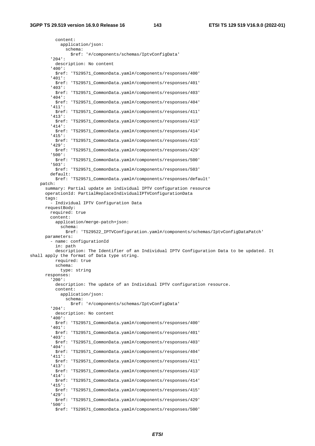content: application/json: schema: \$ref: '#/components/schemas/IptvConfigData' '204': description: No content '400': \$ref: 'TS29571\_CommonData.yaml#/components/responses/400' '401': \$ref: 'TS29571\_CommonData.yaml#/components/responses/401' '403': \$ref: 'TS29571\_CommonData.yaml#/components/responses/403' '404': \$ref: 'TS29571\_CommonData.yaml#/components/responses/404' '411': \$ref: 'TS29571\_CommonData.yaml#/components/responses/411' '413': \$ref: 'TS29571\_CommonData.yaml#/components/responses/413' '414': \$ref: 'TS29571\_CommonData.yaml#/components/responses/414' '415': \$ref: 'TS29571\_CommonData.yaml#/components/responses/415' '429': \$ref: 'TS29571\_CommonData.yaml#/components/responses/429' '500': \$ref: 'TS29571\_CommonData.yaml#/components/responses/500' '503': \$ref: 'TS29571\_CommonData.yaml#/components/responses/503' default: \$ref: 'TS29571\_CommonData.yaml#/components/responses/default' patch: summary: Partial update an individual IPTV configuration resource operationId: PartialReplaceIndividualIPTVConfigurationData tags: - Individual IPTV Configuration Data requestBody: required: true content: application/merge-patch+json: schema: \$ref: 'TS29522\_IPTVConfiguration.yaml#/components/schemas/IptvConfigDataPatch' parameters: - name: configurationId in: path description: The Identifier of an Individual IPTV Configuration Data to be updated. It shall apply the format of Data type string. required: true schema: type: string responses: '200': description: The update of an Individual IPTV configuration resource. content: application/json: schema: \$ref: '#/components/schemas/IptvConfigData' '204': description: No content '400': \$ref: 'TS29571\_CommonData.yaml#/components/responses/400' '401': \$ref: 'TS29571\_CommonData.yaml#/components/responses/401' '403': \$ref: 'TS29571\_CommonData.yaml#/components/responses/403' '404': \$ref: 'TS29571\_CommonData.yaml#/components/responses/404' '411': \$ref: 'TS29571\_CommonData.yaml#/components/responses/411' '413': \$ref: 'TS29571\_CommonData.yaml#/components/responses/413' '414': \$ref: 'TS29571\_CommonData.yaml#/components/responses/414' '415': \$ref: 'TS29571\_CommonData.yaml#/components/responses/415' '429': \$ref: 'TS29571\_CommonData.yaml#/components/responses/429' '500': \$ref: 'TS29571\_CommonData.yaml#/components/responses/500'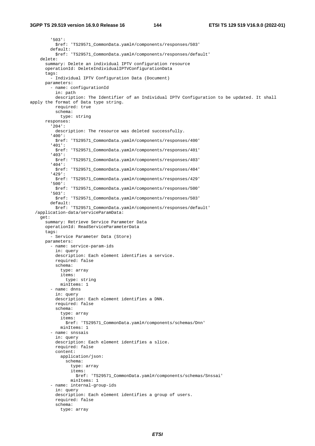## **3GPP TS 29.519 version 16.9.0 Release 16 144 ETSI TS 129 519 V16.9.0 (2022-01)**

 '503': \$ref: 'TS29571\_CommonData.yaml#/components/responses/503' default: \$ref: 'TS29571\_CommonData.yaml#/components/responses/default' delete: summary: Delete an individual IPTV configuration resource operationId: DeleteIndividualIPTVConfigurationData tags: - Individual IPTV Configuration Data (Document) parameters: - name: configurationId in: path description: The Identifier of an Individual IPTV Configuration to be updated. It shall apply the format of Data type string. required: true schema: type: string responses: '204': description: The resource was deleted successfully. '400': \$ref: 'TS29571\_CommonData.yaml#/components/responses/400' '401': \$ref: 'TS29571\_CommonData.yaml#/components/responses/401' '403': \$ref: 'TS29571\_CommonData.yaml#/components/responses/403' '404': \$ref: 'TS29571\_CommonData.yaml#/components/responses/404' '429': \$ref: 'TS29571\_CommonData.yaml#/components/responses/429' '500': \$ref: 'TS29571\_CommonData.yaml#/components/responses/500' '503': \$ref: 'TS29571\_CommonData.yaml#/components/responses/503' default: \$ref: 'TS29571\_CommonData.yaml#/components/responses/default' /application-data/serviceParamData: get: summary: Retrieve Service Parameter Data operationId: ReadServiceParameterData tags: - Service Parameter Data (Store) parameters: - name: service-param-ids in: query description: Each element identifies a service. required: false schema: type: array items: type: string minItems: 1 - name: dnns in: query description: Each element identifies a DNN. required: false schema: type: array items: \$ref: 'TS29571\_CommonData.yaml#/components/schemas/Dnn' minItems: 1 - name: snssais in: query description: Each element identifies a slice. required: false content: application/json: schema: type: array items: \$ref: 'TS29571\_CommonData.yaml#/components/schemas/Snssai' minItems: 1 - name: internal-group-ids in: query description: Each element identifies a group of users. required: false schema: type: array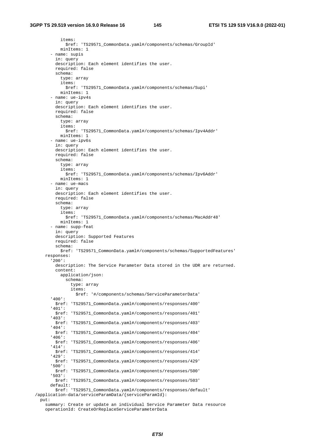items: \$ref: 'TS29571\_CommonData.yaml#/components/schemas/GroupId' minItems: 1 - name: supis in: query description: Each element identifies the user. required: false schema: type: array items: \$ref: 'TS29571\_CommonData.yaml#/components/schemas/Supi' minItems: 1 - name: ue-ipv4s in: query description: Each element identifies the user. required: false schema: type: array items: \$ref: 'TS29571\_CommonData.yaml#/components/schemas/Ipv4Addr' minItems: 1 - name: ue-ipv6s in: query description: Each element identifies the user. required: false schema: type: array items: \$ref: 'TS29571\_CommonData.yaml#/components/schemas/Ipv6Addr' minItems: 1 - name: ue-macs in: query description: Each element identifies the user. required: false schema: type: array items: \$ref: 'TS29571\_CommonData.yaml#/components/schemas/MacAddr48' minItems: 1 - name: supp-feat in: query description: Supported Features required: false schema: \$ref: 'TS29571\_CommonData.yaml#/components/schemas/SupportedFeatures' responses: '200': description: The Service Parameter Data stored in the UDR are returned. content: application/json: schema: type: array items: \$ref: '#/components/schemas/ServiceParameterData' '400': \$ref: 'TS29571\_CommonData.yaml#/components/responses/400' '401': \$ref: 'TS29571\_CommonData.yaml#/components/responses/401' '403': \$ref: 'TS29571\_CommonData.yaml#/components/responses/403' '404': \$ref: 'TS29571\_CommonData.yaml#/components/responses/404' '406': \$ref: 'TS29571\_CommonData.yaml#/components/responses/406' '414': \$ref: 'TS29571\_CommonData.yaml#/components/responses/414' '429': \$ref: 'TS29571\_CommonData.yaml#/components/responses/429' '500': \$ref: 'TS29571\_CommonData.yaml#/components/responses/500' '503': \$ref: 'TS29571\_CommonData.yaml#/components/responses/503' default: \$ref: 'TS29571\_CommonData.yaml#/components/responses/default' /application-data/serviceParamData/{serviceParamId}: put:

 summary: Create or update an individual Service Parameter Data resource operationId: CreateOrReplaceServiceParameterData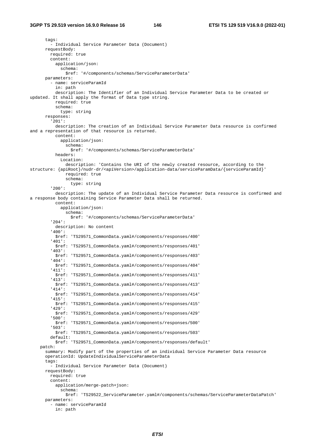tags: - Individual Service Parameter Data (Document) requestBody: required: true content: application/json: schema: \$ref: '#/components/schemas/ServiceParameterData' parameters: - name: serviceParamId in: path description: The Identifier of an Individual Service Parameter Data to be created or updated. It shall apply the format of Data type string. required: true schema: type: string responses: '201': description: The creation of an Individual Service Parameter Data resource is confirmed and a representation of that resource is returned. content: application/json: schema: \$ref: '#/components/schemas/ServiceParameterData' headers: Location: description: 'Contains the URI of the newly created resource, according to the structure: {apiRoot}/nudr-dr/<apiVersion>/application-data/serviceParamData/{serviceParamId}' required: true schema: type: string '200': description: The update of an Individual Service Parameter Data resource is confirmed and a response body containing Service Parameter Data shall be returned. content: application/json: schema: \$ref: '#/components/schemas/ServiceParameterData' '204': description: No content '400': \$ref: 'TS29571\_CommonData.yaml#/components/responses/400' '401': \$ref: 'TS29571\_CommonData.yaml#/components/responses/401' '403': \$ref: 'TS29571\_CommonData.yaml#/components/responses/403' '404': \$ref: 'TS29571\_CommonData.yaml#/components/responses/404' '411': \$ref: 'TS29571\_CommonData.yaml#/components/responses/411' '413': \$ref: 'TS29571\_CommonData.yaml#/components/responses/413' '414': \$ref: 'TS29571\_CommonData.yaml#/components/responses/414' '415': \$ref: 'TS29571\_CommonData.yaml#/components/responses/415' '429': \$ref: 'TS29571\_CommonData.yaml#/components/responses/429' '500': \$ref: 'TS29571\_CommonData.yaml#/components/responses/500' '503': \$ref: 'TS29571\_CommonData.yaml#/components/responses/503' default: \$ref: 'TS29571\_CommonData.yaml#/components/responses/default' patch: summary: Modify part of the properties of an individual Service Parameter Data resource operationId: UpdateIndividualServiceParameterData tags: - Individual Service Parameter Data (Document) requestBody: required: true content: application/merge-patch+json: schema: \$ref: 'TS29522\_ServiceParameter.yaml#/components/schemas/ServiceParameterDataPatch' parameters: - name: serviceParamId in: path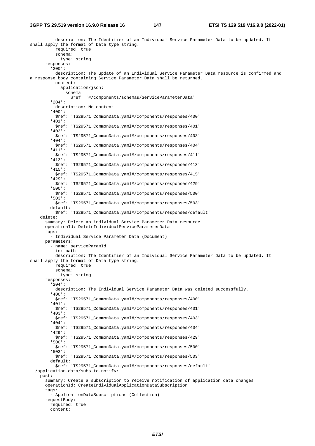description: The Identifier of an Individual Service Parameter Data to be updated. It shall apply the format of Data type string. required: true schema: type: string responses: '200': description: The update of an Individual Service Parameter Data resource is confirmed and a response body containing Service Parameter Data shall be returned. content: application/json: schema: \$ref: '#/components/schemas/ServiceParameterData' '204': description: No content '400': \$ref: 'TS29571\_CommonData.yaml#/components/responses/400' '401': \$ref: 'TS29571\_CommonData.yaml#/components/responses/401' '403': \$ref: 'TS29571\_CommonData.yaml#/components/responses/403' '404': \$ref: 'TS29571\_CommonData.yaml#/components/responses/404' '411': \$ref: 'TS29571\_CommonData.yaml#/components/responses/411' '413': \$ref: 'TS29571\_CommonData.yaml#/components/responses/413' '415': \$ref: 'TS29571\_CommonData.yaml#/components/responses/415' '429': \$ref: 'TS29571\_CommonData.yaml#/components/responses/429' '500': \$ref: 'TS29571\_CommonData.yaml#/components/responses/500' '503': \$ref: 'TS29571\_CommonData.yaml#/components/responses/503' default: \$ref: 'TS29571\_CommonData.yaml#/components/responses/default' delete: summary: Delete an individual Service Parameter Data resource operationId: DeleteIndividualServiceParameterData tags: - Individual Service Parameter Data (Document) parameters: - name: serviceParamId in: path description: The Identifier of an Individual Service Parameter Data to be updated. It shall apply the format of Data type string. required: true schema: type: string responses: '204': description: The Individual Service Parameter Data was deleted successfully. '400': \$ref: 'TS29571\_CommonData.yaml#/components/responses/400' '401': \$ref: 'TS29571\_CommonData.yaml#/components/responses/401' '403': \$ref: 'TS29571\_CommonData.yaml#/components/responses/403' '404': \$ref: 'TS29571\_CommonData.yaml#/components/responses/404' '429': \$ref: 'TS29571\_CommonData.yaml#/components/responses/429' '500': \$ref: 'TS29571\_CommonData.yaml#/components/responses/500' '503': \$ref: 'TS29571\_CommonData.yaml#/components/responses/503' default: \$ref: 'TS29571\_CommonData.yaml#/components/responses/default' /application-data/subs-to-notify: post: summary: Create a subscription to receive notification of application data changes operationId: CreateIndividualApplicationDataSubscription tags: - ApplicationDataSubscriptions (Collection) requestBody: required: true content: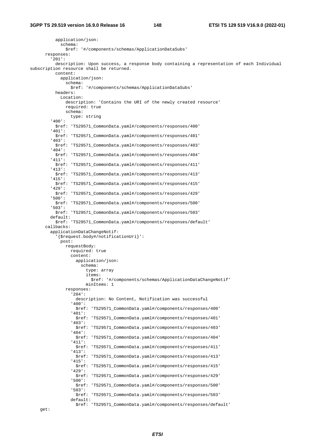application/json: schema: \$ref: '#/components/schemas/ApplicationDataSubs' responses: '201': description: Upon success, a response body containing a representation of each Individual subscription resource shall be returned. content: application/json: schema: \$ref: '#/components/schemas/ApplicationDataSubs' headers: Location: description: 'Contains the URI of the newly created resource' required: true schema: type: string '400': \$ref: 'TS29571\_CommonData.yaml#/components/responses/400' '401': \$ref: 'TS29571\_CommonData.yaml#/components/responses/401' '403': \$ref: 'TS29571\_CommonData.yaml#/components/responses/403' '404': \$ref: 'TS29571\_CommonData.yaml#/components/responses/404' '411': \$ref: 'TS29571\_CommonData.yaml#/components/responses/411' '413': \$ref: 'TS29571\_CommonData.yaml#/components/responses/413' '415': \$ref: 'TS29571\_CommonData.yaml#/components/responses/415' '429': \$ref: 'TS29571\_CommonData.yaml#/components/responses/429' '500': \$ref: 'TS29571\_CommonData.yaml#/components/responses/500' '503': \$ref: 'TS29571\_CommonData.yaml#/components/responses/503' default: \$ref: 'TS29571\_CommonData.yaml#/components/responses/default' callbacks: applicationDataChangeNotif: '{\$request.body#/notificationUri}': post: requestBody: required: true content: application/json: schema: type: array items: \$ref: '#/components/schemas/ApplicationDataChangeNotif' minItems: 1 responses: '204': description: No Content, Notification was successful '400': \$ref: 'TS29571\_CommonData.yaml#/components/responses/400' '401': \$ref: 'TS29571\_CommonData.yaml#/components/responses/401' '403': \$ref: 'TS29571\_CommonData.yaml#/components/responses/403' '404': \$ref: 'TS29571\_CommonData.yaml#/components/responses/404' '411': \$ref: 'TS29571\_CommonData.yaml#/components/responses/411' '413': \$ref: 'TS29571\_CommonData.yaml#/components/responses/413' '415': \$ref: 'TS29571\_CommonData.yaml#/components/responses/415' '429': \$ref: 'TS29571\_CommonData.yaml#/components/responses/429' '500': \$ref: 'TS29571\_CommonData.yaml#/components/responses/500' '503': \$ref: 'TS29571\_CommonData.yaml#/components/responses/503' default: \$ref: 'TS29571\_CommonData.yaml#/components/responses/default'

get: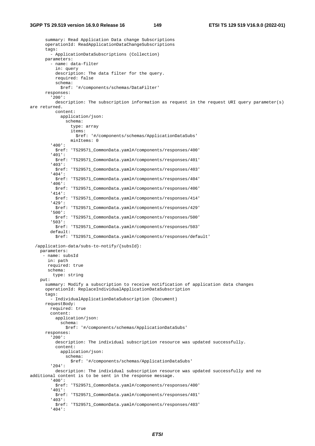## **3GPP TS 29.519 version 16.9.0 Release 16 149 ETSI TS 129 519 V16.9.0 (2022-01)**

 summary: Read Application Data change Subscriptions operationId: ReadApplicationDataChangeSubscriptions tags: - ApplicationDataSubscriptions (Collection) parameters: - name: data-filter in: query description: The data filter for the query. required: false schema: \$ref: '#/components/schemas/DataFilter' responses: '200': description: The subscription information as request in the request URI query parameter(s) are returned. content: application/json: schema: type: array items: \$ref: '#/components/schemas/ApplicationDataSubs' minItems: 0 '400': \$ref: 'TS29571\_CommonData.yaml#/components/responses/400' '401': \$ref: 'TS29571\_CommonData.yaml#/components/responses/401' '403': \$ref: 'TS29571\_CommonData.yaml#/components/responses/403' '404': \$ref: 'TS29571\_CommonData.yaml#/components/responses/404' '406': \$ref: 'TS29571\_CommonData.yaml#/components/responses/406' '414': \$ref: 'TS29571\_CommonData.yaml#/components/responses/414' '429': \$ref: 'TS29571\_CommonData.yaml#/components/responses/429' '500': \$ref: 'TS29571\_CommonData.yaml#/components/responses/500' '503': \$ref: 'TS29571\_CommonData.yaml#/components/responses/503' default: \$ref: 'TS29571\_CommonData.yaml#/components/responses/default' /application-data/subs-to-notify/{subsId}: parameters: - name: subsId in: path required: true schema: type: string put: summary: Modify a subscription to receive notification of application data changes operationId: ReplaceIndividualApplicationDataSubscription tags: - IndividualApplicationDataSubscription (Document) requestBody: required: true content: application/json: schema: \$ref: '#/components/schemas/ApplicationDataSubs' responses: '200': description: The individual subscription resource was updated successfully. content: application/json: schema: \$ref: '#/components/schemas/ApplicationDataSubs' '204': description: The individual subscription resource was updated successfully and no additional content is to be sent in the response message. '400': \$ref: 'TS29571\_CommonData.yaml#/components/responses/400' '401': \$ref: 'TS29571\_CommonData.yaml#/components/responses/401' '403': \$ref: 'TS29571\_CommonData.yaml#/components/responses/403' '404':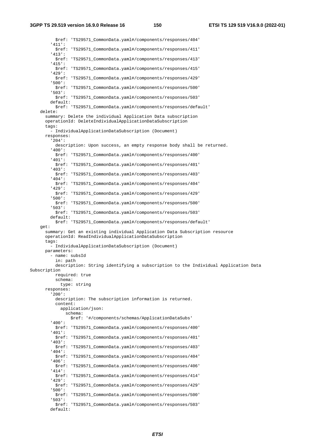\$ref: 'TS29571\_CommonData.yaml#/components/responses/404' '411': \$ref: 'TS29571\_CommonData.yaml#/components/responses/411' '413': \$ref: 'TS29571\_CommonData.yaml#/components/responses/413' '415': \$ref: 'TS29571\_CommonData.yaml#/components/responses/415' '429': \$ref: 'TS29571\_CommonData.yaml#/components/responses/429' '500': \$ref: 'TS29571\_CommonData.yaml#/components/responses/500' '503': \$ref: 'TS29571\_CommonData.yaml#/components/responses/503' default: \$ref: 'TS29571\_CommonData.yaml#/components/responses/default' delete: summary: Delete the individual Application Data subscription operationId: DeleteIndividualApplicationDataSubscription tags: - IndividualApplicationDataSubscription (Document) responses: '204': description: Upon success, an empty response body shall be returned. '400': \$ref: 'TS29571\_CommonData.yaml#/components/responses/400' '401': \$ref: 'TS29571\_CommonData.yaml#/components/responses/401' '403': \$ref: 'TS29571\_CommonData.yaml#/components/responses/403' '404': \$ref: 'TS29571\_CommonData.yaml#/components/responses/404' '429': \$ref: 'TS29571\_CommonData.yaml#/components/responses/429' '500': \$ref: 'TS29571\_CommonData.yaml#/components/responses/500' '503': \$ref: 'TS29571\_CommonData.yaml#/components/responses/503' default: \$ref: 'TS29571\_CommonData.yaml#/components/responses/default' get: summary: Get an existing individual Application Data Subscription resource operationId: ReadIndividualApplicationDataSubscription tags: - IndividualApplicationDataSubscription (Document) parameters: - name: subsId in: path description: String identifying a subscription to the Individual Application Data Subscription required: true schema: type: string responses: '200': description: The subscription information is returned. content: application/json: schema: \$ref: '#/components/schemas/ApplicationDataSubs' '400': \$ref: 'TS29571\_CommonData.yaml#/components/responses/400' '401': \$ref: 'TS29571\_CommonData.yaml#/components/responses/401' '403': \$ref: 'TS29571\_CommonData.yaml#/components/responses/403' '404': \$ref: 'TS29571\_CommonData.yaml#/components/responses/404' '406': \$ref: 'TS29571\_CommonData.yaml#/components/responses/406' '414': \$ref: 'TS29571\_CommonData.yaml#/components/responses/414' '429': \$ref: 'TS29571\_CommonData.yaml#/components/responses/429' '500': \$ref: 'TS29571\_CommonData.yaml#/components/responses/500' '503': \$ref: 'TS29571\_CommonData.yaml#/components/responses/503' default: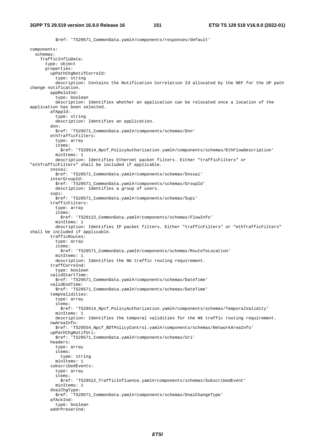\$ref: 'TS29571\_CommonData.yaml#/components/responses/default' components: schemas: TrafficInfluData: type: object properties: upPathChgNotifCorreId: type: string description: Contains the Notification Correlation Id allocated by the NEF for the UP path change notification. appReloInd: type: boolean description: Identifies whether an application can be relocated once a location of the application has been selected. afAppId: type: string description: Identifies an application. dnn: \$ref: 'TS29571\_CommonData.yaml#/components/schemas/Dnn' ethTrafficFilters: type: array items: \$ref: 'TS29514\_Npcf\_PolicyAuthorization.yaml#/components/schemas/EthFlowDescription' minItems: 1 description: Identifies Ethernet packet filters. Either "trafficFilters" or "ethTrafficFilters" shall be included if applicable. snssai: \$ref: 'TS29571\_CommonData.yaml#/components/schemas/Snssai' interGroupId: \$ref: 'TS29571\_CommonData.yaml#/components/schemas/GroupId' description: Identifies a group of users. supi: \$ref: 'TS29571\_CommonData.yaml#/components/schemas/Supi' trafficFilters: type: array items: \$ref: 'TS29122\_CommonData.yaml#/components/schemas/FlowInfo' minItems: 1 description: Identifies IP packet filters. Either "trafficFilters" or "ethTrafficFilters" shall be included if applicable. trafficRoutes: type: array items: \$ref: 'TS29571\_CommonData.yaml#/components/schemas/RouteToLocation' minItems: 1 description: Identifies the N6 traffic routing requirement. traffCorreInd: type: boolean validStartTime: \$ref: 'TS29571\_CommonData.yaml#/components/schemas/DateTime' validEndTime: \$ref: 'TS29571\_CommonData.yaml#/components/schemas/DateTime' tempValidities: type: array items: \$ref: 'TS29514\_Npcf\_PolicyAuthorization.yaml#/components/schemas/TemporalValidity' minItems: 1 description: Identifies the temporal validities for the N6 traffic routing requirement. nwAreaInfo: \$ref: 'TS29554\_Npcf\_BDTPolicyControl.yaml#/components/schemas/NetworkAreaInfo' upPathChgNotifUri: \$ref: 'TS29571\_CommonData.yaml#/components/schemas/Uri' headers: type: array items: type: string minItems: 1 subscribedEvents: type: array items: \$ref: 'TS29522\_TrafficInfluence.yaml#/components/schemas/SubscribedEvent' minItems: 1 dnaiChgType: \$ref: 'TS29571\_CommonData.yaml#/components/schemas/DnaiChangeType' afAckInd: type: boolean addrPreserInd: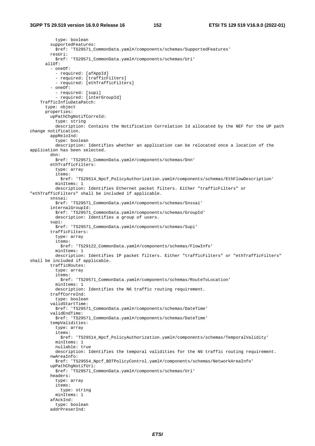type: boolean supportedFeatures: \$ref: 'TS29571\_CommonData.yaml#/components/schemas/SupportedFeatures' resUri: \$ref: 'TS29571\_CommonData.yaml#/components/schemas/Uri' allOf: - oneOf: - required: [afAppId] - required: [trafficFilters] - required: [ethTrafficFilters] - oneOf: - required: [supi] - required: [interGroupId] TrafficInfluDataPatch: type: object properties: upPathChgNotifCorreId: type: string description: Contains the Notification Correlation Id allocated by the NEF for the UP path change notification. appReloInd: type: boolean description: Identifies whether an application can be relocated once a location of the application has been selected. dnn: \$ref: 'TS29571\_CommonData.yaml#/components/schemas/Dnn' ethTrafficFilters: type: array items: \$ref: 'TS29514\_Npcf\_PolicyAuthorization.yaml#/components/schemas/EthFlowDescription' minItems: 1 description: Identifies Ethernet packet filters. Either "trafficFilters" or "ethTrafficFilters" shall be included if applicable. snssai: \$ref: 'TS29571\_CommonData.yaml#/components/schemas/Snssai' internalGroupId: \$ref: 'TS29571\_CommonData.yaml#/components/schemas/GroupId' description: Identifies a group of users. supi: \$ref: 'TS29571\_CommonData.yaml#/components/schemas/Supi' trafficFilters: type: array items: \$ref: 'TS29122\_CommonData.yaml#/components/schemas/FlowInfo' minItems: 1 description: Identifies IP packet filters. Either "trafficFilters" or "ethTrafficFilters" shall be included if applicable. trafficRoutes: type: array items: \$ref: 'TS29571\_CommonData.yaml#/components/schemas/RouteToLocation' minItems: 1 description: Identifies the N6 traffic routing requirement. traffCorreInd: type: boolean validStartTime: \$ref: 'TS29571\_CommonData.yaml#/components/schemas/DateTime' validEndTime: \$ref: 'TS29571\_CommonData.yaml#/components/schemas/DateTime' tempValidities: type: array items: \$ref: 'TS29514\_Npcf\_PolicyAuthorization.yaml#/components/schemas/TemporalValidity' minItems: 1 nullable: true description: Identifies the temporal validities for the N6 traffic routing requirement. nwAreaInfo: \$ref: 'TS29554\_Npcf\_BDTPolicyControl.yaml#/components/schemas/NetworkAreaInfo' upPathChgNotifUri: \$ref: 'TS29571\_CommonData.yaml#/components/schemas/Uri' headers: type: array items: type: string minItems: 1 afAckInd: type: boolean addrPreserInd: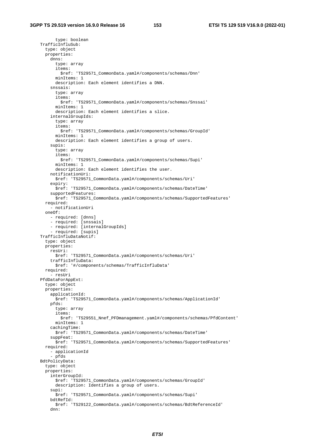type: boolean TrafficInfluSub: type: object properties: dnns: type: array items: \$ref: 'TS29571\_CommonData.yaml#/components/schemas/Dnn' minItems: 1 description: Each element identifies a DNN. snssais: type: array items: \$ref: 'TS29571\_CommonData.yaml#/components/schemas/Snssai' minItems: 1 description: Each element identifies a slice. internalGroupIds: type: array items: \$ref: 'TS29571\_CommonData.yaml#/components/schemas/GroupId' minItems: 1 description: Each element identifies a group of users. supis: type: array items: \$ref: 'TS29571\_CommonData.yaml#/components/schemas/Supi' minItems: 1 description: Each element identifies the user. notificationUri: \$ref: 'TS29571\_CommonData.yaml#/components/schemas/Uri' expiry: \$ref: 'TS29571\_CommonData.yaml#/components/schemas/DateTime' supportedFeatures: \$ref: 'TS29571\_CommonData.yaml#/components/schemas/SupportedFeatures' required: - notificationUri oneOf: - required: [dnns] - required: [snssais] - required: [internalGroupIds] - required: [supis] TrafficInfluDataNotif: type: object properties: resUri: \$ref: 'TS29571\_CommonData.yaml#/components/schemas/Uri' trafficInfluData: \$ref: '#/components/schemas/TrafficInfluData' required: - resUri PfdDataForAppExt: type: object properties: applicationId: \$ref: 'TS29571\_CommonData.yaml#/components/schemas/ApplicationId' pfds: type: array items: \$ref: 'TS29551\_Nnef\_PFDmanagement.yaml#/components/schemas/PfdContent' minItems: 1 cachingTime: \$ref: 'TS29571\_CommonData.yaml#/components/schemas/DateTime' suppFeat: \$ref: 'TS29571\_CommonData.yaml#/components/schemas/SupportedFeatures' required: - applicationId - pfds BdtPolicyData: type: object properties: interGroupId: \$ref: 'TS29571\_CommonData.yaml#/components/schemas/GroupId' description: Identifies a group of users. supi: \$ref: 'TS29571\_CommonData.yaml#/components/schemas/Supi' bdtRefId: \$ref: 'TS29122\_CommonData.yaml#/components/schemas/BdtReferenceId' dnn: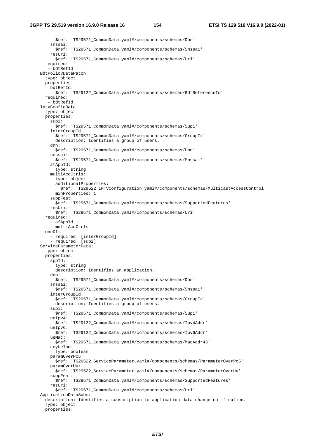## **3GPP TS 29.519 version 16.9.0 Release 16 154 ETSI TS 129 519 V16.9.0 (2022-01)**

 \$ref: 'TS29571\_CommonData.yaml#/components/schemas/Dnn' snssai: \$ref: 'TS29571\_CommonData.yaml#/components/schemas/Snssai' resUri: \$ref: 'TS29571\_CommonData.yaml#/components/schemas/Uri' required: - bdtRefId BdtPolicyDataPatch: type: object properties: bdtRefId: \$ref: 'TS29122\_CommonData.yaml#/components/schemas/BdtReferenceId' required: - bdtRefId IptvConfigData: type: object properties: supi: \$ref: 'TS29571\_CommonData.yaml#/components/schemas/Supi' interGroupId: \$ref: 'TS29571\_CommonData.yaml#/components/schemas/GroupId' description: Identifies a group of users. dnn: \$ref: 'TS29571\_CommonData.yaml#/components/schemas/Dnn' snssai: \$ref: 'TS29571\_CommonData.yaml#/components/schemas/Snssai' afAppId: type: string multiAccCtrls: type: object additionalProperties: \$ref: 'TS29522\_IPTVConfiguration.yaml#/components/schemas/MulticastAccessControl' minProperties: 1 suppFeat: \$ref: 'TS29571\_CommonData.yaml#/components/schemas/SupportedFeatures' resUri: \$ref: 'TS29571\_CommonData.yaml#/components/schemas/Uri' required: - afAppId - multiAccCtrls oneOf: - required: [interGroupId] - required: [supi] ServiceParameterData: type: object properties: appId: type: string description: Identifies an application. dnn: \$ref: 'TS29571\_CommonData.yaml#/components/schemas/Dnn' snssai: \$ref: 'TS29571\_CommonData.yaml#/components/schemas/Snssai' interGroupId: \$ref: 'TS29571\_CommonData.yaml#/components/schemas/GroupId' description: Identifies a group of users. supi: \$ref: 'TS29571\_CommonData.yaml#/components/schemas/Supi' ueIpv4: \$ref: 'TS29122\_CommonData.yaml#/components/schemas/Ipv4Addr' ueIpv6: \$ref: 'TS29122\_CommonData.yaml#/components/schemas/Ipv6Addr' ueMac: \$ref: 'TS29571\_CommonData.yaml#/components/schemas/MacAddr48' anyUeInd: type: boolean paramOverPc5: \$ref: 'TS29522\_ServiceParameter.yaml#/components/schemas/ParameterOverPc5' paramOverUu: \$ref: 'TS29522\_ServiceParameter.yaml#/components/schemas/ParameterOverUu' suppFeat: \$ref: 'TS29571\_CommonData.yaml#/components/schemas/SupportedFeatures' resUri: \$ref: 'TS29571\_CommonData.yaml#/components/schemas/Uri' ApplicationDataSubs: description: Identifies a subscription to application data change notification. type: object properties: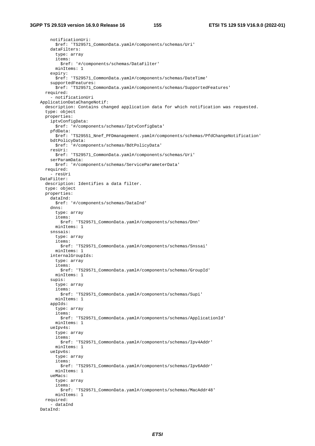notificationUri: \$ref: 'TS29571\_CommonData.yaml#/components/schemas/Uri' dataFilters: type: array items: \$ref: '#/components/schemas/DataFilter' minItems: 1 expiry: \$ref: 'TS29571\_CommonData.yaml#/components/schemas/DateTime' supportedFeatures: \$ref: 'TS29571\_CommonData.yaml#/components/schemas/SupportedFeatures' required: - notificationUri ApplicationDataChangeNotif: description: Contains changed application data for which notification was requested. type: object properties: iptvConfigData: \$ref: '#/components/schemas/IptvConfigData' pfdData: \$ref: 'TS29551\_Nnef\_PFDmanagement.yaml#/components/schemas/PfdChangeNotification' bdtPolicyData: \$ref: '#/components/schemas/BdtPolicyData' resUri: \$ref: 'TS29571\_CommonData.yaml#/components/schemas/Uri' serParamData: \$ref: '#/components/schemas/ServiceParameterData' required: - resUri DataFilter: description: Identifies a data filter. type: object properties: dataInd: \$ref: '#/components/schemas/DataInd' dnns: type: array items: \$ref: 'TS29571\_CommonData.yaml#/components/schemas/Dnn' minItems: 1 snssais: type: array items: \$ref: 'TS29571\_CommonData.yaml#/components/schemas/Snssai' minItems: 1 internalGroupIds: type: array items: \$ref: 'TS29571\_CommonData.yaml#/components/schemas/GroupId' minItems: 1 supis: type: array items: \$ref: 'TS29571\_CommonData.yaml#/components/schemas/Supi' minItems: 1 appIds: type: array items: \$ref: 'TS29571\_CommonData.yaml#/components/schemas/ApplicationId' minItems: 1 ueIpv4s: type: array items: \$ref: 'TS29571\_CommonData.yaml#/components/schemas/Ipv4Addr' minItems: 1 ueIpv6s: type: array items: \$ref: 'TS29571\_CommonData.yaml#/components/schemas/Ipv6Addr' minItems: 1 ueMacs: type: array items: \$ref: 'TS29571\_CommonData.yaml#/components/schemas/MacAddr48' minItems: 1 required: - dataInd DataInd: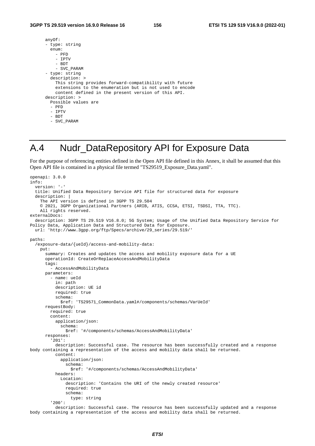| anyOf:                                                                                                                                                                   |
|--------------------------------------------------------------------------------------------------------------------------------------------------------------------------|
| - type: string                                                                                                                                                           |
| enum:                                                                                                                                                                    |
| $-$ PFD                                                                                                                                                                  |
| - IPTV                                                                                                                                                                   |
| - BDT                                                                                                                                                                    |
| - SVC PARAM                                                                                                                                                              |
| - type: string                                                                                                                                                           |
| description: >                                                                                                                                                           |
| This string provides forward-compatibility with future<br>extensions to the enumeration but is not used to encode<br>content defined in the present version of this API. |
| description: >                                                                                                                                                           |
| Possible values are                                                                                                                                                      |
| - PFD                                                                                                                                                                    |
| - IPTV                                                                                                                                                                   |
| - BDT                                                                                                                                                                    |
| - SVC PARAM                                                                                                                                                              |

## A.4 Nudr\_DataRepository API for Exposure Data

For the purpose of referencing entities defined in the Open API file defined in this Annex, it shall be assumed that this Open API file is contained in a physical file termed "TS29519\_Exposure\_Data.yaml".

```
openapi: 3.0.0 
info: 
   version: '-' 
   title: Unified Data Repository Service API file for structured data for exposure 
   description: | 
     The API version is defined in 3GPP TS 29.504 
     © 2021, 3GPP Organizational Partners (ARIB, ATIS, CCSA, ETSI, TSDSI, TTA, TTC). 
     All rights reserved. 
externalDocs: 
   description: 3GPP TS 29.519 V16.8.0; 5G System; Usage of the Unified Data Repository Service for 
Policy Data, Application Data and Structured Data for Exposure. 
   url: 'http://www.3gpp.org/ftp/Specs/archive/29_series/29.519/' 
paths: 
   /exposure-data/{ueId}/access-and-mobility-data: 
     put: 
       summary: Creates and updates the access and mobility exposure data for a UE 
       operationId: CreateOrReplaceAccessAndMobilityData 
       tags: 
         - AccessAndMobilityData 
       parameters: 
         - name: ueId 
           in: path 
           description: UE id 
           required: true 
           schema: 
             $ref: 'TS29571_CommonData.yaml#/components/schemas/VarUeId' 
       requestBody: 
         required: true 
         content: 
           application/json: 
             schema: 
               $ref: '#/components/schemas/AccessAndMobilityData' 
       responses: 
          '201': 
           description: Successful case. The resource has been successfully created and a response 
body containing a representation of the access and mobility data shall be returned. 
           content: 
             application/json: 
               schema: 
                  $ref: '#/components/schemas/AccessAndMobilityData' 
           headers: 
             Location: 
                description: 'Contains the URI of the newly created resource' 
               required: true 
               schema: 
                  type: string 
          '200': 
           description: Successful case. The resource has been successfully updated and a response 
body containing a representation of the access and mobility data shall be returned.
```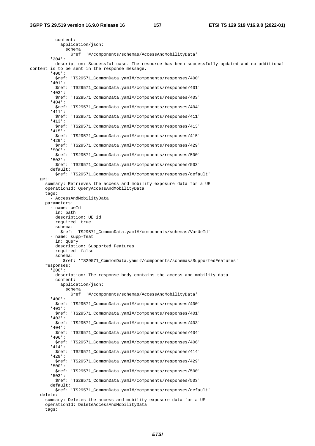| content:             |                                                                                                                                              |
|----------------------|----------------------------------------------------------------------------------------------------------------------------------------------|
|                      | application/json:                                                                                                                            |
|                      | schema:<br>\$ref: '#/components/schemas/AccessAndMobilityData'                                                                               |
| $'204$ :             |                                                                                                                                              |
| '400':               | description: Successful case. The resource has been successfully updated and no additional<br>content is to be sent in the response message. |
| '401':               | \$ref: 'TS29571_CommonData.yaml#/components/responses/400'                                                                                   |
| $'403$ :             | \$ref: 'TS29571_CommonData.yaml#/components/responses/401'                                                                                   |
| $'404$ :             | \$ref: 'TS29571_CommonData.yaml#/components/responses/403'                                                                                   |
| '411':               | \$ref: 'TS29571_CommonData.yaml#/components/responses/404'                                                                                   |
| $'413'$ :            | \$ref: 'TS29571_CommonData.yaml#/components/responses/411'                                                                                   |
| $'415'$ :            | \$ref: 'TS29571_CommonData.yaml#/components/responses/413'                                                                                   |
| $'429$ :             | \$ref: 'TS29571_CommonData.yaml#/components/responses/415'                                                                                   |
| $'500$ ':            | \$ref: 'TS29571_CommonData.yaml#/components/responses/429'                                                                                   |
| '503':               | \$ref: 'TS29571_CommonData.yaml#/components/responses/500'                                                                                   |
| default:             | \$ref: 'TS29571_CommonData.yaml#/components/responses/503'                                                                                   |
|                      | \$ref: 'TS29571_CommonData.yaml#/components/responses/default'                                                                               |
| get:                 |                                                                                                                                              |
|                      | summary: Retrieves the access and mobility exposure data for a UE<br>operationId: QueryAccessAndMobilityData                                 |
| tags:                | - AccessAndMobilityData                                                                                                                      |
| parameters:          |                                                                                                                                              |
| - name: ueId         |                                                                                                                                              |
| in: path             | description: UE id                                                                                                                           |
|                      | required: true                                                                                                                               |
| schema:              |                                                                                                                                              |
|                      | \$ref: 'TS29571_CommonData.yaml#/components/schemas/VarUeId'<br>- name: supp-feat                                                            |
| in: query            |                                                                                                                                              |
|                      | description: Supported Features                                                                                                              |
| schema:              | required: false                                                                                                                              |
|                      | \$ref: 'TS29571_CommonData.yaml#/components/schemas/SupportedFeatures'                                                                       |
| responses:<br>'200': |                                                                                                                                              |
| content:             | description: The response body contains the access and mobility data                                                                         |
|                      | application/json:<br>schema:                                                                                                                 |
| $'400$ ':            | \$ref: '#/components/schemas/AccessAndMobilityData'                                                                                          |
| '401':               | \$ref: 'TS29571_CommonData.yaml#/components/responses/400'                                                                                   |
| $1403$ :             | \$ref: 'TS29571_CommonData.yaml#/components/responses/401'                                                                                   |
| $'404$ :             | \$ref: 'TS29571_CommonData.yaml#/components/responses/403'                                                                                   |
| $'406'$ :            | \$ref: 'TS29571_CommonData.yaml#/components/responses/404'                                                                                   |
| '414':               | \$ref: 'TS29571_CommonData.yaml#/components/responses/406'                                                                                   |
| 1429:                | \$ref: 'TS29571_CommonData.yaml#/components/responses/414'                                                                                   |
| $'500$ ':            | \$ref: 'TS29571_CommonData.yaml#/components/responses/429'                                                                                   |
| '503':               | \$ref: 'TS29571_CommonData.yaml#/components/responses/500'                                                                                   |
| default:             | \$ref: 'TS29571_CommonData.yaml#/components/responses/503'                                                                                   |
|                      | \$ref: 'TS29571_CommonData.yaml#/components/responses/default'                                                                               |
| delete:              | summary: Deletes the access and mobility exposure data for a UE                                                                              |
|                      | operationId: DeleteAccessAndMobilityData                                                                                                     |

tags: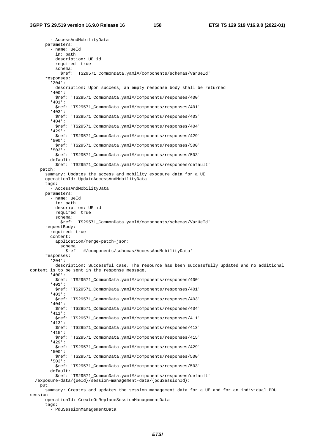- AccessAndMobilityData parameters: - name: ueId in: path description: UE id required: true schema: \$ref: 'TS29571\_CommonData.yaml#/components/schemas/VarUeId' responses: '204': description: Upon success, an empty response body shall be returned '400': \$ref: 'TS29571\_CommonData.yaml#/components/responses/400' '401': \$ref: 'TS29571\_CommonData.yaml#/components/responses/401' '403': \$ref: 'TS29571\_CommonData.yaml#/components/responses/403' '404': \$ref: 'TS29571\_CommonData.yaml#/components/responses/404' '429': \$ref: 'TS29571\_CommonData.yaml#/components/responses/429' '500': \$ref: 'TS29571\_CommonData.yaml#/components/responses/500' '503': \$ref: 'TS29571\_CommonData.yaml#/components/responses/503' default: \$ref: 'TS29571\_CommonData.yaml#/components/responses/default' patch: summary: Updates the access and mobility exposure data for a UE operationId: UpdateAccessAndMobilityData tags: - AccessAndMobilityData parameters: - name: ueId in: path description: UE id required: true schema: \$ref: 'TS29571\_CommonData.yaml#/components/schemas/VarUeId' requestBody: required: true content: application/merge-patch+json: schema: \$ref: '#/components/schemas/AccessAndMobilityData' responses: '204': description: Successful case. The resource has been successfully updated and no additional content is to be sent in the response message. '400': \$ref: 'TS29571\_CommonData.yaml#/components/responses/400' '401': \$ref: 'TS29571\_CommonData.yaml#/components/responses/401' '403': \$ref: 'TS29571\_CommonData.yaml#/components/responses/403' '404': \$ref: 'TS29571\_CommonData.yaml#/components/responses/404' '411': \$ref: 'TS29571\_CommonData.yaml#/components/responses/411' '413': \$ref: 'TS29571\_CommonData.yaml#/components/responses/413' '415': \$ref: 'TS29571\_CommonData.yaml#/components/responses/415' '429': \$ref: 'TS29571\_CommonData.yaml#/components/responses/429' '500': \$ref: 'TS29571\_CommonData.yaml#/components/responses/500' '503': \$ref: 'TS29571\_CommonData.yaml#/components/responses/503' default: \$ref: 'TS29571\_CommonData.yaml#/components/responses/default' /exposure-data/{ueId}/session-management-data/{pduSessionId}: put: summary: Creates and updates the session management data for a UE and for an individual PDU session operationId: CreateOrReplaceSessionManagementData tags:

- PduSessionManagementData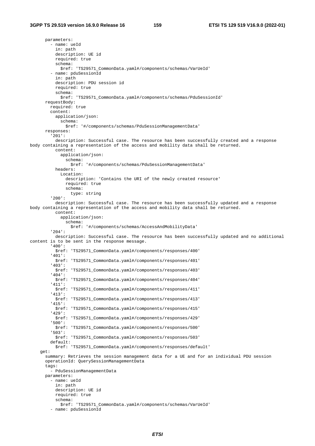parameters: - name: ueId in: path description: UE id required: true schema: \$ref: 'TS29571\_CommonData.yaml#/components/schemas/VarUeId' - name: pduSessionId in: path description: PDU session id required: true schema: \$ref: 'TS29571\_CommonData.yaml#/components/schemas/PduSessionId' requestBody: required: true content: application/json: schema: \$ref: '#/components/schemas/PduSessionManagementData' responses: '201': description: Successful case. The resource has been successfully created and a response body containing a representation of the access and mobility data shall be returned. content: application/json: schema: \$ref: '#/components/schemas/PduSessionManagementData' headers: Location: description: 'Contains the URI of the newly created resource' required: true schema: type: string '200': description: Successful case. The resource has been successfully updated and a response body containing a representation of the access and mobility data shall be returned. content: application/json: schema: \$ref: '#/components/schemas/AccessAndMobilityData' '204': description: Successful case. The resource has been successfully updated and no additional content is to be sent in the response message. '400': \$ref: 'TS29571\_CommonData.yaml#/components/responses/400' '401': \$ref: 'TS29571\_CommonData.yaml#/components/responses/401' '403': \$ref: 'TS29571\_CommonData.yaml#/components/responses/403' '404': \$ref: 'TS29571\_CommonData.yaml#/components/responses/404' '411': \$ref: 'TS29571\_CommonData.yaml#/components/responses/411' '413': \$ref: 'TS29571\_CommonData.yaml#/components/responses/413' '415': \$ref: 'TS29571\_CommonData.yaml#/components/responses/415' '429': \$ref: 'TS29571\_CommonData.yaml#/components/responses/429' '500': \$ref: 'TS29571\_CommonData.yaml#/components/responses/500' '503': \$ref: 'TS29571\_CommonData.yaml#/components/responses/503' default: \$ref: 'TS29571\_CommonData.yaml#/components/responses/default' get: summary: Retrieves the session management data for a UE and for an individual PDU session operationId: QuerySessionManagementData tags: - PduSessionManagementData parameters: - name: ueId in: path description: UE id required: true schema: \$ref: 'TS29571\_CommonData.yaml#/components/schemas/VarUeId' - name: pduSessionId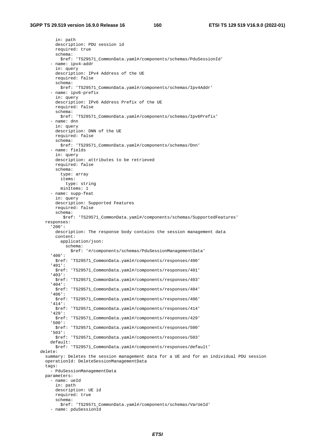in: path description: PDU session id required: true schema: \$ref: 'TS29571\_CommonData.yaml#/components/schemas/PduSessionId' - name: ipv4-addr in: query description: IPv4 Address of the UE required: false schema: \$ref: 'TS29571\_CommonData.yaml#/components/schemas/Ipv4Addr' - name: ipv6-prefix in: query description: IPv6 Address Prefix of the UE required: false schema: \$ref: 'TS29571\_CommonData.yaml#/components/schemas/Ipv6Prefix' - name: dnn in: query description: DNN of the UE required: false schema: \$ref: 'TS29571\_CommonData.yaml#/components/schemas/Dnn' - name: fields in: query description: attributes to be retrieved required: false schema: type: array items: type: string minItems: 1 - name: supp-feat in: query description: Supported Features required: false schema: \$ref: 'TS29571\_CommonData.yaml#/components/schemas/SupportedFeatures' responses: '200': description: The response body contains the session management data content: application/json: schema: \$ref: '#/components/schemas/PduSessionManagementData' '400': \$ref: 'TS29571\_CommonData.yaml#/components/responses/400' '401': \$ref: 'TS29571\_CommonData.yaml#/components/responses/401' '403': \$ref: 'TS29571\_CommonData.yaml#/components/responses/403' '404': \$ref: 'TS29571\_CommonData.yaml#/components/responses/404' '406': \$ref: 'TS29571\_CommonData.yaml#/components/responses/406' '414': \$ref: 'TS29571\_CommonData.yaml#/components/responses/414' '429': \$ref: 'TS29571\_CommonData.yaml#/components/responses/429' '500': \$ref: 'TS29571\_CommonData.yaml#/components/responses/500' '503': \$ref: 'TS29571\_CommonData.yaml#/components/responses/503' default: \$ref: 'TS29571\_CommonData.yaml#/components/responses/default' delete: summary: Deletes the session management data for a UE and for an individual PDU session operationId: DeleteSessionManagementData tags: - PduSessionManagementData parameters: - name: ueId in: path description: UE id required: true schema: \$ref: 'TS29571\_CommonData.yaml#/components/schemas/VarUeId' - name: pduSessionId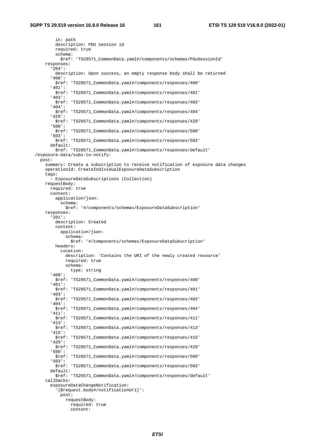in: path description: PDU session id required: true schema: \$ref: 'TS29571\_CommonData.yaml#/components/schemas/PduSessionId' responses: '204': description: Upon success, an empty response body shall be returned '400': \$ref: 'TS29571\_CommonData.yaml#/components/responses/400' '401': \$ref: 'TS29571\_CommonData.yaml#/components/responses/401' '403': \$ref: 'TS29571\_CommonData.yaml#/components/responses/403' '404': \$ref: 'TS29571\_CommonData.yaml#/components/responses/404' '429': \$ref: 'TS29571\_CommonData.yaml#/components/responses/429' '500': \$ref: 'TS29571\_CommonData.yaml#/components/responses/500' '503': \$ref: 'TS29571\_CommonData.yaml#/components/responses/503' default: \$ref: 'TS29571\_CommonData.yaml#/components/responses/default' /exposure-data/subs-to-notify: post: summary: Create a subscription to receive notification of exposure data changes operationId: CreateIndividualExposureDataSubscription tags: - ExposureDataSubscriptions (Collection) requestBody: required: true content: application/json: schema: \$ref: '#/components/schemas/ExposureDataSubscription' responses: '201': description: Created content: application/json: schema: \$ref: '#/components/schemas/ExposureDataSubscription' headers: Location: description: 'Contains the URI of the newly created resource' required: true schema: type: string '400': \$ref: 'TS29571\_CommonData.yaml#/components/responses/400' '401': \$ref: 'TS29571\_CommonData.yaml#/components/responses/401' '403': \$ref: 'TS29571\_CommonData.yaml#/components/responses/403' '404': \$ref: 'TS29571\_CommonData.yaml#/components/responses/404' '411': \$ref: 'TS29571\_CommonData.yaml#/components/responses/411' '413': \$ref: 'TS29571\_CommonData.yaml#/components/responses/413' '415': \$ref: 'TS29571\_CommonData.yaml#/components/responses/415' '429': \$ref: 'TS29571\_CommonData.yaml#/components/responses/429' '500': \$ref: 'TS29571\_CommonData.yaml#/components/responses/500' '503': \$ref: 'TS29571\_CommonData.yaml#/components/responses/503' default: \$ref: 'TS29571\_CommonData.yaml#/components/responses/default' callbacks: exposureDataChangeNotification: '{\$request.body#/notificationUri}': post: requestBody: required: true content: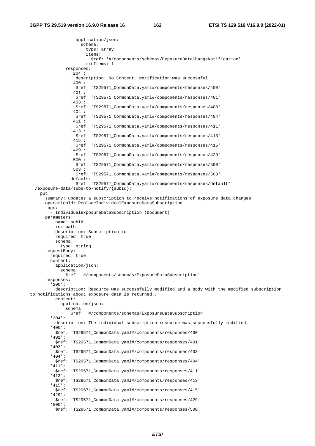application/json: schema: type: array items: \$ref: '#/components/schemas/ExposureDataChangeNotification' minItems: 1 responses: '204': description: No Content, Notification was successful '400': \$ref: 'TS29571\_CommonData.yaml#/components/responses/400' '401': \$ref: 'TS29571\_CommonData.yaml#/components/responses/401' '403': \$ref: 'TS29571\_CommonData.yaml#/components/responses/403' '404': \$ref: 'TS29571\_CommonData.yaml#/components/responses/404' '411': \$ref: 'TS29571\_CommonData.yaml#/components/responses/411' '413': \$ref: 'TS29571\_CommonData.yaml#/components/responses/413' '415': \$ref: 'TS29571\_CommonData.yaml#/components/responses/415' '429': \$ref: 'TS29571\_CommonData.yaml#/components/responses/429' '500': \$ref: 'TS29571\_CommonData.yaml#/components/responses/500' '503': \$ref: 'TS29571\_CommonData.yaml#/components/responses/503' default: \$ref: 'TS29571\_CommonData.yaml#/components/responses/default' /exposure-data/subs-to-notify/{subId}: put: summary: updates a subscription to receive notifications of exposure data changes operationId: ReplaceIndividualExposureDataSubscription tags: - IndividualExposureDataSubscription (Document) parameters: - name: subId in: path description: Subscription id required: true schema: type: string requestBody: required: true content: application/json: schema: \$ref: '#/components/schemas/ExposureDataSubscription' responses: '200': description: Resource was successfully modified and a body with the modified subscription to notifications about exposure data is returned.. content: application/json: schema: \$ref: '#/components/schemas/ExposureDataSubscription' '204': description: The individual subscription resource was successfully modified. '400': \$ref: 'TS29571\_CommonData.yaml#/components/responses/400' '401': \$ref: 'TS29571\_CommonData.yaml#/components/responses/401' '403': \$ref: 'TS29571\_CommonData.yaml#/components/responses/403' '404': \$ref: 'TS29571\_CommonData.yaml#/components/responses/404' '411': \$ref: 'TS29571\_CommonData.yaml#/components/responses/411' '413': \$ref: 'TS29571\_CommonData.yaml#/components/responses/413' '415': \$ref: 'TS29571\_CommonData.yaml#/components/responses/415' '429': \$ref: 'TS29571\_CommonData.yaml#/components/responses/429' '500': \$ref: 'TS29571\_CommonData.yaml#/components/responses/500'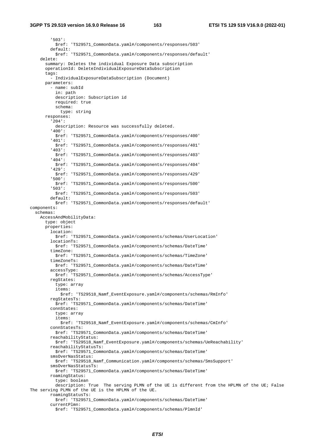## **3GPP TS 29.519 version 16.9.0 Release 16 163 ETSI TS 129 519 V16.9.0 (2022-01)**

 '503': \$ref: 'TS29571\_CommonData.yaml#/components/responses/503' default: \$ref: 'TS29571\_CommonData.yaml#/components/responses/default' delete: summary: Deletes the individual Exposure Data subscription operationId: DeleteIndividualExposureDataSubscription tags: - IndividualExposureDataSubscription (Document) parameters: - name: subId in: path description: Subscription id required: true schema: type: string responses: '204': description: Resource was successfully deleted. '400': \$ref: 'TS29571\_CommonData.yaml#/components/responses/400' '401': \$ref: 'TS29571\_CommonData.yaml#/components/responses/401' '403': \$ref: 'TS29571\_CommonData.yaml#/components/responses/403' '404': \$ref: 'TS29571\_CommonData.yaml#/components/responses/404' '429': \$ref: 'TS29571\_CommonData.yaml#/components/responses/429' '500': \$ref: 'TS29571\_CommonData.yaml#/components/responses/500' '503': \$ref: 'TS29571\_CommonData.yaml#/components/responses/503' default: \$ref: 'TS29571\_CommonData.yaml#/components/responses/default' components: schemas: AccessAndMobilityData: type: object properties: location: \$ref: 'TS29571\_CommonData.yaml#/components/schemas/UserLocation' locationTs: \$ref: 'TS29571\_CommonData.yaml#/components/schemas/DateTime' timeZone: \$ref: 'TS29571\_CommonData.yaml#/components/schemas/TimeZone' timeZoneTs: \$ref: 'TS29571\_CommonData.yaml#/components/schemas/DateTime' accessType: \$ref: 'TS29571\_CommonData.yaml#/components/schemas/AccessType' regStates: type: array items: \$ref: 'TS29518\_Namf\_EventExposure.yaml#/components/schemas/RmInfo' regStatesTs: \$ref: 'TS29571\_CommonData.yaml#/components/schemas/DateTime' connStates: type: array items: \$ref: 'TS29518\_Namf\_EventExposure.yaml#/components/schemas/CmInfo' connStatesTs: \$ref: 'TS29571\_CommonData.yaml#/components/schemas/DateTime' reachabilityStatus: \$ref: 'TS29518\_Namf\_EventExposure.yaml#/components/schemas/UeReachability' reachabilityStatusTs: \$ref: 'TS29571\_CommonData.yaml#/components/schemas/DateTime' smsOverNasStatus: \$ref: 'TS29518\_Namf\_Communication.yaml#/components/schemas/SmsSupport' smsOverNasStatusTs: \$ref: 'TS29571\_CommonData.yaml#/components/schemas/DateTime' roamingStatus: type: boolean description: True The serving PLMN of the UE is different from the HPLMN of the UE; False The serving PLMN of the UE is the HPLMN of the UE. roamingStatusTs: \$ref: 'TS29571\_CommonData.yaml#/components/schemas/DateTime' currentPlmn: \$ref: 'TS29571\_CommonData.yaml#/components/schemas/PlmnId'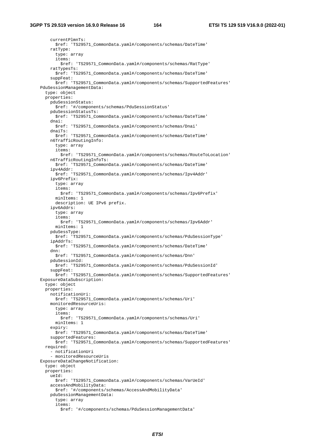currentPlmnTs: \$ref: 'TS29571\_CommonData.yaml#/components/schemas/DateTime' ratType: type: array items: \$ref: 'TS29571\_CommonData.yaml#/components/schemas/RatType' ratTypesTs: \$ref: 'TS29571\_CommonData.yaml#/components/schemas/DateTime' suppFeat: \$ref: 'TS29571\_CommonData.yaml#/components/schemas/SupportedFeatures' PduSessionManagementData: type: object properties: pduSessionStatus: \$ref: '#/components/schemas/PduSessionStatus' pduSessionStatusTs: \$ref: 'TS29571\_CommonData.yaml#/components/schemas/DateTime' dnai: \$ref: 'TS29571\_CommonData.yaml#/components/schemas/Dnai' dnaiTs: \$ref: 'TS29571\_CommonData.yaml#/components/schemas/DateTime' n6TrafficRoutingInfo: type: array items: \$ref: 'TS29571\_CommonData.yaml#/components/schemas/RouteToLocation' n6TrafficRoutingInfoTs: \$ref: 'TS29571\_CommonData.yaml#/components/schemas/DateTime' ipv4Addr: \$ref: 'TS29571\_CommonData.yaml#/components/schemas/Ipv4Addr' ipv6Prefix: type: array items: \$ref: 'TS29571\_CommonData.yaml#/components/schemas/Ipv6Prefix' minItems: 1 description: UE IPv6 prefix. ipv6Addrs: type: array items: \$ref: 'TS29571\_CommonData.yaml#/components/schemas/Ipv6Addr' minItems: 1 pduSessType: \$ref: 'TS29571\_CommonData.yaml#/components/schemas/PduSessionType' ipAddrTs: \$ref: 'TS29571\_CommonData.yaml#/components/schemas/DateTime' dnn: \$ref: 'TS29571\_CommonData.yaml#/components/schemas/Dnn' pduSessionId: \$ref: 'TS29571\_CommonData.yaml#/components/schemas/PduSessionId' suppFeat: \$ref: 'TS29571\_CommonData.yaml#/components/schemas/SupportedFeatures' ExposureDataSubscription: type: object properties: notificationUri: \$ref: 'TS29571\_CommonData.yaml#/components/schemas/Uri' monitoredResourceUris: type: array items: \$ref: 'TS29571\_CommonData.yaml#/components/schemas/Uri' minItems: 1 expiry: \$ref: 'TS29571\_CommonData.yaml#/components/schemas/DateTime' supportedFeatures: \$ref: 'TS29571\_CommonData.yaml#/components/schemas/SupportedFeatures' required: - notificationUri - monitoredResourceUris ExposureDataChangeNotification: type: object properties: ueId: \$ref: 'TS29571\_CommonData.yaml#/components/schemas/VarUeId' accessAndMobilityData: \$ref: '#/components/schemas/AccessAndMobilityData' pduSessionManagementData: type: array items: \$ref: '#/components/schemas/PduSessionManagementData'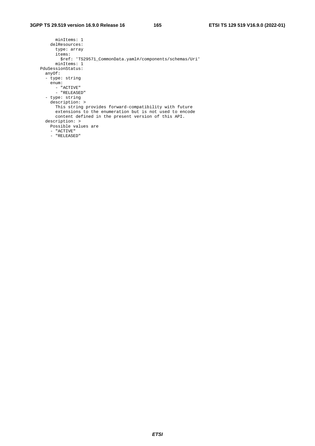minItems: 1 delResources: type: array items: \$ref: 'TS29571\_CommonData.yaml#/components/schemas/Uri' minItems: 1 PduSessionStatus: anyOf: - type: string enum: - "ACTIVE" - "RELEASED" - type: string description: > This string provides forward-compatibility with future extensions to the enumeration but is not used to encode content defined in the present version of this API. description: > Possible values are - "ACTIVE" - "RELEASED"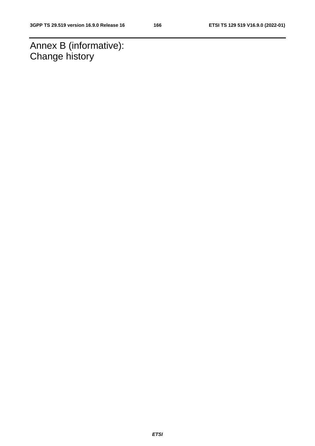Annex B (informative): Change history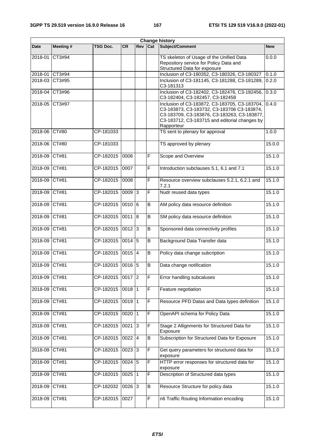| Change history |           |           |            |     |                |                                                                                                                                                                                                           |            |
|----------------|-----------|-----------|------------|-----|----------------|-----------------------------------------------------------------------------------------------------------------------------------------------------------------------------------------------------------|------------|
| <b>Date</b>    | Meeting # | TSG Doc.  | <b>CR</b>  | Rev | Cat            | Subject/Comment                                                                                                                                                                                           | <b>New</b> |
| 2018-01        | CT3#94    |           |            |     |                | TS skeleton of Usage of the Unified Data<br>Repository service for Policy Data and<br>Structured Data for exposure                                                                                        | 0.0.0      |
| 2018-01        | CT3#94    |           |            |     |                | Inclusion of C3-180352, C3-180326, C3-180327                                                                                                                                                              | 0.1.0      |
| 2018-03        | CT3#95    |           |            |     |                | Inclusion of C3-181145, C3-181288, C3-181289,<br>C3-181313                                                                                                                                                | 0.2.0      |
| 2018-04        | CT3#96    |           |            |     |                | Inclusion of C3-182402, C3-182476, C3-182456,<br>C3-182404, C3-182457, C3-182458                                                                                                                          | 0.3.0      |
| 2018-05 CT3#97 |           |           |            |     |                | Inclusion of C3-183872, C3-183705, C3-183704,<br>C3-183873, C3-183732, C3-183706 C3-183874,<br>C3-183709, C3-183876, C3-183263, C3-183877,<br>C3-183712, C3-183715 and editorial changes by<br>Rapporteur | 0.4.0      |
| 2018-06        | CT#80     | CP-181033 |            |     |                | TS sent to plenary for approval                                                                                                                                                                           | 1.0.0      |
| 2018-06        | CT#80     | CP-181033 |            |     |                | TS approved by plenary                                                                                                                                                                                    | 15.0.0     |
| 2018-09        | CT#81     | CP-182015 | 0006       |     | $\mathsf F$    | Scope and Overview                                                                                                                                                                                        | 15.1.0     |
| 2018-09        | CT#81     | CP-182015 | 0007       |     | $\mathsf F$    | Introduction subclauses 5.1, 6.1 and 7.1                                                                                                                                                                  | 15.1.0     |
| 2018-09        | CT#81     | CP-182015 | 0008       |     | $\overline{F}$ | Resource overview subclauses 5.2.1, 6.2.1 and<br>7.2.1                                                                                                                                                    | 15.1.0     |
| 2018-09        | CT#81     | CP-182015 | $0009$ 3   |     | F              | Nudr reused data types                                                                                                                                                                                    | 15.1.0     |
| 2018-09        | CT#81     | CP-182015 | 0010 6     |     | B              | AM policy data resource definition                                                                                                                                                                        | 15.1.0     |
| 2018-09        | CT#81     | CP-182015 | 0011 8     |     | B              | SM policy data resource definition                                                                                                                                                                        | 15.1.0     |
| 2018-09        | CT#81     | CP-182015 | $0012$ 3   |     | B              | Sponsored data connectivity profiles                                                                                                                                                                      | 15.1.0     |
| 2018-09        | CT#81     | CP-182015 | $0014$ 5   |     | B              | Background Data Transfer data                                                                                                                                                                             | 15.1.0     |
| 2018-09        | CT#81     | CP-182015 | 0015 4     |     | B              | Policy data change subcription                                                                                                                                                                            | 15.1.0     |
| 2018-09        | CT#81     | CP-182015 | 0016 5     |     | B              | Data change notification                                                                                                                                                                                  | 15.1.0     |
| 2018-09        | CT#81     | CP-182015 | $0017$  2  |     | F              | Error handling subcaluses                                                                                                                                                                                 | 15.1.0     |
| 2018-09        | CT#81     | CP-182015 | $0018$   1 |     | F              | Feature negotiation                                                                                                                                                                                       | 15.1.0     |
| 2018-09        | CT#81     | CP-182015 | $0019$ 1   |     | $\mathsf F$    | Resource PFD Datas and Data types definition                                                                                                                                                              | 15.1.0     |
| 2018-09        | CT#81     | CP-182015 | $0020$   1 |     | $\overline{F}$ | OpenAPI schema for Policy Data                                                                                                                                                                            | 15.1.0     |
| 2018-09        | CT#81     | CP-182015 | $0021$ 3   |     | $\mathsf F$    | Stage 2 Allignments for Structured Data for<br>Exposure                                                                                                                                                   | 15.1.0     |
| 2018-09        | CT#81     | CP-182015 | $0022$ 4   |     | B              | Subscription for Structured Data for Exposure                                                                                                                                                             | 15.1.0     |
| 2018-09        | CT#81     | CP-182015 | $0023$ 3   |     | $\mathsf F$    | Get query parameters for structured data for<br>exposure                                                                                                                                                  | 15.1.0     |
| 2018-09        | CT#81     | CP-182015 | $0024$ 5   |     | $\mathsf F$    | HTTP error responses for structured data for<br>exposure                                                                                                                                                  | 15.1.0     |
| 2018-09        | CT#81     | CP-182015 | $0025$   1 |     | F              | Description of Structured data types                                                                                                                                                                      | 15.1.0     |
| 2018-09        | CT#81     | CP-182032 | $0026$ 3   |     | B              | Resource Structure for policy data                                                                                                                                                                        | 15.1.0     |
| 2018-09        | CT#81     | CP-182015 | 0027       |     | $\mathsf F$    | n6 Traffic Routing Information encoding                                                                                                                                                                   | 15.1.0     |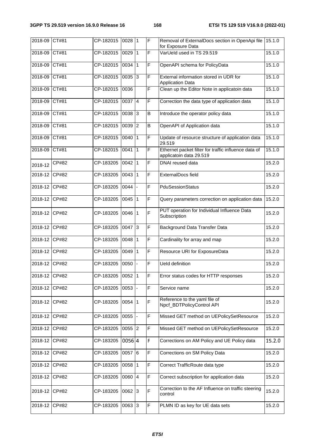| 2018-09       | CT#81 | CP-182015 | $0028$ 1            |   | $\mathsf{F}$   | Removal of ExternalDocs section in OpenApi file<br>for Exposure Data            | 15.1.0 |
|---------------|-------|-----------|---------------------|---|----------------|---------------------------------------------------------------------------------|--------|
| 2018-09       | CT#81 | CP-182015 | 0029                | 1 | $\mathsf{F}$   | VarUeld used in TS 29.519                                                       | 15.1.0 |
| 2018-09       | CT#81 | CP-182015 | $0034$   1          |   | $\mathsf{F}$   | OpenAPI schema for PolicyData                                                   | 15.1.0 |
| 2018-09       | CT#81 | CP-182015 | $0035$ 3            |   | $\overline{F}$ | External information stored in UDR for<br><b>Application Data</b>               | 15.1.0 |
| 2018-09       | CT#81 | CP-182015 | 0036                |   | $\overline{F}$ | Clean up the Editor Note in applicatoin data                                    | 15.1.0 |
| 2018-09       | CT#81 | CP-182015 | $0037$ 4            |   | $\overline{F}$ | Correction the data type of application data                                    | 15.1.0 |
| 2018-09       | CT#81 | CP-182015 | 0038 3              |   | $\sf B$        | Introduce the operator policy data                                              | 15.1.0 |
| 2018-09       | CT#81 | CP-182015 | $0039$ <sup>2</sup> |   | $\overline{B}$ | OpenAPI of Application data                                                     | 15.1.0 |
| 2018-09       | CT#81 | CP-182015 | $0040$   1          |   | $\overline{F}$ | Update of resource structure of application data<br>29.519                      | 15.1.0 |
| 2018-09       | CT#81 | CP-182015 | $0041$   1          |   | $\overline{F}$ | Ethernet packet filter for traffic influence data of<br>applicatoin data 29.519 | 15.1.0 |
| 2018-12       | CP#82 | CP-183205 | $0042$   1          |   | F              | DNAI reused data                                                                | 15.2.0 |
| 2018-12       | CP#82 | CP-183205 | $0043$   1          |   | F              | ExternalDocs field                                                              | 15.2.0 |
| 2018-12       | CP#82 | CP-183205 | 0044                |   | F              | PduSessionStatus                                                                | 15.2.0 |
| 2018-12       | CP#82 | CP-183205 | $0045$   1          |   | $\mathsf{F}$   | Query parameters correction on application data                                 | 15.2.0 |
| 2018-12 CP#82 |       | CP-183205 | $0046$   1          |   | $\overline{F}$ | PUT operation for Individual Influence Data<br>Subscription                     | 15.2.0 |
| 2018-12       | CP#82 | CP-183205 | $0047$ 3            |   | $\overline{F}$ | Background Data Transfer Data                                                   | 15.2.0 |
| 2018-12       | CP#82 | CP-183205 | $0048$   1          |   | F              | Cardinality for array and map                                                   | 15.2.0 |
| 2018-12       | CP#82 | CP-183205 | $0049$   1          |   | $\overline{F}$ | Resource URI for ExposureData                                                   | 15.2.0 |
| 2018-12       | CP#82 | CP-183205 | 0050                |   | $\overline{F}$ | Ueld definition                                                                 | 15.2.0 |
| 2018-12 CP#82 |       | CP-183205 | 0052 1              |   | F              | Error status codes for HTTP responses                                           | 15.2.0 |
| 2018-12       | CP#82 | CP-183205 | $0053$ -            |   | F              | Service name                                                                    | 15.2.0 |
| 2018-12       | CP#82 | CP-183205 | $0054$   1          |   | F              | Reference to the yaml file of<br>Npcf_BDTPolicyControl API                      | 15.2.0 |
| 2018-12       | CP#82 | CP-183205 | $0055$ -            |   | F              | Missed GET method on UEPolicySetResource                                        | 15.2.0 |
| 2018-12       | CP#82 | CP-183205 | $0055$ 2            |   | $\mathsf F$    | Missed GET method on UEPolicySetResource                                        | 15.2.0 |
| 2018-12       | CP#82 | CP-183205 | 0056 4              |   | F              | Corrections on AM Policy and UE Policy data                                     | 15 2 0 |
| 2018-12       | CP#82 | CP-183205 | 0057 6              |   | $\mathsf F$    | Corrections on SM Policy Data                                                   | 15.2.0 |
| 2018-12       | CP#82 | CP-183205 | $0058$   1          |   | $\mathsf F$    | Correct TrafficRoute data type                                                  | 15.2.0 |
| 2018-12       | CP#82 | CP-183205 | 0060 4              |   | $\mathsf F$    | Correct subscription for application data                                       | 15.2.0 |
| 2018-12       | CP#82 | CP-183205 | $0062 \mid 3$       |   | $\mathsf F$    | Correction to the AF Influence on traffic steering<br>control                   | 15.2.0 |
| 2018-12 CP#82 |       | CP-183205 | $0063 \mid 3$       |   | $\mathsf F$    | PLMN ID as key for UE data sets                                                 | 15.2.0 |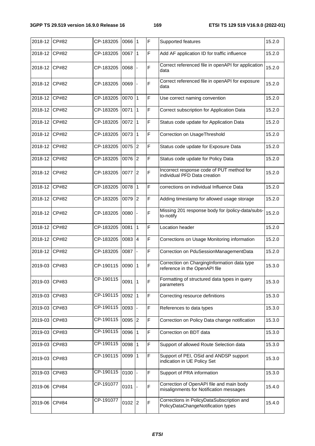| 2018-12 CP#82 |       | CP-183205 | 0066       | <u> 1</u>      | $\mathsf{F}$   | Supported features                                                                  | 15.2.0 |
|---------------|-------|-----------|------------|----------------|----------------|-------------------------------------------------------------------------------------|--------|
| 2018-12 CP#82 |       | CP-183205 | 0067       | $\mathbf{1}$   | F              | Add AF application ID for traffic influence                                         | 15.2.0 |
| 2018-12 CP#82 |       | CP-183205 | 0068       |                | $\mathsf F$    | Correct referenced file in openAPI for application<br>data                          | 15.2.0 |
| 2018-12 CP#82 |       | CP-183205 | 0069       |                | $\mathsf{F}$   | Correct referenced file in openAPI for exposure<br>data                             | 15.2.0 |
| 2018-12 CP#82 |       | CP-183205 | 0070       | 11             | F              | Use correct naming convention                                                       | 15.2.0 |
| 2018-12       | CP#82 | CP-183205 | 0071       | $\mathbf{1}$   | F              | Correct subscription for Application Data                                           | 15.2.0 |
| 2018-12       | CP#82 | CP-183205 | 0072       | 1              | F              | Status code update for Application Data                                             | 15.2.0 |
| 2018-12       | CP#82 | CP-183205 | 0073       | $\vert$ 1      | $\mathsf F$    | Correction on UsageThreshold                                                        | 15.2.0 |
| 2018-12       | CP#82 | CP-183205 | 0075       | $ 2\rangle$    | $\mathsf F$    | Status code update for Exposure Data                                                | 15.2.0 |
| 2018-12       | CP#82 | CP-183205 | 0076       | 2              | F              | Status code update for Policy Data                                                  | 15.2.0 |
| 2018-12 CP#82 |       | CP-183205 | 0077       | $\overline{2}$ | F              | Incorrect response code of PUT method for<br>individual PFD Data creation           | 15.2.0 |
| 2018-12 CP#82 |       | CP-183205 | 0078       | $\mathbf{1}$   | F              | corrections on individual Influence Data                                            | 15.2.0 |
| 2018-12       | CP#82 | CP-183205 | 0079       | $\overline{2}$ | F              | Adding timestamp for allowed usage storage                                          | 15.2.0 |
| 2018-12       | CP#82 | CP-183205 | 0080       |                | F              | Missing 201 response body for /policy-data/subs-<br>to-notify                       | 15.2.0 |
| 2018-12       | CP#82 | CP-183205 | 0081       | 1              | F              | Location header                                                                     | 15.2.0 |
| 2018-12       | CP#82 | CP-183205 | 0083       | $\overline{4}$ | $\mathsf F$    | Corrections on Usage Monitoring information                                         | 15.2.0 |
| 2018-12       | CP#82 | CP-183205 | 0087       |                | F              | Correction on PduSessionManagementData                                              | 15.2.0 |
| 2019-03       | CP#83 | CP-190115 | 0090       | 11             | $\overline{F}$ | Correction on ChargingInformation data type<br>reference in the OpenAPI file        | 15.3.0 |
| 2019-03       | CP#83 | CP-190115 | 0091 1     |                | $\mathsf F$    | Formatting of structured data types in query<br>parameters                          | 15.3.0 |
| 2019-03       | CP#83 | CP-190115 | $0092$   1 |                | $\mathsf F$    | Correcting resource definitions                                                     | 15.3.0 |
| 2019-03       | CP#83 | CP-190115 | $0093$ -   |                | $\mathsf F$    | References to data types                                                            | 15.3.0 |
| 2019-03       | CP#83 | CP-190115 | $0095$ 2   |                | $\mathsf F$    | Correction on Policy Data change notification                                       | 15.3.0 |
| 2019-03       | CP#83 | CP-190115 | 0096 1     |                | $\mathsf F$    | Correction on BDT data                                                              | 15.3.0 |
| 2019-03       | CP#83 | CP-190115 | 0098   1   |                | $\mathsf F$    | Support of allowed Route Selection data                                             | 15.3.0 |
| 2019-03       | CP#83 | CP-190115 | 0099 1     |                | $\overline{F}$ | Support of PEI, OSid and ANDSP support<br>indication in UE Policy Set               | 15.3.0 |
| 2019-03       | CP#83 | CP-190115 | 0100       |                | $\mathsf F$    | Support of PRA information                                                          | 15.3.0 |
| 2019-06       | CP#84 | CP-191077 | 0101       |                | $\overline{F}$ | Correction of OpenAPI file and main body<br>misalignments for Notification messages | 15.4.0 |
| 2019-06       | CP#84 | CP-191077 | $0102$ 2   |                | F              | Corrections in PolicyDataSubscription and<br>PolicyDataChangeNotification types     | 15.4.0 |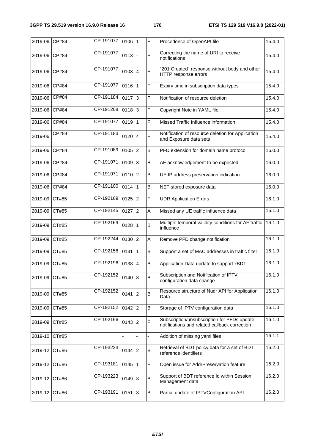| 2019-06       | CP#84              | CP-191077 | 0106 1    |                 | $\overline{F}$ | Precedence of OpenAPI file                                                                   | 15.4.0 |
|---------------|--------------------|-----------|-----------|-----------------|----------------|----------------------------------------------------------------------------------------------|--------|
| 2019-06       | CP#84              | CP-191077 | 0113      |                 | $\mathsf F$    | Correcting the name of URI to receive<br>notifications                                       | 15.4.0 |
| 2019-06       | CP#84              | CP-191077 | $0103$ 4  |                 | $\mathsf F$    | "201 Created" response without body and other<br>HTTP response errors                        | 15.4.0 |
| 2019-06       | CP#84              | CP-191077 | 0116 1    |                 | F              | Expiry time in subscription data types                                                       | 15.4.0 |
| 2019-06       | CP#84              | CP-191184 | 0117      | 3               | F              | Notification of resource deletion                                                            | 15.4.0 |
| 2019-06       | CP#84              | CP-191208 | 0118      | $ 3\rangle$     | F              | Copyright Note in YAML file                                                                  | 15.4.0 |
| 2019-06       | CP#84              | CP-191077 | 0119      | $\mathbf{1}$    | $\mathsf F$    | Missed Traffic Influence information                                                         | 15.4.0 |
| 2019-06       | $\overline{CP#84}$ | CP-191183 | 0120      | $\overline{4}$  | F              | Notification of resource deletion for Application<br>and Exposure data sets                  | 15.4.0 |
| 2019-06       | CP#84              | CP-191089 | 0105      | 2               | B              | PFD extension for domain name protocol                                                       | 16.0.0 |
| 2019-06       | CP#84              | CP-191071 | 0109      | 3               | $\sf{B}$       | AF acknowledgement to be expected                                                            | 16.0.0 |
| 2019-06       | CP#84              | CP-191071 | 0110      | 2               | B              | UE IP address preservation indication                                                        | 16.0.0 |
| 2019-06       | CP#84              | CP-191100 | 0114      | $\vert$ 1       | B              | NEF stored exposure data                                                                     | 16.0.0 |
| 2019-09       | CT#85              | CP-192169 | 0125      | $ 2\rangle$     | F              | <b>UDR Application Errors</b>                                                                | 16.1.0 |
| 2019-09       | CT#85              | CP-192145 | 0127      | 2               | A              | Missed any UE traffic influence data                                                         | 16.1.0 |
| 2019-09       | CT#85              | CP-192169 | 0128      | $\mathbf{1}$    | B              | Multiple temporal validity conditions for AF traffic<br>influence                            | 16.1.0 |
| 2019-09       | CT#85              | CP-192244 | 0130      | $\overline{2}$  | A              | Remove PFD change notification                                                               | 16.1.0 |
| 2019-09       | CT#85              | CP-192156 | 0131      | $\mathbf{1}$    | $\sf{B}$       | Support a set of MAC addresses in traffic filter                                             | 16.1.0 |
| 2019-09       | CT#85              | CP-192196 | 0138      | $\vert 4 \vert$ | B              | Application Data update to support xBDT                                                      | 16.1.0 |
| 2019-09 CT#85 |                    | CP-192152 | $0140$ 3  |                 | $\sf B$        | Subscription and Notification of IPTV<br>configuration data change                           | 16.1.0 |
| 2019-09       | CT#85              | CP-192152 | $0141$  2 |                 | B              | Resource structure of Nudr API for Application<br>Data                                       | 16.1.0 |
| 2019-09       | CT#85              | CP-192152 | $0142$ 2  |                 | В              | Storage of IPTV configuration data                                                           | 16.1.0 |
| 2019-09       | CT#85              | CP-192156 | $0143$ 2  |                 | F              | Subscription/unsubscription for PFDs update<br>notifications and related callback correction | 16.1.0 |
| 2019-10       | CT#85              |           |           |                 |                | Addition of missing yaml files                                                               | 16.1.1 |
| 2019-12       | CT#86              | CP-193223 | $0144$  2 |                 | B              | Retrieval of BDT policy data for a set of BDT<br>reference identifiers                       | 16.2.0 |
| 2019-12       | CT#86              | CP-193181 | $0145$  1 |                 | $\mathsf F$    | Open issue for AddrPreservation feature                                                      | 16.2.0 |
| 2019-12       | CT#86              | CP-193223 | $0149$ 3  |                 | B              | Support of BDT reference Id within Session<br>Management data                                | 16.2.0 |
| 2019-12 CT#86 |                    | CP-193191 | $0151$ 3  |                 | B              | Partial update of IPTVConfiguration API                                                      | 16.2.0 |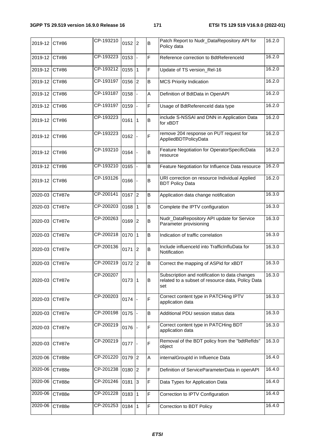| 2019-12        | CT#86         | CP-193210 | $0152$ 2   | B           | Patch Report to Nudr_DataRepository API for<br>Policy data                                                | 16.2.0 |
|----------------|---------------|-----------|------------|-------------|-----------------------------------------------------------------------------------------------------------|--------|
| 2019-12        | CT#86         | CP-193223 | 0153       | F           | Reference correction to BdtReferenceId                                                                    | 16.2.0 |
| 2019-12        | CT#86         | CP-193212 | $0155$ 1   | F           | Update of TS version_Rel-16                                                                               | 16.2.0 |
| 2019-12        | CT#86         | CP-193197 | $0156$ 2   | $\sf B$     | <b>MCS Priority Indication</b>                                                                            | 16.2.0 |
| 2019-12        | CT#86         | CP-193187 | 0158       | A           | Definition of BdtData in OpenAPI                                                                          | 16.2.0 |
| 2019-12        | CT#86         | CP-193197 | 0159       | F           | Usage of BdtReferenceld data type                                                                         | 16.2.0 |
| 2019-12        | CT#86         | CP-193223 | $0161$   1 | $\sf B$     | include S-NSSAI and DNN in Application Data<br>for xBDT                                                   | 16.2.0 |
| 2019-12        | CT#86         | CP-193223 | 0162       | F           | remove 204 response on PUT request for<br>AppliedBDTPolicyData                                            | 16.2.0 |
| 2019-12        | CT#86         | CP-193210 | 0164       | B           | Feature Negotiation for OperatorSpecificData<br>resource                                                  | 16.2.0 |
| 2019-12        | CT#86         | CP-193210 | 0165       | B           | Feature Negotiation for Influence Data resource                                                           | 16.2.0 |
| 2019-12 CT#86  |               | CP-193126 | 0166       | $\sf B$     | URI correction on resource Individual Applied<br><b>BDT Policy Data</b>                                   | 16.2.0 |
| 2020-03        | CT#87e        | CP-200141 | $0167$ 2   | B           | Application data change notification                                                                      | 16.3.0 |
| 2020-03        | CT#87e        | CP-200203 | $0168$   1 | $\sf B$     | Complete the IPTV configuration                                                                           | 16.3.0 |
| 2020-03 CT#87e |               | CP-200263 | $0169$ 2   | B           | Nudr_DataRepository API update for Service<br>Parameter provisioning                                      | 16.3.0 |
| 2020-03        | <b>CT#87e</b> | CP-200218 | $0170$  1  | $\sf B$     | Indication of traffic correlation                                                                         | 16.3.0 |
| 2020-03        | <b>CT#87e</b> | CP-200136 | $0171$ 2   | B           | Include influenceId into TrafficInfluData for<br>Notification                                             | 16.3.0 |
| 2020-03        | CT#87e        | CP-200219 | 0172 2     | B           | Correct the mapping of ASPid for xBDT                                                                     | 16.3.0 |
| 2020-03        | CT#87e        | CP-200207 | $0173$  1  | B           | Subscription and notification to data changes<br>related to a subset of resource data, Policy Data<br>set | 16.3.0 |
| 2020-03        | <b>CT#87e</b> | CP-200203 | $0174$ -   | F           | Correct content type in PATCHing IPTV<br>application data                                                 | 16.3.0 |
| 2020-03        | <b>CT#87e</b> | CP-200198 | $0175$ -   | В           | Additional PDU session status data                                                                        | 16.3.0 |
| 2020-03        | <b>CT#87e</b> | CP-200219 | 0176       | F           | Correct content type in PATCHing BDT<br>application data                                                  | 16.3.0 |
| 2020-03        | CT#87e        | CP-200219 | $0177$ -   | F           | Removal of the BDT policy from the "bdtReflds"<br>object                                                  | 16.3.0 |
| 2020-06        | <b>CT#88e</b> | CP-201220 | $0179$ 2   | A           | internalGroupId in Influence Data                                                                         | 16.4.0 |
| 2020-06        | CT#88e        | CP-201238 | $0180$  2  | F           | Definition of ServiceParameterData in openAPI                                                             | 16.4.0 |
| 2020-06        | CT#88e        | CP-201246 | $0181$ 3   | F           | Data Types for Application Data                                                                           | 16.4.0 |
| 2020-06        | CT#88e        | CP-201228 | $0183$   1 | $\mathsf F$ | Correction to IPTV Configuration                                                                          | 16.4.0 |
| 2020-06        | CT#88e        | CP-201253 | $0184$   1 | F           | Correction to BDT Policy                                                                                  | 16.4.0 |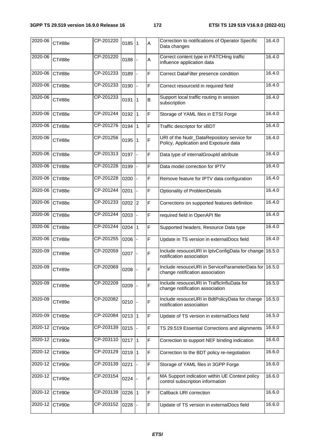| 2020-06 | CT#88e | CP-201220 | 0185     | l 1       | A | Correction to notifications of Operator Specific<br>Data changes                         | 16.4.0 |
|---------|--------|-----------|----------|-----------|---|------------------------------------------------------------------------------------------|--------|
| 2020-06 | CT#88e | CP-201220 | 0188     |           | A | Correct content type in PATCHing traffic<br>influence application data                   | 16.4.0 |
| 2020-06 | CT#88e | CP-201233 | 0189     |           | F | Correct DataFilter presence condition                                                    | 16.4.0 |
| 2020-06 | CT#88e | CP-201233 | 0190     |           | F | Correct resourceld in required field                                                     | 16.4.0 |
| 2020-06 | CT#88e | CP-201233 | 0191     | 1         | B | Support local traffic routing in session<br>subscription                                 | 16.4.0 |
| 2020-06 | CT#88e | CP-201244 | 0192     | 11        | F | Storage of YAML files in ETSI Forge                                                      | 16.4.0 |
| 2020-06 | CT#88e | CP-201276 | 0194     | 11        | F | Traffic descriptor for xBDT                                                              | 16.4.0 |
| 2020-06 | CT#88e | CP-201256 | 0195     | $\vert$ 1 | F | URI of the Nudr_DataRepository service for<br>Policy, Application and Exposure data      | 16.4.0 |
| 2020-06 | CT#88e | CP-201313 | 0197     |           | F | Data type of internalGroupId attribute                                                   | 16.4.0 |
| 2020-06 | CT#88e | CP-201228 | 0199     |           | F | Data model correction for IPTV                                                           | 16.4.0 |
| 2020-06 | CT#88e | CP-201228 | 0200     |           | F | Remove feature for IPTV data configuration                                               | 16.4.0 |
| 2020-06 | CT#88e | CP-201244 | 0201     |           | F | Optionality of ProblemDetails                                                            | 16.4.0 |
| 2020-06 | CT#88e | CP-201233 | $0202$ 2 |           | F | Corrections on supported features definition                                             | 16.4.0 |
| 2020-06 | CT#88e | CP-201244 | 0203     |           | F | required field in OpenAPI file                                                           | 16.4.0 |
| 2020-06 | CT#88e | CP-201244 | 0204     | <u> 1</u> | F | Supported headers, Resource Data type                                                    | 16.4.0 |
| 2020-06 | CT#88e | CP-201255 | 0206     |           | F | Update in TS version in externalDocs field                                               | 16.4.0 |
| 2020-09 | CT#89e | CP-202059 | 0207     |           | F | Include resouceURI in IptvConfigData for change<br>notification association              | 16.5.0 |
| 2020-09 | CT#89e | CP-202069 | 0208     |           | F | Include resouceURI in ServiceParameterData for 16.5.0<br>change notification association |        |
| 2020-09 | CT#89e | CP-202209 | 0209     |           | F | Include resouceURI in TrafficInfluData for<br>change notification association            | 16.5.0 |
| 2020-09 | CT#89e | CP-202082 | 0210     |           | F | Include resouceURI in BdtPolicyData for change<br>notification association               | 16.5.0 |
| 2020-09 | CT#89e | CP-202084 | 0213     | 11        | F | Update of TS version in externalDocs field                                               | 16.5.0 |
| 2020-12 | CT#90e | CP-203139 | 0215     |           | F | TS 29.519 Essential Corrections and alignments                                           | 16.6.0 |
| 2020-12 | CT#90e | CP-203110 | 0217     | $\vert$ 1 | F | Correction to support NEF binding indication                                             | 16.6.0 |
| 2020-12 | CT#90e | CP-203129 | 0219     | 11        | F | Correction to the BDT policy re-negotiation                                              | 16.6.0 |
| 2020-12 | CT#90e | CP-203139 | 0221     |           | F | Storage of YAML files in 3GPP Forge                                                      | 16.6.0 |
| 2020-12 | CT#90e | CP-203154 | 0224     |           | F | MA Support indication within UE Context policy<br>control subscription information       | 16.6.0 |
| 2020-12 | CT#90e | CP-203139 | 0226     | l 1       | F | Callback URI correction                                                                  | 16.6.0 |
| 2020-12 | CT#90e | CP-203152 | 0228     |           | F | Update of TS version in externalDocs field                                               | 16.6.0 |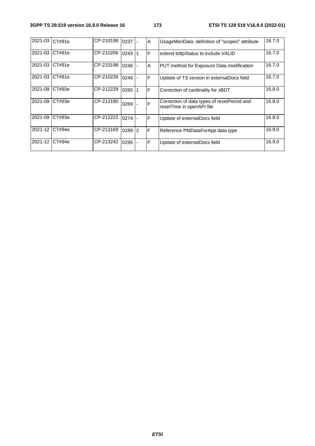| 2021-03 | CT#91e | CP-210198 | 0237 |    | $\overline{A}$ | UsageMonData: definition of "scopes" attribute                           | 16.7.0 |
|---------|--------|-----------|------|----|----------------|--------------------------------------------------------------------------|--------|
| 2021-03 | CT#91e | CP-210206 | 0243 |    | $\mathsf{F}$   | extend bdtpStatus to include VALID                                       | 16.7.0 |
| 2021-03 | CT#91e | CP-210198 | 0246 |    | A              | PUT method for Exposure Data modification                                | 16.7.0 |
| 2021-03 | CT#91e | CP-210239 | 0249 |    | F              | Update of TS version in externalDocs field                               | 16.7.0 |
| 2021-09 | CT#93e | CP-212229 | 0265 |    | $\mathsf{F}$   | Correction of cardinality for xBDT                                       | 16.8.0 |
| 2021-09 | CT#93e | CP-212190 | 0269 |    | F              | Correction of data types of resetPeriod and<br>resetTime in openAPI file | 16.8.0 |
| 2021-09 | CT#93e | CP-212222 | 0274 |    | F              | Update of externalDocs field                                             | 16.8.0 |
| 2021-12 | CT#94e | CP-213169 | 0289 | 12 | F              | Reference PfdDataForApp data type                                        | 16.9.0 |
| 2021-12 | CT#94e | CP-213242 | 0295 |    | F              | Update of externalDocs field                                             | 16.9.0 |